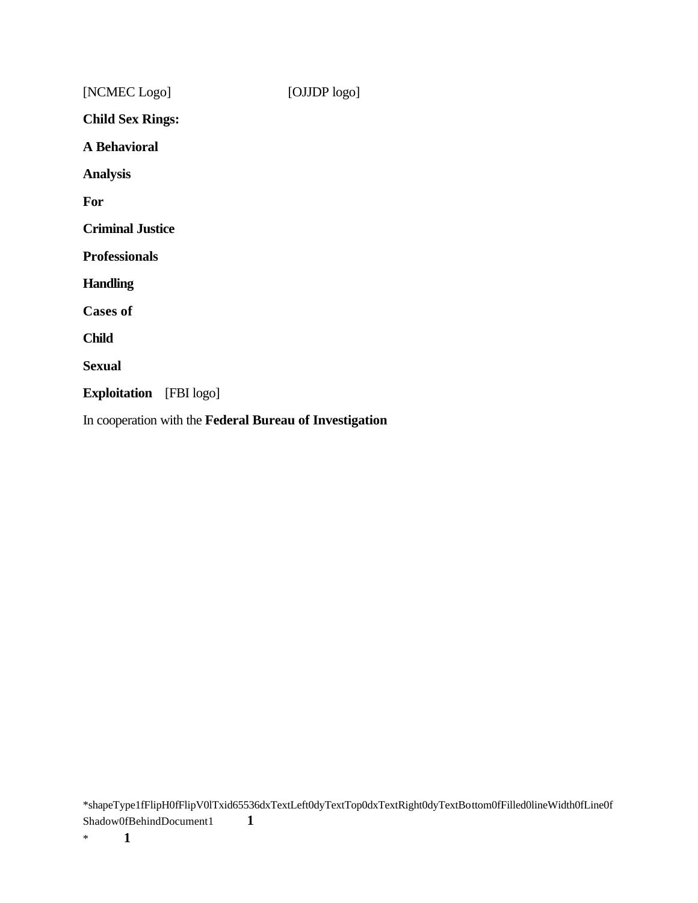| [NCMEC Logo]                                            | [OJJDP logo] |
|---------------------------------------------------------|--------------|
| <b>Child Sex Rings:</b>                                 |              |
| <b>A Behavioral</b>                                     |              |
| <b>Analysis</b>                                         |              |
| For                                                     |              |
| <b>Criminal Justice</b>                                 |              |
| <b>Professionals</b>                                    |              |
| <b>Handling</b>                                         |              |
| <b>Cases of</b>                                         |              |
| <b>Child</b>                                            |              |
| <b>Sexual</b>                                           |              |
| <b>Exploitation</b> [FBI logo]                          |              |
| In cooperation with the Federal Bureau of Investigation |              |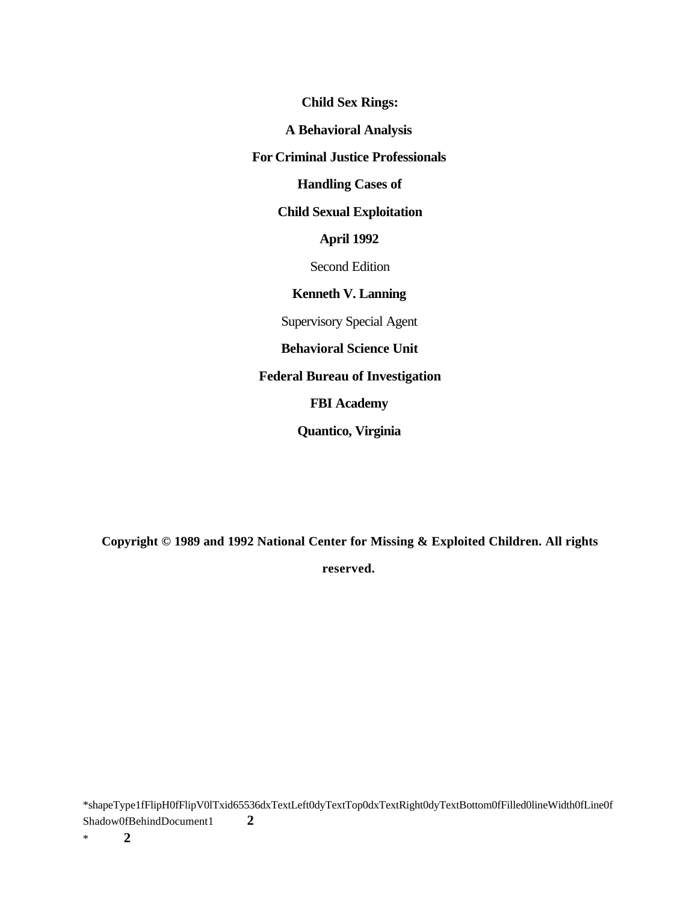**Child Sex Rings: A Behavioral Analysis For Criminal Justice Professionals Handling Cases of Child Sexual Exploitation April 1992** Second Edition **Kenneth V. Lanning** Supervisory Special Agent **Behavioral Science Unit Federal Bureau of Investigation FBI Academy Quantico, Virginia**

**Copyright © 1989 and 1992 National Center for Missing & Exploited Children. All rights reserved.**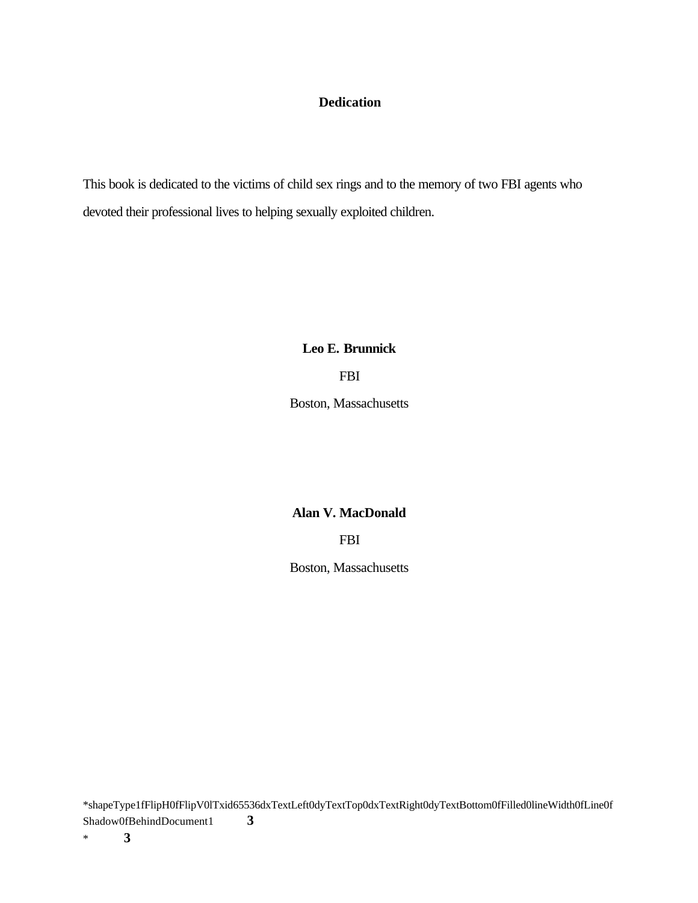# **Dedication**

This book is dedicated to the victims of child sex rings and to the memory of two FBI agents who devoted their professional lives to helping sexually exploited children.

**Leo E. Brunnick**

FBI

Boston, Massachusetts

## **Alan V. MacDonald**

FBI

Boston, Massachusetts

\*shapeType1fFlipH0fFlipV0lTxid65536dxTextLeft0dyTextTop0dxTextRight0dyTextBottom0fFilled0lineWidth0fLine0f Shadow0fBehindDocument1 **3**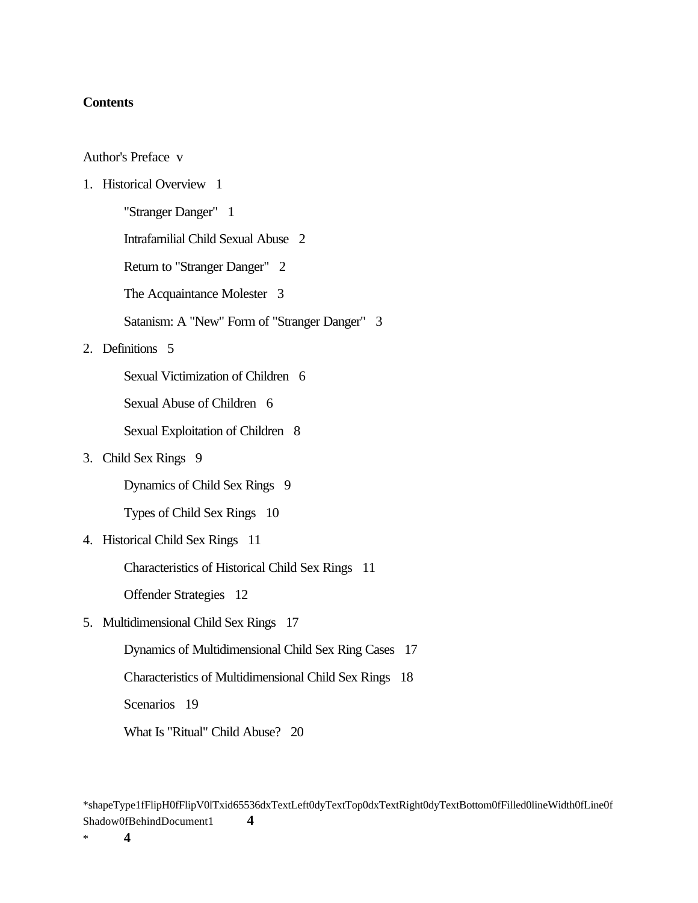## **Contents**

### Author's Preface v

### 1. Historical Overview 1

"Stranger Danger" 1

Intrafamilial Child Sexual Abuse 2

Return to "Stranger Danger" 2

The Acquaintance Molester 3

Satanism: A "New" Form of "Stranger Danger" 3

# 2. Definitions 5

Sexual Victimization of Children 6

Sexual Abuse of Children 6

Sexual Exploitation of Children 8

3. Child Sex Rings 9

Dynamics of Child Sex Rings 9

Types of Child Sex Rings 10

4. Historical Child Sex Rings 11

Characteristics of Historical Child Sex Rings 11

Offender Strategies 12

5. Multidimensional Child Sex Rings 17

Dynamics of Multidimensional Child Sex Ring Cases 17

Characteristics of Multidimensional Child Sex Rings 18

Scenarios 19

What Is "Ritual" Child Abuse? 20

\*shapeType1fFlipH0fFlipV0lTxid65536dxTextLeft0dyTextTop0dxTextRight0dyTextBottom0fFilled0lineWidth0fLine0f Shadow0fBehindDocument1 **4**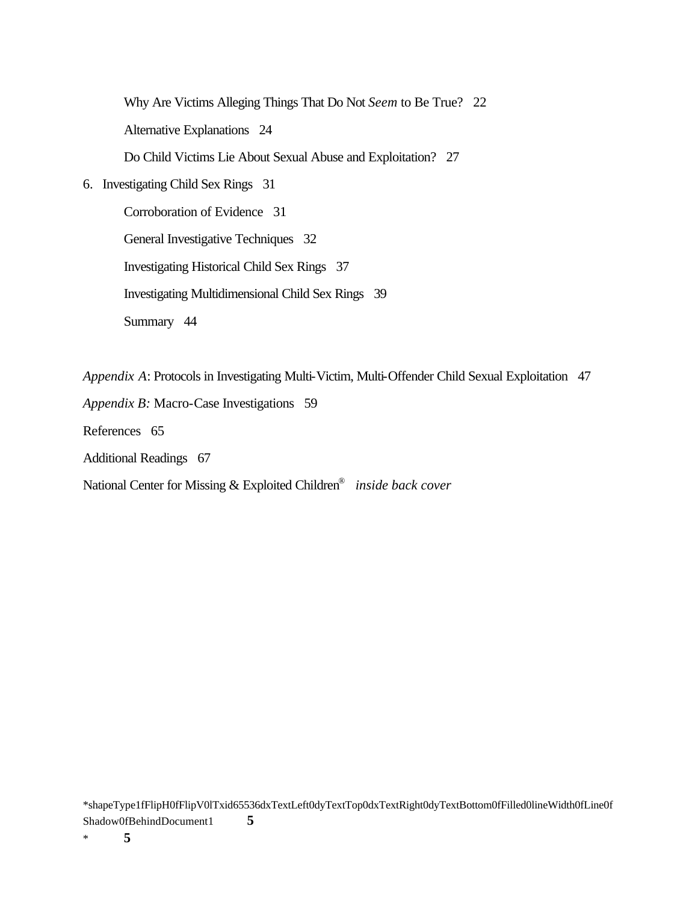Why Are Victims Alleging Things That Do Not *Seem* to Be True? 22 Alternative Explanations 24 Do Child Victims Lie About Sexual Abuse and Exploitation? 27

6. Investigating Child Sex Rings 31

Corroboration of Evidence 31 General Investigative Techniques 32 Investigating Historical Child Sex Rings 37 Investigating Multidimensional Child Sex Rings 39 Summary 44

*Appendix A*: Protocols in Investigating Multi-Victim, Multi-Offender Child Sexual Exploitation 47 *Appendix B:* Macro-Case Investigations 59 References 65 Additional Readings 67 National Center for Missing & Exploited Children® *inside back cover*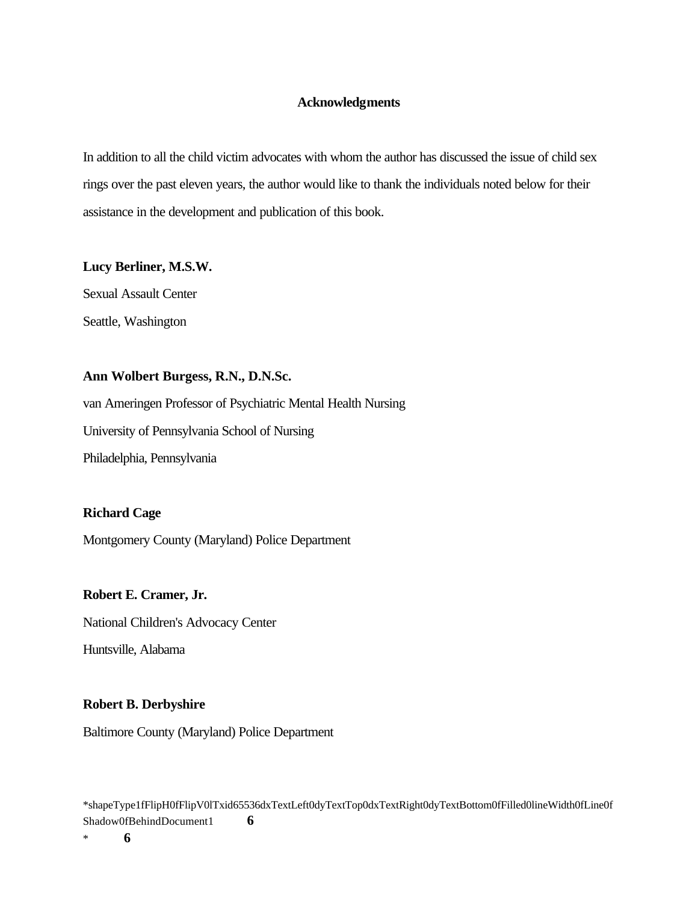### **Acknowledgments**

In addition to all the child victim advocates with whom the author has discussed the issue of child sex rings over the past eleven years, the author would like to thank the individuals noted below for their assistance in the development and publication of this book.

#### **Lucy Berliner, M.S.W.**

Sexual Assault Center Seattle, Washington

### **Ann Wolbert Burgess, R.N., D.N.Sc.**

van Ameringen Professor of Psychiatric Mental Health Nursing University of Pennsylvania School of Nursing Philadelphia, Pennsylvania

### **Richard Cage**

Montgomery County (Maryland) Police Department

### **Robert E. Cramer, Jr.**

National Children's Advocacy Center

Huntsville, Alabama

### **Robert B. Derbyshire**

Baltimore County (Maryland) Police Department

\*shapeType1fFlipH0fFlipV0lTxid65536dxTextLeft0dyTextTop0dxTextRight0dyTextBottom0fFilled0lineWidth0fLine0f Shadow0fBehindDocument1 **6**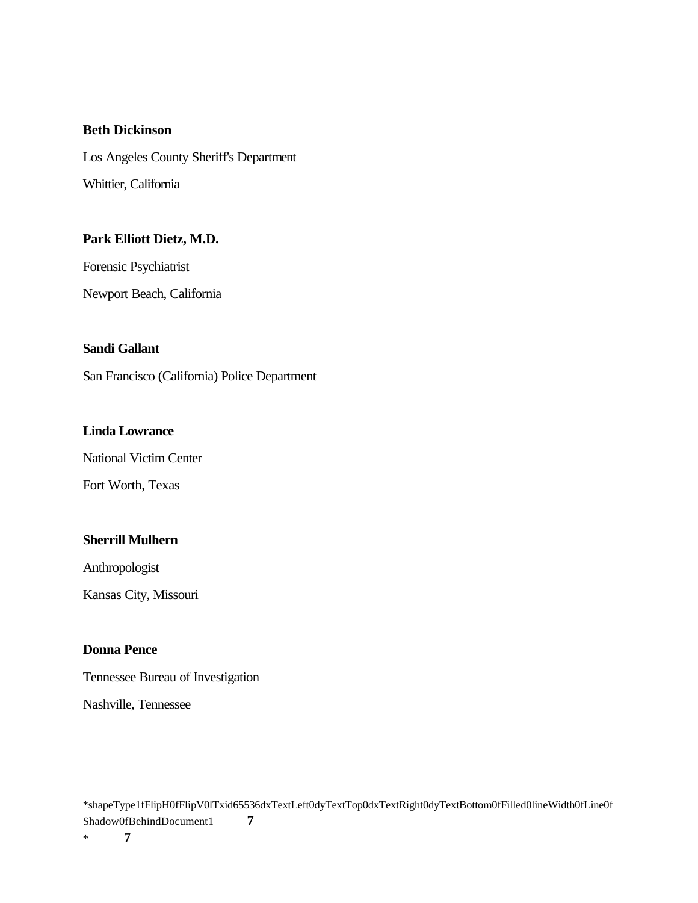### **Beth Dickinson**

Los Angeles County Sheriff's Department Whittier, California

# **Park Elliott Dietz, M.D.**

Forensic Psychiatrist

Newport Beach, California

# **Sandi Gallant**

San Francisco (California) Police Department

## **Linda Lowrance**

National Victim Center

Fort Worth, Texas

## **Sherrill Mulhern**

Anthropologist

Kansas City, Missouri

# **Donna Pence**

Tennessee Bureau of Investigation

Nashville, Tennessee

\*shapeType1fFlipH0fFlipV0lTxid65536dxTextLeft0dyTextTop0dxTextRight0dyTextBottom0fFilled0lineWidth0fLine0f Shadow0fBehindDocument1 **7**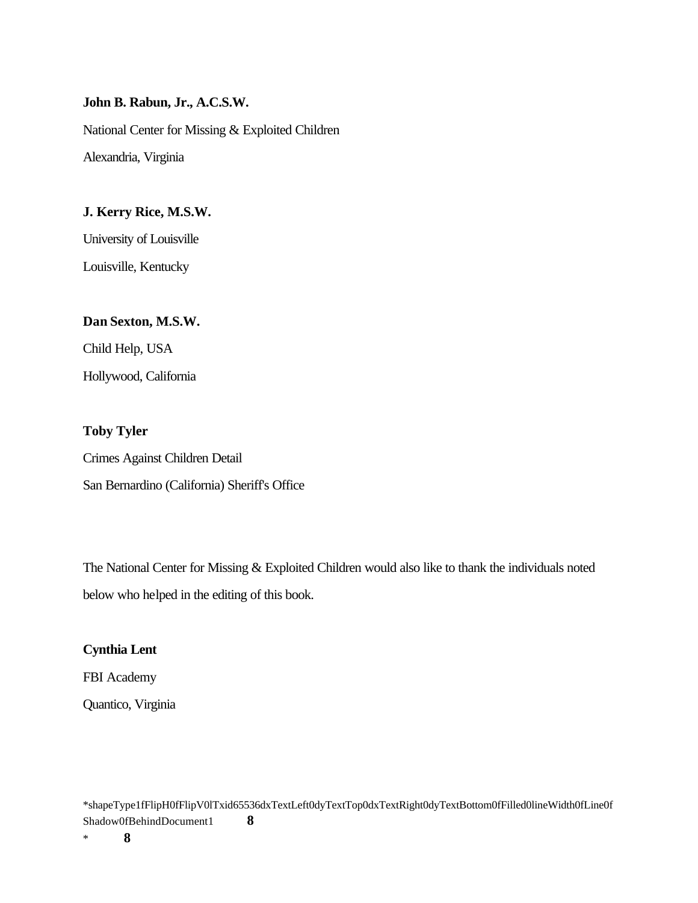### **John B. Rabun, Jr., A.C.S.W.**

National Center for Missing & Exploited Children Alexandria, Virginia

## **J. Kerry Rice, M.S.W.**

University of Louisville

Louisville, Kentucky

## **Dan Sexton, M.S.W.**

Child Help, USA

Hollywood, California

# **Toby Tyler**

Crimes Against Children Detail San Bernardino (California) Sheriff's Office

The National Center for Missing & Exploited Children would also like to thank the individuals noted below who helped in the editing of this book.

# **Cynthia Lent**

FBI Academy

Quantico, Virginia

\*shapeType1fFlipH0fFlipV0lTxid65536dxTextLeft0dyTextTop0dxTextRight0dyTextBottom0fFilled0lineWidth0fLine0f Shadow0fBehindDocument1 **8**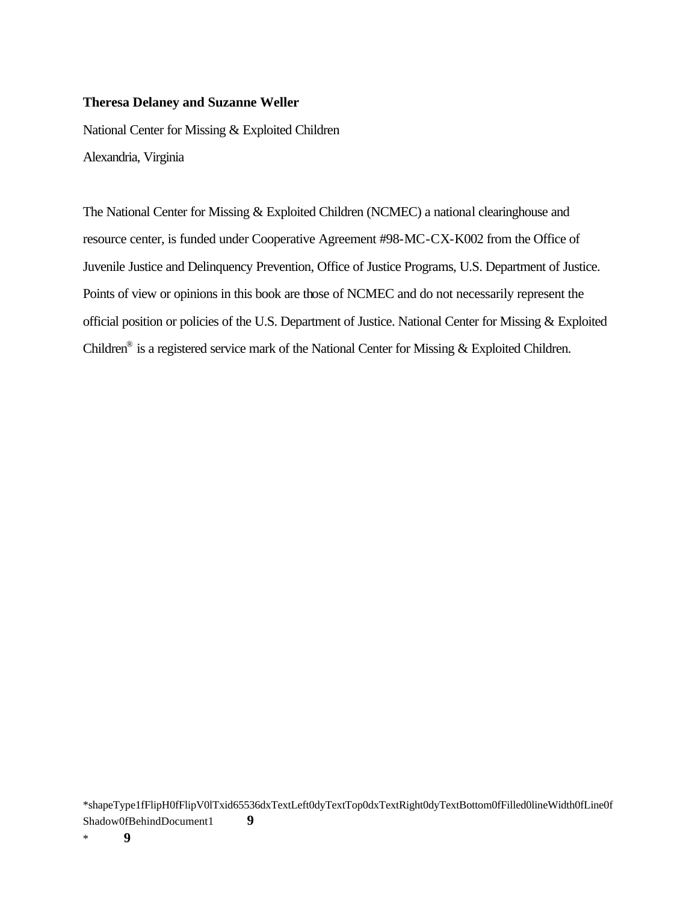### **Theresa Delaney and Suzanne Weller**

National Center for Missing & Exploited Children Alexandria, Virginia

The National Center for Missing & Exploited Children (NCMEC) a national clearinghouse and resource center, is funded under Cooperative Agreement #98-MC-CX-K002 from the Office of Juvenile Justice and Delinquency Prevention, Office of Justice Programs, U.S. Department of Justice. Points of view or opinions in this book are those of NCMEC and do not necessarily represent the official position or policies of the U.S. Department of Justice. National Center for Missing & Exploited Children® is a registered service mark of the National Center for Missing & Exploited Children.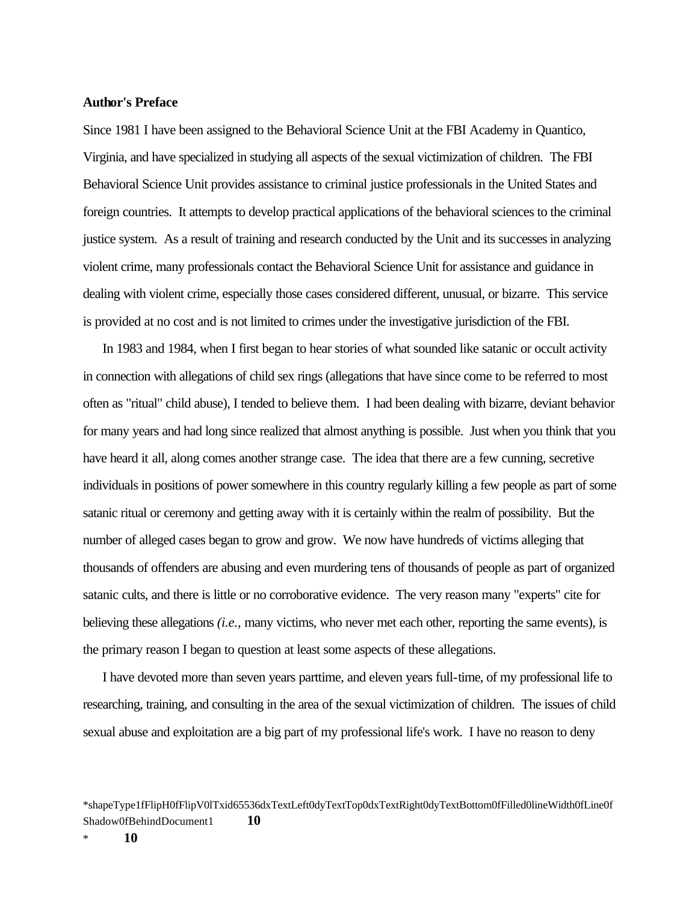#### **Author's Preface**

Since 1981 I have been assigned to the Behavioral Science Unit at the FBI Academy in Quantico, Virginia, and have specialized in studying all aspects of the sexual victimization of children. The FBI Behavioral Science Unit provides assistance to criminal justice professionals in the United States and foreign countries. It attempts to develop practical applications of the behavioral sciences to the criminal justice system. As a result of training and research conducted by the Unit and its successes in analyzing violent crime, many professionals contact the Behavioral Science Unit for assistance and guidance in dealing with violent crime, especially those cases considered different, unusual, or bizarre. This service is provided at no cost and is not limited to crimes under the investigative jurisdiction of the FBI.

In 1983 and 1984, when I first began to hear stories of what sounded like satanic or occult activity in connection with allegations of child sex rings (allegations that have since come to be referred to most often as "ritual" child abuse), I tended to believe them. I had been dealing with bizarre, deviant behavior for many years and had long since realized that almost anything is possible. Just when you think that you have heard it all, along comes another strange case. The idea that there are a few cunning, secretive individuals in positions of power somewhere in this country regularly killing a few people as part of some satanic ritual or ceremony and getting away with it is certainly within the realm of possibility. But the number of alleged cases began to grow and grow. We now have hundreds of victims alleging that thousands of offenders are abusing and even murdering tens of thousands of people as part of organized satanic cults, and there is little or no corroborative evidence. The very reason many "experts" cite for believing these allegations *(i.e.,* many victims, who never met each other, reporting the same events), is the primary reason I began to question at least some aspects of these allegations.

I have devoted more than seven years parttime, and eleven years full-time, of my professional life to researching, training, and consulting in the area of the sexual victimization of children. The issues of child sexual abuse and exploitation are a big part of my professional life's work. I have no reason to deny

\*shapeType1fFlipH0fFlipV0lTxid65536dxTextLeft0dyTextTop0dxTextRight0dyTextBottom0fFilled0lineWidth0fLine0f Shadow0fBehindDocument1 **10**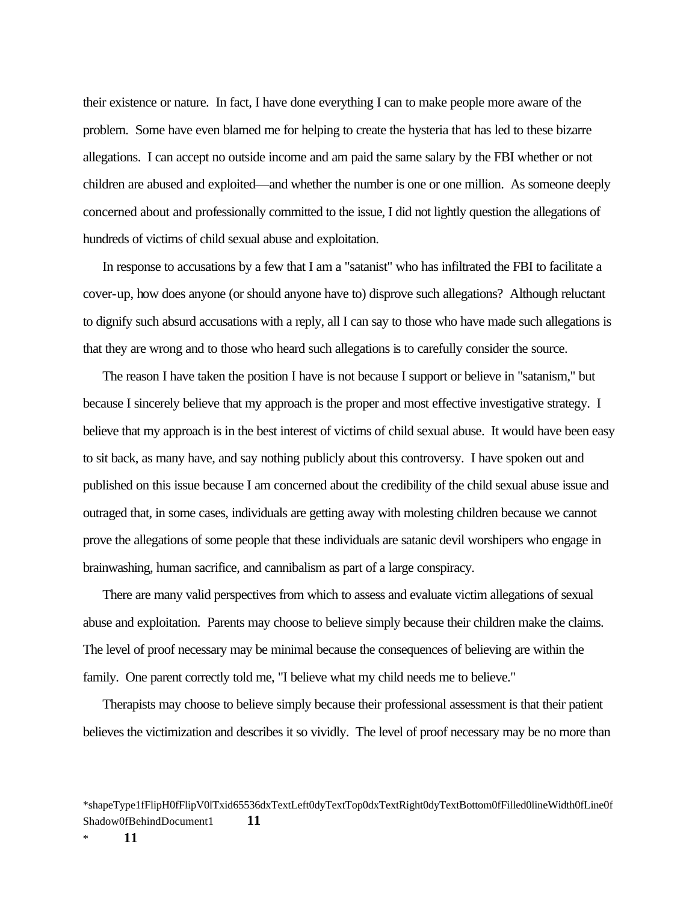their existence or nature. In fact, I have done everything I can to make people more aware of the problem. Some have even blamed me for helping to create the hysteria that has led to these bizarre allegations. I can accept no outside income and am paid the same salary by the FBI whether or not children are abused and exploited—and whether the number is one or one million. As someone deeply concerned about and professionally committed to the issue, I did not lightly question the allegations of hundreds of victims of child sexual abuse and exploitation.

In response to accusations by a few that I am a "satanist" who has infiltrated the FBI to facilitate a cover-up, how does anyone (or should anyone have to) disprove such allegations? Although reluctant to dignify such absurd accusations with a reply, all I can say to those who have made such allegations is that they are wrong and to those who heard such allegations is to carefully consider the source.

The reason I have taken the position I have is not because I support or believe in "satanism," but because I sincerely believe that my approach is the proper and most effective investigative strategy. I believe that my approach is in the best interest of victims of child sexual abuse. It would have been easy to sit back, as many have, and say nothing publicly about this controversy. I have spoken out and published on this issue because I am concerned about the credibility of the child sexual abuse issue and outraged that, in some cases, individuals are getting away with molesting children because we cannot prove the allegations of some people that these individuals are satanic devil worshipers who engage in brainwashing, human sacrifice, and cannibalism as part of a large conspiracy.

There are many valid perspectives from which to assess and evaluate victim allegations of sexual abuse and exploitation. Parents may choose to believe simply because their children make the claims. The level of proof necessary may be minimal because the consequences of believing are within the family. One parent correctly told me, "I believe what my child needs me to believe."

Therapists may choose to believe simply because their professional assessment is that their patient believes the victimization and describes it so vividly. The level of proof necessary may be no more than

\*shapeType1fFlipH0fFlipV0lTxid65536dxTextLeft0dyTextTop0dxTextRight0dyTextBottom0fFilled0lineWidth0fLine0f Shadow0fBehindDocument1 **11**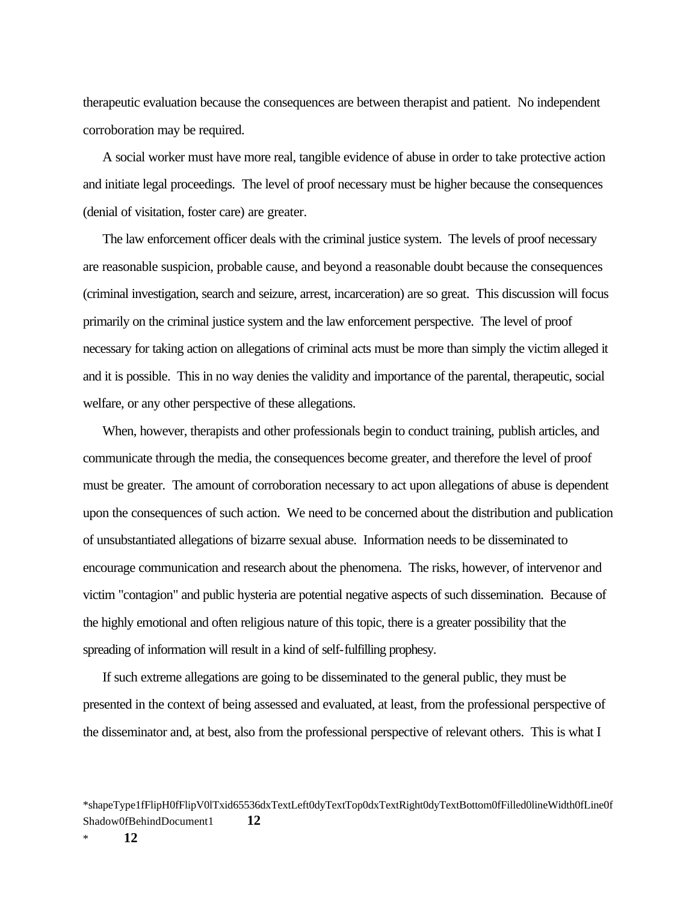therapeutic evaluation because the consequences are between therapist and patient. No independent corroboration may be required.

A social worker must have more real, tangible evidence of abuse in order to take protective action and initiate legal proceedings. The level of proof necessary must be higher because the consequences (denial of visitation, foster care) are greater.

The law enforcement officer deals with the criminal justice system. The levels of proof necessary are reasonable suspicion, probable cause, and beyond a reasonable doubt because the consequences (criminal investigation, search and seizure, arrest, incarceration) are so great. This discussion will focus primarily on the criminal justice system and the law enforcement perspective. The level of proof necessary for taking action on allegations of criminal acts must be more than simply the victim alleged it and it is possible. This in no way denies the validity and importance of the parental, therapeutic, social welfare, or any other perspective of these allegations.

When, however, therapists and other professionals begin to conduct training, publish articles, and communicate through the media, the consequences become greater, and therefore the level of proof must be greater. The amount of corroboration necessary to act upon allegations of abuse is dependent upon the consequences of such action. We need to be concerned about the distribution and publication of unsubstantiated allegations of bizarre sexual abuse. Information needs to be disseminated to encourage communication and research about the phenomena. The risks, however, of intervenor and victim "contagion" and public hysteria are potential negative aspects of such dissemination. Because of the highly emotional and often religious nature of this topic, there is a greater possibility that the spreading of information will result in a kind of self-fulfilling prophesy.

If such extreme allegations are going to be disseminated to the general public, they must be presented in the context of being assessed and evaluated, at least, from the professional perspective of the disseminator and, at best, also from the professional perspective of relevant others. This is what I

\*shapeType1fFlipH0fFlipV0lTxid65536dxTextLeft0dyTextTop0dxTextRight0dyTextBottom0fFilled0lineWidth0fLine0f Shadow0fBehindDocument1 **12**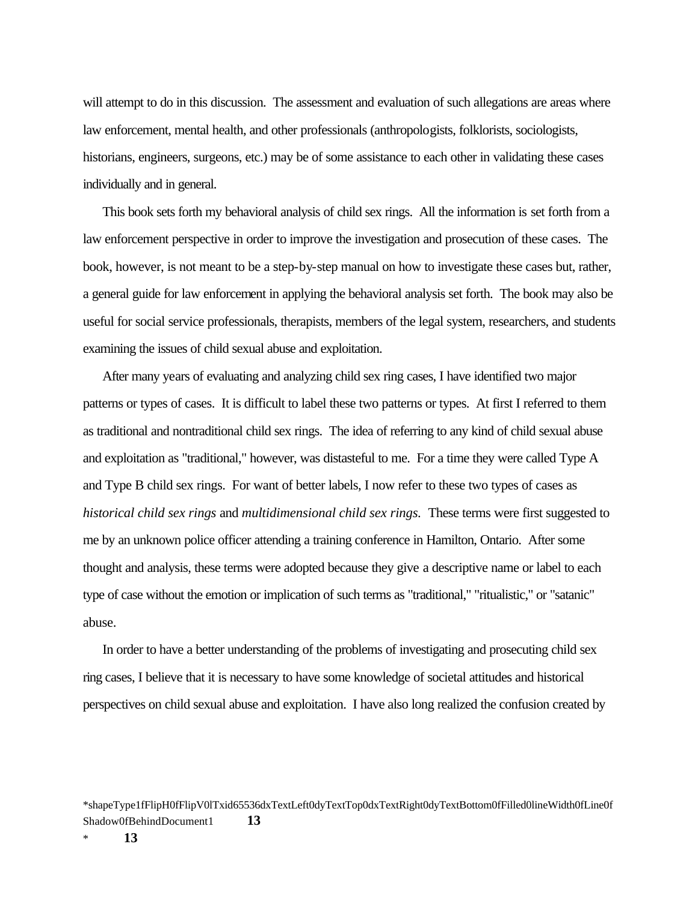will attempt to do in this discussion. The assessment and evaluation of such allegations are areas where law enforcement, mental health, and other professionals (anthropologists, folklorists, sociologists, historians, engineers, surgeons, etc.) may be of some assistance to each other in validating these cases individually and in general.

This book sets forth my behavioral analysis of child sex rings. All the information is set forth from a law enforcement perspective in order to improve the investigation and prosecution of these cases. The book, however, is not meant to be a step-by-step manual on how to investigate these cases but, rather, a general guide for law enforcement in applying the behavioral analysis set forth. The book may also be useful for social service professionals, therapists, members of the legal system, researchers, and students examining the issues of child sexual abuse and exploitation.

After many years of evaluating and analyzing child sex ring cases, I have identified two major patterns or types of cases. It is difficult to label these two patterns or types. At first I referred to them as traditional and nontraditional child sex rings. The idea of referring to any kind of child sexual abuse and exploitation as "traditional," however, was distasteful to me. For a time they were called Type A and Type B child sex rings. For want of better labels, I now refer to these two types of cases as *historical child sex rings* and *multidimensional child sex rings.* These terms were first suggested to me by an unknown police officer attending a training conference in Hamilton, Ontario. After some thought and analysis, these terms were adopted because they give a descriptive name or label to each type of case without the emotion or implication of such terms as "traditional," "ritualistic," or "satanic" abuse.

In order to have a better understanding of the problems of investigating and prosecuting child sex ring cases, I believe that it is necessary to have some knowledge of societal attitudes and historical perspectives on child sexual abuse and exploitation. I have also long realized the confusion created by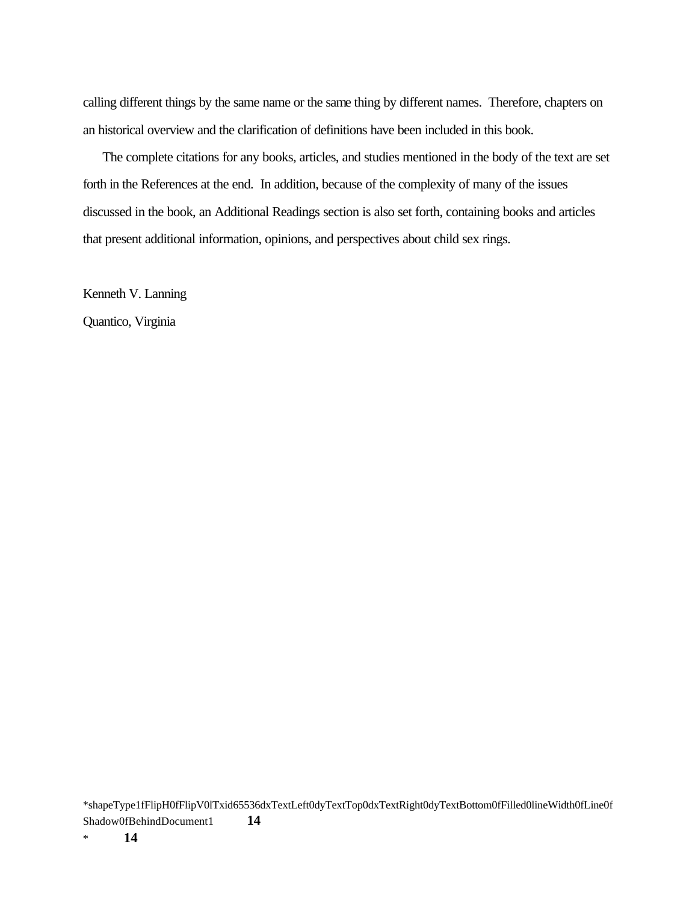calling different things by the same name or the same thing by different names. Therefore, chapters on an historical overview and the clarification of definitions have been included in this book.

The complete citations for any books, articles, and studies mentioned in the body of the text are set forth in the References at the end. In addition, because of the complexity of many of the issues discussed in the book, an Additional Readings section is also set forth, containing books and articles that present additional information, opinions, and perspectives about child sex rings.

Kenneth V. Lanning

Quantico, Virginia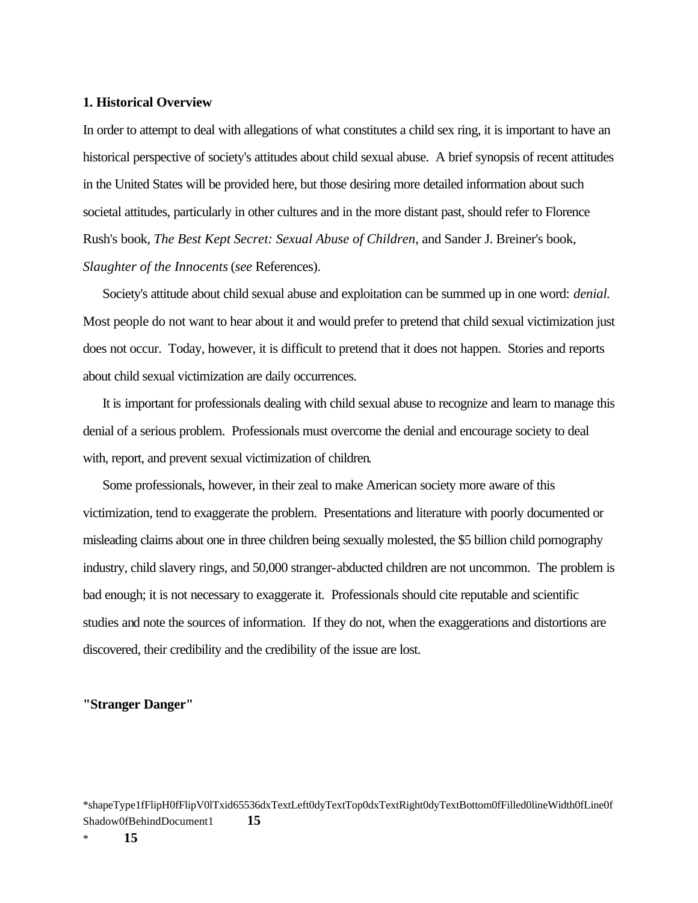#### **1. Historical Overview**

In order to attempt to deal with allegations of what constitutes a child sex ring, it is important to have an historical perspective of society's attitudes about child sexual abuse. A brief synopsis of recent attitudes in the United States will be provided here, but those desiring more detailed information about such societal attitudes, particularly in other cultures and in the more distant past, should refer to Florence Rush's book, *The Best Kept Secret: Sexual Abuse of Children*, and Sander J. Breiner's book, *Slaughter of the Innocents* (*see* References).

Society's attitude about child sexual abuse and exploitation can be summed up in one word: *denial.*  Most people do not want to hear about it and would prefer to pretend that child sexual victimization just does not occur. Today, however, it is difficult to pretend that it does not happen. Stories and reports about child sexual victimization are daily occurrences.

It is important for professionals dealing with child sexual abuse to recognize and learn to manage this denial of a serious problem. Professionals must overcome the denial and encourage society to deal with, report, and prevent sexual victimization of children.

Some professionals, however, in their zeal to make American society more aware of this victimization, tend to exaggerate the problem. Presentations and literature with poorly documented or misleading claims about one in three children being sexually molested, the \$5 billion child pornography industry, child slavery rings, and 50,000 stranger-abducted children are not uncommon. The problem is bad enough; it is not necessary to exaggerate it. Professionals should cite reputable and scientific studies and note the sources of information. If they do not, when the exaggerations and distortions are discovered, their credibility and the credibility of the issue are lost.

**"Stranger Danger"**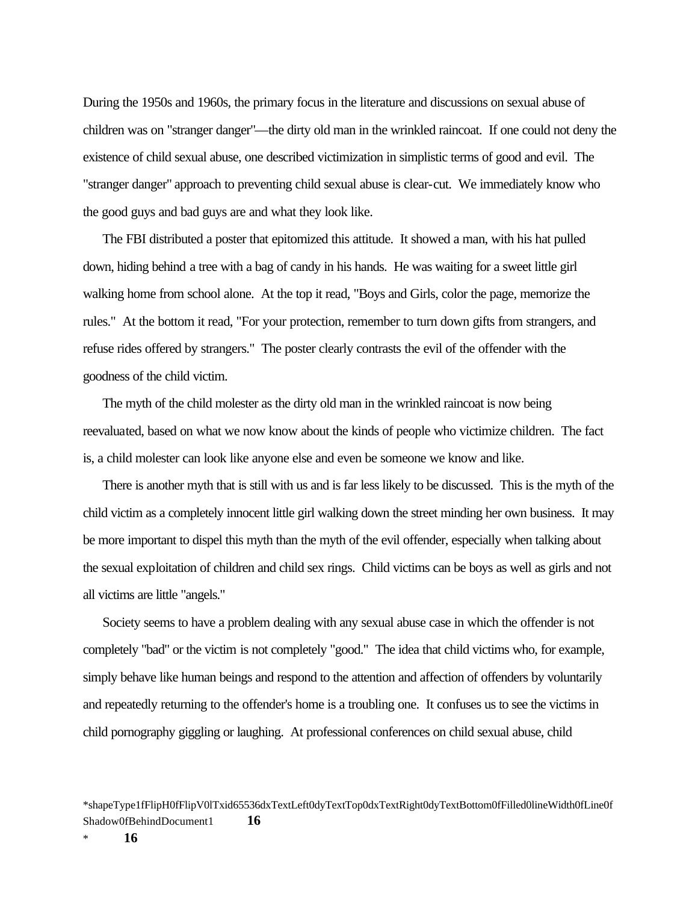During the 1950s and 1960s, the primary focus in the literature and discussions on sexual abuse of children was on "stranger danger"—the dirty old man in the wrinkled raincoat. If one could not deny the existence of child sexual abuse, one described victimization in simplistic terms of good and evil. The "stranger danger" approach to preventing child sexual abuse is clear-cut. We immediately know who the good guys and bad guys are and what they look like.

The FBI distributed a poster that epitomized this attitude. It showed a man, with his hat pulled down, hiding behind a tree with a bag of candy in his hands. He was waiting for a sweet little girl walking home from school alone. At the top it read, "Boys and Girls, color the page, memorize the rules." At the bottom it read, "For your protection, remember to turn down gifts from strangers, and refuse rides offered by strangers." The poster clearly contrasts the evil of the offender with the goodness of the child victim.

The myth of the child molester as the dirty old man in the wrinkled raincoat is now being reevaluated, based on what we now know about the kinds of people who victimize children. The fact is, a child molester can look like anyone else and even be someone we know and like.

There is another myth that is still with us and is far less likely to be discussed. This is the myth of the child victim as a completely innocent little girl walking down the street minding her own business. It may be more important to dispel this myth than the myth of the evil offender, especially when talking about the sexual exploitation of children and child sex rings. Child victims can be boys as well as girls and not all victims are little "angels."

Society seems to have a problem dealing with any sexual abuse case in which the offender is not completely "bad" or the victim is not completely "good." The idea that child victims who, for example, simply behave like human beings and respond to the attention and affection of offenders by voluntarily and repeatedly returning to the offender's home is a troubling one. It confuses us to see the victims in child pornography giggling or laughing. At professional conferences on child sexual abuse, child

\*shapeType1fFlipH0fFlipV0lTxid65536dxTextLeft0dyTextTop0dxTextRight0dyTextBottom0fFilled0lineWidth0fLine0f Shadow0fBehindDocument1 **16**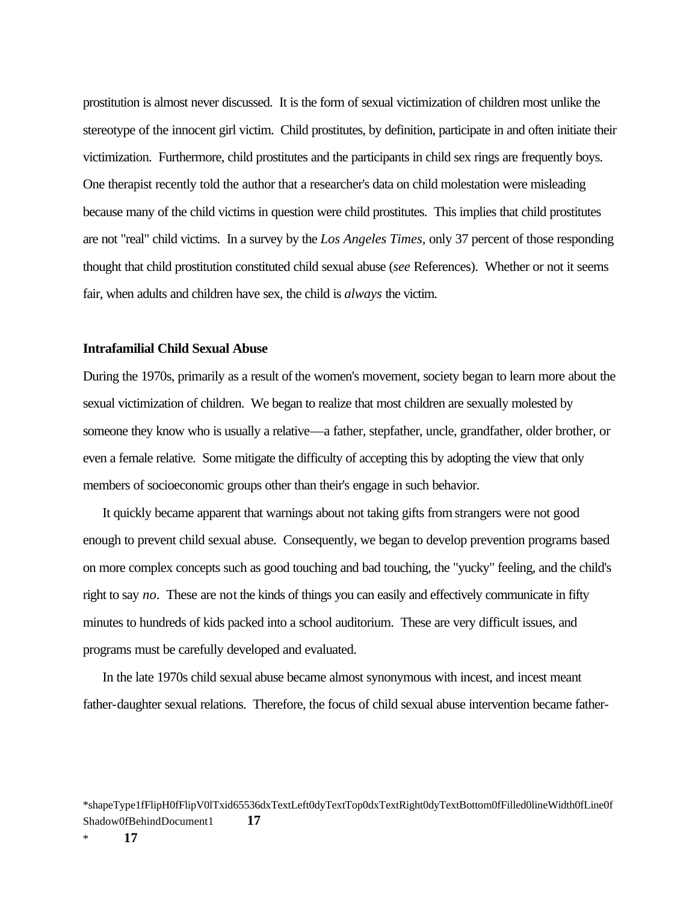prostitution is almost never discussed. It is the form of sexual victimization of children most unlike the stereotype of the innocent girl victim. Child prostitutes, by definition, participate in and often initiate their victimization. Furthermore, child prostitutes and the participants in child sex rings are frequently boys. One therapist recently told the author that a researcher's data on child molestation were misleading because many of the child victims in question were child prostitutes. This implies that child prostitutes are not "real" child victims. In a survey by the *Los Angeles Times,* only 37 percent of those responding thought that child prostitution constituted child sexual abuse (*see* References). Whether or not it seems fair, when adults and children have sex, the child is *always* the victim.

#### **Intrafamilial Child Sexual Abuse**

During the 1970s, primarily as a result of the women's movement, society began to learn more about the sexual victimization of children. We began to realize that most children are sexually molested by someone they know who is usually a relative—a father, stepfather, uncle, grandfather, older brother, or even a female relative. Some mitigate the difficulty of accepting this by adopting the view that only members of socioeconomic groups other than their's engage in such behavior.

It quickly became apparent that warnings about not taking gifts from strangers were not good enough to prevent child sexual abuse. Consequently, we began to develop prevention programs based on more complex concepts such as good touching and bad touching, the "yucky" feeling, and the child's right to say *no*. These are not the kinds of things you can easily and effectively communicate in fifty minutes to hundreds of kids packed into a school auditorium. These are very difficult issues, and programs must be carefully developed and evaluated.

In the late 1970s child sexual abuse became almost synonymous with incest, and incest meant father-daughter sexual relations. Therefore, the focus of child sexual abuse intervention became father-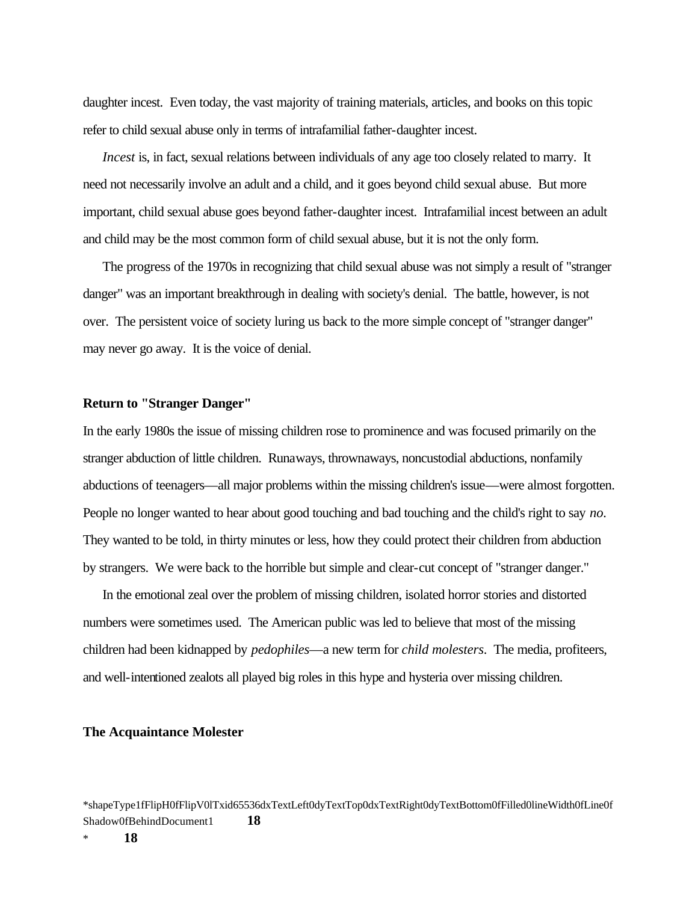daughter incest. Even today, the vast majority of training materials, articles, and books on this topic refer to child sexual abuse only in terms of intrafamilial father-daughter incest.

*Incest* is, in fact, sexual relations between individuals of any age too closely related to marry. It need not necessarily involve an adult and a child, and it goes beyond child sexual abuse. But more important, child sexual abuse goes beyond father-daughter incest. Intrafamilial incest between an adult and child may be the most common form of child sexual abuse, but it is not the only form.

The progress of the 1970s in recognizing that child sexual abuse was not simply a result of "stranger danger" was an important breakthrough in dealing with society's denial. The battle, however, is not over. The persistent voice of society luring us back to the more simple concept of "stranger danger" may never go away. It is the voice of denial.

#### **Return to "Stranger Danger"**

In the early 1980s the issue of missing children rose to prominence and was focused primarily on the stranger abduction of little children. Runaways, thrownaways, noncustodial abductions, nonfamily abductions of teenagers—all major problems within the missing children's issue—were almost forgotten. People no longer wanted to hear about good touching and bad touching and the child's right to say *no.*  They wanted to be told, in thirty minutes or less, how they could protect their children from abduction by strangers. We were back to the horrible but simple and clear-cut concept of "stranger danger."

In the emotional zeal over the problem of missing children, isolated horror stories and distorted numbers were sometimes used. The American public was led to believe that most of the missing children had been kidnapped by *pedophiles*—a new term for *child molesters*. The media, profiteers, and well-intentioned zealots all played big roles in this hype and hysteria over missing children.

#### **The Acquaintance Molester**

\*shapeType1fFlipH0fFlipV0lTxid65536dxTextLeft0dyTextTop0dxTextRight0dyTextBottom0fFilled0lineWidth0fLine0f Shadow0fBehindDocument1 **18**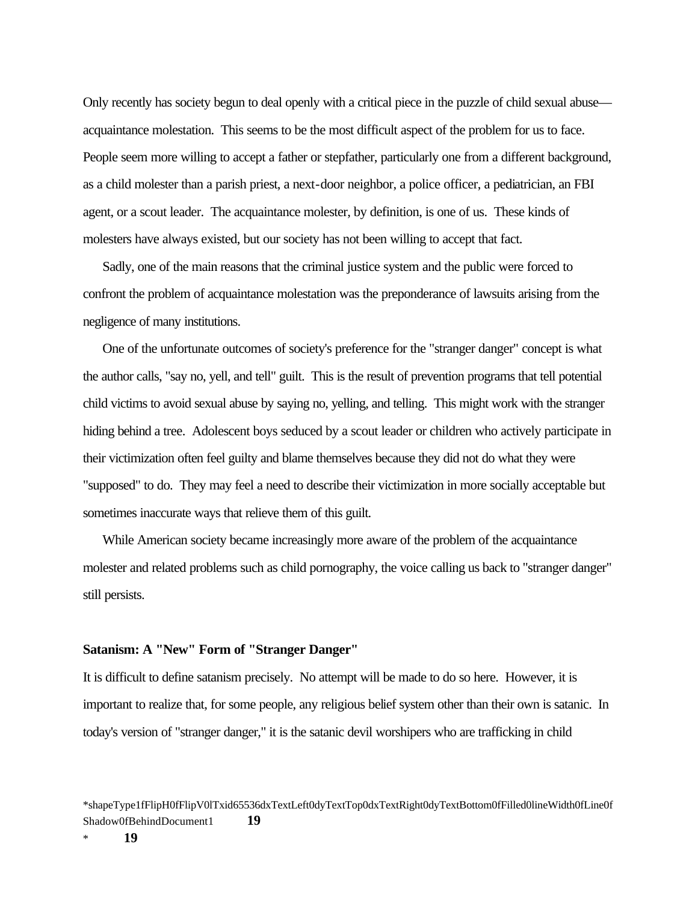Only recently has society begun to deal openly with a critical piece in the puzzle of child sexual abuse acquaintance molestation. This seems to be the most difficult aspect of the problem for us to face. People seem more willing to accept a father or stepfather, particularly one from a different background, as a child molester than a parish priest, a next-door neighbor, a police officer, a pediatrician, an FBI agent, or a scout leader. The acquaintance molester, by definition, is one of us. These kinds of molesters have always existed, but our society has not been willing to accept that fact.

Sadly, one of the main reasons that the criminal justice system and the public were forced to confront the problem of acquaintance molestation was the preponderance of lawsuits arising from the negligence of many institutions.

One of the unfortunate outcomes of society's preference for the "stranger danger" concept is what the author calls, "say no, yell, and tell" guilt. This is the result of prevention programs that tell potential child victims to avoid sexual abuse by saying no, yelling, and telling. This might work with the stranger hiding behind a tree. Adolescent boys seduced by a scout leader or children who actively participate in their victimization often feel guilty and blame themselves because they did not do what they were "supposed" to do. They may feel a need to describe their victimization in more socially acceptable but sometimes inaccurate ways that relieve them of this guilt.

While American society became increasingly more aware of the problem of the acquaintance molester and related problems such as child pornography, the voice calling us back to "stranger danger" still persists.

#### **Satanism: A "New" Form of "Stranger Danger"**

It is difficult to define satanism precisely. No attempt will be made to do so here. However, it is important to realize that, for some people, any religious belief system other than their own is satanic. In today's version of "stranger danger," it is the satanic devil worshipers who are trafficking in child

\*shapeType1fFlipH0fFlipV0lTxid65536dxTextLeft0dyTextTop0dxTextRight0dyTextBottom0fFilled0lineWidth0fLine0f Shadow0fBehindDocument1 **19**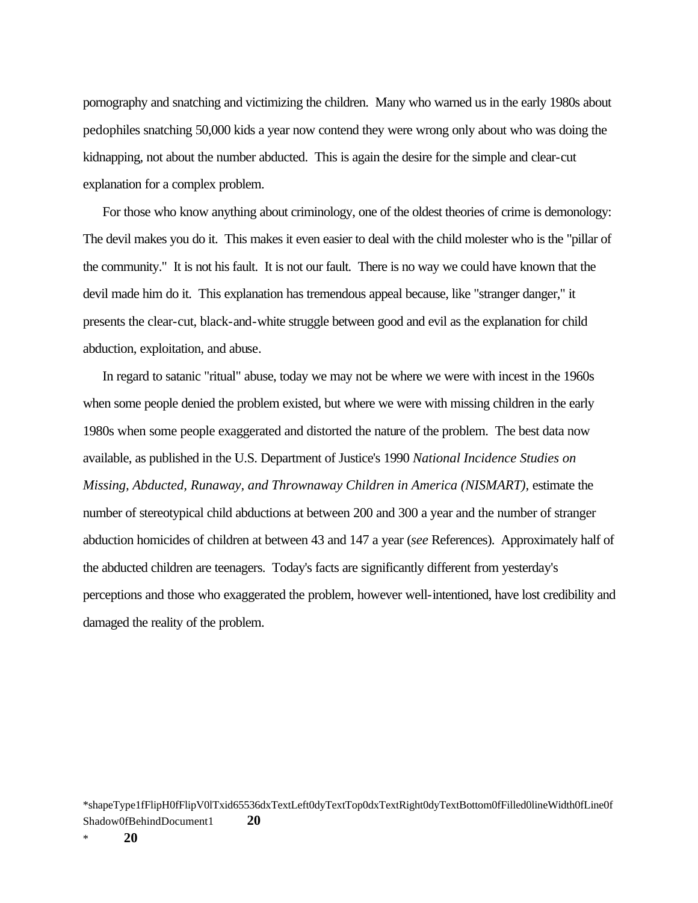pornography and snatching and victimizing the children. Many who warned us in the early 1980s about pedophiles snatching 50,000 kids a year now contend they were wrong only about who was doing the kidnapping, not about the number abducted. This is again the desire for the simple and clear-cut explanation for a complex problem.

For those who know anything about criminology, one of the oldest theories of crime is demonology: The devil makes you do it. This makes it even easier to deal with the child molester who is the "pillar of the community." It is not his fault. It is not our fault. There is no way we could have known that the devil made him do it. This explanation has tremendous appeal because, like "stranger danger," it presents the clear-cut, black-and-white struggle between good and evil as the explanation for child abduction, exploitation, and abuse.

In regard to satanic "ritual" abuse, today we may not be where we were with incest in the 1960s when some people denied the problem existed, but where we were with missing children in the early 1980s when some people exaggerated and distorted the nature of the problem. The best data now available, as published in the U.S. Department of Justice's 1990 *National Incidence Studies on Missing, Abducted, Runaway, and Thrownaway Children in America (NISMART),* estimate the number of stereotypical child abductions at between 200 and 300 a year and the number of stranger abduction homicides of children at between 43 and 147 a year (*see* References). Approximately half of the abducted children are teenagers. Today's facts are significantly different from yesterday's perceptions and those who exaggerated the problem, however well-intentioned, have lost credibility and damaged the reality of the problem.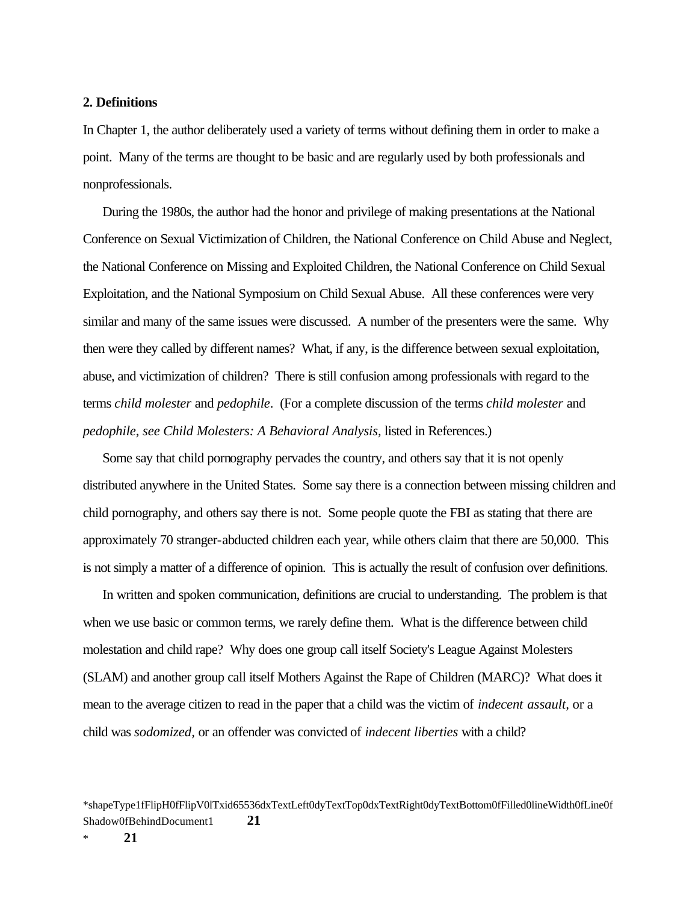#### **2. Definitions**

In Chapter 1, the author deliberately used a variety of terms without defining them in order to make a point. Many of the terms are thought to be basic and are regularly used by both professionals and nonprofessionals.

During the 1980s, the author had the honor and privilege of making presentations at the National Conference on Sexual Victimization of Children, the National Conference on Child Abuse and Neglect, the National Conference on Missing and Exploited Children, the National Conference on Child Sexual Exploitation, and the National Symposium on Child Sexual Abuse. All these conferences were very similar and many of the same issues were discussed. A number of the presenters were the same. Why then were they called by different names? What, if any, is the difference between sexual exploitation, abuse, and victimization of children? There is still confusion among professionals with regard to the terms *child molester* and *pedophile*. (For a complete discussion of the terms *child molester* and *pedophile*, *see Child Molesters: A Behavioral Analysis,* listed in References.)

Some say that child pornography pervades the country, and others say that it is not openly distributed anywhere in the United States. Some say there is a connection between missing children and child pornography, and others say there is not. Some people quote the FBI as stating that there are approximately 70 stranger-abducted children each year, while others claim that there are 50,000. This is not simply a matter of a difference of opinion. This is actually the result of confusion over definitions.

In written and spoken communication, definitions are crucial to understanding. The problem is that when we use basic or common terms, we rarely define them. What is the difference between child molestation and child rape? Why does one group call itself Society's League Against Molesters (SLAM) and another group call itself Mothers Against the Rape of Children (MARC)? What does it mean to the average citizen to read in the paper that a child was the victim of *indecent assault,* or a child was *sodomized,* or an offender was convicted of *indecent liberties* with a child?

\*shapeType1fFlipH0fFlipV0lTxid65536dxTextLeft0dyTextTop0dxTextRight0dyTextBottom0fFilled0lineWidth0fLine0f Shadow0fBehindDocument1 **21**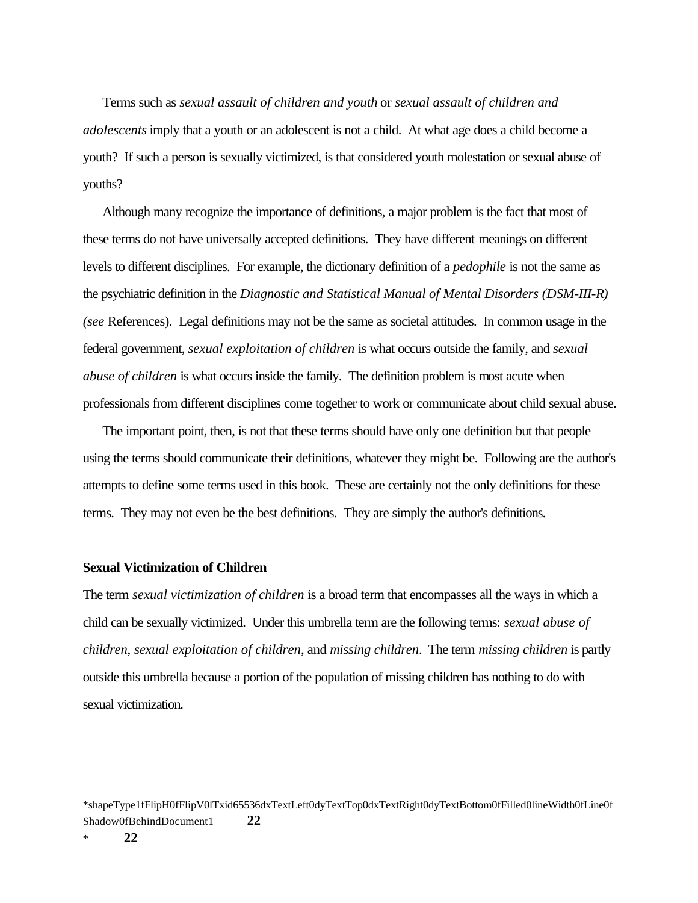Terms such as *sexual assault of children and youth* or *sexual assault of children and adolescents* imply that a youth or an adolescent is not a child. At what age does a child become a youth? If such a person is sexually victimized, is that considered youth molestation or sexual abuse of youths?

Although many recognize the importance of definitions, a major problem is the fact that most of these terms do not have universally accepted definitions. They have different meanings on different levels to different disciplines. For example, the dictionary definition of a *pedophile* is not the same as the psychiatric definition in the *Diagnostic and Statistical Manual of Mental Disorders (DSM-III-R) (see* References). Legal definitions may not be the same as societal attitudes. In common usage in the federal government, *sexual exploitation of children* is what occurs outside the family, and *sexual abuse of children* is what occurs inside the family. The definition problem is most acute when professionals from different disciplines come together to work or communicate about child sexual abuse.

The important point, then, is not that these terms should have only one definition but that people using the terms should communicate their definitions, whatever they might be. Following are the author's attempts to define some terms used in this book. These are certainly not the only definitions for these terms. They may not even be the best definitions. They are simply the author's definitions.

#### **Sexual Victimization of Children**

The term *sexual victimization of children* is a broad term that encompasses all the ways in which a child can be sexually victimized. Under this umbrella term are the following terms: *sexual abuse of children*, *sexual exploitation of children*, and *missing children*. The term *missing children* is partly outside this umbrella because a portion of the population of missing children has nothing to do with sexual victimization.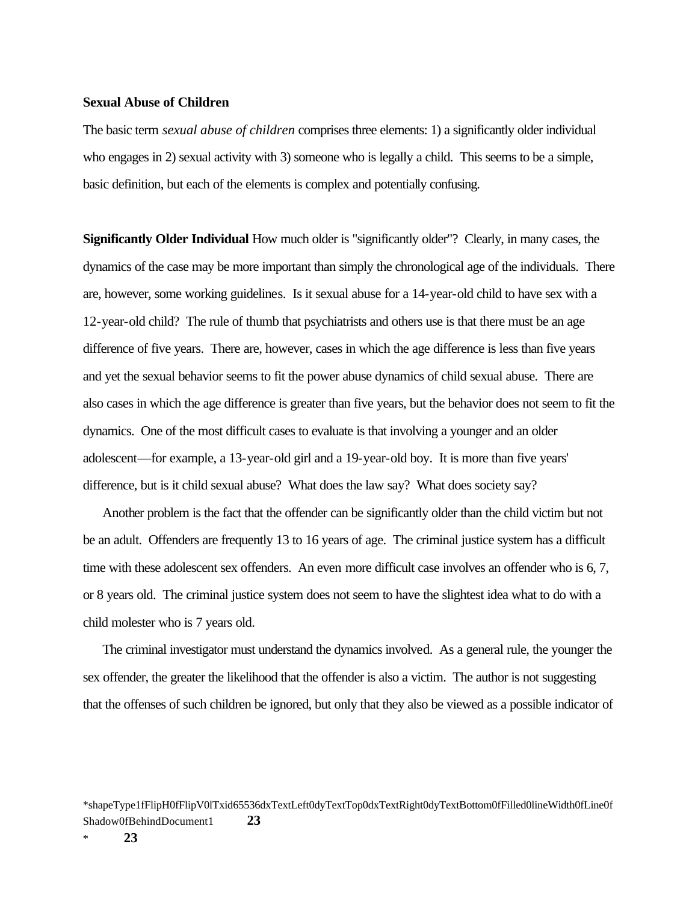#### **Sexual Abuse of Children**

The basic term *sexual abuse of children* comprises three elements: 1) a significantly older individual who engages in 2) sexual activity with 3) someone who is legally a child. This seems to be a simple, basic definition, but each of the elements is complex and potentially confusing.

**Significantly Older Individual** How much older is "significantly older"? Clearly, in many cases, the dynamics of the case may be more important than simply the chronological age of the individuals. There are, however, some working guidelines. Is it sexual abuse for a 14-year-old child to have sex with a 12-year-old child? The rule of thumb that psychiatrists and others use is that there must be an age difference of five years. There are, however, cases in which the age difference is less than five years and yet the sexual behavior seems to fit the power abuse dynamics of child sexual abuse. There are also cases in which the age difference is greater than five years, but the behavior does not seem to fit the dynamics. One of the most difficult cases to evaluate is that involving a younger and an older adolescent—for example, a 13-year-old girl and a 19-year-old boy. It is more than five years' difference, but is it child sexual abuse? What does the law say? What does society say?

Another problem is the fact that the offender can be significantly older than the child victim but not be an adult. Offenders are frequently 13 to 16 years of age. The criminal justice system has a difficult time with these adolescent sex offenders. An even more difficult case involves an offender who is 6, 7, or 8 years old. The criminal justice system does not seem to have the slightest idea what to do with a child molester who is 7 years old.

The criminal investigator must understand the dynamics involved. As a general rule, the younger the sex offender, the greater the likelihood that the offender is also a victim. The author is not suggesting that the offenses of such children be ignored, but only that they also be viewed as a possible indicator of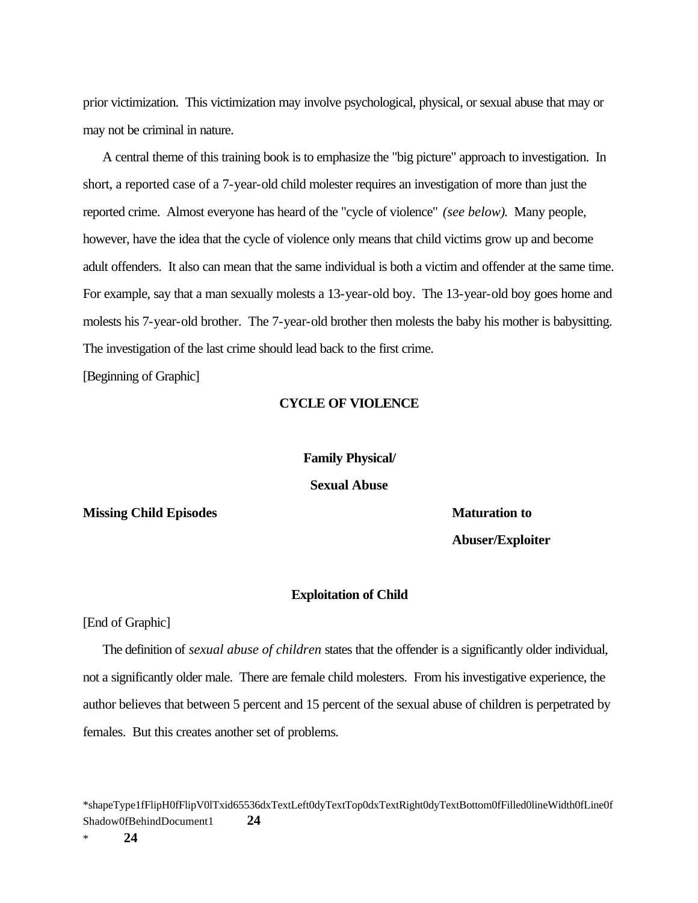prior victimization. This victimization may involve psychological, physical, or sexual abuse that may or may not be criminal in nature.

A central theme of this training book is to emphasize the "big picture" approach to investigation. In short, a reported case of a 7-year-old child molester requires an investigation of more than just the reported crime. Almost everyone has heard of the "cycle of violence" *(see below)*. Many people, however, have the idea that the cycle of violence only means that child victims grow up and become adult offenders. It also can mean that the same individual is both a victim and offender at the same time. For example, say that a man sexually molests a 13-year-old boy. The 13-year-old boy goes home and molests his 7-year-old brother. The 7-year-old brother then molests the baby his mother is babysitting. The investigation of the last crime should lead back to the first crime.

[Beginning of Graphic]

### **CYCLE OF VIOLENCE**

**Family Physical/**

**Sexual Abuse**

**Missing Child Episodes Maturation to**

**Abuser/Exploiter**

#### **Exploitation of Child**

[End of Graphic]

The definition of *sexual abuse of children* states that the offender is a significantly older individual, not a significantly older male. There are female child molesters. From his investigative experience, the author believes that between 5 percent and 15 percent of the sexual abuse of children is perpetrated by females. But this creates another set of problems.

\*shapeType1fFlipH0fFlipV0lTxid65536dxTextLeft0dyTextTop0dxTextRight0dyTextBottom0fFilled0lineWidth0fLine0f Shadow0fBehindDocument1 **24**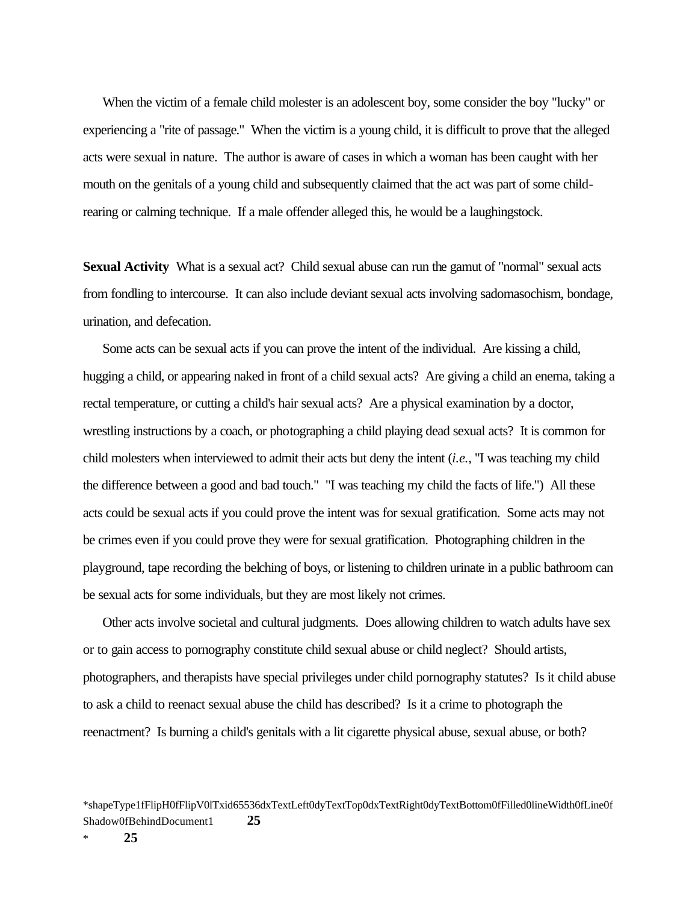When the victim of a female child molester is an adolescent boy, some consider the boy "lucky" or experiencing a "rite of passage." When the victim is a young child, it is difficult to prove that the alleged acts were sexual in nature. The author is aware of cases in which a woman has been caught with her mouth on the genitals of a young child and subsequently claimed that the act was part of some childrearing or calming technique. If a male offender alleged this, he would be a laughingstock.

**Sexual Activity** What is a sexual act? Child sexual abuse can run the gamut of "normal" sexual acts from fondling to intercourse. It can also include deviant sexual acts involving sadomasochism, bondage, urination, and defecation.

Some acts can be sexual acts if you can prove the intent of the individual. Are kissing a child, hugging a child, or appearing naked in front of a child sexual acts? Are giving a child an enema, taking a rectal temperature, or cutting a child's hair sexual acts? Are a physical examination by a doctor, wrestling instructions by a coach, or photographing a child playing dead sexual acts? It is common for child molesters when interviewed to admit their acts but deny the intent (*i.e.*, "I was teaching my child the difference between a good and bad touch." "I was teaching my child the facts of life.") All these acts could be sexual acts if you could prove the intent was for sexual gratification. Some acts may not be crimes even if you could prove they were for sexual gratification. Photographing children in the playground, tape recording the belching of boys, or listening to children urinate in a public bathroom can be sexual acts for some individuals, but they are most likely not crimes.

Other acts involve societal and cultural judgments. Does allowing children to watch adults have sex or to gain access to pornography constitute child sexual abuse or child neglect? Should artists, photographers, and therapists have special privileges under child pornography statutes? Is it child abuse to ask a child to reenact sexual abuse the child has described? Is it a crime to photograph the reenactment? Is burning a child's genitals with a lit cigarette physical abuse, sexual abuse, or both?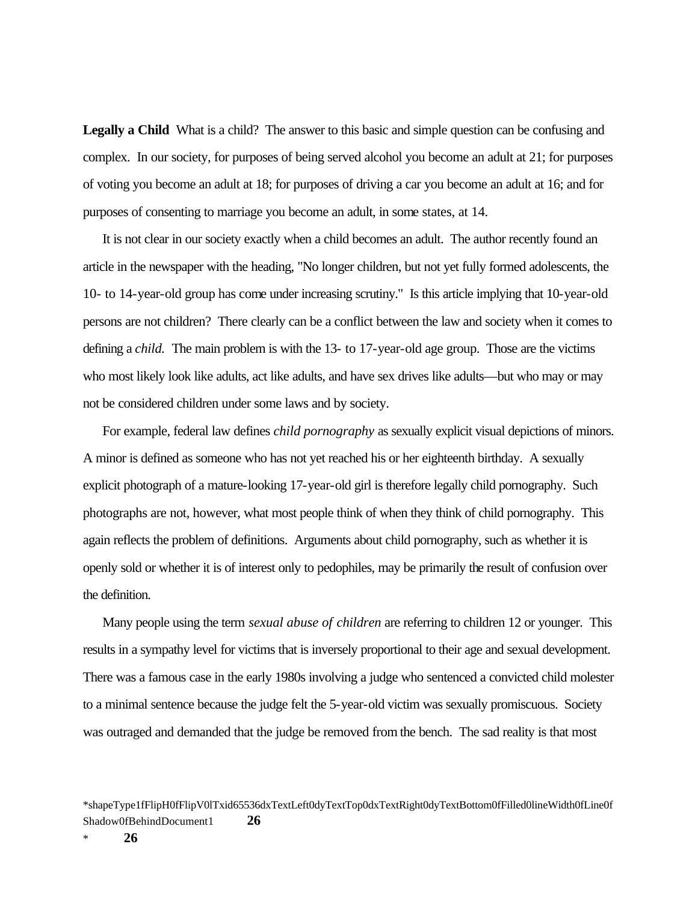**Legally a Child** What is a child? The answer to this basic and simple question can be confusing and complex. In our society, for purposes of being served alcohol you become an adult at 21; for purposes of voting you become an adult at 18; for purposes of driving a car you become an adult at 16; and for purposes of consenting to marriage you become an adult, in some states, at 14.

It is not clear in our society exactly when a child becomes an adult. The author recently found an article in the newspaper with the heading, "No longer children, but not yet fully formed adolescents, the 10- to 14-year-old group has come under increasing scrutiny." Is this article implying that 10-year-old persons are not children? There clearly can be a conflict between the law and society when it comes to defining a *child.* The main problem is with the 13- to 17-year-old age group. Those are the victims who most likely look like adults, act like adults, and have sex drives like adults—but who may or may not be considered children under some laws and by society.

For example, federal law defines *child pornography* as sexually explicit visual depictions of minors. A minor is defined as someone who has not yet reached his or her eighteenth birthday. A sexually explicit photograph of a mature-looking 17-year-old girl is therefore legally child pornography. Such photographs are not, however, what most people think of when they think of child pornography. This again reflects the problem of definitions. Arguments about child pornography, such as whether it is openly sold or whether it is of interest only to pedophiles, may be primarily the result of confusion over the definition.

Many people using the term *sexual abuse of children* are referring to children 12 or younger. This results in a sympathy level for victims that is inversely proportional to their age and sexual development. There was a famous case in the early 1980s involving a judge who sentenced a convicted child molester to a minimal sentence because the judge felt the 5-year-old victim was sexually promiscuous. Society was outraged and demanded that the judge be removed from the bench. The sad reality is that most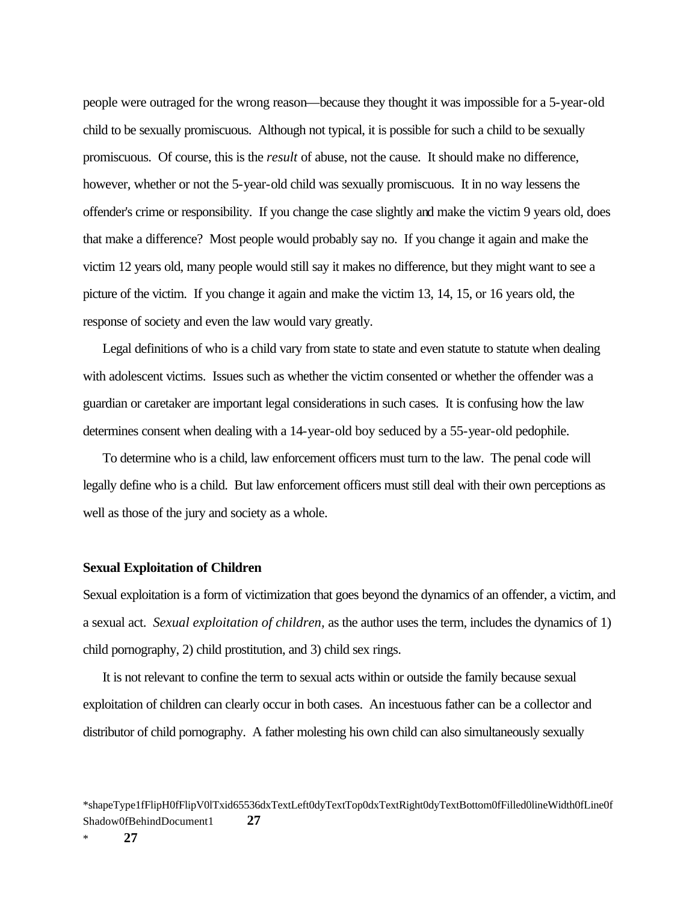people were outraged for the wrong reason—because they thought it was impossible for a 5-year-old child to be sexually promiscuous. Although not typical, it is possible for such a child to be sexually promiscuous. Of course, this is the *result* of abuse, not the cause. It should make no difference, however, whether or not the 5-year-old child was sexually promiscuous. It in no way lessens the offender's crime or responsibility. If you change the case slightly and make the victim 9 years old, does that make a difference? Most people would probably say no. If you change it again and make the victim 12 years old, many people would still say it makes no difference, but they might want to see a picture of the victim. If you change it again and make the victim 13, 14, 15, or 16 years old, the response of society and even the law would vary greatly.

Legal definitions of who is a child vary from state to state and even statute to statute when dealing with adolescent victims. Issues such as whether the victim consented or whether the offender was a guardian or caretaker are important legal considerations in such cases. It is confusing how the law determines consent when dealing with a 14-year-old boy seduced by a 55-year-old pedophile.

To determine who is a child, law enforcement officers must turn to the law. The penal code will legally define who is a child. But law enforcement officers must still deal with their own perceptions as well as those of the jury and society as a whole.

#### **Sexual Exploitation of Children**

Sexual exploitation is a form of victimization that goes beyond the dynamics of an offender, a victim, and a sexual act. *Sexual exploitation of children,* as the author uses the term, includes the dynamics of 1) child pornography, 2) child prostitution, and 3) child sex rings.

It is not relevant to confine the term to sexual acts within or outside the family because sexual exploitation of children can clearly occur in both cases. An incestuous father can be a collector and distributor of child pornography. A father molesting his own child can also simultaneously sexually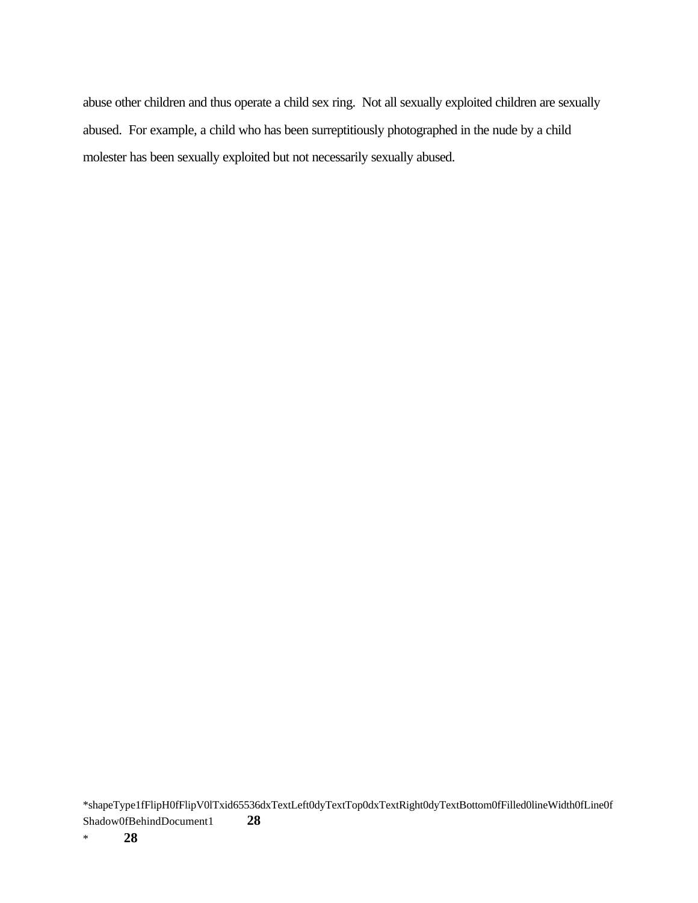abuse other children and thus operate a child sex ring. Not all sexually exploited children are sexually abused. For example, a child who has been surreptitiously photographed in the nude by a child molester has been sexually exploited but not necessarily sexually abused.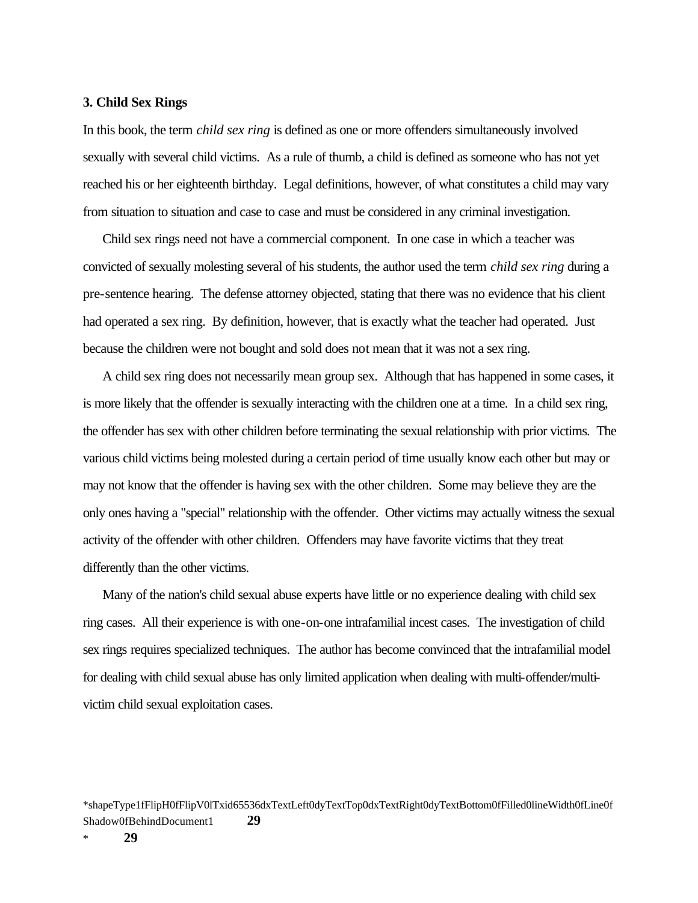#### **3. Child Sex Rings**

In this book, the term *child sex ring* is defined as one or more offenders simultaneously involved sexually with several child victims. As a rule of thumb, a child is defined as someone who has not yet reached his or her eighteenth birthday. Legal definitions, however, of what constitutes a child may vary from situation to situation and case to case and must be considered in any criminal investigation.

Child sex rings need not have a commercial component. In one case in which a teacher was convicted of sexually molesting several of his students, the author used the term *child sex ring* during a pre-sentence hearing. The defense attorney objected, stating that there was no evidence that his client had operated a sex ring. By definition, however, that is exactly what the teacher had operated. Just because the children were not bought and sold does not mean that it was not a sex ring.

A child sex ring does not necessarily mean group sex. Although that has happened in some cases, it is more likely that the offender is sexually interacting with the children one at a time. In a child sex ring, the offender has sex with other children before terminating the sexual relationship with prior victims. The various child victims being molested during a certain period of time usually know each other but may or may not know that the offender is having sex with the other children. Some may believe they are the only ones having a "special" relationship with the offender. Other victims may actually witness the sexual activity of the offender with other children. Offenders may have favorite victims that they treat differently than the other victims.

Many of the nation's child sexual abuse experts have little or no experience dealing with child sex ring cases. All their experience is with one-on-one intrafamilial incest cases. The investigation of child sex rings requires specialized techniques. The author has become convinced that the intrafamilial model for dealing with child sexual abuse has only limited application when dealing with multi-offender/multivictim child sexual exploitation cases.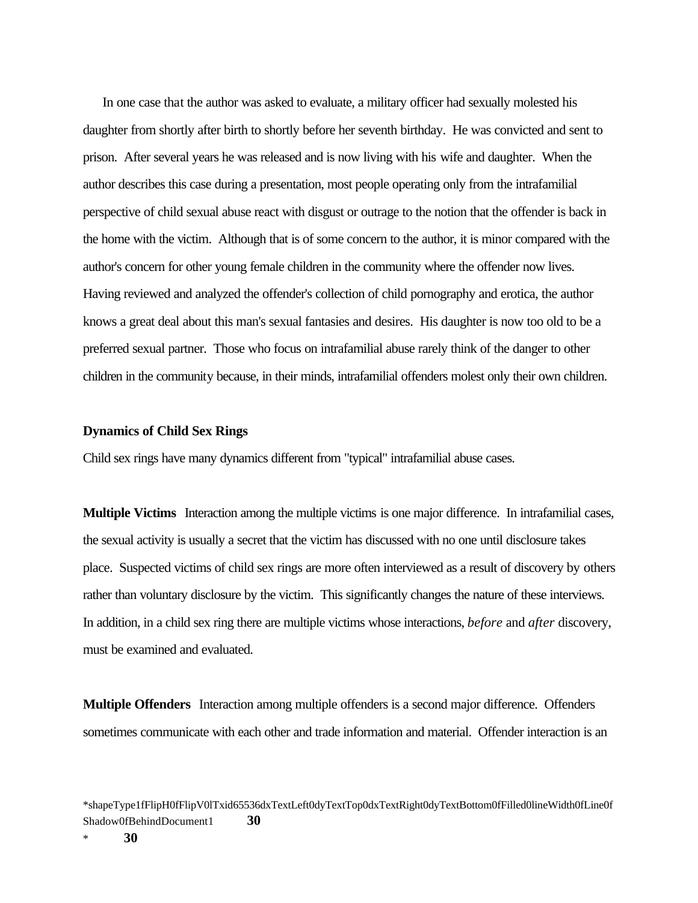In one case that the author was asked to evaluate, a military officer had sexually molested his daughter from shortly after birth to shortly before her seventh birthday. He was convicted and sent to prison. After several years he was released and is now living with his wife and daughter. When the author describes this case during a presentation, most people operating only from the intrafamilial perspective of child sexual abuse react with disgust or outrage to the notion that the offender is back in the home with the victim. Although that is of some concern to the author, it is minor compared with the author's concern for other young female children in the community where the offender now lives. Having reviewed and analyzed the offender's collection of child pornography and erotica, the author knows a great deal about this man's sexual fantasies and desires. His daughter is now too old to be a preferred sexual partner. Those who focus on intrafamilial abuse rarely think of the danger to other children in the community because, in their minds, intrafamilial offenders molest only their own children.

#### **Dynamics of Child Sex Rings**

Child sex rings have many dynamics different from "typical" intrafamilial abuse cases.

**Multiple Victims** Interaction among the multiple victims is one major difference. In intrafamilial cases, the sexual activity is usually a secret that the victim has discussed with no one until disclosure takes place. Suspected victims of child sex rings are more often interviewed as a result of discovery by others rather than voluntary disclosure by the victim. This significantly changes the nature of these interviews. In addition, in a child sex ring there are multiple victims whose interactions, *before* and *after* discovery, must be examined and evaluated.

**Multiple Offenders** Interaction among multiple offenders is a second major difference. Offenders sometimes communicate with each other and trade information and material. Offender interaction is an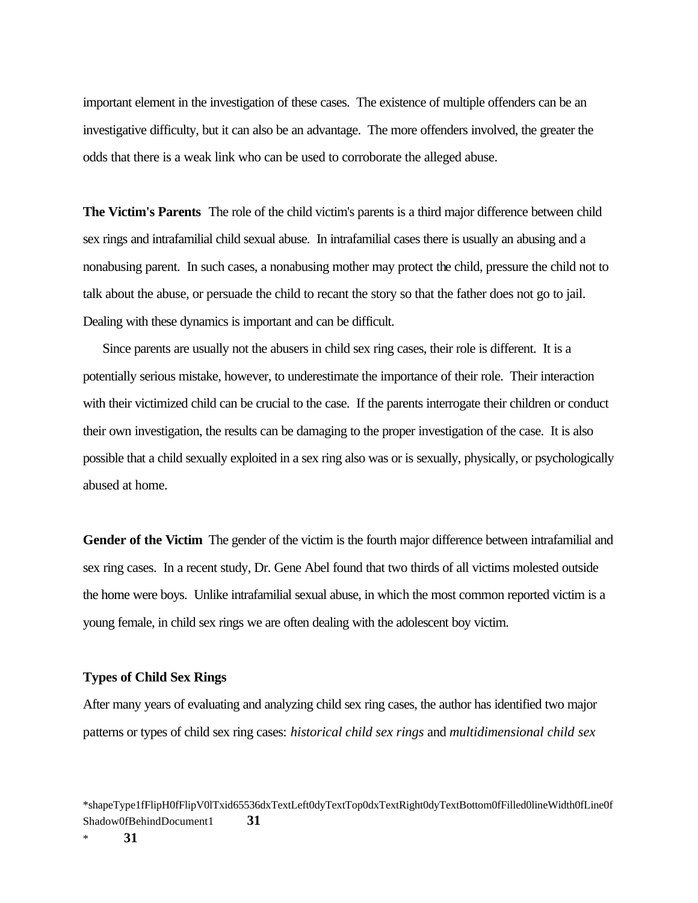important element in the investigation of these cases. The existence of multiple offenders can be an investigative difficulty, but it can also be an advantage. The more offenders involved, the greater the odds that there is a weak link who can be used to corroborate the alleged abuse.

**The Victim's Parents** The role of the child victim's parents is a third major difference between child sex rings and intrafamilial child sexual abuse. In intrafamilial cases there is usually an abusing and a nonabusing parent. In such cases, a nonabusing mother may protect the child, pressure the child not to talk about the abuse, or persuade the child to recant the story so that the father does not go to jail. Dealing with these dynamics is important and can be difficult.

Since parents are usually not the abusers in child sex ring cases, their role is different. It is a potentially serious mistake, however, to underestimate the importance of their role. Their interaction with their victimized child can be crucial to the case. If the parents interrogate their children or conduct their own investigation, the results can be damaging to the proper investigation of the case. It is also possible that a child sexually exploited in a sex ring also was or is sexually, physically, or psychologically abused at home.

**Gender of the Victim** The gender of the victim is the fourth major difference between intrafamilial and sex ring cases. In a recent study, Dr. Gene Abel found that two thirds of all victims molested outside the home were boys. Unlike intrafamilial sexual abuse, in which the most common reported victim is a young female, in child sex rings we are often dealing with the adolescent boy victim.

#### **Types of Child Sex Rings**

After many years of evaluating and analyzing child sex ring cases, the author has identified two major patterns or types of child sex ring cases: *historical child sex rings* and *multidimensional child sex* 

\*shapeType1fFlipH0fFlipV0lTxid65536dxTextLeft0dyTextTop0dxTextRight0dyTextBottom0fFilled0lineWidth0fLine0f Shadow0fBehindDocument1 **31**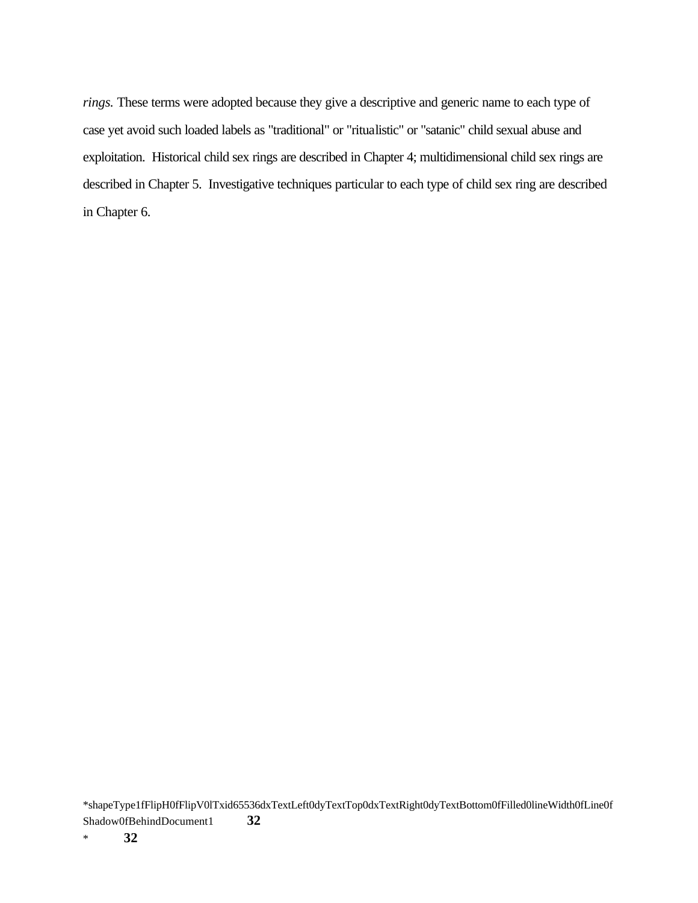*rings.* These terms were adopted because they give a descriptive and generic name to each type of case yet avoid such loaded labels as "traditional" or "ritualistic" or "satanic" child sexual abuse and exploitation. Historical child sex rings are described in Chapter 4; multidimensional child sex rings are described in Chapter 5. Investigative techniques particular to each type of child sex ring are described in Chapter 6.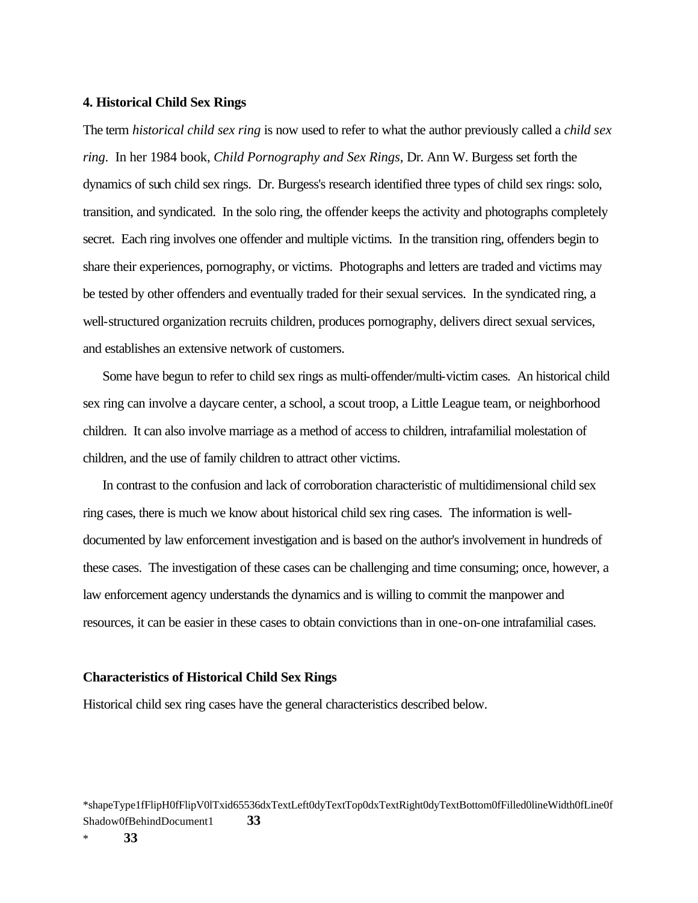#### **4. Historical Child Sex Rings**

The term *historical child sex ring* is now used to refer to what the author previously called a *child sex ring*. In her 1984 book, *Child Pornography and Sex Rings,* Dr. Ann W. Burgess set forth the dynamics of such child sex rings. Dr. Burgess's research identified three types of child sex rings: solo, transition, and syndicated. In the solo ring, the offender keeps the activity and photographs completely secret. Each ring involves one offender and multiple victims. In the transition ring, offenders begin to share their experiences, pornography, or victims. Photographs and letters are traded and victims may be tested by other offenders and eventually traded for their sexual services. In the syndicated ring, a well-structured organization recruits children, produces pornography, delivers direct sexual services, and establishes an extensive network of customers.

Some have begun to refer to child sex rings as multi-offender/multi-victim cases. An historical child sex ring can involve a daycare center, a school, a scout troop, a Little League team, or neighborhood children. It can also involve marriage as a method of access to children, intrafamilial molestation of children, and the use of family children to attract other victims.

In contrast to the confusion and lack of corroboration characteristic of multidimensional child sex ring cases, there is much we know about historical child sex ring cases. The information is welldocumented by law enforcement investigation and is based on the author's involvement in hundreds of these cases. The investigation of these cases can be challenging and time consuming; once, however, a law enforcement agency understands the dynamics and is willing to commit the manpower and resources, it can be easier in these cases to obtain convictions than in one-on-one intrafamilial cases.

#### **Characteristics of Historical Child Sex Rings**

Historical child sex ring cases have the general characteristics described below.

\*shapeType1fFlipH0fFlipV0lTxid65536dxTextLeft0dyTextTop0dxTextRight0dyTextBottom0fFilled0lineWidth0fLine0f Shadow0fBehindDocument1 **33**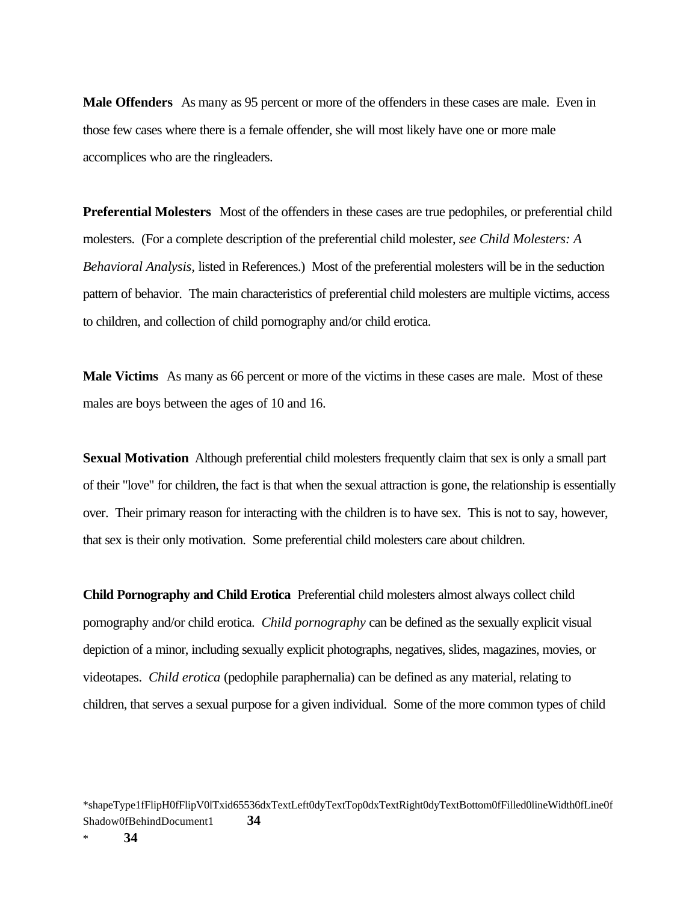**Male Offenders** As many as 95 percent or more of the offenders in these cases are male. Even in those few cases where there is a female offender, she will most likely have one or more male accomplices who are the ringleaders.

**Preferential Molesters** Most of the offenders in these cases are true pedophiles, or preferential child molesters. (For a complete description of the preferential child molester, *see Child Molesters: A Behavioral Analysis,* listed in References.) Most of the preferential molesters will be in the seduction pattern of behavior. The main characteristics of preferential child molesters are multiple victims, access to children, and collection of child pornography and/or child erotica.

**Male Victims** As many as 66 percent or more of the victims in these cases are male. Most of these males are boys between the ages of 10 and 16.

**Sexual Motivation** Although preferential child molesters frequently claim that sex is only a small part of their "love" for children, the fact is that when the sexual attraction is gone, the relationship is essentially over. Their primary reason for interacting with the children is to have sex. This is not to say, however, that sex is their only motivation. Some preferential child molesters care about children.

**Child Pornography and Child Erotica** Preferential child molesters almost always collect child pornography and/or child erotica. *Child pornography* can be defined as the sexually explicit visual depiction of a minor, including sexually explicit photographs, negatives, slides, magazines, movies, or videotapes. *Child erotica* (pedophile paraphernalia) can be defined as any material, relating to children, that serves a sexual purpose for a given individual. Some of the more common types of child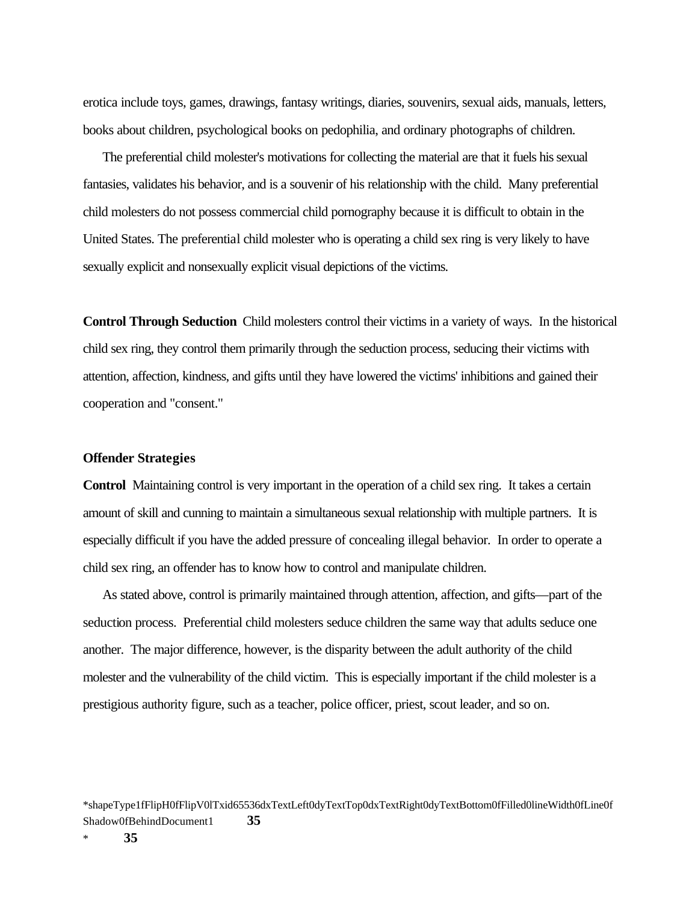erotica include toys, games, drawings, fantasy writings, diaries, souvenirs, sexual aids, manuals, letters, books about children, psychological books on pedophilia, and ordinary photographs of children.

The preferential child molester's motivations for collecting the material are that it fuels his sexual fantasies, validates his behavior, and is a souvenir of his relationship with the child. Many preferential child molesters do not possess commercial child pornography because it is difficult to obtain in the United States. The preferential child molester who is operating a child sex ring is very likely to have sexually explicit and nonsexually explicit visual depictions of the victims.

**Control Through Seduction** Child molesters control their victims in a variety of ways. In the historical child sex ring, they control them primarily through the seduction process, seducing their victims with attention, affection, kindness, and gifts until they have lowered the victims' inhibitions and gained their cooperation and "consent."

### **Offender Strategies**

**Control** Maintaining control is very important in the operation of a child sex ring. It takes a certain amount of skill and cunning to maintain a simultaneous sexual relationship with multiple partners. It is especially difficult if you have the added pressure of concealing illegal behavior. In order to operate a child sex ring, an offender has to know how to control and manipulate children.

As stated above, control is primarily maintained through attention, affection, and gifts—part of the seduction process. Preferential child molesters seduce children the same way that adults seduce one another. The major difference, however, is the disparity between the adult authority of the child molester and the vulnerability of the child victim. This is especially important if the child molester is a prestigious authority figure, such as a teacher, police officer, priest, scout leader, and so on.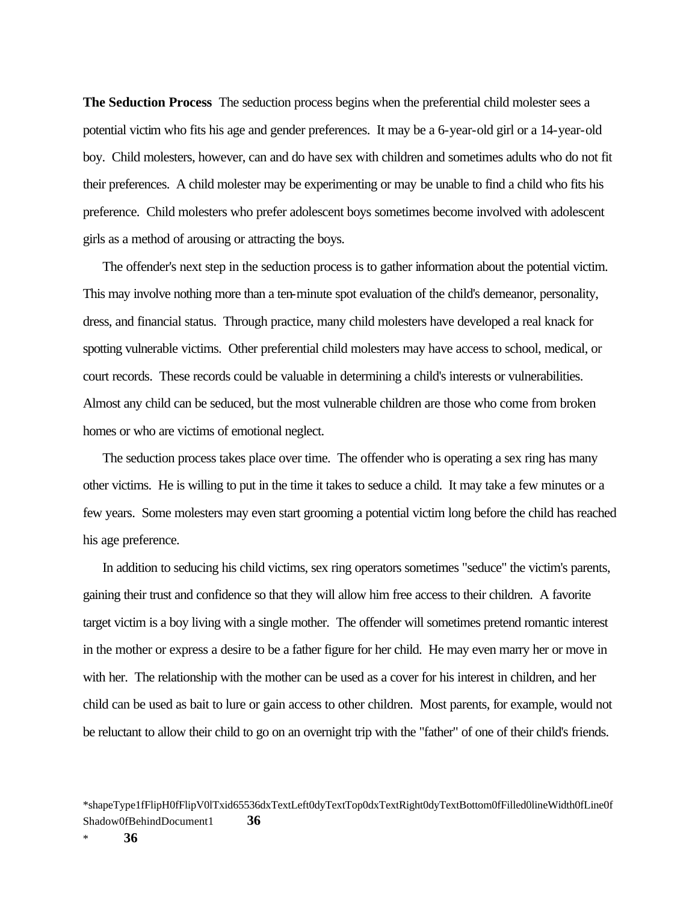**The Seduction Process** The seduction process begins when the preferential child molester sees a potential victim who fits his age and gender preferences. It may be a 6-year-old girl or a 14-year-old boy. Child molesters, however, can and do have sex with children and sometimes adults who do not fit their preferences. A child molester may be experimenting or may be unable to find a child who fits his preference. Child molesters who prefer adolescent boys sometimes become involved with adolescent girls as a method of arousing or attracting the boys.

The offender's next step in the seduction process is to gather information about the potential victim. This may involve nothing more than a ten-minute spot evaluation of the child's demeanor, personality, dress, and financial status. Through practice, many child molesters have developed a real knack for spotting vulnerable victims. Other preferential child molesters may have access to school, medical, or court records. These records could be valuable in determining a child's interests or vulnerabilities. Almost any child can be seduced, but the most vulnerable children are those who come from broken homes or who are victims of emotional neglect.

The seduction process takes place over time. The offender who is operating a sex ring has many other victims. He is willing to put in the time it takes to seduce a child. It may take a few minutes or a few years. Some molesters may even start grooming a potential victim long before the child has reached his age preference.

In addition to seducing his child victims, sex ring operators sometimes "seduce" the victim's parents, gaining their trust and confidence so that they will allow him free access to their children. A favorite target victim is a boy living with a single mother. The offender will sometimes pretend romantic interest in the mother or express a desire to be a father figure for her child. He may even marry her or move in with her. The relationship with the mother can be used as a cover for his interest in children, and her child can be used as bait to lure or gain access to other children. Most parents, for example, would not be reluctant to allow their child to go on an overnight trip with the "father" of one of their child's friends.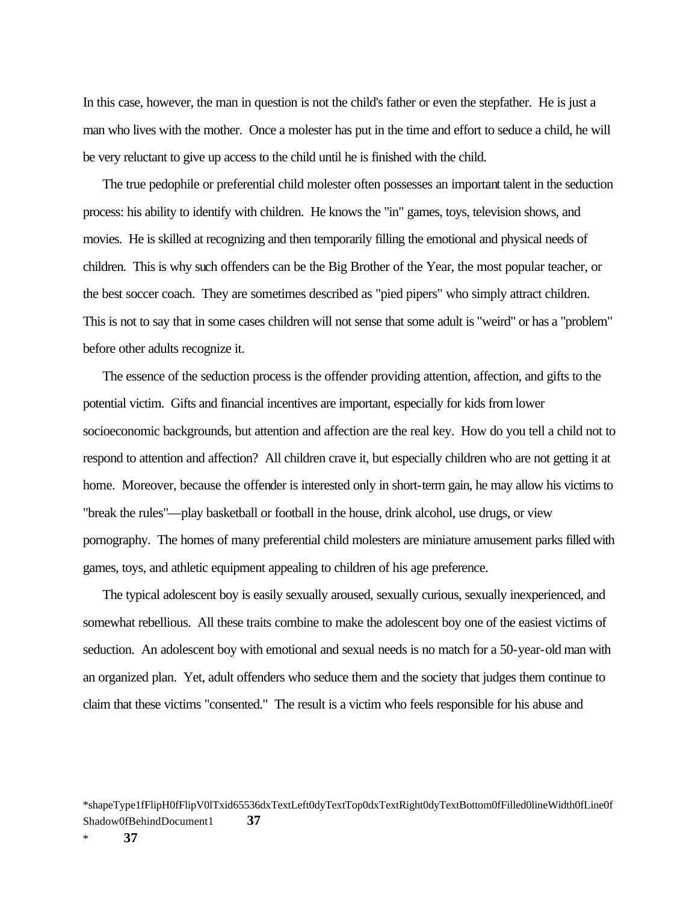In this case, however, the man in question is not the child's father or even the stepfather. He is just a man who lives with the mother. Once a molester has put in the time and effort to seduce a child, he will be very reluctant to give up access to the child until he is finished with the child.

The true pedophile or preferential child molester often possesses an important talent in the seduction process: his ability to identify with children. He knows the "in" games, toys, television shows, and movies. He is skilled at recognizing and then temporarily filling the emotional and physical needs of children. This is why such offenders can be the Big Brother of the Year, the most popular teacher, or the best soccer coach. They are sometimes described as "pied pipers" who simply attract children. This is not to say that in some cases children will not sense that some adult is "weird" or has a "problem" before other adults recognize it.

The essence of the seduction process is the offender providing attention, affection, and gifts to the potential victim. Gifts and financial incentives are important, especially for kids from lower socioeconomic backgrounds, but attention and affection are the real key. How do you tell a child not to respond to attention and affection? All children crave it, but especially children who are not getting it at home. Moreover, because the offender is interested only in short-term gain, he may allow his victims to "break the rules"—play basketball or football in the house, drink alcohol, use drugs, or view pornography. The homes of many preferential child molesters are miniature amusement parks filled with games, toys, and athletic equipment appealing to children of his age preference.

The typical adolescent boy is easily sexually aroused, sexually curious, sexually inexperienced, and somewhat rebellious. All these traits combine to make the adolescent boy one of the easiest victims of seduction. An adolescent boy with emotional and sexual needs is no match for a 50-year-old man with an organized plan. Yet, adult offenders who seduce them and the society that judges them continue to claim that these victims "consented." The result is a victim who feels responsible for his abuse and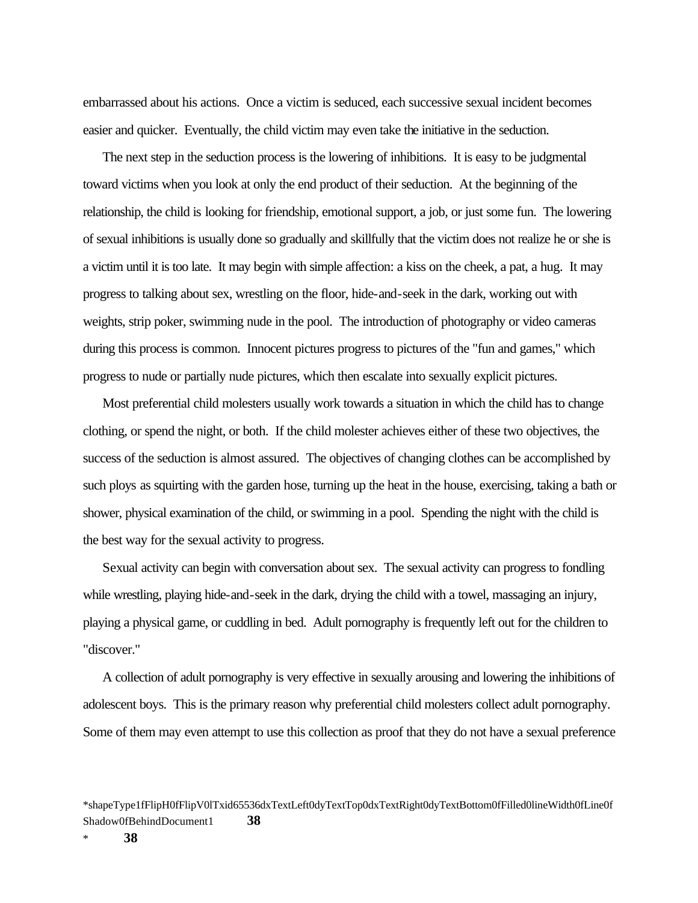embarrassed about his actions. Once a victim is seduced, each successive sexual incident becomes easier and quicker. Eventually, the child victim may even take the initiative in the seduction.

The next step in the seduction process is the lowering of inhibitions. It is easy to be judgmental toward victims when you look at only the end product of their seduction. At the beginning of the relationship, the child is looking for friendship, emotional support, a job, or just some fun. The lowering of sexual inhibitions is usually done so gradually and skillfully that the victim does not realize he or she is a victim until it is too late. It may begin with simple affection: a kiss on the cheek, a pat, a hug. It may progress to talking about sex, wrestling on the floor, hide-and-seek in the dark, working out with weights, strip poker, swimming nude in the pool. The introduction of photography or video cameras during this process is common. Innocent pictures progress to pictures of the "fun and games," which progress to nude or partially nude pictures, which then escalate into sexually explicit pictures.

Most preferential child molesters usually work towards a situation in which the child has to change clothing, or spend the night, or both. If the child molester achieves either of these two objectives, the success of the seduction is almost assured. The objectives of changing clothes can be accomplished by such ploys as squirting with the garden hose, turning up the heat in the house, exercising, taking a bath or shower, physical examination of the child, or swimming in a pool. Spending the night with the child is the best way for the sexual activity to progress.

Sexual activity can begin with conversation about sex. The sexual activity can progress to fondling while wrestling, playing hide-and-seek in the dark, drying the child with a towel, massaging an injury, playing a physical game, or cuddling in bed. Adult pornography is frequently left out for the children to "discover."

A collection of adult pornography is very effective in sexually arousing and lowering the inhibitions of adolescent boys. This is the primary reason why preferential child molesters collect adult pornography. Some of them may even attempt to use this collection as proof that they do not have a sexual preference

\*shapeType1fFlipH0fFlipV0lTxid65536dxTextLeft0dyTextTop0dxTextRight0dyTextBottom0fFilled0lineWidth0fLine0f Shadow0fBehindDocument1 **38**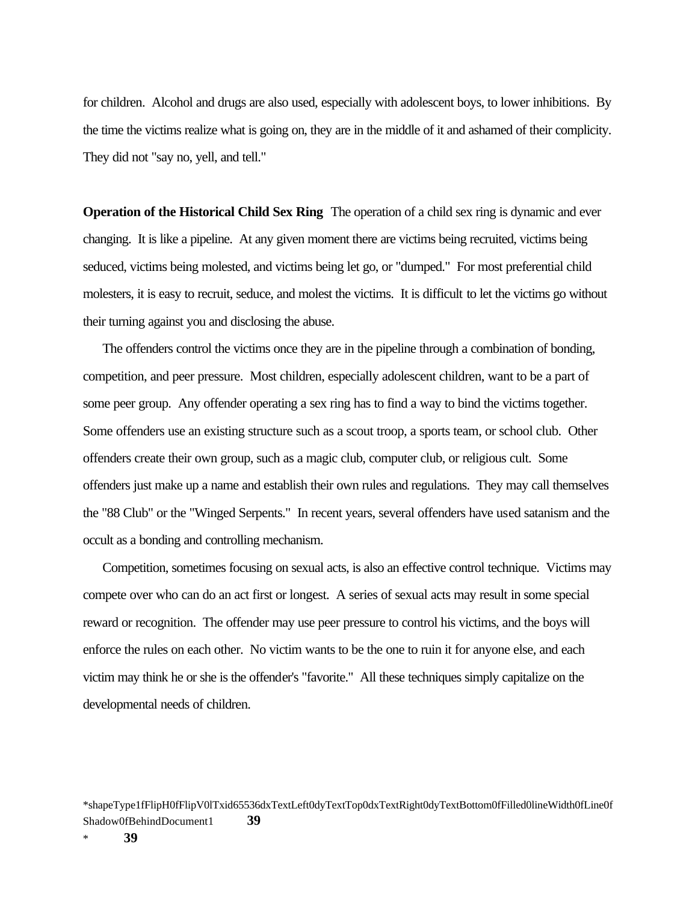for children. Alcohol and drugs are also used, especially with adolescent boys, to lower inhibitions. By the time the victims realize what is going on, they are in the middle of it and ashamed of their complicity. They did not "say no, yell, and tell."

**Operation of the Historical Child Sex Ring** The operation of a child sex ring is dynamic and ever changing. It is like a pipeline. At any given moment there are victims being recruited, victims being seduced, victims being molested, and victims being let go, or "dumped." For most preferential child molesters, it is easy to recruit, seduce, and molest the victims. It is difficult to let the victims go without their turning against you and disclosing the abuse.

The offenders control the victims once they are in the pipeline through a combination of bonding, competition, and peer pressure. Most children, especially adolescent children, want to be a part of some peer group. Any offender operating a sex ring has to find a way to bind the victims together. Some offenders use an existing structure such as a scout troop, a sports team, or school club. Other offenders create their own group, such as a magic club, computer club, or religious cult. Some offenders just make up a name and establish their own rules and regulations. They may call themselves the "88 Club" or the "Winged Serpents." In recent years, several offenders have used satanism and the occult as a bonding and controlling mechanism.

Competition, sometimes focusing on sexual acts, is also an effective control technique. Victims may compete over who can do an act first or longest. A series of sexual acts may result in some special reward or recognition. The offender may use peer pressure to control his victims, and the boys will enforce the rules on each other. No victim wants to be the one to ruin it for anyone else, and each victim may think he or she is the offender's "favorite." All these techniques simply capitalize on the developmental needs of children.

\*shapeType1fFlipH0fFlipV0lTxid65536dxTextLeft0dyTextTop0dxTextRight0dyTextBottom0fFilled0lineWidth0fLine0f Shadow0fBehindDocument1 **39**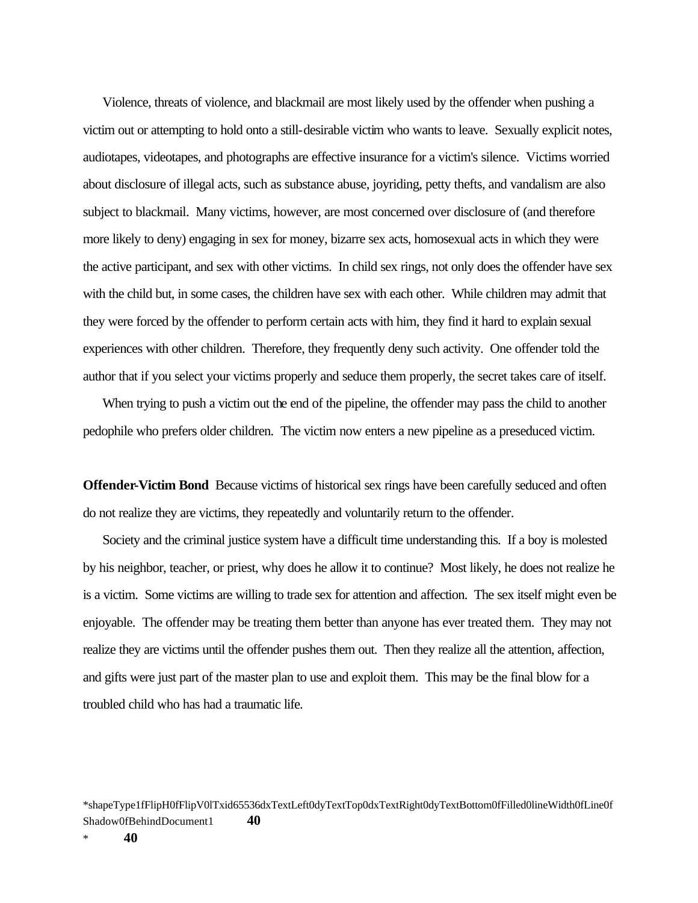Violence, threats of violence, and blackmail are most likely used by the offender when pushing a victim out or attempting to hold onto a still-desirable victim who wants to leave. Sexually explicit notes, audiotapes, videotapes, and photographs are effective insurance for a victim's silence. Victims worried about disclosure of illegal acts, such as substance abuse, joyriding, petty thefts, and vandalism are also subject to blackmail. Many victims, however, are most concerned over disclosure of (and therefore more likely to deny) engaging in sex for money, bizarre sex acts, homosexual acts in which they were the active participant, and sex with other victims. In child sex rings, not only does the offender have sex with the child but, in some cases, the children have sex with each other. While children may admit that they were forced by the offender to perform certain acts with him, they find it hard to explain sexual experiences with other children. Therefore, they frequently deny such activity. One offender told the author that if you select your victims properly and seduce them properly, the secret takes care of itself.

When trying to push a victim out the end of the pipeline, the offender may pass the child to another pedophile who prefers older children. The victim now enters a new pipeline as a preseduced victim.

**Offender-Victim Bond** Because victims of historical sex rings have been carefully seduced and often do not realize they are victims, they repeatedly and voluntarily return to the offender.

Society and the criminal justice system have a difficult time understanding this. If a boy is molested by his neighbor, teacher, or priest, why does he allow it to continue? Most likely, he does not realize he is a victim. Some victims are willing to trade sex for attention and affection. The sex itself might even be enjoyable. The offender may be treating them better than anyone has ever treated them. They may not realize they are victims until the offender pushes them out. Then they realize all the attention, affection, and gifts were just part of the master plan to use and exploit them. This may be the final blow for a troubled child who has had a traumatic life.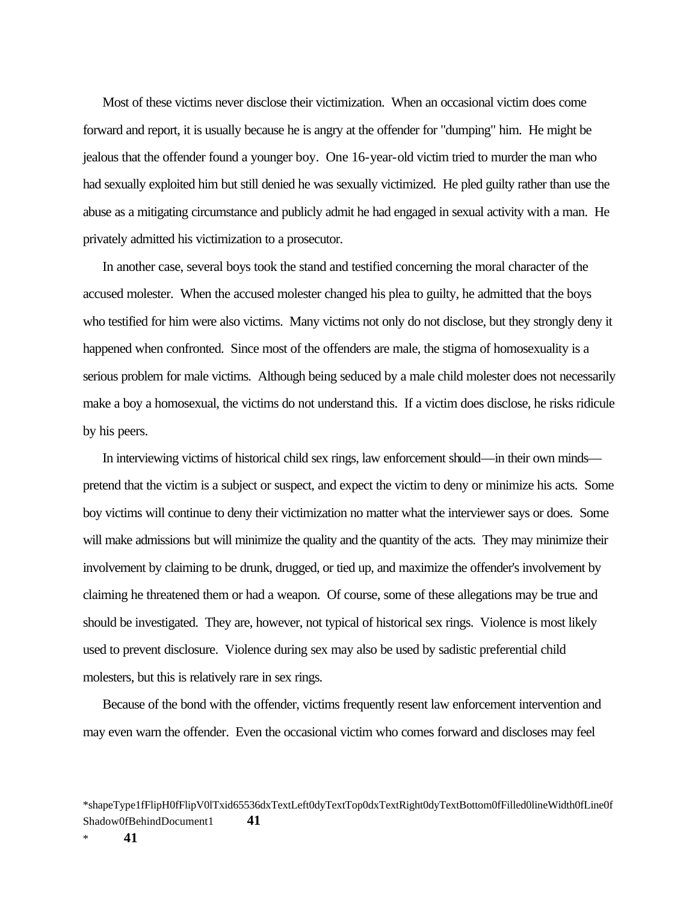Most of these victims never disclose their victimization. When an occasional victim does come forward and report, it is usually because he is angry at the offender for "dumping" him. He might be jealous that the offender found a younger boy. One 16-year-old victim tried to murder the man who had sexually exploited him but still denied he was sexually victimized. He pled guilty rather than use the abuse as a mitigating circumstance and publicly admit he had engaged in sexual activity with a man. He privately admitted his victimization to a prosecutor.

In another case, several boys took the stand and testified concerning the moral character of the accused molester. When the accused molester changed his plea to guilty, he admitted that the boys who testified for him were also victims. Many victims not only do not disclose, but they strongly deny it happened when confronted. Since most of the offenders are male, the stigma of homosexuality is a serious problem for male victims. Although being seduced by a male child molester does not necessarily make a boy a homosexual, the victims do not understand this. If a victim does disclose, he risks ridicule by his peers.

In interviewing victims of historical child sex rings, law enforcement should—in their own minds pretend that the victim is a subject or suspect, and expect the victim to deny or minimize his acts. Some boy victims will continue to deny their victimization no matter what the interviewer says or does. Some will make admissions but will minimize the quality and the quantity of the acts. They may minimize their involvement by claiming to be drunk, drugged, or tied up, and maximize the offender's involvement by claiming he threatened them or had a weapon. Of course, some of these allegations may be true and should be investigated. They are, however, not typical of historical sex rings. Violence is most likely used to prevent disclosure. Violence during sex may also be used by sadistic preferential child molesters, but this is relatively rare in sex rings.

Because of the bond with the offender, victims frequently resent law enforcement intervention and may even warn the offender. Even the occasional victim who comes forward and discloses may feel

\*shapeType1fFlipH0fFlipV0lTxid65536dxTextLeft0dyTextTop0dxTextRight0dyTextBottom0fFilled0lineWidth0fLine0f Shadow0fBehindDocument1 **41**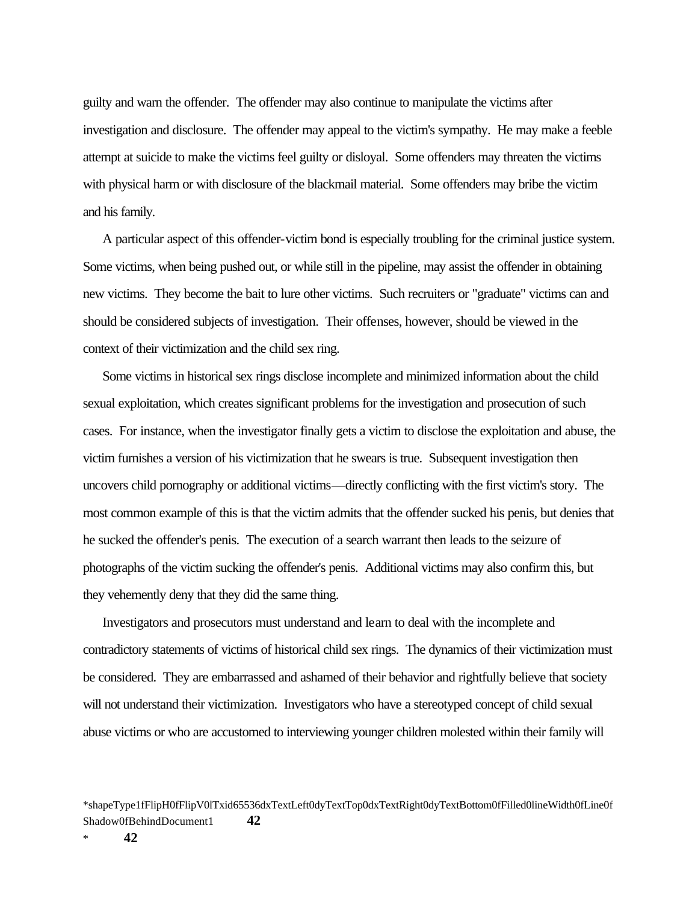guilty and warn the offender. The offender may also continue to manipulate the victims after investigation and disclosure. The offender may appeal to the victim's sympathy. He may make a feeble attempt at suicide to make the victims feel guilty or disloyal. Some offenders may threaten the victims with physical harm or with disclosure of the blackmail material. Some offenders may bribe the victim and his family.

A particular aspect of this offender-victim bond is especially troubling for the criminal justice system. Some victims, when being pushed out, or while still in the pipeline, may assist the offender in obtaining new victims. They become the bait to lure other victims. Such recruiters or "graduate" victims can and should be considered subjects of investigation. Their offenses, however, should be viewed in the context of their victimization and the child sex ring.

Some victims in historical sex rings disclose incomplete and minimized information about the child sexual exploitation, which creates significant problems for the investigation and prosecution of such cases. For instance, when the investigator finally gets a victim to disclose the exploitation and abuse, the victim furnishes a version of his victimization that he swears is true. Subsequent investigation then uncovers child pornography or additional victims—directly conflicting with the first victim's story. The most common example of this is that the victim admits that the offender sucked his penis, but denies that he sucked the offender's penis. The execution of a search warrant then leads to the seizure of photographs of the victim sucking the offender's penis. Additional victims may also confirm this, but they vehemently deny that they did the same thing.

Investigators and prosecutors must understand and learn to deal with the incomplete and contradictory statements of victims of historical child sex rings. The dynamics of their victimization must be considered. They are embarrassed and ashamed of their behavior and rightfully believe that society will not understand their victimization. Investigators who have a stereotyped concept of child sexual abuse victims or who are accustomed to interviewing younger children molested within their family will

\*shapeType1fFlipH0fFlipV0lTxid65536dxTextLeft0dyTextTop0dxTextRight0dyTextBottom0fFilled0lineWidth0fLine0f Shadow0fBehindDocument1 **42**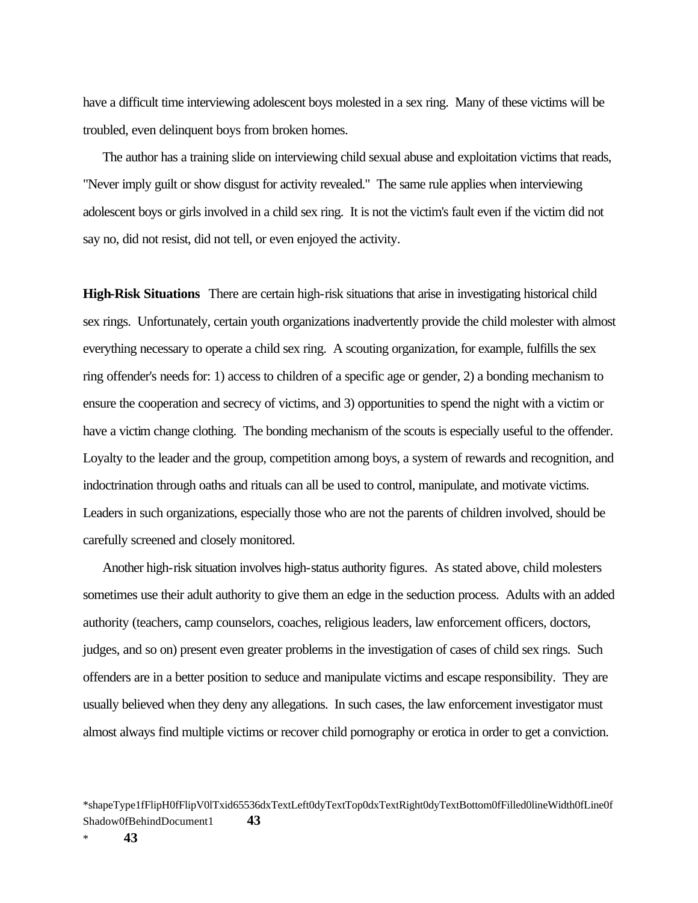have a difficult time interviewing adolescent boys molested in a sex ring. Many of these victims will be troubled, even delinquent boys from broken homes.

The author has a training slide on interviewing child sexual abuse and exploitation victims that reads, "Never imply guilt or show disgust for activity revealed." The same rule applies when interviewing adolescent boys or girls involved in a child sex ring. It is not the victim's fault even if the victim did not say no, did not resist, did not tell, or even enjoyed the activity.

**High-Risk Situations** There are certain high-risk situations that arise in investigating historical child sex rings. Unfortunately, certain youth organizations inadvertently provide the child molester with almost everything necessary to operate a child sex ring. A scouting organization, for example, fulfills the sex ring offender's needs for: 1) access to children of a specific age or gender, 2) a bonding mechanism to ensure the cooperation and secrecy of victims, and 3) opportunities to spend the night with a victim or have a victim change clothing. The bonding mechanism of the scouts is especially useful to the offender. Loyalty to the leader and the group, competition among boys, a system of rewards and recognition, and indoctrination through oaths and rituals can all be used to control, manipulate, and motivate victims. Leaders in such organizations, especially those who are not the parents of children involved, should be carefully screened and closely monitored.

Another high-risk situation involves high-status authority figures. As stated above, child molesters sometimes use their adult authority to give them an edge in the seduction process. Adults with an added authority (teachers, camp counselors, coaches, religious leaders, law enforcement officers, doctors, judges, and so on) present even greater problems in the investigation of cases of child sex rings. Such offenders are in a better position to seduce and manipulate victims and escape responsibility. They are usually believed when they deny any allegations. In such cases, the law enforcement investigator must almost always find multiple victims or recover child pornography or erotica in order to get a conviction.

\*shapeType1fFlipH0fFlipV0lTxid65536dxTextLeft0dyTextTop0dxTextRight0dyTextBottom0fFilled0lineWidth0fLine0f Shadow0fBehindDocument1 **43**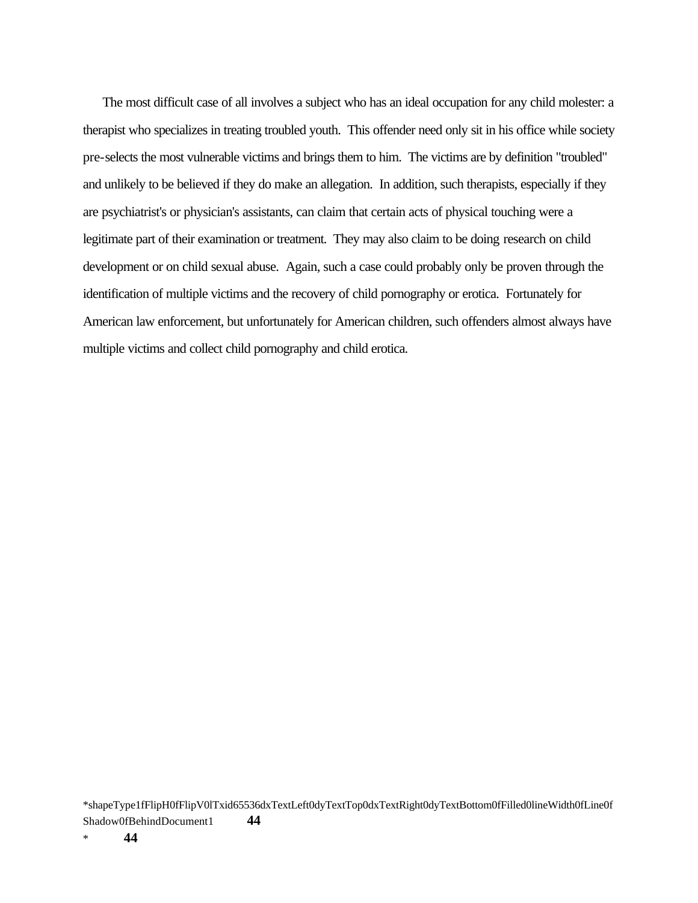The most difficult case of all involves a subject who has an ideal occupation for any child molester: a therapist who specializes in treating troubled youth. This offender need only sit in his office while society pre-selects the most vulnerable victims and brings them to him. The victims are by definition "troubled" and unlikely to be believed if they do make an allegation. In addition, such therapists, especially if they are psychiatrist's or physician's assistants, can claim that certain acts of physical touching were a legitimate part of their examination or treatment. They may also claim to be doing research on child development or on child sexual abuse. Again, such a case could probably only be proven through the identification of multiple victims and the recovery of child pornography or erotica. Fortunately for American law enforcement, but unfortunately for American children, such offenders almost always have multiple victims and collect child pornography and child erotica.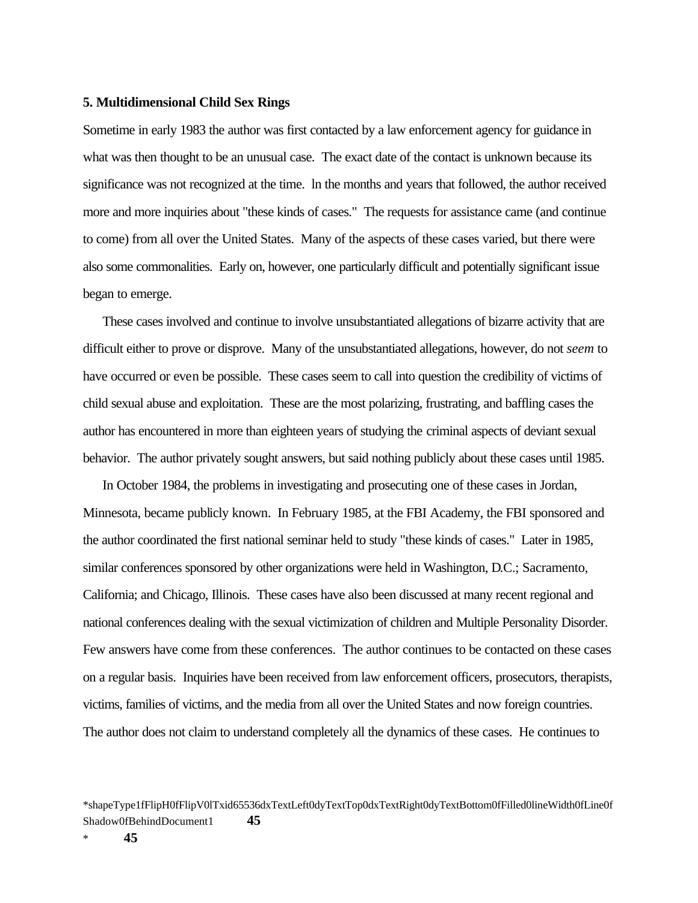### **5. Multidimensional Child Sex Rings**

Sometime in early 1983 the author was first contacted by a law enforcement agency for guidance in what was then thought to be an unusual case. The exact date of the contact is unknown because its significance was not recognized at the time. ln the months and years that followed, the author received more and more inquiries about "these kinds of cases." The requests for assistance came (and continue to come) from all over the United States. Many of the aspects of these cases varied, but there were also some commonalities. Early on, however, one particularly difficult and potentially significant issue began to emerge.

These cases involved and continue to involve unsubstantiated allegations of bizarre activity that are difficult either to prove or disprove. Many of the unsubstantiated allegations, however, do not *seem* to have occurred or even be possible. These cases seem to call into question the credibility of victims of child sexual abuse and exploitation. These are the most polarizing, frustrating, and baffling cases the author has encountered in more than eighteen years of studying the criminal aspects of deviant sexual behavior. The author privately sought answers, but said nothing publicly about these cases until 1985.

In October 1984, the problems in investigating and prosecuting one of these cases in Jordan, Minnesota, became publicly known. In February 1985, at the FBI Academy, the FBI sponsored and the author coordinated the first national seminar held to study "these kinds of cases." Later in 1985, similar conferences sponsored by other organizations were held in Washington, D.C.; Sacramento, California; and Chicago, Illinois. These cases have also been discussed at many recent regional and national conferences dealing with the sexual victimization of children and Multiple Personality Disorder. Few answers have come from these conferences. The author continues to be contacted on these cases on a regular basis. Inquiries have been received from law enforcement officers, prosecutors, therapists, victims, families of victims, and the media from all over the United States and now foreign countries. The author does not claim to understand completely all the dynamics of these cases. He continues to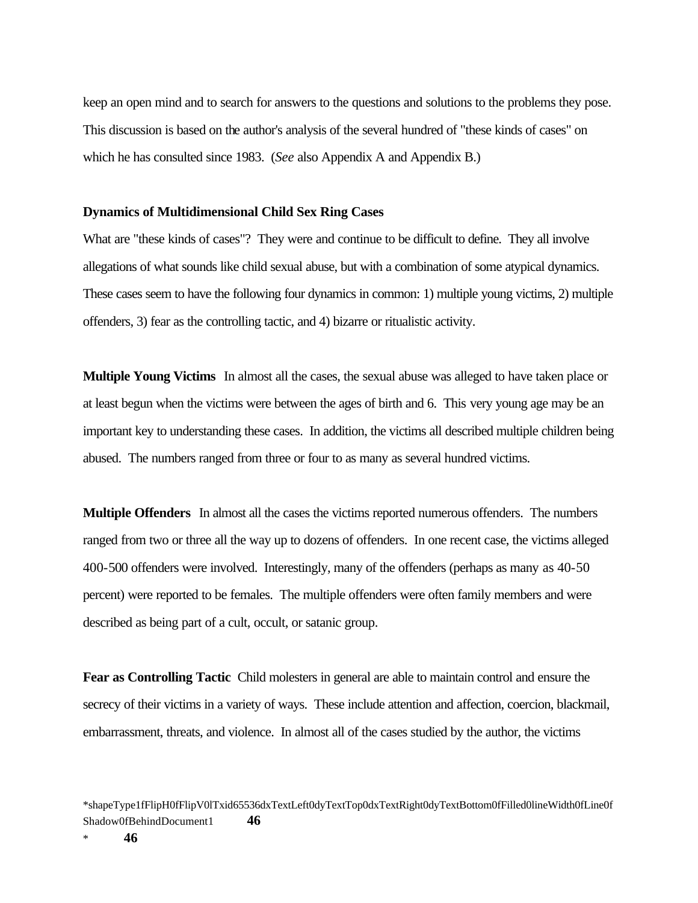keep an open mind and to search for answers to the questions and solutions to the problems they pose. This discussion is based on the author's analysis of the several hundred of "these kinds of cases" on which he has consulted since 1983. (*See* also Appendix A and Appendix B.)

## **Dynamics of Multidimensional Child Sex Ring Cases**

What are "these kinds of cases"? They were and continue to be difficult to define. They all involve allegations of what sounds like child sexual abuse, but with a combination of some atypical dynamics. These cases seem to have the following four dynamics in common: 1) multiple young victims, 2) multiple offenders, 3) fear as the controlling tactic, and 4) bizarre or ritualistic activity.

**Multiple Young Victims** In almost all the cases, the sexual abuse was alleged to have taken place or at least begun when the victims were between the ages of birth and 6. This very young age may be an important key to understanding these cases. In addition, the victims all described multiple children being abused. The numbers ranged from three or four to as many as several hundred victims.

**Multiple Offenders** In almost all the cases the victims reported numerous offenders. The numbers ranged from two or three all the way up to dozens of offenders. In one recent case, the victims alleged 400-500 offenders were involved. Interestingly, many of the offenders (perhaps as many as 40-50 percent) were reported to be females. The multiple offenders were often family members and were described as being part of a cult, occult, or satanic group.

**Fear as Controlling Tactic** Child molesters in general are able to maintain control and ensure the secrecy of their victims in a variety of ways. These include attention and affection, coercion, blackmail, embarrassment, threats, and violence. In almost all of the cases studied by the author, the victims

\*shapeType1fFlipH0fFlipV0lTxid65536dxTextLeft0dyTextTop0dxTextRight0dyTextBottom0fFilled0lineWidth0fLine0f Shadow0fBehindDocument1 **46**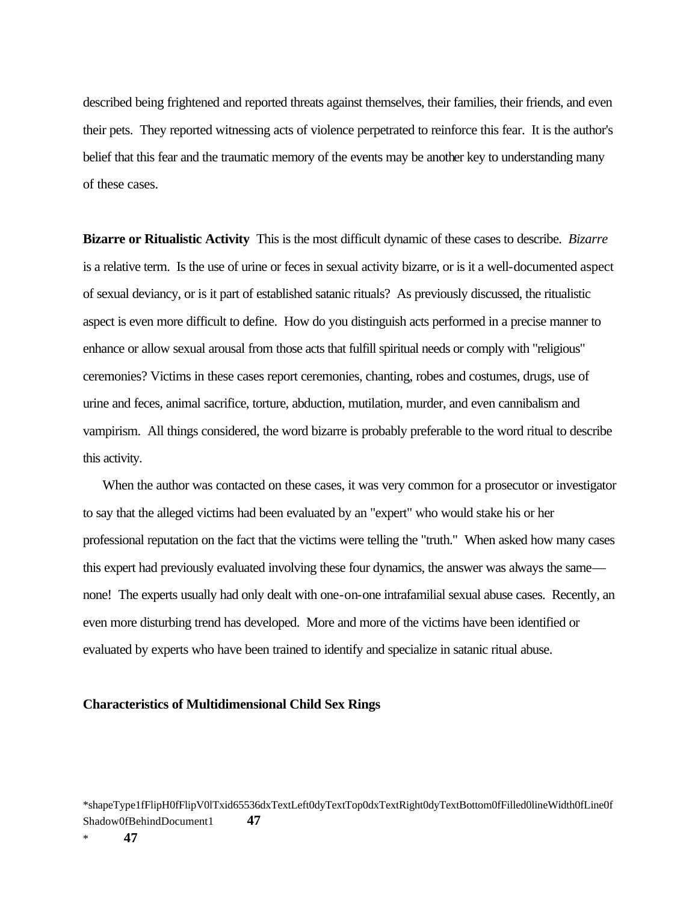described being frightened and reported threats against themselves, their families, their friends, and even their pets. They reported witnessing acts of violence perpetrated to reinforce this fear. It is the author's belief that this fear and the traumatic memory of the events may be another key to understanding many of these cases.

**Bizarre or Ritualistic Activity** This is the most difficult dynamic of these cases to describe. *Bizarre* is a relative term. Is the use of urine or feces in sexual activity bizarre, or is it a well-documented aspect of sexual deviancy, or is it part of established satanic rituals? As previously discussed, the ritualistic aspect is even more difficult to define. How do you distinguish acts performed in a precise manner to enhance or allow sexual arousal from those acts that fulfill spiritual needs or comply with "religious" ceremonies? Victims in these cases report ceremonies, chanting, robes and costumes, drugs, use of urine and feces, animal sacrifice, torture, abduction, mutilation, murder, and even cannibalism and vampirism. All things considered, the word bizarre is probably preferable to the word ritual to describe this activity.

When the author was contacted on these cases, it was very common for a prosecutor or investigator to say that the alleged victims had been evaluated by an "expert" who would stake his or her professional reputation on the fact that the victims were telling the "truth." When asked how many cases this expert had previously evaluated involving these four dynamics, the answer was always the same none! The experts usually had only dealt with one-on-one intrafamilial sexual abuse cases. Recently, an even more disturbing trend has developed. More and more of the victims have been identified or evaluated by experts who have been trained to identify and specialize in satanic ritual abuse.

## **Characteristics of Multidimensional Child Sex Rings**

\*shapeType1fFlipH0fFlipV0lTxid65536dxTextLeft0dyTextTop0dxTextRight0dyTextBottom0fFilled0lineWidth0fLine0f Shadow0fBehindDocument1 **47**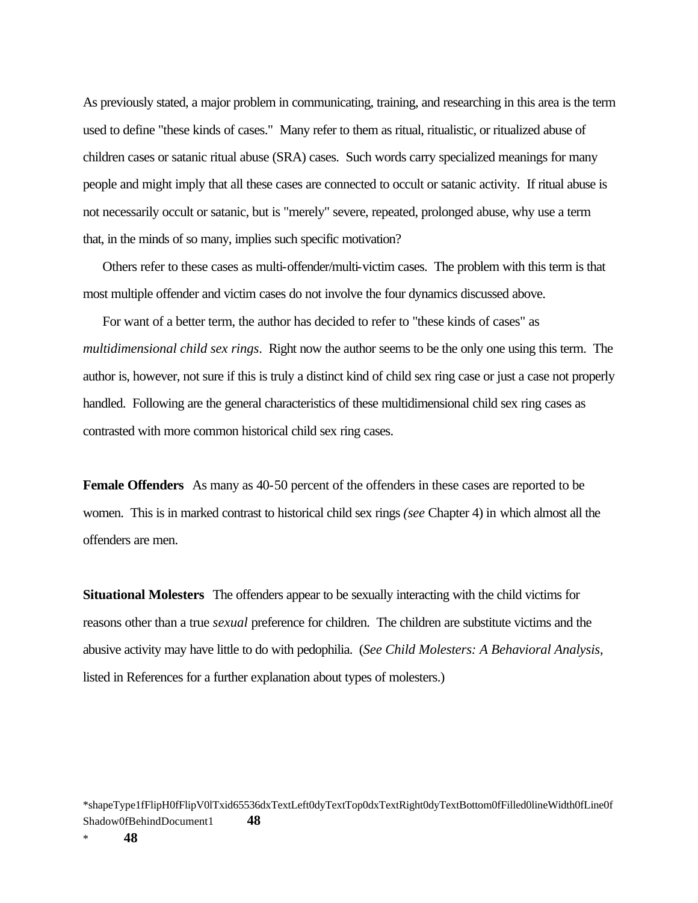As previously stated, a major problem in communicating, training, and researching in this area is the term used to define "these kinds of cases." Many refer to them as ritual, ritualistic, or ritualized abuse of children cases or satanic ritual abuse (SRA) cases. Such words carry specialized meanings for many people and might imply that all these cases are connected to occult or satanic activity. If ritual abuse is not necessarily occult or satanic, but is "merely" severe, repeated, prolonged abuse, why use a term that, in the minds of so many, implies such specific motivation?

Others refer to these cases as multi-offender/multi-victim cases. The problem with this term is that most multiple offender and victim cases do not involve the four dynamics discussed above.

For want of a better term, the author has decided to refer to "these kinds of cases" as *multidimensional child sex rings*. Right now the author seems to be the only one using this term. The author is, however, not sure if this is truly a distinct kind of child sex ring case or just a case not properly handled. Following are the general characteristics of these multidimensional child sex ring cases as contrasted with more common historical child sex ring cases.

**Female Offenders** As many as 40-50 percent of the offenders in these cases are reported to be women. This is in marked contrast to historical child sex rings *(see* Chapter 4) in which almost all the offenders are men.

**Situational Molesters** The offenders appear to be sexually interacting with the child victims for reasons other than a true *sexual* preference for children. The children are substitute victims and the abusive activity may have little to do with pedophilia. (*See Child Molesters: A Behavioral Analysis*, listed in References for a further explanation about types of molesters.)

\*shapeType1fFlipH0fFlipV0lTxid65536dxTextLeft0dyTextTop0dxTextRight0dyTextBottom0fFilled0lineWidth0fLine0f Shadow0fBehindDocument1 **48**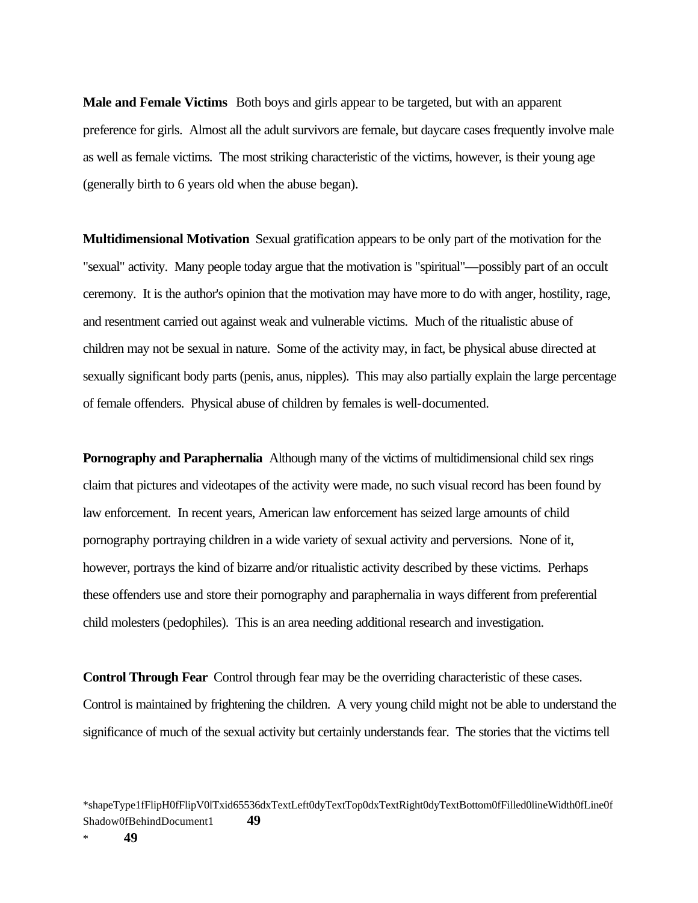**Male and Female Victims** Both boys and girls appear to be targeted, but with an apparent preference for girls. Almost all the adult survivors are female, but daycare cases frequently involve male as well as female victims. The most striking characteristic of the victims, however, is their young age (generally birth to 6 years old when the abuse began).

**Multidimensional Motivation** Sexual gratification appears to be only part of the motivation for the "sexual" activity. Many people today argue that the motivation is "spiritual"—possibly part of an occult ceremony. It is the author's opinion that the motivation may have more to do with anger, hostility, rage, and resentment carried out against weak and vulnerable victims. Much of the ritualistic abuse of children may not be sexual in nature. Some of the activity may, in fact, be physical abuse directed at sexually significant body parts (penis, anus, nipples). This may also partially explain the large percentage of female offenders. Physical abuse of children by females is well-documented.

**Pornography and Paraphernalia** Although many of the victims of multidimensional child sex rings claim that pictures and videotapes of the activity were made, no such visual record has been found by law enforcement. In recent years, American law enforcement has seized large amounts of child pornography portraying children in a wide variety of sexual activity and perversions. None of it, however, portrays the kind of bizarre and/or ritualistic activity described by these victims. Perhaps these offenders use and store their pornography and paraphernalia in ways different from preferential child molesters (pedophiles). This is an area needing additional research and investigation.

**Control Through Fear** Control through fear may be the overriding characteristic of these cases. Control is maintained by frightening the children. A very young child might not be able to understand the significance of much of the sexual activity but certainly understands fear. The stories that the victims tell

\*shapeType1fFlipH0fFlipV0lTxid65536dxTextLeft0dyTextTop0dxTextRight0dyTextBottom0fFilled0lineWidth0fLine0f Shadow0fBehindDocument1 **49**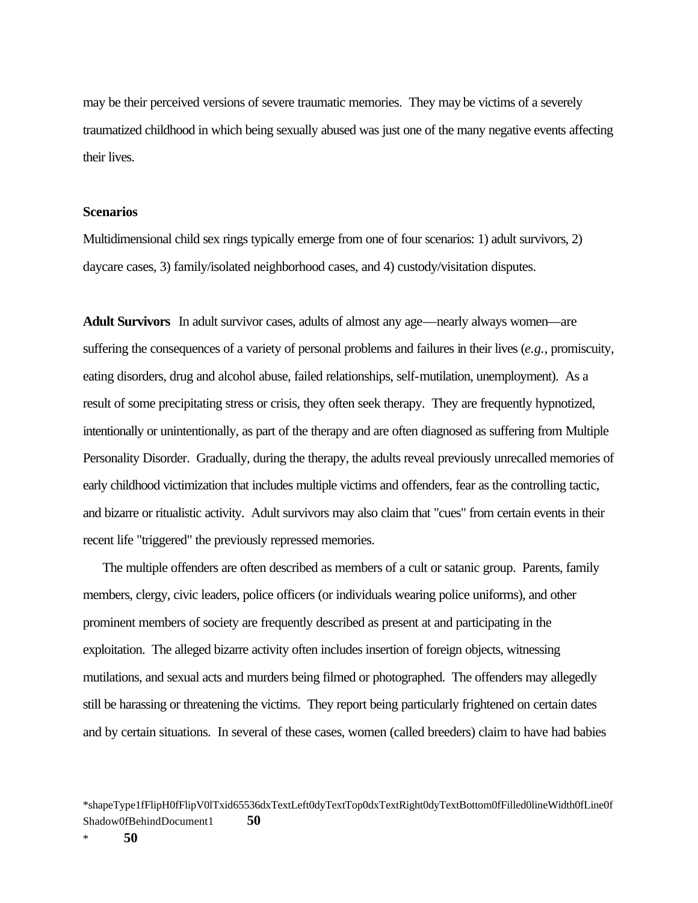may be their perceived versions of severe traumatic memories. They may be victims of a severely traumatized childhood in which being sexually abused was just one of the many negative events affecting their lives.

# **Scenarios**

Multidimensional child sex rings typically emerge from one of four scenarios: 1) adult survivors, 2) daycare cases, 3) family/isolated neighborhood cases, and 4) custody/visitation disputes.

**Adult Survivors** In adult survivor cases, adults of almost any age—nearly always women—are suffering the consequences of a variety of personal problems and failures in their lives (*e.g.*, promiscuity, eating disorders, drug and alcohol abuse, failed relationships, self-mutilation, unemployment). As a result of some precipitating stress or crisis, they often seek therapy. They are frequently hypnotized, intentionally or unintentionally, as part of the therapy and are often diagnosed as suffering from Multiple Personality Disorder. Gradually, during the therapy, the adults reveal previously unrecalled memories of early childhood victimization that includes multiple victims and offenders, fear as the controlling tactic, and bizarre or ritualistic activity. Adult survivors may also claim that "cues" from certain events in their recent life "triggered" the previously repressed memories.

The multiple offenders are often described as members of a cult or satanic group. Parents, family members, clergy, civic leaders, police officers (or individuals wearing police uniforms), and other prominent members of society are frequently described as present at and participating in the exploitation. The alleged bizarre activity often includes insertion of foreign objects, witnessing mutilations, and sexual acts and murders being filmed or photographed. The offenders may allegedly still be harassing or threatening the victims. They report being particularly frightened on certain dates and by certain situations. In several of these cases, women (called breeders) claim to have had babies

<sup>\*</sup>shapeType1fFlipH0fFlipV0lTxid65536dxTextLeft0dyTextTop0dxTextRight0dyTextBottom0fFilled0lineWidth0fLine0f Shadow0fBehindDocument1 **50**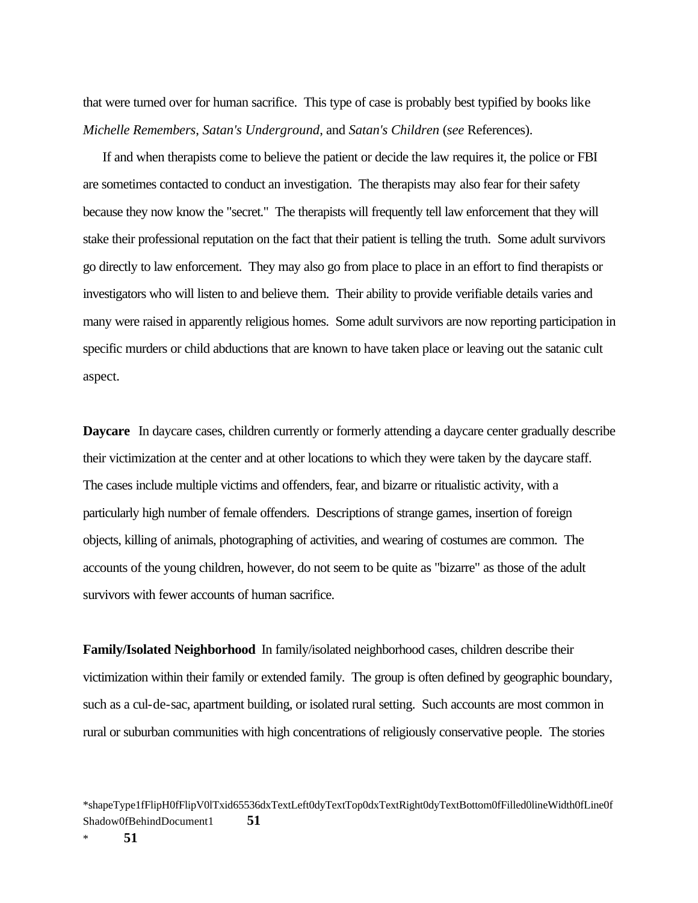that were turned over for human sacrifice. This type of case is probably best typified by books like *Michelle Remembers*, *Satan's Underground*, and *Satan's Children* (*see* References).

If and when therapists come to believe the patient or decide the law requires it, the police or FBI are sometimes contacted to conduct an investigation. The therapists may also fear for their safety because they now know the "secret." The therapists will frequently tell law enforcement that they will stake their professional reputation on the fact that their patient is telling the truth. Some adult survivors go directly to law enforcement. They may also go from place to place in an effort to find therapists or investigators who will listen to and believe them. Their ability to provide verifiable details varies and many were raised in apparently religious homes. Some adult survivors are now reporting participation in specific murders or child abductions that are known to have taken place or leaving out the satanic cult aspect.

**Daycare** In daycare cases, children currently or formerly attending a daycare center gradually describe their victimization at the center and at other locations to which they were taken by the daycare staff. The cases include multiple victims and offenders, fear, and bizarre or ritualistic activity, with a particularly high number of female offenders. Descriptions of strange games, insertion of foreign objects, killing of animals, photographing of activities, and wearing of costumes are common. The accounts of the young children, however, do not seem to be quite as "bizarre" as those of the adult survivors with fewer accounts of human sacrifice.

**Family/Isolated Neighborhood** In family/isolated neighborhood cases, children describe their victimization within their family or extended family. The group is often defined by geographic boundary, such as a cul-de-sac, apartment building, or isolated rural setting. Such accounts are most common in rural or suburban communities with high concentrations of religiously conservative people. The stories

\*shapeType1fFlipH0fFlipV0lTxid65536dxTextLeft0dyTextTop0dxTextRight0dyTextBottom0fFilled0lineWidth0fLine0f Shadow0fBehindDocument1 **51**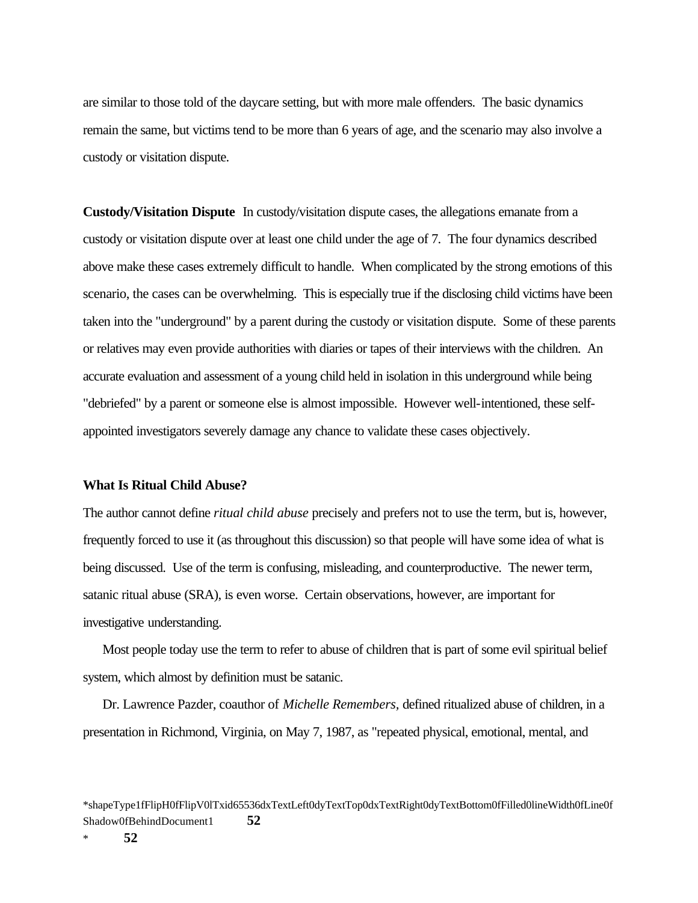are similar to those told of the daycare setting, but with more male offenders. The basic dynamics remain the same, but victims tend to be more than 6 years of age, and the scenario may also involve a custody or visitation dispute.

**Custody/Visitation Dispute** In custody/visitation dispute cases, the allegations emanate from a custody or visitation dispute over at least one child under the age of 7. The four dynamics described above make these cases extremely difficult to handle. When complicated by the strong emotions of this scenario, the cases can be overwhelming. This is especially true if the disclosing child victims have been taken into the "underground" by a parent during the custody or visitation dispute. Some of these parents or relatives may even provide authorities with diaries or tapes of their interviews with the children. An accurate evaluation and assessment of a young child held in isolation in this underground while being "debriefed" by a parent or someone else is almost impossible. However well-intentioned, these selfappointed investigators severely damage any chance to validate these cases objectively.

# **What Is Ritual Child Abuse?**

The author cannot define *ritual child abuse* precisely and prefers not to use the term, but is, however, frequently forced to use it (as throughout this discussion) so that people will have some idea of what is being discussed. Use of the term is confusing, misleading, and counterproductive. The newer term, satanic ritual abuse (SRA), is even worse. Certain observations, however, are important for investigative understanding.

Most people today use the term to refer to abuse of children that is part of some evil spiritual belief system, which almost by definition must be satanic.

Dr. Lawrence Pazder, coauthor of *Michelle Remembers,* defined ritualized abuse of children, in a presentation in Richmond, Virginia, on May 7, 1987, as "repeated physical, emotional, mental, and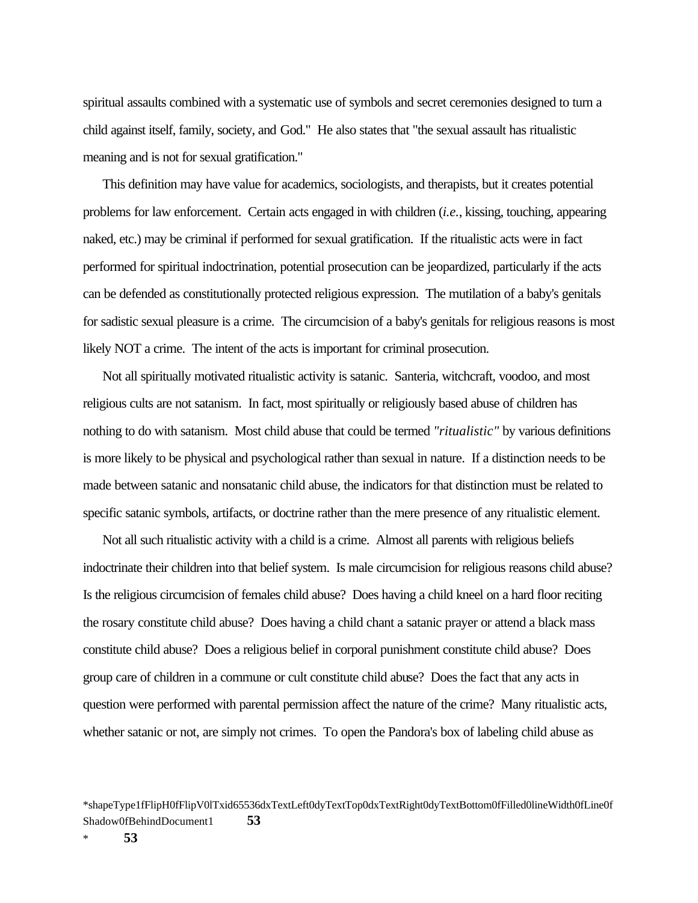spiritual assaults combined with a systematic use of symbols and secret ceremonies designed to turn a child against itself, family, society, and God." He also states that "the sexual assault has ritualistic meaning and is not for sexual gratification."

This definition may have value for academics, sociologists, and therapists, but it creates potential problems for law enforcement. Certain acts engaged in with children (*i.e.*, kissing, touching, appearing naked, etc.) may be criminal if performed for sexual gratification. If the ritualistic acts were in fact performed for spiritual indoctrination, potential prosecution can be jeopardized, particularly if the acts can be defended as constitutionally protected religious expression. The mutilation of a baby's genitals for sadistic sexual pleasure is a crime. The circumcision of a baby's genitals for religious reasons is most likely NOT a crime. The intent of the acts is important for criminal prosecution.

Not all spiritually motivated ritualistic activity is satanic. Santeria, witchcraft, voodoo, and most religious cults are not satanism. In fact, most spiritually or religiously based abuse of children has nothing to do with satanism. Most child abuse that could be termed *"ritualistic"* by various definitions is more likely to be physical and psychological rather than sexual in nature. If a distinction needs to be made between satanic and nonsatanic child abuse, the indicators for that distinction must be related to specific satanic symbols, artifacts, or doctrine rather than the mere presence of any ritualistic element.

Not all such ritualistic activity with a child is a crime. Almost all parents with religious beliefs indoctrinate their children into that belief system. Is male circumcision for religious reasons child abuse? Is the religious circumcision of females child abuse? Does having a child kneel on a hard floor reciting the rosary constitute child abuse? Does having a child chant a satanic prayer or attend a black mass constitute child abuse? Does a religious belief in corporal punishment constitute child abuse? Does group care of children in a commune or cult constitute child abuse? Does the fact that any acts in question were performed with parental permission affect the nature of the crime? Many ritualistic acts, whether satanic or not, are simply not crimes. To open the Pandora's box of labeling child abuse as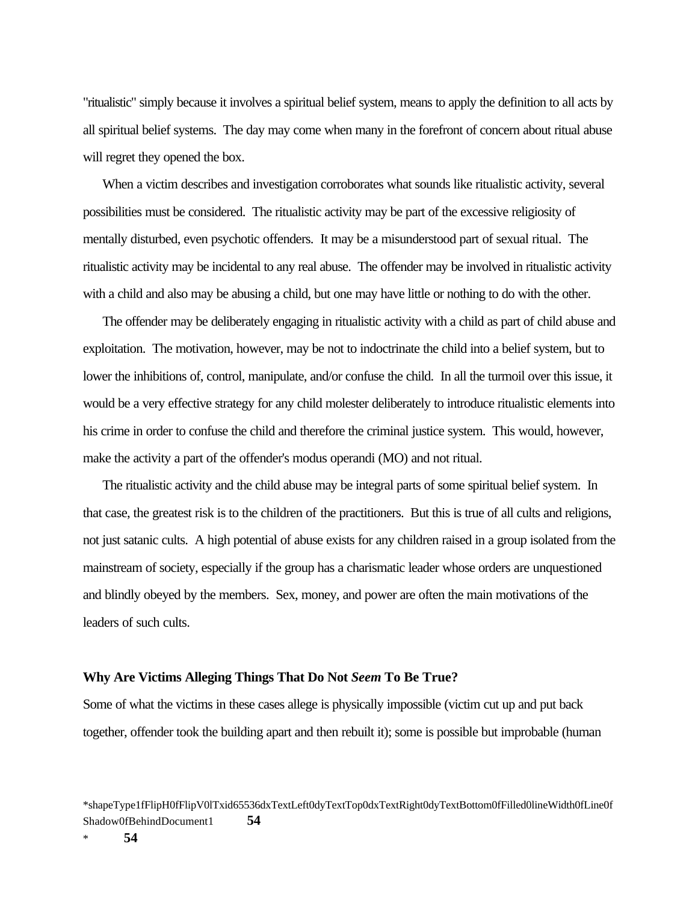"ritualistic" simply because it involves a spiritual belief system, means to apply the definition to all acts by all spiritual belief systems. The day may come when many in the forefront of concern about ritual abuse will regret they opened the box.

When a victim describes and investigation corroborates what sounds like ritualistic activity, several possibilities must be considered. The ritualistic activity may be part of the excessive religiosity of mentally disturbed, even psychotic offenders. It may be a misunderstood part of sexual ritual. The ritualistic activity may be incidental to any real abuse. The offender may be involved in ritualistic activity with a child and also may be abusing a child, but one may have little or nothing to do with the other.

The offender may be deliberately engaging in ritualistic activity with a child as part of child abuse and exploitation. The motivation, however, may be not to indoctrinate the child into a belief system, but to lower the inhibitions of, control, manipulate, and/or confuse the child. In all the turmoil over this issue, it would be a very effective strategy for any child molester deliberately to introduce ritualistic elements into his crime in order to confuse the child and therefore the criminal justice system. This would, however, make the activity a part of the offender's modus operandi (MO) and not ritual.

The ritualistic activity and the child abuse may be integral parts of some spiritual belief system. In that case, the greatest risk is to the children of the practitioners. But this is true of all cults and religions, not just satanic cults. A high potential of abuse exists for any children raised in a group isolated from the mainstream of society, especially if the group has a charismatic leader whose orders are unquestioned and blindly obeyed by the members. Sex, money, and power are often the main motivations of the leaders of such cults.

# **Why Are Victims Alleging Things That Do Not** *Seem* **To Be True?**

Some of what the victims in these cases allege is physically impossible (victim cut up and put back together, offender took the building apart and then rebuilt it); some is possible but improbable (human

<sup>\*</sup>shapeType1fFlipH0fFlipV0lTxid65536dxTextLeft0dyTextTop0dxTextRight0dyTextBottom0fFilled0lineWidth0fLine0f Shadow0fBehindDocument1 **54**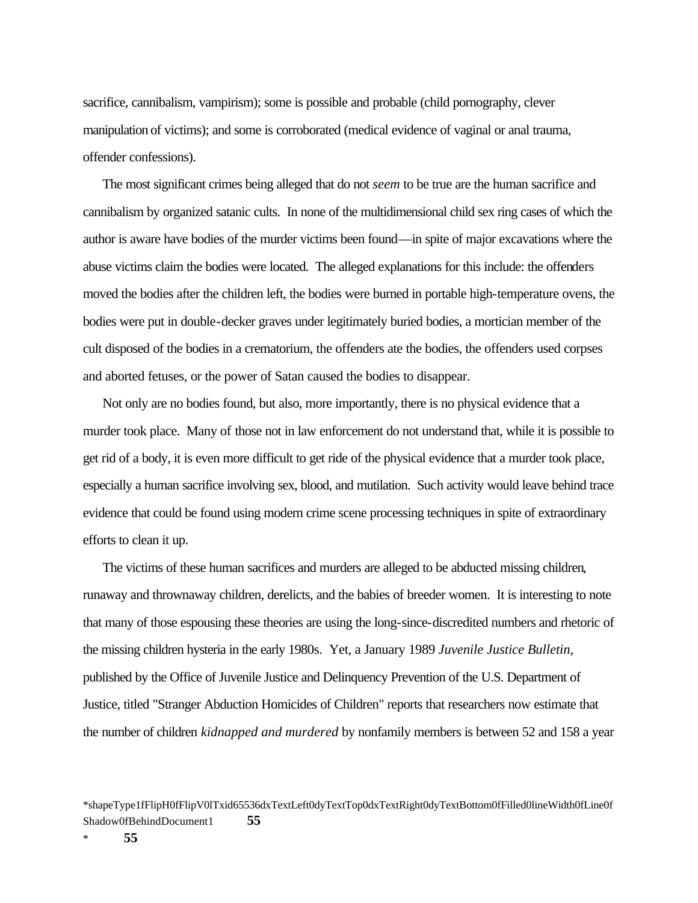sacrifice, cannibalism, vampirism); some is possible and probable (child pornography, clever manipulation of victims); and some is corroborated (medical evidence of vaginal or anal trauma, offender confessions).

The most significant crimes being alleged that do not *seem* to be true are the human sacrifice and cannibalism by organized satanic cults. In none of the multidimensional child sex ring cases of which the author is aware have bodies of the murder victims been found—in spite of major excavations where the abuse victims claim the bodies were located. The alleged explanations for this include: the offenders moved the bodies after the children left, the bodies were burned in portable high-temperature ovens, the bodies were put in double-decker graves under legitimately buried bodies, a mortician member of the cult disposed of the bodies in a crematorium, the offenders ate the bodies, the offenders used corpses and aborted fetuses, or the power of Satan caused the bodies to disappear.

Not only are no bodies found, but also, more importantly, there is no physical evidence that a murder took place. Many of those not in law enforcement do not understand that, while it is possible to get rid of a body, it is even more difficult to get ride of the physical evidence that a murder took place, especially a human sacrifice involving sex, blood, and mutilation. Such activity would leave behind trace evidence that could be found using modern crime scene processing techniques in spite of extraordinary efforts to clean it up.

The victims of these human sacrifices and murders are alleged to be abducted missing children, runaway and thrownaway children, derelicts, and the babies of breeder women. It is interesting to note that many of those espousing these theories are using the long-since-discredited numbers and rhetoric of the missing children hysteria in the early 1980s. Yet, a January 1989 *Juvenile Justice Bulletin,*  published by the Office of Juvenile Justice and Delinquency Prevention of the U.S. Department of Justice, titled "Stranger Abduction Homicides of Children" reports that researchers now estimate that the number of children *kidnapped and murdered* by nonfamily members is between 52 and 158 a year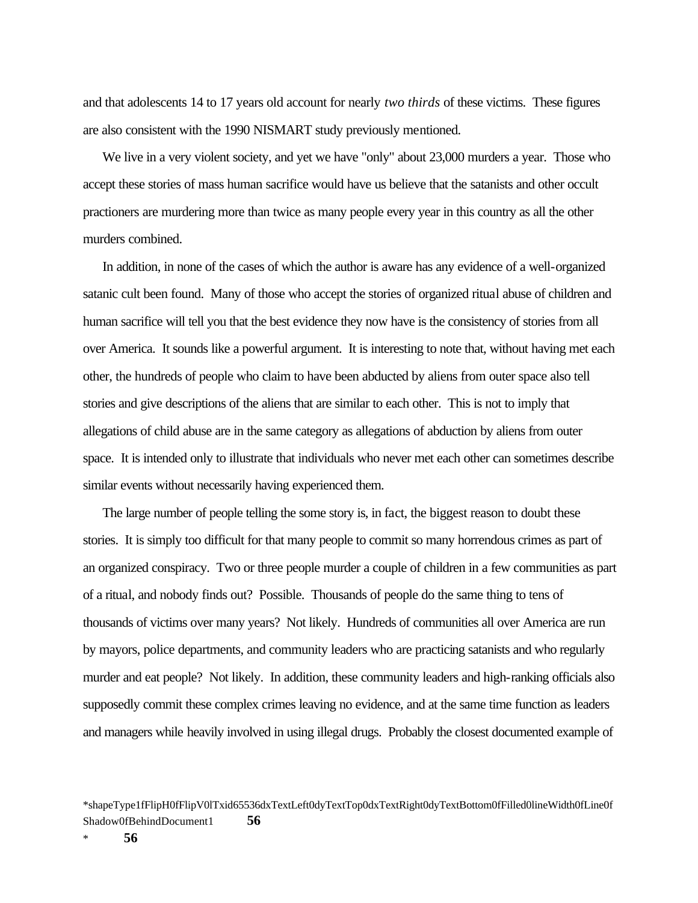and that adolescents 14 to 17 years old account for nearly *two thirds* of these victims. These figures are also consistent with the 1990 NISMART study previously mentioned.

We live in a very violent society, and yet we have "only" about 23,000 murders a year. Those who accept these stories of mass human sacrifice would have us believe that the satanists and other occult practioners are murdering more than twice as many people every year in this country as all the other murders combined.

In addition, in none of the cases of which the author is aware has any evidence of a well-organized satanic cult been found. Many of those who accept the stories of organized ritual abuse of children and human sacrifice will tell you that the best evidence they now have is the consistency of stories from all over America. It sounds like a powerful argument. It is interesting to note that, without having met each other, the hundreds of people who claim to have been abducted by aliens from outer space also tell stories and give descriptions of the aliens that are similar to each other. This is not to imply that allegations of child abuse are in the same category as allegations of abduction by aliens from outer space. It is intended only to illustrate that individuals who never met each other can sometimes describe similar events without necessarily having experienced them.

The large number of people telling the some story is, in fact, the biggest reason to doubt these stories. It is simply too difficult for that many people to commit so many horrendous crimes as part of an organized conspiracy. Two or three people murder a couple of children in a few communities as part of a ritual, and nobody finds out? Possible. Thousands of people do the same thing to tens of thousands of victims over many years? Not likely. Hundreds of communities all over America are run by mayors, police departments, and community leaders who are practicing satanists and who regularly murder and eat people? Not likely. In addition, these community leaders and high-ranking officials also supposedly commit these complex crimes leaving no evidence, and at the same time function as leaders and managers while heavily involved in using illegal drugs. Probably the closest documented example of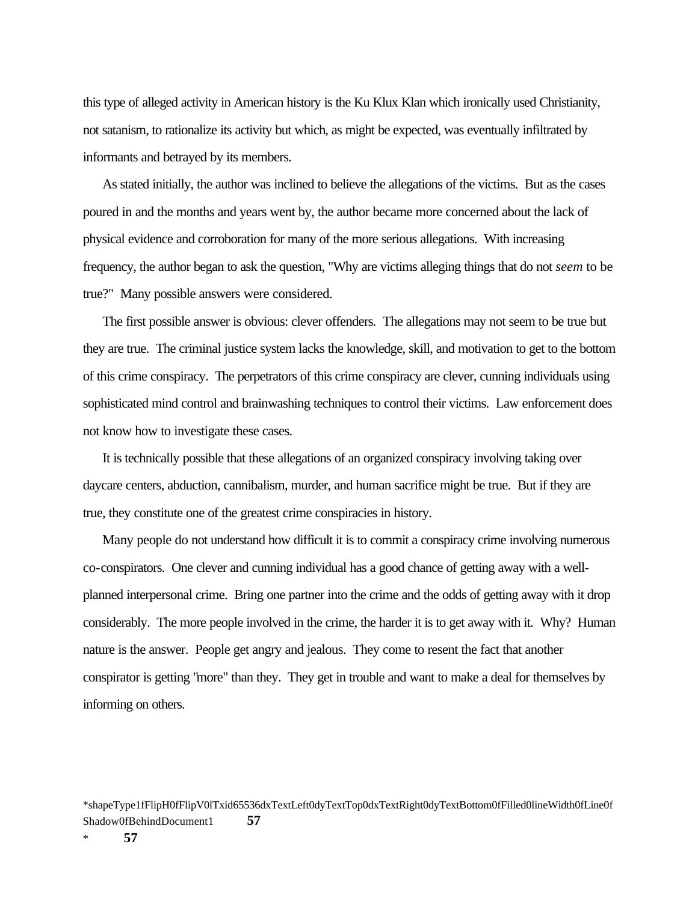this type of alleged activity in American history is the Ku Klux Klan which ironically used Christianity, not satanism, to rationalize its activity but which, as might be expected, was eventually infiltrated by informants and betrayed by its members.

As stated initially, the author was inclined to believe the allegations of the victims. But as the cases poured in and the months and years went by, the author became more concerned about the lack of physical evidence and corroboration for many of the more serious allegations. With increasing frequency, the author began to ask the question, "Why are victims alleging things that do not *seem* to be true?" Many possible answers were considered.

The first possible answer is obvious: clever offenders. The allegations may not seem to be true but they are true. The criminal justice system lacks the knowledge, skill, and motivation to get to the bottom of this crime conspiracy. The perpetrators of this crime conspiracy are clever, cunning individuals using sophisticated mind control and brainwashing techniques to control their victims. Law enforcement does not know how to investigate these cases.

It is technically possible that these allegations of an organized conspiracy involving taking over daycare centers, abduction, cannibalism, murder, and human sacrifice might be true. But if they are true, they constitute one of the greatest crime conspiracies in history.

Many people do not understand how difficult it is to commit a conspiracy crime involving numerous co-conspirators. One clever and cunning individual has a good chance of getting away with a wellplanned interpersonal crime. Bring one partner into the crime and the odds of getting away with it drop considerably. The more people involved in the crime, the harder it is to get away with it. Why? Human nature is the answer. People get angry and jealous. They come to resent the fact that another conspirator is getting "more" than they. They get in trouble and want to make a deal for themselves by informing on others.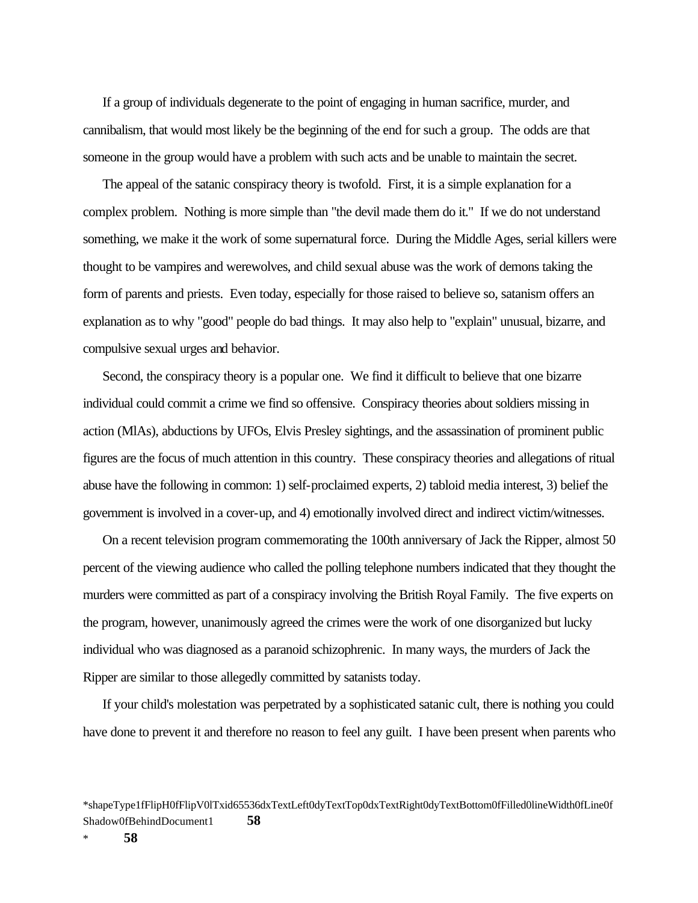If a group of individuals degenerate to the point of engaging in human sacrifice, murder, and cannibalism, that would most likely be the beginning of the end for such a group. The odds are that someone in the group would have a problem with such acts and be unable to maintain the secret.

The appeal of the satanic conspiracy theory is twofold. First, it is a simple explanation for a complex problem. Nothing is more simple than "the devil made them do it." If we do not understand something, we make it the work of some supernatural force. During the Middle Ages, serial killers were thought to be vampires and werewolves, and child sexual abuse was the work of demons taking the form of parents and priests. Even today, especially for those raised to believe so, satanism offers an explanation as to why "good" people do bad things. It may also help to "explain" unusual, bizarre, and compulsive sexual urges and behavior.

Second, the conspiracy theory is a popular one. We find it difficult to believe that one bizarre individual could commit a crime we find so offensive. Conspiracy theories about soldiers missing in action (MlAs), abductions by UFOs, Elvis Presley sightings, and the assassination of prominent public figures are the focus of much attention in this country. These conspiracy theories and allegations of ritual abuse have the following in common: 1) self-proclaimed experts, 2) tabloid media interest, 3) belief the government is involved in a cover-up, and 4) emotionally involved direct and indirect victim/witnesses.

On a recent television program commemorating the 100th anniversary of Jack the Ripper, almost 50 percent of the viewing audience who called the polling telephone numbers indicated that they thought the murders were committed as part of a conspiracy involving the British Royal Family. The five experts on the program, however, unanimously agreed the crimes were the work of one disorganized but lucky individual who was diagnosed as a paranoid schizophrenic. In many ways, the murders of Jack the Ripper are similar to those allegedly committed by satanists today.

If your child's molestation was perpetrated by a sophisticated satanic cult, there is nothing you could have done to prevent it and therefore no reason to feel any guilt. I have been present when parents who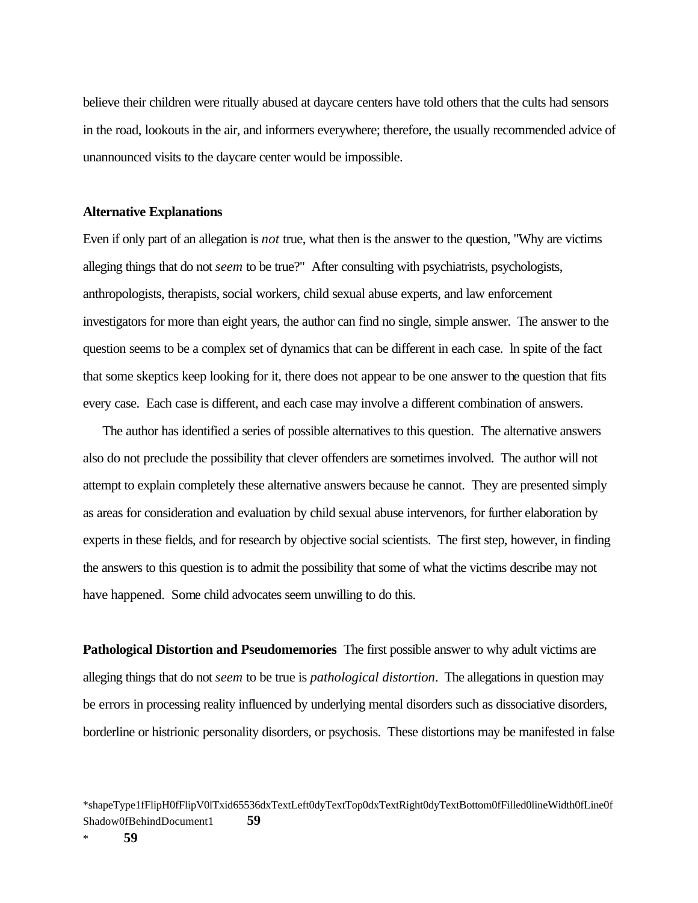believe their children were ritually abused at daycare centers have told others that the cults had sensors in the road, lookouts in the air, and informers everywhere; therefore, the usually recommended advice of unannounced visits to the daycare center would be impossible.

## **Alternative Explanations**

Even if only part of an allegation is *not* true, what then is the answer to the question, "Why are victims" alleging things that do not *seem* to be true?" After consulting with psychiatrists, psychologists, anthropologists, therapists, social workers, child sexual abuse experts, and law enforcement investigators for more than eight years, the author can find no single, simple answer. The answer to the question seems to be a complex set of dynamics that can be different in each case. ln spite of the fact that some skeptics keep looking for it, there does not appear to be one answer to the question that fits every case. Each case is different, and each case may involve a different combination of answers.

The author has identified a series of possible alternatives to this question. The alternative answers also do not preclude the possibility that clever offenders are sometimes involved. The author will not attempt to explain completely these alternative answers because he cannot. They are presented simply as areas for consideration and evaluation by child sexual abuse intervenors, for further elaboration by experts in these fields, and for research by objective social scientists. The first step, however, in finding the answers to this question is to admit the possibility that some of what the victims describe may not have happened. Some child advocates seem unwilling to do this.

**Pathological Distortion and Pseudomemories** The first possible answer to why adult victims are alleging things that do not *seem* to be true is *pathological distortion*. The allegations in question may be errors in processing reality influenced by underlying mental disorders such as dissociative disorders, borderline or histrionic personality disorders, or psychosis. These distortions may be manifested in false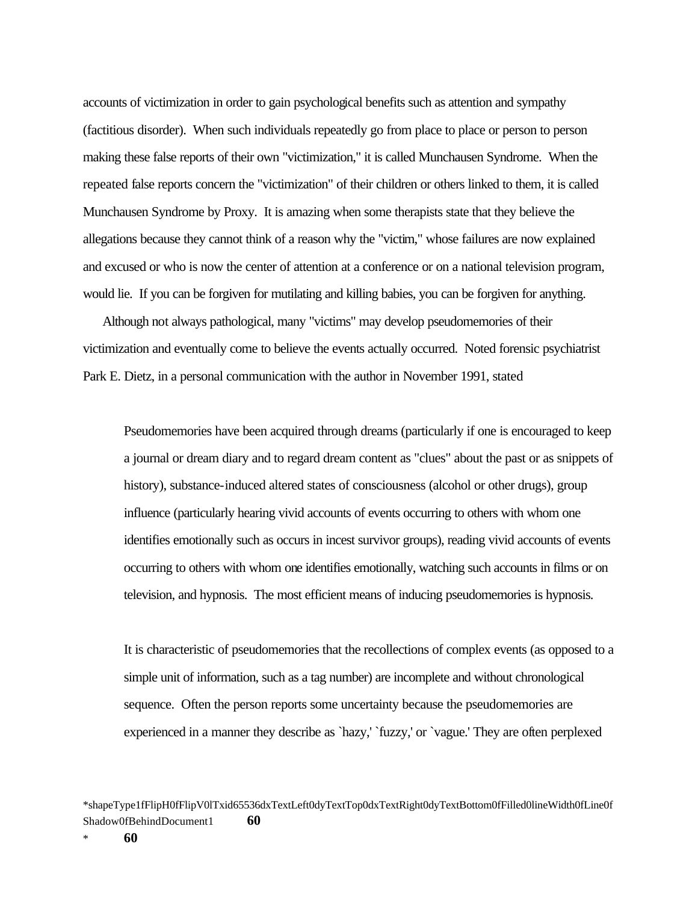accounts of victimization in order to gain psychological benefits such as attention and sympathy (factitious disorder). When such individuals repeatedly go from place to place or person to person making these false reports of their own "victimization," it is called Munchausen Syndrome. When the repeated false reports concern the "victimization" of their children or others linked to them, it is called Munchausen Syndrome by Proxy. It is amazing when some therapists state that they believe the allegations because they cannot think of a reason why the "victim," whose failures are now explained and excused or who is now the center of attention at a conference or on a national television program, would lie. If you can be forgiven for mutilating and killing babies, you can be forgiven for anything.

Although not always pathological, many "victims" may develop pseudomemories of their victimization and eventually come to believe the events actually occurred. Noted forensic psychiatrist Park E. Dietz, in a personal communication with the author in November 1991, stated

Pseudomemories have been acquired through dreams (particularly if one is encouraged to keep a journal or dream diary and to regard dream content as "clues" about the past or as snippets of history), substance-induced altered states of consciousness (alcohol or other drugs), group influence (particularly hearing vivid accounts of events occurring to others with whom one identifies emotionally such as occurs in incest survivor groups), reading vivid accounts of events occurring to others with whom one identifies emotionally, watching such accounts in films or on television, and hypnosis. The most efficient means of inducing pseudomemories is hypnosis.

It is characteristic of pseudomemories that the recollections of complex events (as opposed to a simple unit of information, such as a tag number) are incomplete and without chronological sequence. Often the person reports some uncertainty because the pseudomemories are experienced in a manner they describe as `hazy,' `fuzzy,' or `vague.' They are often perplexed

\*shapeType1fFlipH0fFlipV0lTxid65536dxTextLeft0dyTextTop0dxTextRight0dyTextBottom0fFilled0lineWidth0fLine0f Shadow0fBehindDocument1 **60**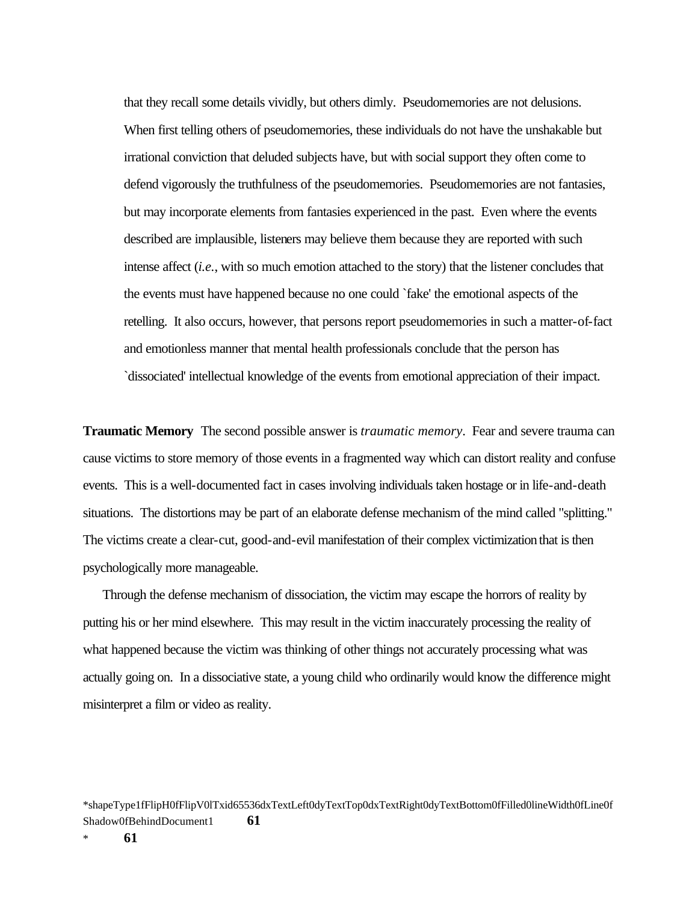that they recall some details vividly, but others dimly. Pseudomemories are not delusions. When first telling others of pseudomemories, these individuals do not have the unshakable but irrational conviction that deluded subjects have, but with social support they often come to defend vigorously the truthfulness of the pseudomemories. Pseudomemories are not fantasies, but may incorporate elements from fantasies experienced in the past. Even where the events described are implausible, listeners may believe them because they are reported with such intense affect (*i.e.*, with so much emotion attached to the story) that the listener concludes that the events must have happened because no one could `fake' the emotional aspects of the retelling. It also occurs, however, that persons report pseudomemories in such a matter-of-fact and emotionless manner that mental health professionals conclude that the person has `dissociated' intellectual knowledge of the events from emotional appreciation of their impact.

**Traumatic Memory** The second possible answer is *traumatic memory*. Fear and severe trauma can cause victims to store memory of those events in a fragmented way which can distort reality and confuse events. This is a well-documented fact in cases involving individuals taken hostage or in life-and-death situations. The distortions may be part of an elaborate defense mechanism of the mind called "splitting." The victims create a clear-cut, good-and-evil manifestation of their complex victimization that is then psychologically more manageable.

Through the defense mechanism of dissociation, the victim may escape the horrors of reality by putting his or her mind elsewhere. This may result in the victim inaccurately processing the reality of what happened because the victim was thinking of other things not accurately processing what was actually going on. In a dissociative state, a young child who ordinarily would know the difference might misinterpret a film or video as reality.

\*shapeType1fFlipH0fFlipV0lTxid65536dxTextLeft0dyTextTop0dxTextRight0dyTextBottom0fFilled0lineWidth0fLine0f Shadow0fBehindDocument1 **61**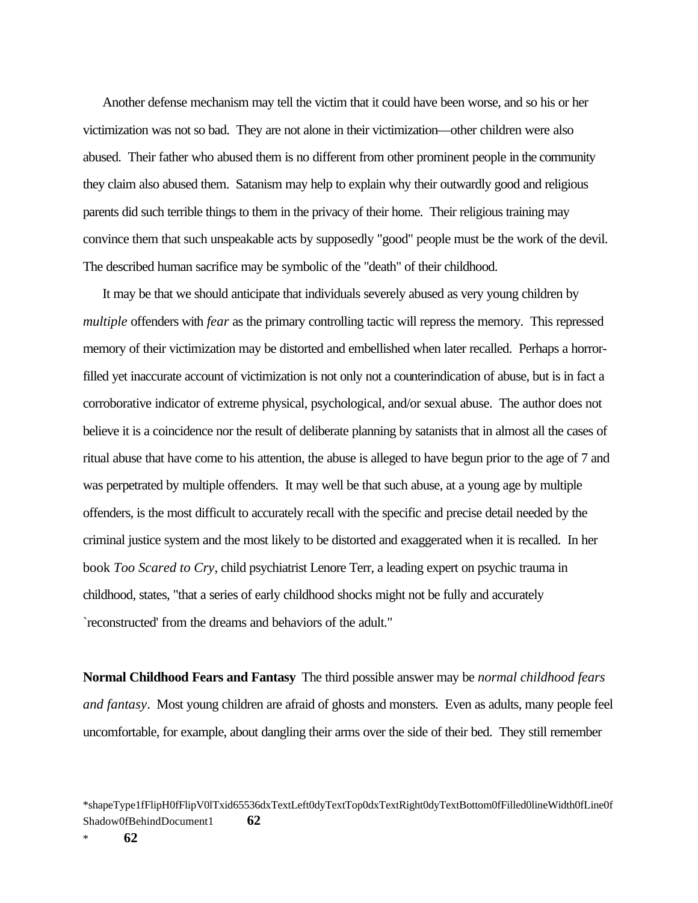Another defense mechanism may tell the victim that it could have been worse, and so his or her victimization was not so bad. They are not alone in their victimization—other children were also abused. Their father who abused them is no different from other prominent people in the community they claim also abused them. Satanism may help to explain why their outwardly good and religious parents did such terrible things to them in the privacy of their home. Their religious training may convince them that such unspeakable acts by supposedly "good" people must be the work of the devil. The described human sacrifice may be symbolic of the "death" of their childhood.

It may be that we should anticipate that individuals severely abused as very young children by *multiple* offenders with *fear* as the primary controlling tactic will repress the memory. This repressed memory of their victimization may be distorted and embellished when later recalled. Perhaps a horrorfilled yet inaccurate account of victimization is not only not a counterindication of abuse, but is in fact a corroborative indicator of extreme physical, psychological, and/or sexual abuse. The author does not believe it is a coincidence nor the result of deliberate planning by satanists that in almost all the cases of ritual abuse that have come to his attention, the abuse is alleged to have begun prior to the age of 7 and was perpetrated by multiple offenders. It may well be that such abuse, at a young age by multiple offenders, is the most difficult to accurately recall with the specific and precise detail needed by the criminal justice system and the most likely to be distorted and exaggerated when it is recalled. In her book *Too Scared to Cry*, child psychiatrist Lenore Terr, a leading expert on psychic trauma in childhood, states, "that a series of early childhood shocks might not be fully and accurately `reconstructed' from the dreams and behaviors of the adult."

**Normal Childhood Fears and Fantasy** The third possible answer may be *normal childhood fears and fantasy*. Most young children are afraid of ghosts and monsters. Even as adults, many people feel uncomfortable, for example, about dangling their arms over the side of their bed. They still remember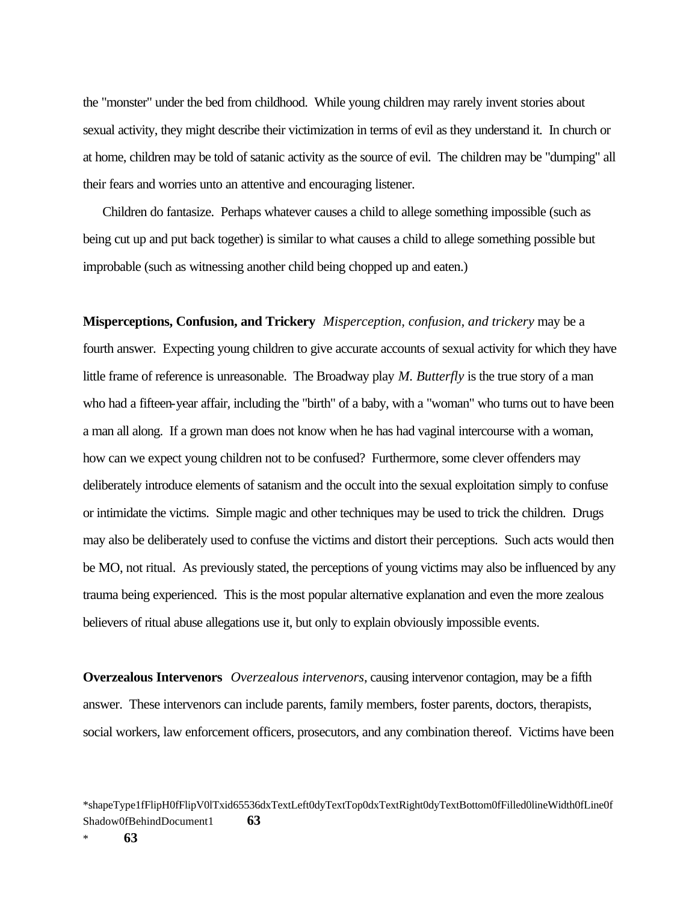the "monster" under the bed from childhood. While young children may rarely invent stories about sexual activity, they might describe their victimization in terms of evil as they understand it. In church or at home, children may be told of satanic activity as the source of evil. The children may be "dumping" all their fears and worries unto an attentive and encouraging listener.

Children do fantasize. Perhaps whatever causes a child to allege something impossible (such as being cut up and put back together) is similar to what causes a child to allege something possible but improbable (such as witnessing another child being chopped up and eaten.)

**Misperceptions, Confusion, and Trickery** *Misperception, confusion, and trickery* may be a fourth answer. Expecting young children to give accurate accounts of sexual activity for which they have little frame of reference is unreasonable. The Broadway play *M. Butterfly* is the true story of a man who had a fifteen-year affair, including the "birth" of a baby, with a "woman" who turns out to have been a man all along. If a grown man does not know when he has had vaginal intercourse with a woman, how can we expect young children not to be confused? Furthermore, some clever offenders may deliberately introduce elements of satanism and the occult into the sexual exploitation simply to confuse or intimidate the victims. Simple magic and other techniques may be used to trick the children. Drugs may also be deliberately used to confuse the victims and distort their perceptions. Such acts would then be MO, not ritual. As previously stated, the perceptions of young victims may also be influenced by any trauma being experienced. This is the most popular alternative explanation and even the more zealous believers of ritual abuse allegations use it, but only to explain obviously impossible events.

**Overzealous Intervenors** *Overzealous intervenors*, causing intervenor contagion, may be a fifth answer. These intervenors can include parents, family members, foster parents, doctors, therapists, social workers, law enforcement officers, prosecutors, and any combination thereof. Victims have been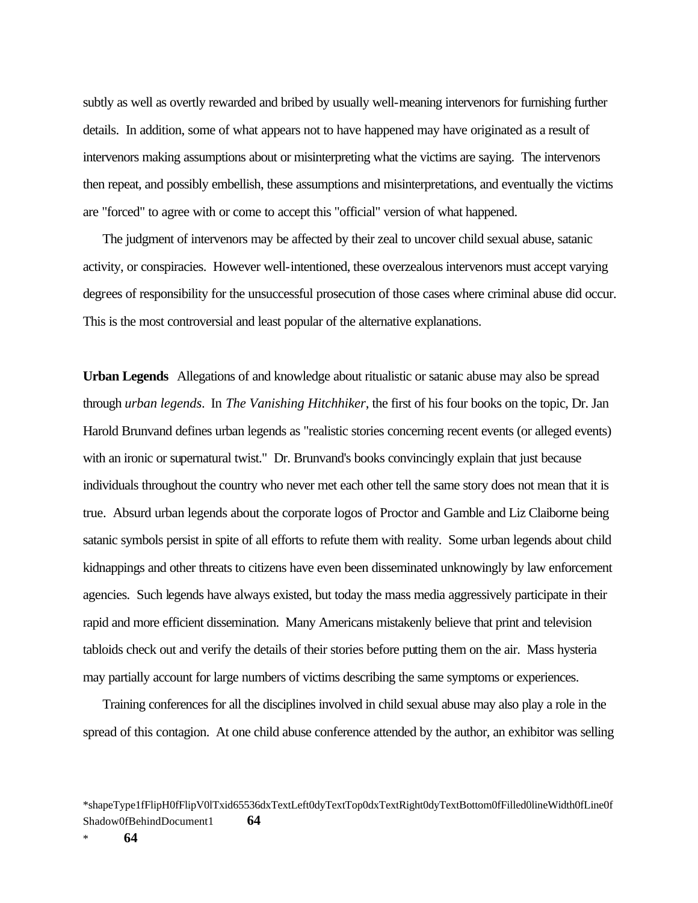subtly as well as overtly rewarded and bribed by usually well-meaning intervenors for furnishing further details. In addition, some of what appears not to have happened may have originated as a result of intervenors making assumptions about or misinterpreting what the victims are saying. The intervenors then repeat, and possibly embellish, these assumptions and misinterpretations, and eventually the victims are "forced" to agree with or come to accept this "official" version of what happened.

The judgment of intervenors may be affected by their zeal to uncover child sexual abuse, satanic activity, or conspiracies. However well-intentioned, these overzealous intervenors must accept varying degrees of responsibility for the unsuccessful prosecution of those cases where criminal abuse did occur. This is the most controversial and least popular of the alternative explanations.

**Urban Legends** Allegations of and knowledge about ritualistic or satanic abuse may also be spread through *urban legends*. In *The Vanishing Hitchhiker*, the first of his four books on the topic, Dr. Jan Harold Brunvand defines urban legends as "realistic stories concerning recent events (or alleged events) with an ironic or supernatural twist." Dr. Brunvand's books convincingly explain that just because individuals throughout the country who never met each other tell the same story does not mean that it is true. Absurd urban legends about the corporate logos of Proctor and Gamble and Liz Claiborne being satanic symbols persist in spite of all efforts to refute them with reality. Some urban legends about child kidnappings and other threats to citizens have even been disseminated unknowingly by law enforcement agencies. Such legends have always existed, but today the mass media aggressively participate in their rapid and more efficient dissemination. Many Americans mistakenly believe that print and television tabloids check out and verify the details of their stories before putting them on the air. Mass hysteria may partially account for large numbers of victims describing the same symptoms or experiences.

Training conferences for all the disciplines involved in child sexual abuse may also play a role in the spread of this contagion. At one child abuse conference attended by the author, an exhibitor was selling

\*shapeType1fFlipH0fFlipV0lTxid65536dxTextLeft0dyTextTop0dxTextRight0dyTextBottom0fFilled0lineWidth0fLine0f Shadow0fBehindDocument1 **64**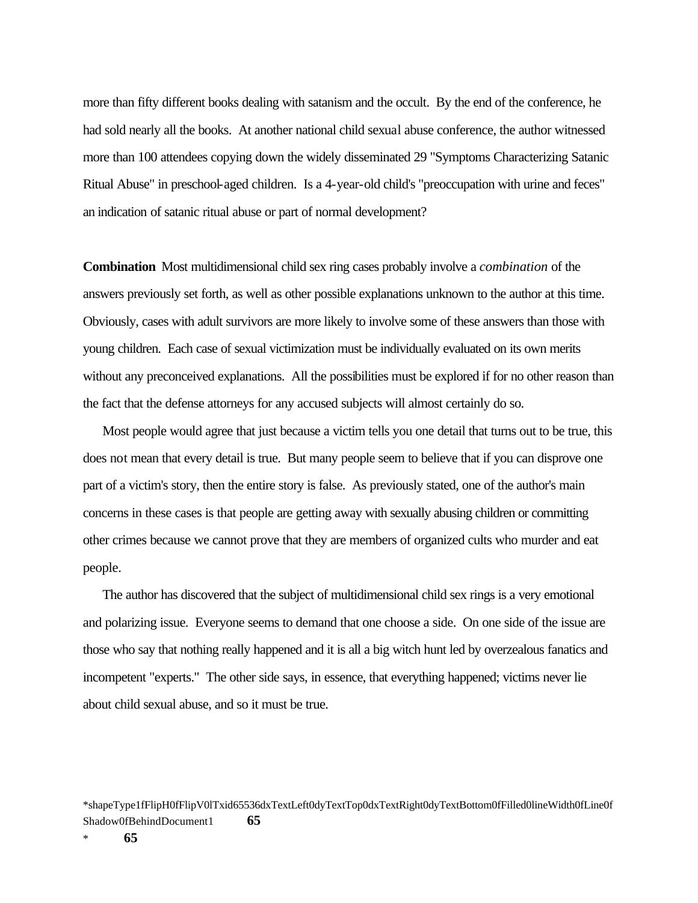more than fifty different books dealing with satanism and the occult. By the end of the conference, he had sold nearly all the books. At another national child sexual abuse conference, the author witnessed more than 100 attendees copying down the widely disseminated 29 "Symptoms Characterizing Satanic Ritual Abuse" in preschool-aged children. Is a 4-year-old child's "preoccupation with urine and feces" an indication of satanic ritual abuse or part of normal development?

**Combination** Most multidimensional child sex ring cases probably involve a *combination* of the answers previously set forth, as well as other possible explanations unknown to the author at this time. Obviously, cases with adult survivors are more likely to involve some of these answers than those with young children. Each case of sexual victimization must be individually evaluated on its own merits without any preconceived explanations. All the possibilities must be explored if for no other reason than the fact that the defense attorneys for any accused subjects will almost certainly do so.

Most people would agree that just because a victim tells you one detail that turns out to be true, this does not mean that every detail is true. But many people seem to believe that if you can disprove one part of a victim's story, then the entire story is false. As previously stated, one of the author's main concerns in these cases is that people are getting away with sexually abusing children or committing other crimes because we cannot prove that they are members of organized cults who murder and eat people.

The author has discovered that the subject of multidimensional child sex rings is a very emotional and polarizing issue. Everyone seems to demand that one choose a side. On one side of the issue are those who say that nothing really happened and it is all a big witch hunt led by overzealous fanatics and incompetent "experts." The other side says, in essence, that everything happened; victims never lie about child sexual abuse, and so it must be true.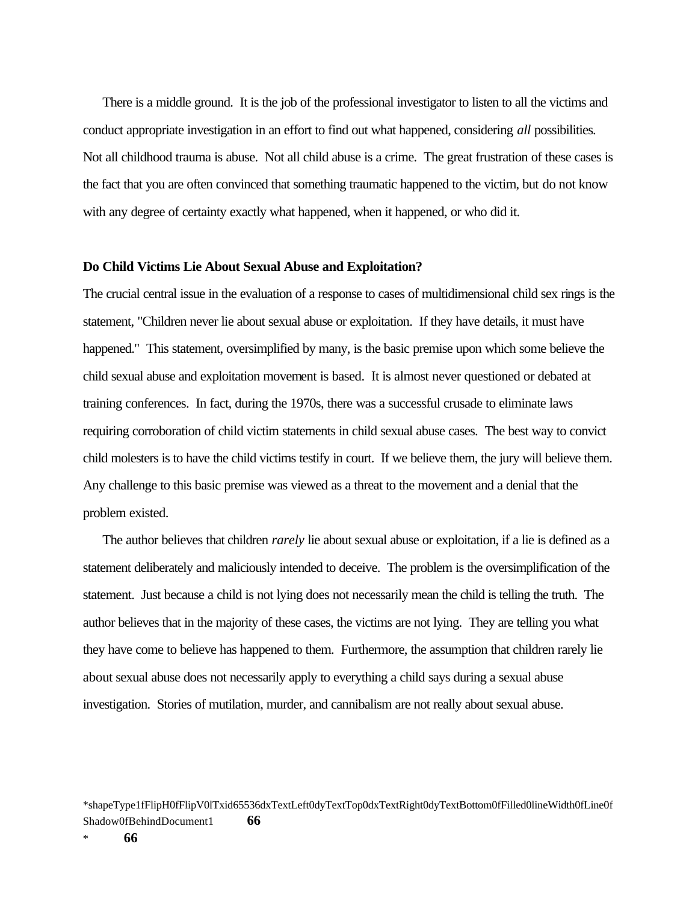There is a middle ground. It is the job of the professional investigator to listen to all the victims and conduct appropriate investigation in an effort to find out what happened, considering *all* possibilities. Not all childhood trauma is abuse. Not all child abuse is a crime. The great frustration of these cases is the fact that you are often convinced that something traumatic happened to the victim, but do not know with any degree of certainty exactly what happened, when it happened, or who did it.

### **Do Child Victims Lie About Sexual Abuse and Exploitation?**

The crucial central issue in the evaluation of a response to cases of multidimensional child sex rings is the statement, "Children never lie about sexual abuse or exploitation. If they have details, it must have happened." This statement, oversimplified by many, is the basic premise upon which some believe the child sexual abuse and exploitation movement is based. It is almost never questioned or debated at training conferences. In fact, during the 1970s, there was a successful crusade to eliminate laws requiring corroboration of child victim statements in child sexual abuse cases. The best way to convict child molesters is to have the child victims testify in court. If we believe them, the jury will believe them. Any challenge to this basic premise was viewed as a threat to the movement and a denial that the problem existed.

The author believes that children *rarely* lie about sexual abuse or exploitation, if a lie is defined as a statement deliberately and maliciously intended to deceive. The problem is the oversimplification of the statement. Just because a child is not lying does not necessarily mean the child is telling the truth. The author believes that in the majority of these cases, the victims are not lying. They are telling you what they have come to believe has happened to them. Furthermore, the assumption that children rarely lie about sexual abuse does not necessarily apply to everything a child says during a sexual abuse investigation. Stories of mutilation, murder, and cannibalism are not really about sexual abuse.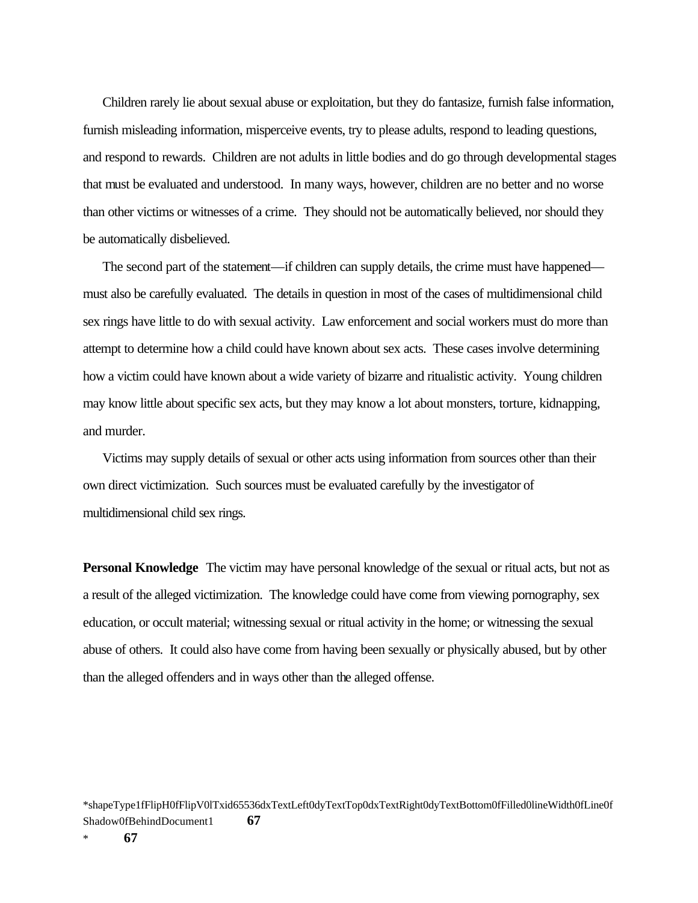Children rarely lie about sexual abuse or exploitation, but they do fantasize, furnish false information, furnish misleading information, misperceive events, try to please adults, respond to leading questions, and respond to rewards. Children are not adults in little bodies and do go through developmental stages that must be evaluated and understood. In many ways, however, children are no better and no worse than other victims or witnesses of a crime. They should not be automatically believed, nor should they be automatically disbelieved.

The second part of the statement—if children can supply details, the crime must have happened must also be carefully evaluated. The details in question in most of the cases of multidimensional child sex rings have little to do with sexual activity. Law enforcement and social workers must do more than attempt to determine how a child could have known about sex acts. These cases involve determining how a victim could have known about a wide variety of bizarre and ritualistic activity. Young children may know little about specific sex acts, but they may know a lot about monsters, torture, kidnapping, and murder.

Victims may supply details of sexual or other acts using information from sources other than their own direct victimization. Such sources must be evaluated carefully by the investigator of multidimensional child sex rings.

**Personal Knowledge** The victim may have personal knowledge of the sexual or ritual acts, but not as a result of the alleged victimization. The knowledge could have come from viewing pornography, sex education, or occult material; witnessing sexual or ritual activity in the home; or witnessing the sexual abuse of others. It could also have come from having been sexually or physically abused, but by other than the alleged offenders and in ways other than the alleged offense.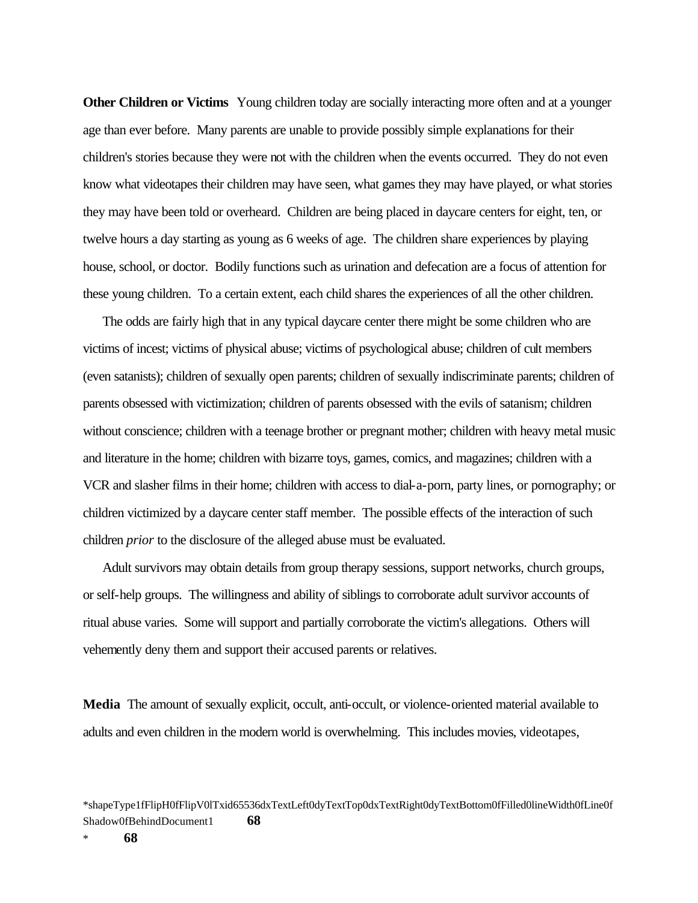**Other Children or Victims** Young children today are socially interacting more often and at a younger age than ever before. Many parents are unable to provide possibly simple explanations for their children's stories because they were not with the children when the events occurred. They do not even know what videotapes their children may have seen, what games they may have played, or what stories they may have been told or overheard. Children are being placed in daycare centers for eight, ten, or twelve hours a day starting as young as 6 weeks of age. The children share experiences by playing house, school, or doctor. Bodily functions such as urination and defecation are a focus of attention for these young children. To a certain extent, each child shares the experiences of all the other children.

The odds are fairly high that in any typical daycare center there might be some children who are victims of incest; victims of physical abuse; victims of psychological abuse; children of cult members (even satanists); children of sexually open parents; children of sexually indiscriminate parents; children of parents obsessed with victimization; children of parents obsessed with the evils of satanism; children without conscience; children with a teenage brother or pregnant mother; children with heavy metal music and literature in the home; children with bizarre toys, games, comics, and magazines; children with a VCR and slasher films in their home; children with access to dial-a-porn, party lines, or pornography; or children victimized by a daycare center staff member. The possible effects of the interaction of such children *prior* to the disclosure of the alleged abuse must be evaluated.

Adult survivors may obtain details from group therapy sessions, support networks, church groups, or self-help groups. The willingness and ability of siblings to corroborate adult survivor accounts of ritual abuse varies. Some will support and partially corroborate the victim's allegations. Others will vehemently deny them and support their accused parents or relatives.

**Media** The amount of sexually explicit, occult, anti-occult, or violence-oriented material available to adults and even children in the modern world is overwhelming. This includes movies, videotapes,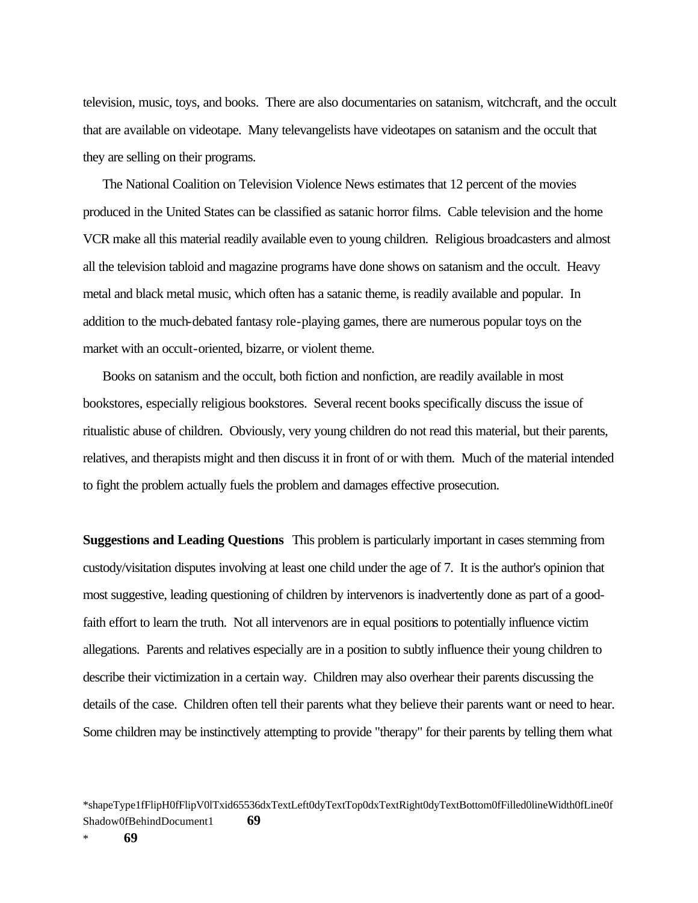television, music, toys, and books. There are also documentaries on satanism, witchcraft, and the occult that are available on videotape. Many televangelists have videotapes on satanism and the occult that they are selling on their programs.

The National Coalition on Television Violence News estimates that 12 percent of the movies produced in the United States can be classified as satanic horror films. Cable television and the home VCR make all this material readily available even to young children. Religious broadcasters and almost all the television tabloid and magazine programs have done shows on satanism and the occult. Heavy metal and black metal music, which often has a satanic theme, is readily available and popular. In addition to the much-debated fantasy role-playing games, there are numerous popular toys on the market with an occult-oriented, bizarre, or violent theme.

Books on satanism and the occult, both fiction and nonfiction, are readily available in most bookstores, especially religious bookstores. Several recent books specifically discuss the issue of ritualistic abuse of children. Obviously, very young children do not read this material, but their parents, relatives, and therapists might and then discuss it in front of or with them. Much of the material intended to fight the problem actually fuels the problem and damages effective prosecution.

**Suggestions and Leading Questions** This problem is particularly important in cases stemming from custody/visitation disputes involving at least one child under the age of 7. It is the author's opinion that most suggestive, leading questioning of children by intervenors is inadvertently done as part of a goodfaith effort to learn the truth. Not all intervenors are in equal positions to potentially influence victim allegations. Parents and relatives especially are in a position to subtly influence their young children to describe their victimization in a certain way. Children may also overhear their parents discussing the details of the case. Children often tell their parents what they believe their parents want or need to hear. Some children may be instinctively attempting to provide "therapy" for their parents by telling them what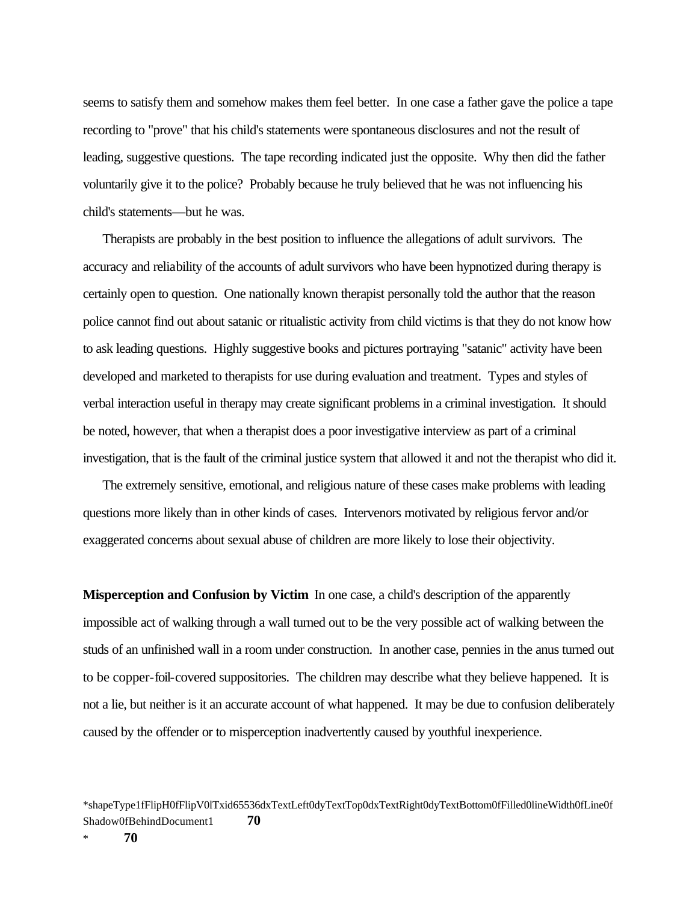seems to satisfy them and somehow makes them feel better. In one case a father gave the police a tape recording to "prove" that his child's statements were spontaneous disclosures and not the result of leading, suggestive questions. The tape recording indicated just the opposite. Why then did the father voluntarily give it to the police? Probably because he truly believed that he was not influencing his child's statements—but he was.

Therapists are probably in the best position to influence the allegations of adult survivors. The accuracy and reliability of the accounts of adult survivors who have been hypnotized during therapy is certainly open to question. One nationally known therapist personally told the author that the reason police cannot find out about satanic or ritualistic activity from child victims is that they do not know how to ask leading questions. Highly suggestive books and pictures portraying "satanic" activity have been developed and marketed to therapists for use during evaluation and treatment. Types and styles of verbal interaction useful in therapy may create significant problems in a criminal investigation. It should be noted, however, that when a therapist does a poor investigative interview as part of a criminal investigation, that is the fault of the criminal justice system that allowed it and not the therapist who did it.

The extremely sensitive, emotional, and religious nature of these cases make problems with leading questions more likely than in other kinds of cases. Intervenors motivated by religious fervor and/or exaggerated concerns about sexual abuse of children are more likely to lose their objectivity.

**Misperception and Confusion by Victim** In one case, a child's description of the apparently impossible act of walking through a wall turned out to be the very possible act of walking between the studs of an unfinished wall in a room under construction. In another case, pennies in the anus turned out to be copper-foil-covered suppositories. The children may describe what they believe happened. It is not a lie, but neither is it an accurate account of what happened. It may be due to confusion deliberately caused by the offender or to misperception inadvertently caused by youthful inexperience.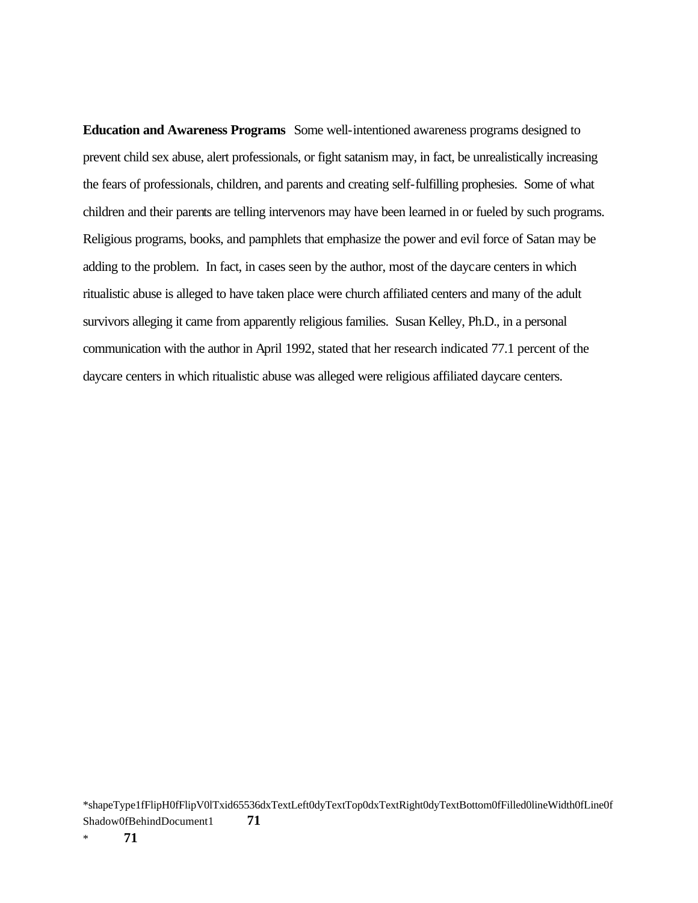**Education and Awareness Programs** Some well-intentioned awareness programs designed to prevent child sex abuse, alert professionals, or fight satanism may, in fact, be unrealistically increasing the fears of professionals, children, and parents and creating self-fulfilling prophesies. Some of what children and their parents are telling intervenors may have been learned in or fueled by such programs. Religious programs, books, and pamphlets that emphasize the power and evil force of Satan may be adding to the problem. In fact, in cases seen by the author, most of the daycare centers in which ritualistic abuse is alleged to have taken place were church affiliated centers and many of the adult survivors alleging it came from apparently religious families. Susan Kelley, Ph.D., in a personal communication with the author in April 1992, stated that her research indicated 77.1 percent of the daycare centers in which ritualistic abuse was alleged were religious affiliated daycare centers.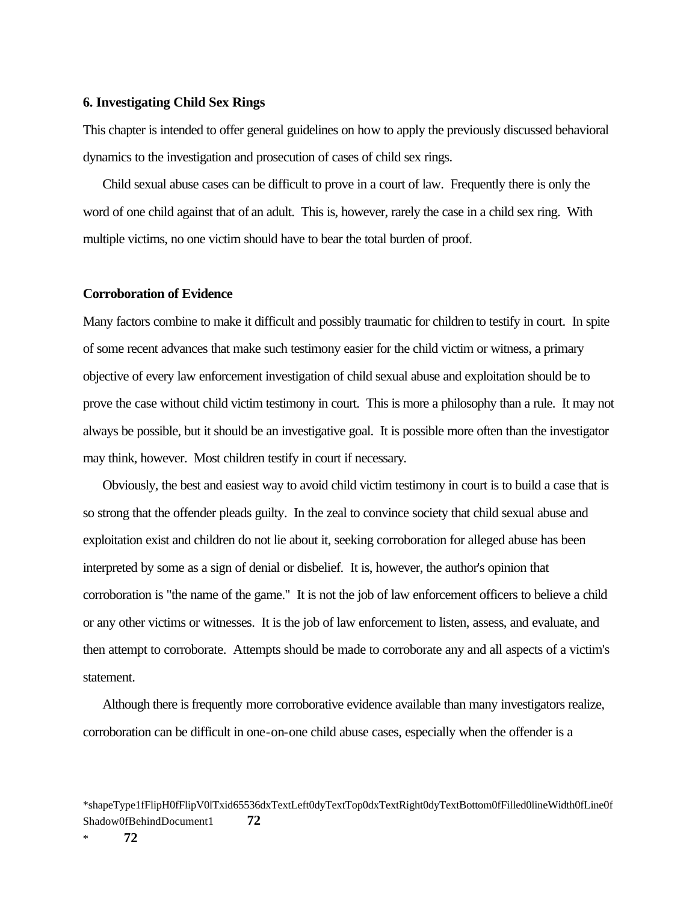### **6. Investigating Child Sex Rings**

This chapter is intended to offer general guidelines on how to apply the previously discussed behavioral dynamics to the investigation and prosecution of cases of child sex rings.

Child sexual abuse cases can be difficult to prove in a court of law. Frequently there is only the word of one child against that of an adult. This is, however, rarely the case in a child sex ring. With multiple victims, no one victim should have to bear the total burden of proof.

# **Corroboration of Evidence**

Many factors combine to make it difficult and possibly traumatic for children to testify in court. In spite of some recent advances that make such testimony easier for the child victim or witness, a primary objective of every law enforcement investigation of child sexual abuse and exploitation should be to prove the case without child victim testimony in court. This is more a philosophy than a rule. It may not always be possible, but it should be an investigative goal. It is possible more often than the investigator may think, however. Most children testify in court if necessary.

Obviously, the best and easiest way to avoid child victim testimony in court is to build a case that is so strong that the offender pleads guilty. In the zeal to convince society that child sexual abuse and exploitation exist and children do not lie about it, seeking corroboration for alleged abuse has been interpreted by some as a sign of denial or disbelief. It is, however, the author's opinion that corroboration is "the name of the game." It is not the job of law enforcement officers to believe a child or any other victims or witnesses. It is the job of law enforcement to listen, assess, and evaluate, and then attempt to corroborate. Attempts should be made to corroborate any and all aspects of a victim's statement.

Although there is frequently more corroborative evidence available than many investigators realize, corroboration can be difficult in one-on-one child abuse cases, especially when the offender is a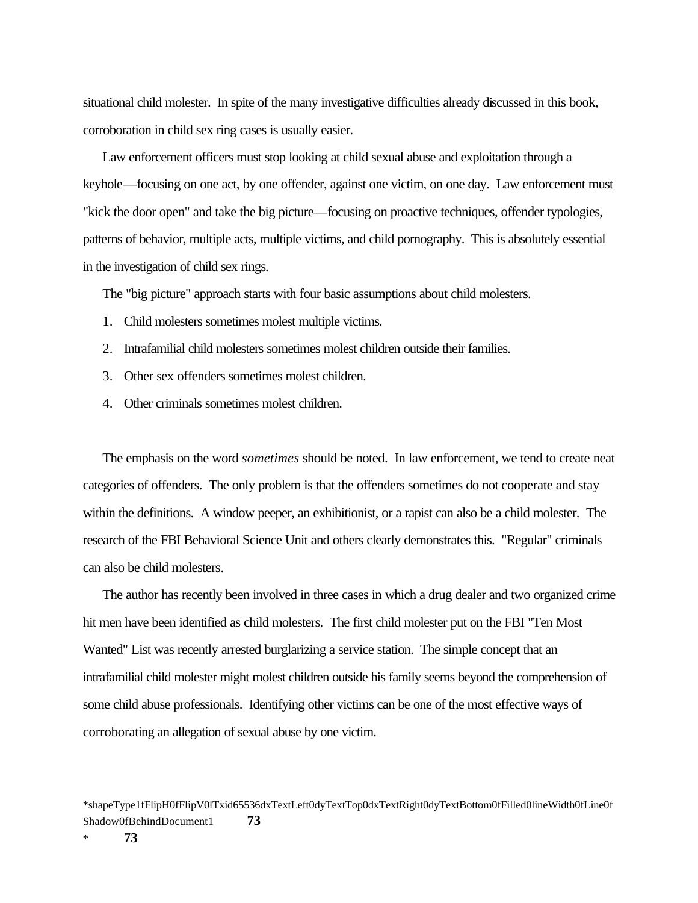situational child molester. In spite of the many investigative difficulties already discussed in this book, corroboration in child sex ring cases is usually easier.

Law enforcement officers must stop looking at child sexual abuse and exploitation through a keyhole—focusing on one act, by one offender, against one victim, on one day. Law enforcement must "kick the door open" and take the big picture—focusing on proactive techniques, offender typologies, patterns of behavior, multiple acts, multiple victims, and child pornography. This is absolutely essential in the investigation of child sex rings.

The "big picture" approach starts with four basic assumptions about child molesters.

- 1. Child molesters sometimes molest multiple victims.
- 2. Intrafamilial child molesters sometimes molest children outside their families.
- 3. Other sex offenders sometimes molest children.
- 4. Other criminals sometimes molest children.

The emphasis on the word *sometimes* should be noted. In law enforcement, we tend to create neat categories of offenders. The only problem is that the offenders sometimes do not cooperate and stay within the definitions. A window peeper, an exhibitionist, or a rapist can also be a child molester. The research of the FBI Behavioral Science Unit and others clearly demonstrates this. "Regular" criminals can also be child molesters.

The author has recently been involved in three cases in which a drug dealer and two organized crime hit men have been identified as child molesters. The first child molester put on the FBI "Ten Most Wanted" List was recently arrested burglarizing a service station. The simple concept that an intrafamilial child molester might molest children outside his family seems beyond the comprehension of some child abuse professionals. Identifying other victims can be one of the most effective ways of corroborating an allegation of sexual abuse by one victim.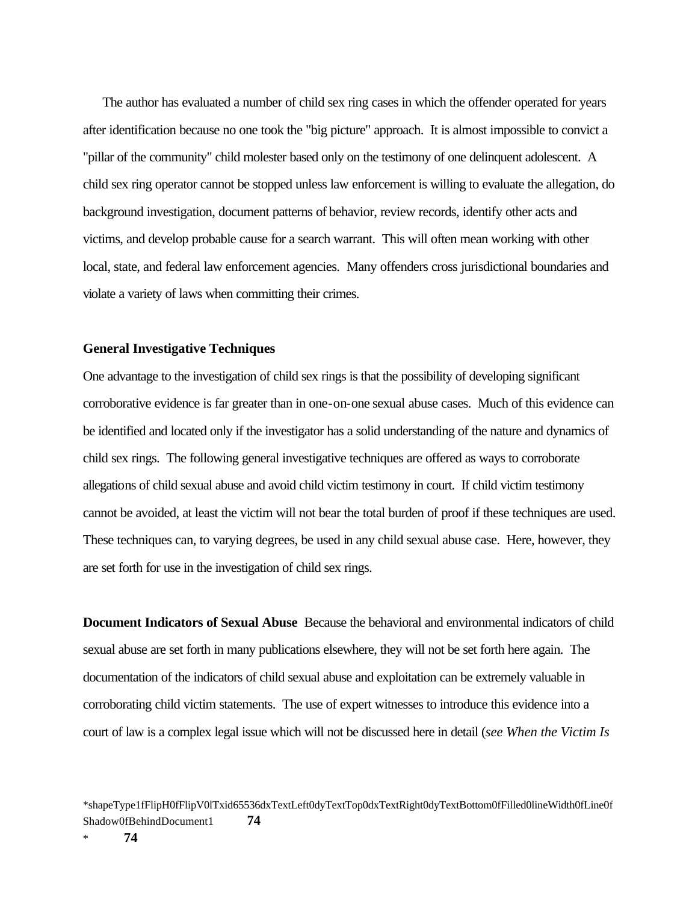The author has evaluated a number of child sex ring cases in which the offender operated for years after identification because no one took the "big picture" approach. It is almost impossible to convict a "pillar of the community" child molester based only on the testimony of one delinquent adolescent. A child sex ring operator cannot be stopped unless law enforcement is willing to evaluate the allegation, do background investigation, document patterns of behavior, review records, identify other acts and victims, and develop probable cause for a search warrant. This will often mean working with other local, state, and federal law enforcement agencies. Many offenders cross jurisdictional boundaries and violate a variety of laws when committing their crimes.

## **General Investigative Techniques**

One advantage to the investigation of child sex rings is that the possibility of developing significant corroborative evidence is far greater than in one-on-one sexual abuse cases. Much of this evidence can be identified and located only if the investigator has a solid understanding of the nature and dynamics of child sex rings. The following general investigative techniques are offered as ways to corroborate allegations of child sexual abuse and avoid child victim testimony in court. If child victim testimony cannot be avoided, at least the victim will not bear the total burden of proof if these techniques are used. These techniques can, to varying degrees, be used in any child sexual abuse case. Here, however, they are set forth for use in the investigation of child sex rings.

**Document Indicators of Sexual Abuse** Because the behavioral and environmental indicators of child sexual abuse are set forth in many publications elsewhere, they will not be set forth here again. The documentation of the indicators of child sexual abuse and exploitation can be extremely valuable in corroborating child victim statements. The use of expert witnesses to introduce this evidence into a court of law is a complex legal issue which will not be discussed here in detail (*see When the Victim Is* 

\*shapeType1fFlipH0fFlipV0lTxid65536dxTextLeft0dyTextTop0dxTextRight0dyTextBottom0fFilled0lineWidth0fLine0f Shadow0fBehindDocument1 **74**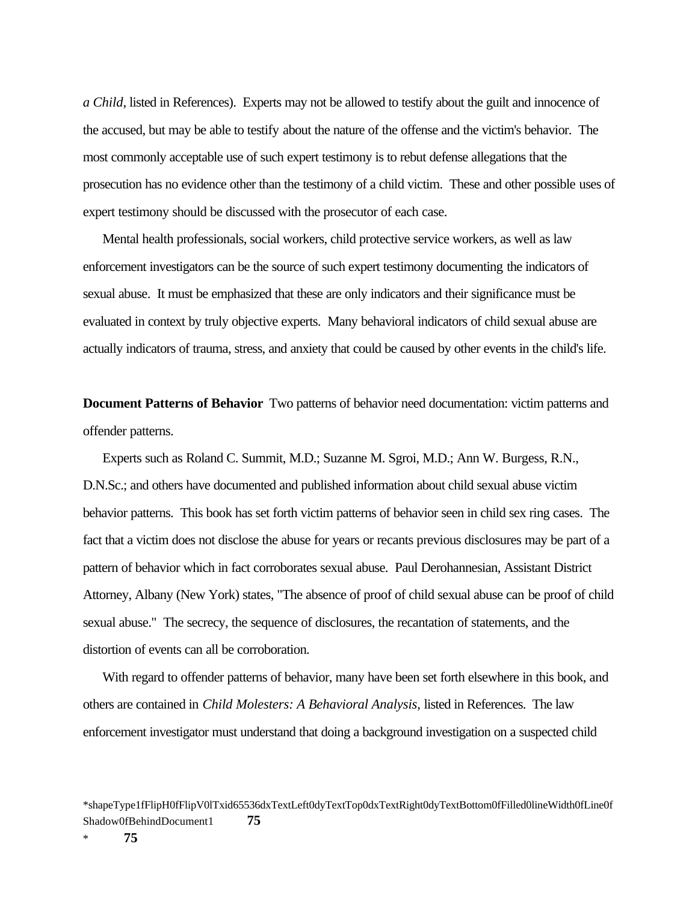*a Child*, listed in References). Experts may not be allowed to testify about the guilt and innocence of the accused, but may be able to testify about the nature of the offense and the victim's behavior. The most commonly acceptable use of such expert testimony is to rebut defense allegations that the prosecution has no evidence other than the testimony of a child victim. These and other possible uses of expert testimony should be discussed with the prosecutor of each case.

Mental health professionals, social workers, child protective service workers, as well as law enforcement investigators can be the source of such expert testimony documenting the indicators of sexual abuse. It must be emphasized that these are only indicators and their significance must be evaluated in context by truly objective experts. Many behavioral indicators of child sexual abuse are actually indicators of trauma, stress, and anxiety that could be caused by other events in the child's life.

**Document Patterns of Behavior** Two patterns of behavior need documentation: victim patterns and offender patterns.

Experts such as Roland C. Summit, M.D.; Suzanne M. Sgroi, M.D.; Ann W. Burgess, R.N., D.N.Sc.; and others have documented and published information about child sexual abuse victim behavior patterns. This book has set forth victim patterns of behavior seen in child sex ring cases. The fact that a victim does not disclose the abuse for years or recants previous disclosures may be part of a pattern of behavior which in fact corroborates sexual abuse. Paul Derohannesian, Assistant District Attorney, Albany (New York) states, "The absence of proof of child sexual abuse can be proof of child sexual abuse." The secrecy, the sequence of disclosures, the recantation of statements, and the distortion of events can all be corroboration.

With regard to offender patterns of behavior, many have been set forth elsewhere in this book, and others are contained in *Child Molesters: A Behavioral Analysis,* listed in References. The law enforcement investigator must understand that doing a background investigation on a suspected child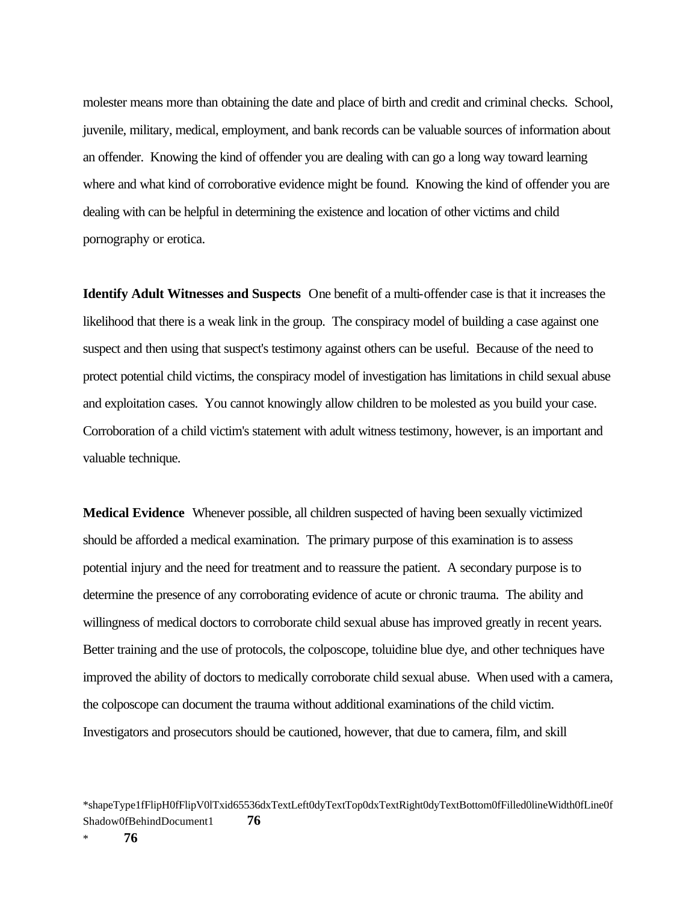molester means more than obtaining the date and place of birth and credit and criminal checks. School, juvenile, military, medical, employment, and bank records can be valuable sources of information about an offender. Knowing the kind of offender you are dealing with can go a long way toward learning where and what kind of corroborative evidence might be found. Knowing the kind of offender you are dealing with can be helpful in determining the existence and location of other victims and child pornography or erotica.

**Identify Adult Witnesses and Suspects** One benefit of a multi-offender case is that it increases the likelihood that there is a weak link in the group. The conspiracy model of building a case against one suspect and then using that suspect's testimony against others can be useful. Because of the need to protect potential child victims, the conspiracy model of investigation has limitations in child sexual abuse and exploitation cases. You cannot knowingly allow children to be molested as you build your case. Corroboration of a child victim's statement with adult witness testimony, however, is an important and valuable technique.

**Medical Evidence** Whenever possible, all children suspected of having been sexually victimized should be afforded a medical examination. The primary purpose of this examination is to assess potential injury and the need for treatment and to reassure the patient. A secondary purpose is to determine the presence of any corroborating evidence of acute or chronic trauma. The ability and willingness of medical doctors to corroborate child sexual abuse has improved greatly in recent years. Better training and the use of protocols, the colposcope, toluidine blue dye, and other techniques have improved the ability of doctors to medically corroborate child sexual abuse. When used with a camera, the colposcope can document the trauma without additional examinations of the child victim. Investigators and prosecutors should be cautioned, however, that due to camera, film, and skill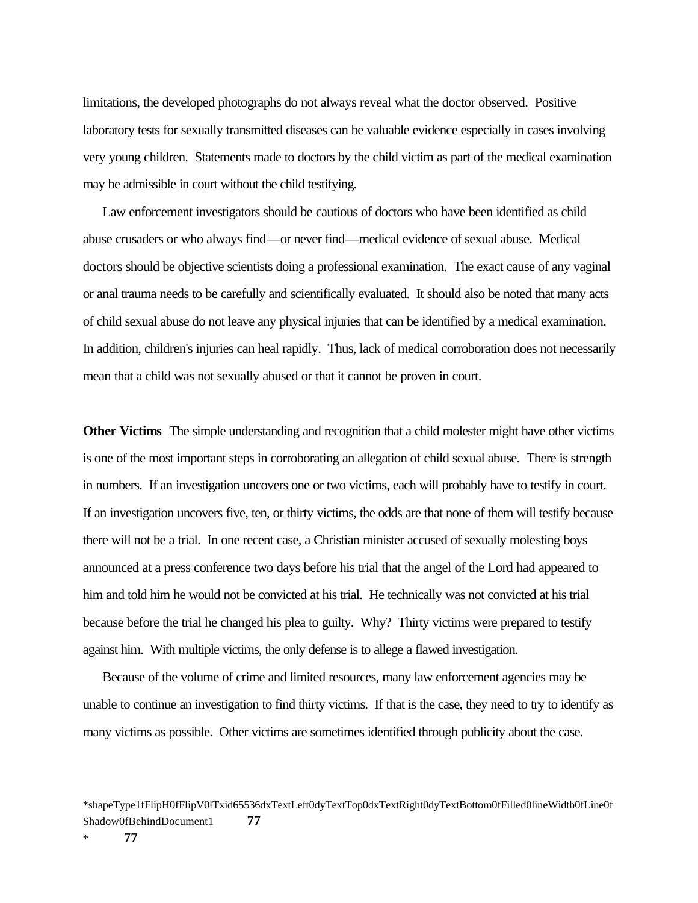limitations, the developed photographs do not always reveal what the doctor observed. Positive laboratory tests for sexually transmitted diseases can be valuable evidence especially in cases involving very young children. Statements made to doctors by the child victim as part of the medical examination may be admissible in court without the child testifying.

Law enforcement investigators should be cautious of doctors who have been identified as child abuse crusaders or who always find—or never find—medical evidence of sexual abuse. Medical doctors should be objective scientists doing a professional examination. The exact cause of any vaginal or anal trauma needs to be carefully and scientifically evaluated. It should also be noted that many acts of child sexual abuse do not leave any physical injuries that can be identified by a medical examination. In addition, children's injuries can heal rapidly. Thus, lack of medical corroboration does not necessarily mean that a child was not sexually abused or that it cannot be proven in court.

**Other Victims** The simple understanding and recognition that a child molester might have other victims is one of the most important steps in corroborating an allegation of child sexual abuse. There is strength in numbers. If an investigation uncovers one or two victims, each will probably have to testify in court. If an investigation uncovers five, ten, or thirty victims, the odds are that none of them will testify because there will not be a trial. In one recent case, a Christian minister accused of sexually molesting boys announced at a press conference two days before his trial that the angel of the Lord had appeared to him and told him he would not be convicted at his trial. He technically was not convicted at his trial because before the trial he changed his plea to guilty. Why? Thirty victims were prepared to testify against him. With multiple victims, the only defense is to allege a flawed investigation.

Because of the volume of crime and limited resources, many law enforcement agencies may be unable to continue an investigation to find thirty victims. If that is the case, they need to try to identify as many victims as possible. Other victims are sometimes identified through publicity about the case.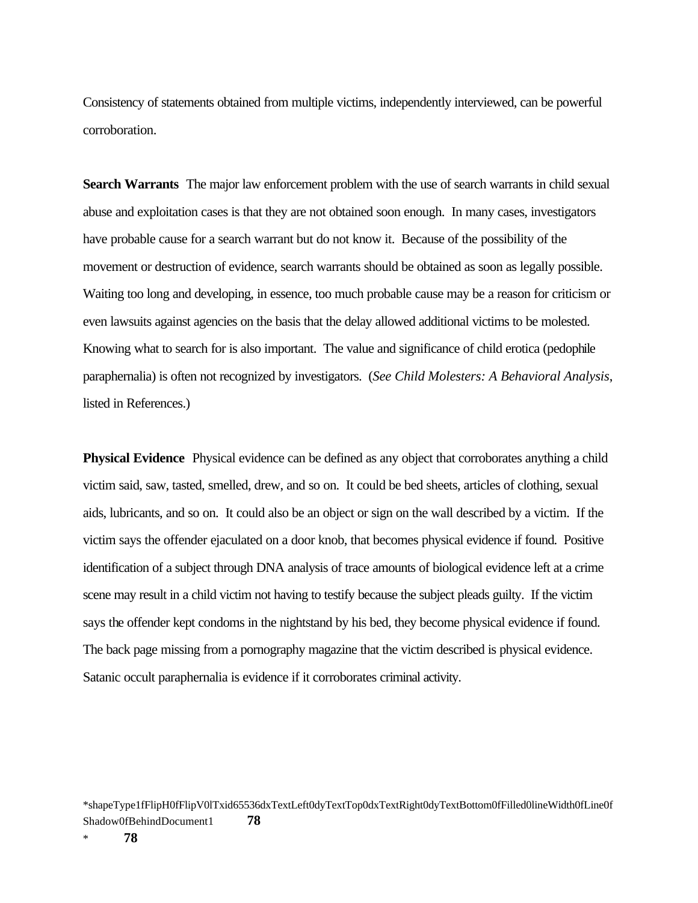Consistency of statements obtained from multiple victims, independently interviewed, can be powerful corroboration.

**Search Warrants** The major law enforcement problem with the use of search warrants in child sexual abuse and exploitation cases is that they are not obtained soon enough. In many cases, investigators have probable cause for a search warrant but do not know it. Because of the possibility of the movement or destruction of evidence, search warrants should be obtained as soon as legally possible. Waiting too long and developing, in essence, too much probable cause may be a reason for criticism or even lawsuits against agencies on the basis that the delay allowed additional victims to be molested. Knowing what to search for is also important. The value and significance of child erotica (pedophile paraphernalia) is often not recognized by investigators. (*See Child Molesters: A Behavioral Analysis*, listed in References.)

**Physical Evidence** Physical evidence can be defined as any object that corroborates anything a child victim said, saw, tasted, smelled, drew, and so on. It could be bed sheets, articles of clothing, sexual aids, lubricants, and so on. It could also be an object or sign on the wall described by a victim. If the victim says the offender ejaculated on a door knob, that becomes physical evidence if found. Positive identification of a subject through DNA analysis of trace amounts of biological evidence left at a crime scene may result in a child victim not having to testify because the subject pleads guilty. If the victim says the offender kept condoms in the nightstand by his bed, they become physical evidence if found. The back page missing from a pornography magazine that the victim described is physical evidence. Satanic occult paraphernalia is evidence if it corroborates criminal activity.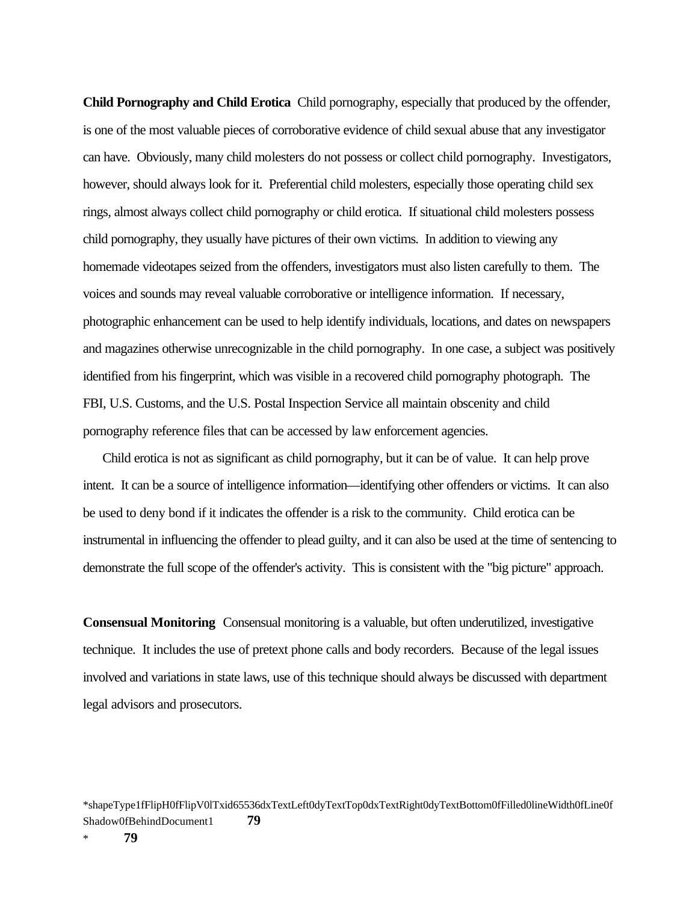**Child Pornography and Child Erotica** Child pornography, especially that produced by the offender, is one of the most valuable pieces of corroborative evidence of child sexual abuse that any investigator can have. Obviously, many child molesters do not possess or collect child pornography. Investigators, however, should always look for it. Preferential child molesters, especially those operating child sex rings, almost always collect child pornography or child erotica. If situational child molesters possess child pornography, they usually have pictures of their own victims. In addition to viewing any homemade videotapes seized from the offenders, investigators must also listen carefully to them. The voices and sounds may reveal valuable corroborative or intelligence information. If necessary, photographic enhancement can be used to help identify individuals, locations, and dates on newspapers and magazines otherwise unrecognizable in the child pornography. In one case, a subject was positively identified from his fingerprint, which was visible in a recovered child pornography photograph. The FBI, U.S. Customs, and the U.S. Postal Inspection Service all maintain obscenity and child pornography reference files that can be accessed by law enforcement agencies.

Child erotica is not as significant as child pornography, but it can be of value. It can help prove intent. It can be a source of intelligence information—identifying other offenders or victims. It can also be used to deny bond if it indicates the offender is a risk to the community. Child erotica can be instrumental in influencing the offender to plead guilty, and it can also be used at the time of sentencing to demonstrate the full scope of the offender's activity. This is consistent with the "big picture" approach.

**Consensual Monitoring** Consensual monitoring is a valuable, but often underutilized, investigative technique. It includes the use of pretext phone calls and body recorders. Because of the legal issues involved and variations in state laws, use of this technique should always be discussed with department legal advisors and prosecutors.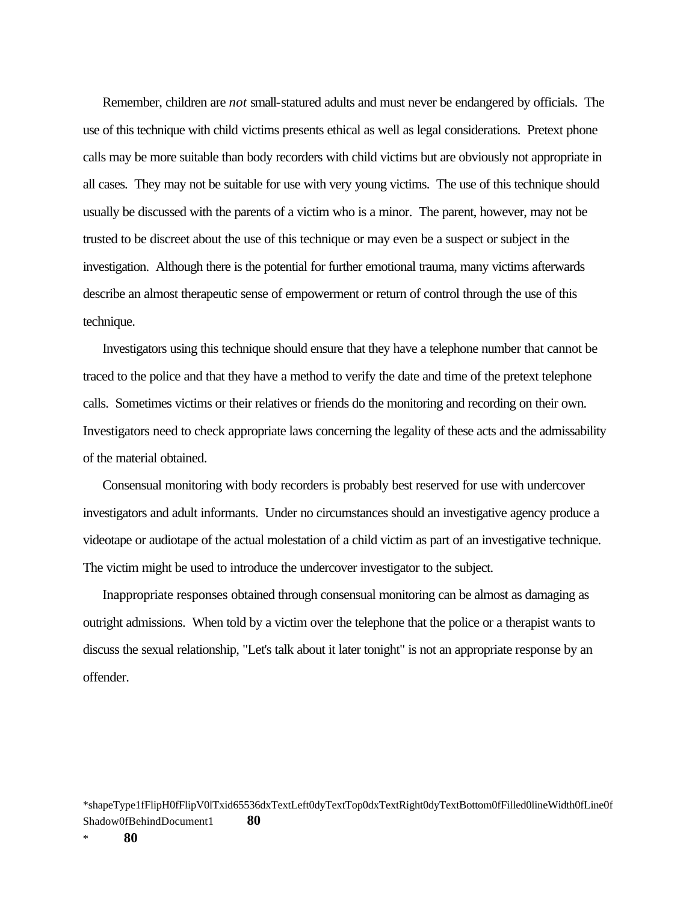Remember, children are *not* small-statured adults and must never be endangered by officials. The use of this technique with child victims presents ethical as well as legal considerations. Pretext phone calls may be more suitable than body recorders with child victims but are obviously not appropriate in all cases. They may not be suitable for use with very young victims. The use of this technique should usually be discussed with the parents of a victim who is a minor. The parent, however, may not be trusted to be discreet about the use of this technique or may even be a suspect or subject in the investigation. Although there is the potential for further emotional trauma, many victims afterwards describe an almost therapeutic sense of empowerment or return of control through the use of this technique.

Investigators using this technique should ensure that they have a telephone number that cannot be traced to the police and that they have a method to verify the date and time of the pretext telephone calls. Sometimes victims or their relatives or friends do the monitoring and recording on their own. Investigators need to check appropriate laws concerning the legality of these acts and the admissability of the material obtained.

Consensual monitoring with body recorders is probably best reserved for use with undercover investigators and adult informants. Under no circumstances should an investigative agency produce a videotape or audiotape of the actual molestation of a child victim as part of an investigative technique. The victim might be used to introduce the undercover investigator to the subject.

Inappropriate responses obtained through consensual monitoring can be almost as damaging as outright admissions. When told by a victim over the telephone that the police or a therapist wants to discuss the sexual relationship, "Let's talk about it later tonight" is not an appropriate response by an offender.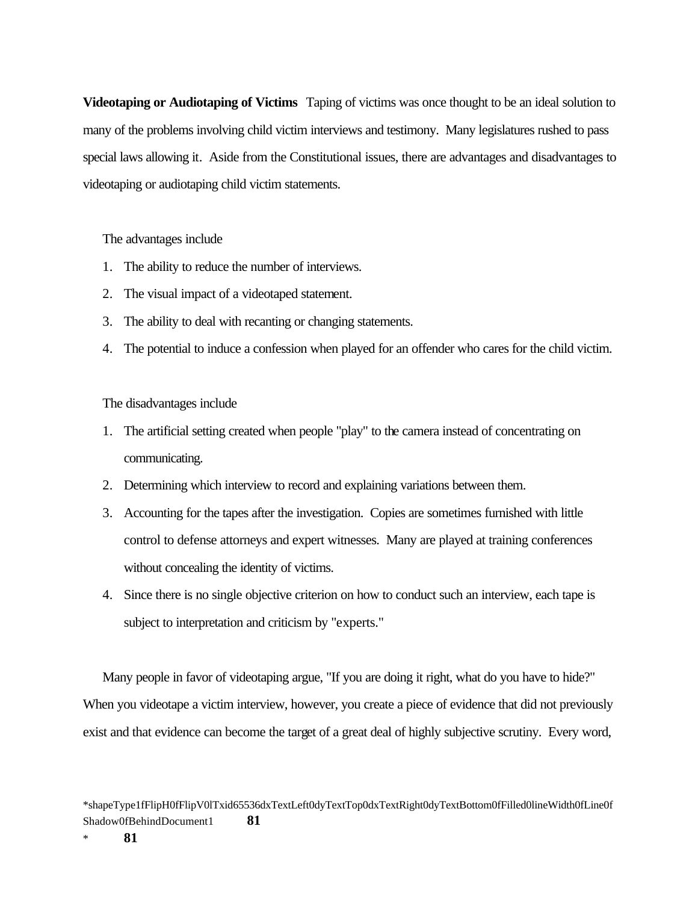**Videotaping or Audiotaping of Victims** Taping of victims was once thought to be an ideal solution to many of the problems involving child victim interviews and testimony. Many legislatures rushed to pass special laws allowing it. Aside from the Constitutional issues, there are advantages and disadvantages to videotaping or audiotaping child victim statements.

The advantages include

- 1. The ability to reduce the number of interviews.
- 2. The visual impact of a videotaped statement.
- 3. The ability to deal with recanting or changing statements.
- 4. The potential to induce a confession when played for an offender who cares for the child victim.

The disadvantages include

- 1. The artificial setting created when people "play" to the camera instead of concentrating on communicating.
- 2. Determining which interview to record and explaining variations between them.
- 3. Accounting for the tapes after the investigation. Copies are sometimes furnished with little control to defense attorneys and expert witnesses. Many are played at training conferences without concealing the identity of victims.
- 4. Since there is no single objective criterion on how to conduct such an interview, each tape is subject to interpretation and criticism by "experts."

Many people in favor of videotaping argue, "If you are doing it right, what do you have to hide?" When you videotape a victim interview, however, you create a piece of evidence that did not previously exist and that evidence can become the target of a great deal of highly subjective scrutiny. Every word,

\*shapeType1fFlipH0fFlipV0lTxid65536dxTextLeft0dyTextTop0dxTextRight0dyTextBottom0fFilled0lineWidth0fLine0f Shadow0fBehindDocument1 **81**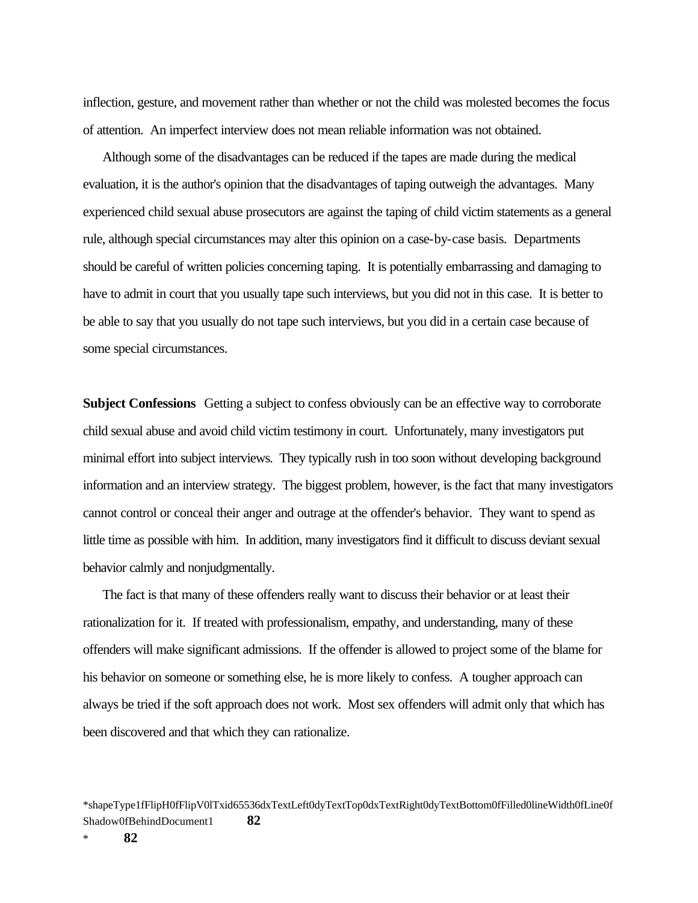inflection, gesture, and movement rather than whether or not the child was molested becomes the focus of attention. An imperfect interview does not mean reliable information was not obtained.

Although some of the disadvantages can be reduced if the tapes are made during the medical evaluation, it is the author's opinion that the disadvantages of taping outweigh the advantages. Many experienced child sexual abuse prosecutors are against the taping of child victim statements as a general rule, although special circumstances may alter this opinion on a case-by-case basis. Departments should be careful of written policies concerning taping. It is potentially embarrassing and damaging to have to admit in court that you usually tape such interviews, but you did not in this case. It is better to be able to say that you usually do not tape such interviews, but you did in a certain case because of some special circumstances.

**Subject Confessions** Getting a subject to confess obviously can be an effective way to corroborate child sexual abuse and avoid child victim testimony in court. Unfortunately, many investigators put minimal effort into subject interviews. They typically rush in too soon without developing background information and an interview strategy. The biggest problem, however, is the fact that many investigators cannot control or conceal their anger and outrage at the offender's behavior. They want to spend as little time as possible with him. In addition, many investigators find it difficult to discuss deviant sexual behavior calmly and nonjudgmentally.

The fact is that many of these offenders really want to discuss their behavior or at least their rationalization for it. If treated with professionalism, empathy, and understanding, many of these offenders will make significant admissions. If the offender is allowed to project some of the blame for his behavior on someone or something else, he is more likely to confess. A tougher approach can always be tried if the soft approach does not work. Most sex offenders will admit only that which has been discovered and that which they can rationalize.

\*shapeType1fFlipH0fFlipV0lTxid65536dxTextLeft0dyTextTop0dxTextRight0dyTextBottom0fFilled0lineWidth0fLine0f Shadow0fBehindDocument1 **82**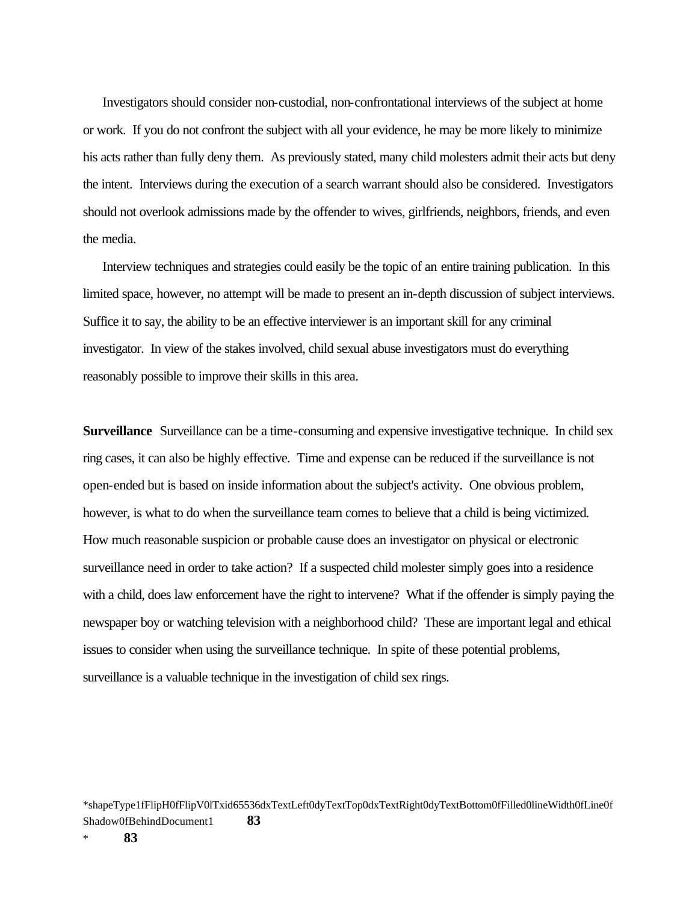Investigators should consider non-custodial, non-confrontational interviews of the subject at home or work. If you do not confront the subject with all your evidence, he may be more likely to minimize his acts rather than fully deny them. As previously stated, many child molesters admit their acts but deny the intent. Interviews during the execution of a search warrant should also be considered. Investigators should not overlook admissions made by the offender to wives, girlfriends, neighbors, friends, and even the media.

Interview techniques and strategies could easily be the topic of an entire training publication. In this limited space, however, no attempt will be made to present an in-depth discussion of subject interviews. Suffice it to say, the ability to be an effective interviewer is an important skill for any criminal investigator. In view of the stakes involved, child sexual abuse investigators must do everything reasonably possible to improve their skills in this area.

**Surveillance** Surveillance can be a time-consuming and expensive investigative technique. In child sex ring cases, it can also be highly effective. Time and expense can be reduced if the surveillance is not open-ended but is based on inside information about the subject's activity. One obvious problem, however, is what to do when the surveillance team comes to believe that a child is being victimized. How much reasonable suspicion or probable cause does an investigator on physical or electronic surveillance need in order to take action? If a suspected child molester simply goes into a residence with a child, does law enforcement have the right to intervene? What if the offender is simply paying the newspaper boy or watching television with a neighborhood child? These are important legal and ethical issues to consider when using the surveillance technique. In spite of these potential problems, surveillance is a valuable technique in the investigation of child sex rings.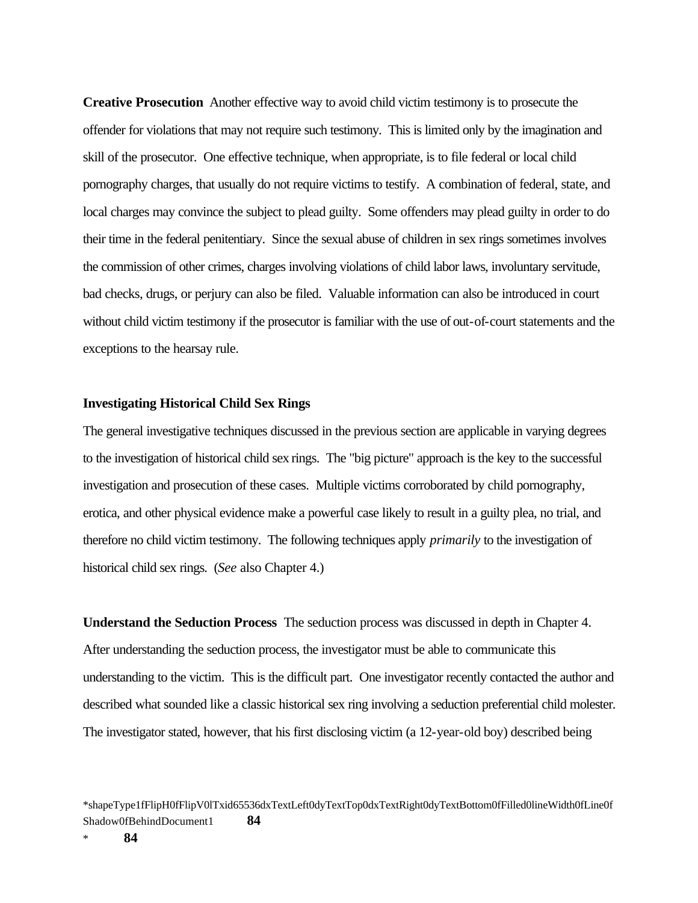**Creative Prosecution** Another effective way to avoid child victim testimony is to prosecute the offender for violations that may not require such testimony. This is limited only by the imagination and skill of the prosecutor. One effective technique, when appropriate, is to file federal or local child pornography charges, that usually do not require victims to testify. A combination of federal, state, and local charges may convince the subject to plead guilty. Some offenders may plead guilty in order to do their time in the federal penitentiary. Since the sexual abuse of children in sex rings sometimes involves the commission of other crimes, charges involving violations of child labor laws, involuntary servitude, bad checks, drugs, or perjury can also be filed. Valuable information can also be introduced in court without child victim testimony if the prosecutor is familiar with the use of out-of-court statements and the exceptions to the hearsay rule.

#### **Investigating Historical Child Sex Rings**

The general investigative techniques discussed in the previous section are applicable in varying degrees to the investigation of historical child sex rings. The "big picture" approach is the key to the successful investigation and prosecution of these cases. Multiple victims corroborated by child pornography, erotica, and other physical evidence make a powerful case likely to result in a guilty plea, no trial, and therefore no child victim testimony. The following techniques apply *primarily* to the investigation of historical child sex rings. (*See* also Chapter 4.)

**Understand the Seduction Process** The seduction process was discussed in depth in Chapter 4. After understanding the seduction process, the investigator must be able to communicate this understanding to the victim. This is the difficult part. One investigator recently contacted the author and described what sounded like a classic historical sex ring involving a seduction preferential child molester. The investigator stated, however, that his first disclosing victim (a 12-year-old boy) described being

\*shapeType1fFlipH0fFlipV0lTxid65536dxTextLeft0dyTextTop0dxTextRight0dyTextBottom0fFilled0lineWidth0fLine0f Shadow0fBehindDocument1 **84**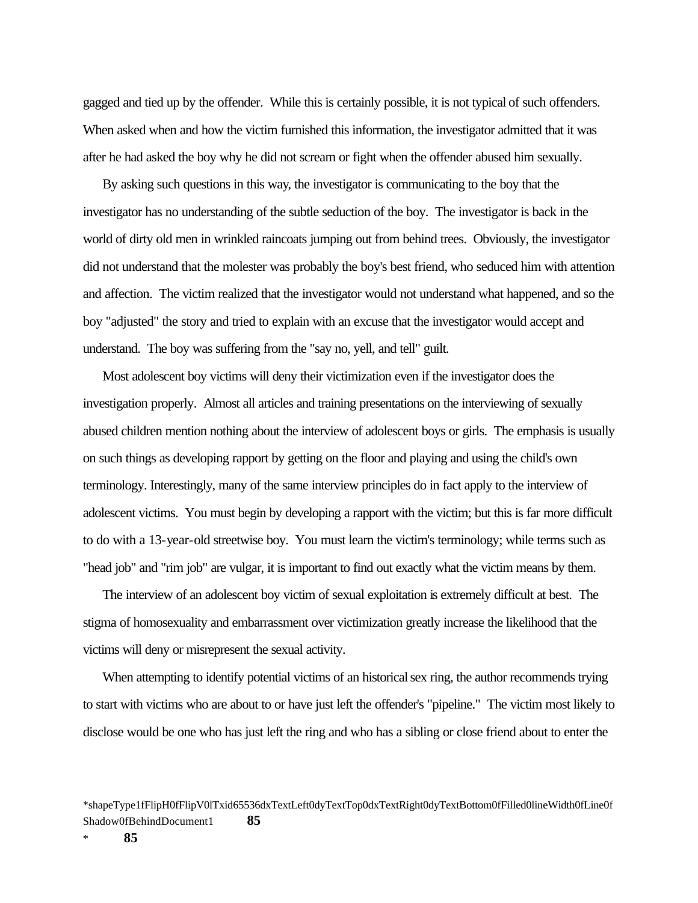gagged and tied up by the offender. While this is certainly possible, it is not typical of such offenders. When asked when and how the victim furnished this information, the investigator admitted that it was after he had asked the boy why he did not scream or fight when the offender abused him sexually.

By asking such questions in this way, the investigator is communicating to the boy that the investigator has no understanding of the subtle seduction of the boy. The investigator is back in the world of dirty old men in wrinkled raincoats jumping out from behind trees. Obviously, the investigator did not understand that the molester was probably the boy's best friend, who seduced him with attention and affection. The victim realized that the investigator would not understand what happened, and so the boy "adjusted" the story and tried to explain with an excuse that the investigator would accept and understand. The boy was suffering from the "say no, yell, and tell" guilt.

Most adolescent boy victims will deny their victimization even if the investigator does the investigation properly. Almost all articles and training presentations on the interviewing of sexually abused children mention nothing about the interview of adolescent boys or girls. The emphasis is usually on such things as developing rapport by getting on the floor and playing and using the child's own terminology. Interestingly, many of the same interview principles do in fact apply to the interview of adolescent victims. You must begin by developing a rapport with the victim; but this is far more difficult to do with a 13-year-old streetwise boy. You must learn the victim's terminology; while terms such as "head job" and "rim job" are vulgar, it is important to find out exactly what the victim means by them.

The interview of an adolescent boy victim of sexual exploitation is extremely difficult at best. The stigma of homosexuality and embarrassment over victimization greatly increase the likelihood that the victims will deny or misrepresent the sexual activity.

When attempting to identify potential victims of an historical sex ring, the author recommends trying to start with victims who are about to or have just left the offender's "pipeline." The victim most likely to disclose would be one who has just left the ring and who has a sibling or close friend about to enter the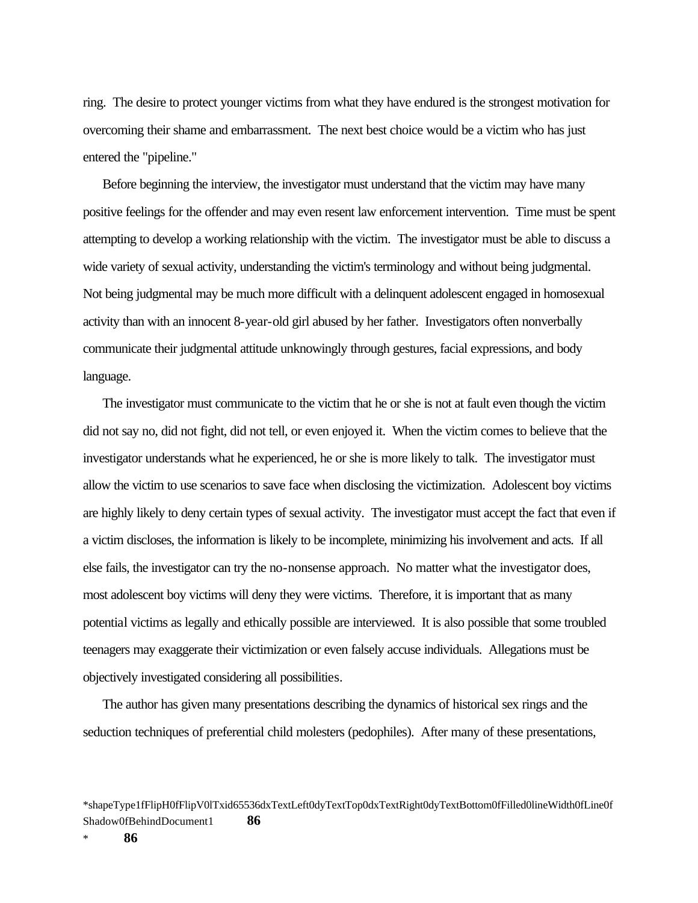ring. The desire to protect younger victims from what they have endured is the strongest motivation for overcoming their shame and embarrassment. The next best choice would be a victim who has just entered the "pipeline."

Before beginning the interview, the investigator must understand that the victim may have many positive feelings for the offender and may even resent law enforcement intervention. Time must be spent attempting to develop a working relationship with the victim. The investigator must be able to discuss a wide variety of sexual activity, understanding the victim's terminology and without being judgmental. Not being judgmental may be much more difficult with a delinquent adolescent engaged in homosexual activity than with an innocent 8-year-old girl abused by her father. Investigators often nonverbally communicate their judgmental attitude unknowingly through gestures, facial expressions, and body language.

The investigator must communicate to the victim that he or she is not at fault even though the victim did not say no, did not fight, did not tell, or even enjoyed it. When the victim comes to believe that the investigator understands what he experienced, he or she is more likely to talk. The investigator must allow the victim to use scenarios to save face when disclosing the victimization. Adolescent boy victims are highly likely to deny certain types of sexual activity. The investigator must accept the fact that even if a victim discloses, the information is likely to be incomplete, minimizing his involvement and acts. If all else fails, the investigator can try the no-nonsense approach. No matter what the investigator does, most adolescent boy victims will deny they were victims. Therefore, it is important that as many potential victims as legally and ethically possible are interviewed. It is also possible that some troubled teenagers may exaggerate their victimization or even falsely accuse individuals. Allegations must be objectively investigated considering all possibilities.

The author has given many presentations describing the dynamics of historical sex rings and the seduction techniques of preferential child molesters (pedophiles). After many of these presentations,

\*shapeType1fFlipH0fFlipV0lTxid65536dxTextLeft0dyTextTop0dxTextRight0dyTextBottom0fFilled0lineWidth0fLine0f Shadow0fBehindDocument1 **86**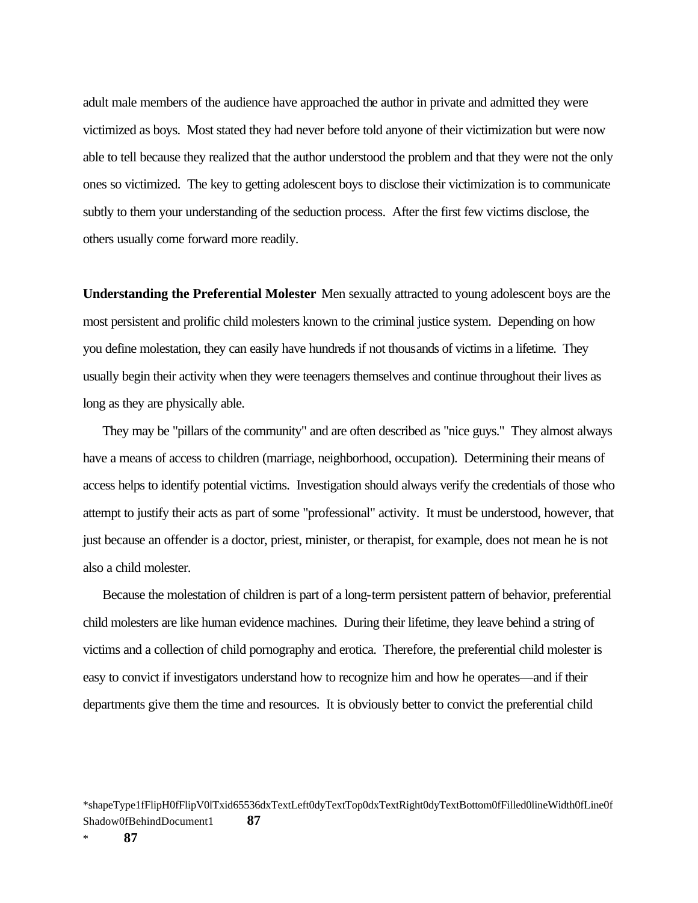adult male members of the audience have approached the author in private and admitted they were victimized as boys. Most stated they had never before told anyone of their victimization but were now able to tell because they realized that the author understood the problem and that they were not the only ones so victimized. The key to getting adolescent boys to disclose their victimization is to communicate subtly to them your understanding of the seduction process. After the first few victims disclose, the others usually come forward more readily.

**Understanding the Preferential Molester** Men sexually attracted to young adolescent boys are the most persistent and prolific child molesters known to the criminal justice system. Depending on how you define molestation, they can easily have hundreds if not thousands of victims in a lifetime. They usually begin their activity when they were teenagers themselves and continue throughout their lives as long as they are physically able.

They may be "pillars of the community" and are often described as "nice guys." They almost always have a means of access to children (marriage, neighborhood, occupation). Determining their means of access helps to identify potential victims. Investigation should always verify the credentials of those who attempt to justify their acts as part of some "professional" activity. It must be understood, however, that just because an offender is a doctor, priest, minister, or therapist, for example, does not mean he is not also a child molester.

Because the molestation of children is part of a long-term persistent pattern of behavior, preferential child molesters are like human evidence machines. During their lifetime, they leave behind a string of victims and a collection of child pornography and erotica. Therefore, the preferential child molester is easy to convict if investigators understand how to recognize him and how he operates—and if their departments give them the time and resources. It is obviously better to convict the preferential child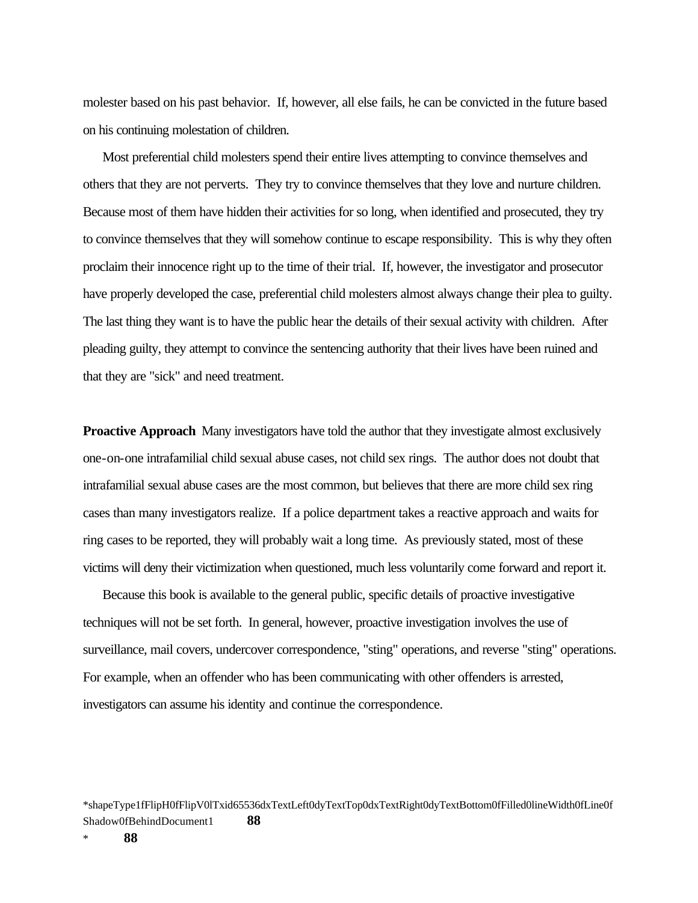molester based on his past behavior. If, however, all else fails, he can be convicted in the future based on his continuing molestation of children.

Most preferential child molesters spend their entire lives attempting to convince themselves and others that they are not perverts. They try to convince themselves that they love and nurture children. Because most of them have hidden their activities for so long, when identified and prosecuted, they try to convince themselves that they will somehow continue to escape responsibility. This is why they often proclaim their innocence right up to the time of their trial. If, however, the investigator and prosecutor have properly developed the case, preferential child molesters almost always change their plea to guilty. The last thing they want is to have the public hear the details of their sexual activity with children. After pleading guilty, they attempt to convince the sentencing authority that their lives have been ruined and that they are "sick" and need treatment.

**Proactive Approach** Many investigators have told the author that they investigate almost exclusively one-on-one intrafamilial child sexual abuse cases, not child sex rings. The author does not doubt that intrafamilial sexual abuse cases are the most common, but believes that there are more child sex ring cases than many investigators realize. If a police department takes a reactive approach and waits for ring cases to be reported, they will probably wait a long time. As previously stated, most of these victims will deny their victimization when questioned, much less voluntarily come forward and report it.

Because this book is available to the general public, specific details of proactive investigative techniques will not be set forth. In general, however, proactive investigation involves the use of surveillance, mail covers, undercover correspondence, "sting" operations, and reverse "sting" operations. For example, when an offender who has been communicating with other offenders is arrested, investigators can assume his identity and continue the correspondence.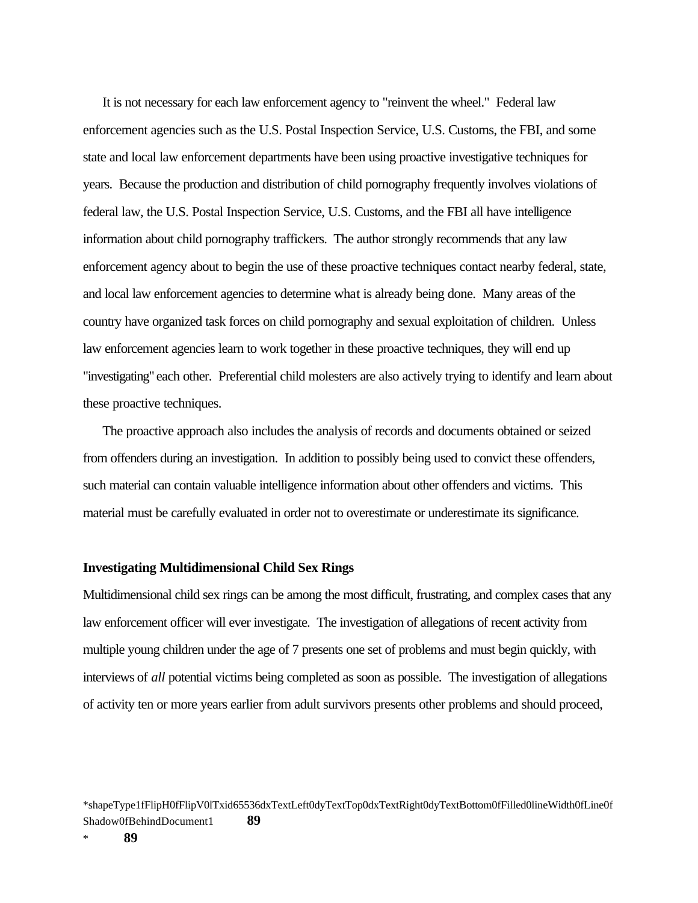It is not necessary for each law enforcement agency to "reinvent the wheel." Federal law enforcement agencies such as the U.S. Postal Inspection Service, U.S. Customs, the FBI, and some state and local law enforcement departments have been using proactive investigative techniques for years. Because the production and distribution of child pornography frequently involves violations of federal law, the U.S. Postal Inspection Service, U.S. Customs, and the FBI all have intelligence information about child pornography traffickers. The author strongly recommends that any law enforcement agency about to begin the use of these proactive techniques contact nearby federal, state, and local law enforcement agencies to determine what is already being done. Many areas of the country have organized task forces on child pornography and sexual exploitation of children. Unless law enforcement agencies learn to work together in these proactive techniques, they will end up "investigating" each other. Preferential child molesters are also actively trying to identify and learn about these proactive techniques.

The proactive approach also includes the analysis of records and documents obtained or seized from offenders during an investigation. In addition to possibly being used to convict these offenders, such material can contain valuable intelligence information about other offenders and victims. This material must be carefully evaluated in order not to overestimate or underestimate its significance.

## **Investigating Multidimensional Child Sex Rings**

Multidimensional child sex rings can be among the most difficult, frustrating, and complex cases that any law enforcement officer will ever investigate. The investigation of allegations of recent activity from multiple young children under the age of 7 presents one set of problems and must begin quickly, with interviews of *all* potential victims being completed as soon as possible. The investigation of allegations of activity ten or more years earlier from adult survivors presents other problems and should proceed,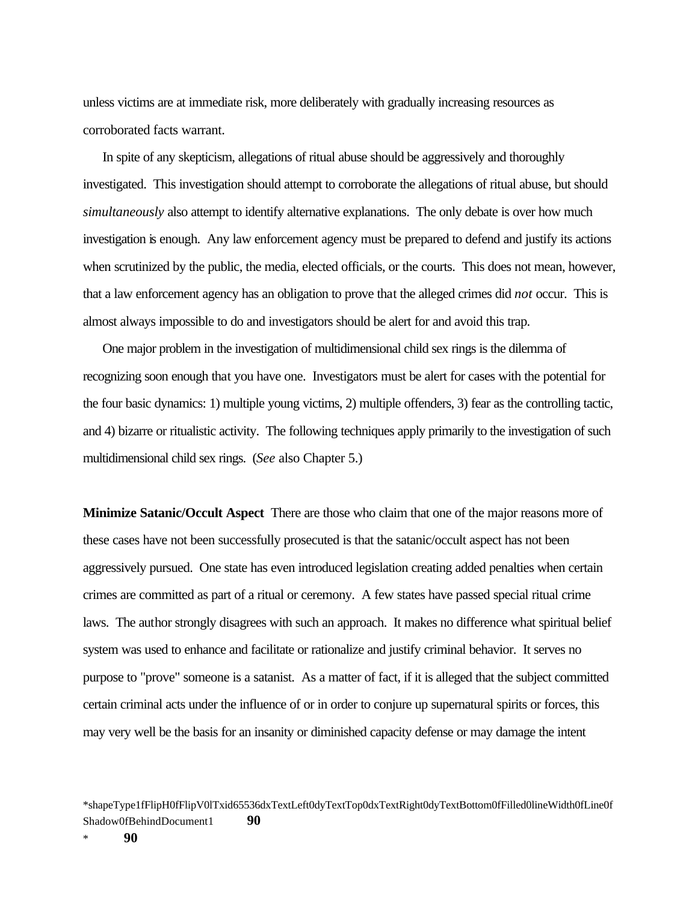unless victims are at immediate risk, more deliberately with gradually increasing resources as corroborated facts warrant.

In spite of any skepticism, allegations of ritual abuse should be aggressively and thoroughly investigated. This investigation should attempt to corroborate the allegations of ritual abuse, but should *simultaneously* also attempt to identify alternative explanations. The only debate is over how much investigation is enough. Any law enforcement agency must be prepared to defend and justify its actions when scrutinized by the public, the media, elected officials, or the courts. This does not mean, however, that a law enforcement agency has an obligation to prove that the alleged crimes did *not* occur. This is almost always impossible to do and investigators should be alert for and avoid this trap.

One major problem in the investigation of multidimensional child sex rings is the dilemma of recognizing soon enough that you have one. Investigators must be alert for cases with the potential for the four basic dynamics: 1) multiple young victims, 2) multiple offenders, 3) fear as the controlling tactic, and 4) bizarre or ritualistic activity. The following techniques apply primarily to the investigation of such multidimensional child sex rings. (*See* also Chapter 5.)

**Minimize Satanic/Occult Aspect** There are those who claim that one of the major reasons more of these cases have not been successfully prosecuted is that the satanic/occult aspect has not been aggressively pursued. One state has even introduced legislation creating added penalties when certain crimes are committed as part of a ritual or ceremony. A few states have passed special ritual crime laws. The author strongly disagrees with such an approach. It makes no difference what spiritual belief system was used to enhance and facilitate or rationalize and justify criminal behavior. It serves no purpose to "prove" someone is a satanist. As a matter of fact, if it is alleged that the subject committed certain criminal acts under the influence of or in order to conjure up supernatural spirits or forces, this may very well be the basis for an insanity or diminished capacity defense or may damage the intent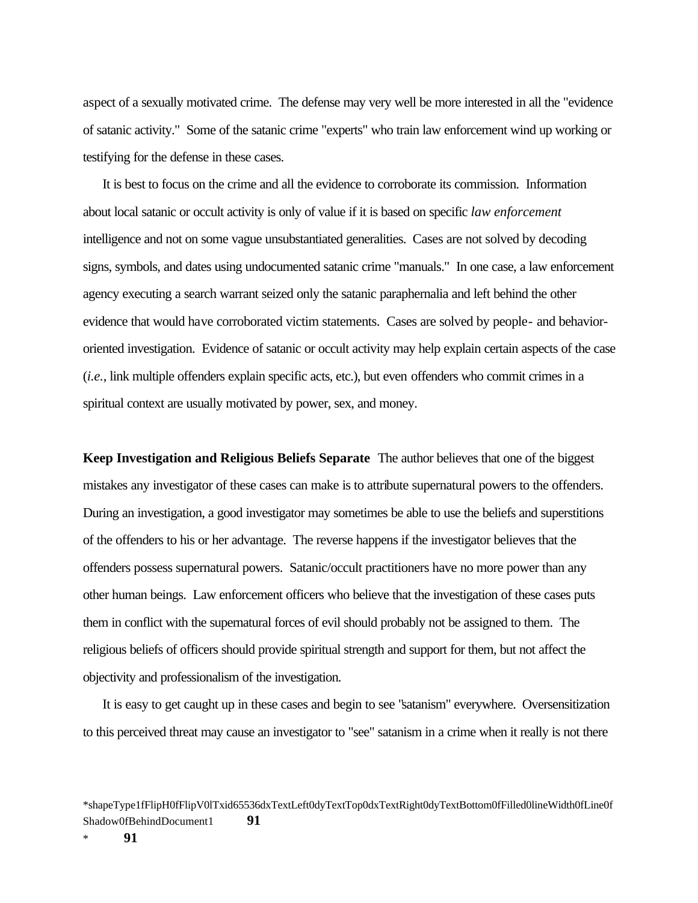aspect of a sexually motivated crime. The defense may very well be more interested in all the "evidence of satanic activity." Some of the satanic crime "experts" who train law enforcement wind up working or testifying for the defense in these cases.

It is best to focus on the crime and all the evidence to corroborate its commission. Information about local satanic or occult activity is only of value if it is based on specific *law enforcement* intelligence and not on some vague unsubstantiated generalities. Cases are not solved by decoding signs, symbols, and dates using undocumented satanic crime "manuals." In one case, a law enforcement agency executing a search warrant seized only the satanic paraphernalia and left behind the other evidence that would have corroborated victim statements. Cases are solved by people- and behaviororiented investigation. Evidence of satanic or occult activity may help explain certain aspects of the case (*i.e.*, link multiple offenders explain specific acts, etc.), but even offenders who commit crimes in a spiritual context are usually motivated by power, sex, and money.

**Keep Investigation and Religious Beliefs Separate** The author believes that one of the biggest mistakes any investigator of these cases can make is to attribute supernatural powers to the offenders. During an investigation, a good investigator may sometimes be able to use the beliefs and superstitions of the offenders to his or her advantage. The reverse happens if the investigator believes that the offenders possess supernatural powers. Satanic/occult practitioners have no more power than any other human beings. Law enforcement officers who believe that the investigation of these cases puts them in conflict with the supernatural forces of evil should probably not be assigned to them. The religious beliefs of officers should provide spiritual strength and support for them, but not affect the objectivity and professionalism of the investigation.

It is easy to get caught up in these cases and begin to see "satanism" everywhere. Oversensitization to this perceived threat may cause an investigator to "see" satanism in a crime when it really is not there

\*shapeType1fFlipH0fFlipV0lTxid65536dxTextLeft0dyTextTop0dxTextRight0dyTextBottom0fFilled0lineWidth0fLine0f Shadow0fBehindDocument1 **91**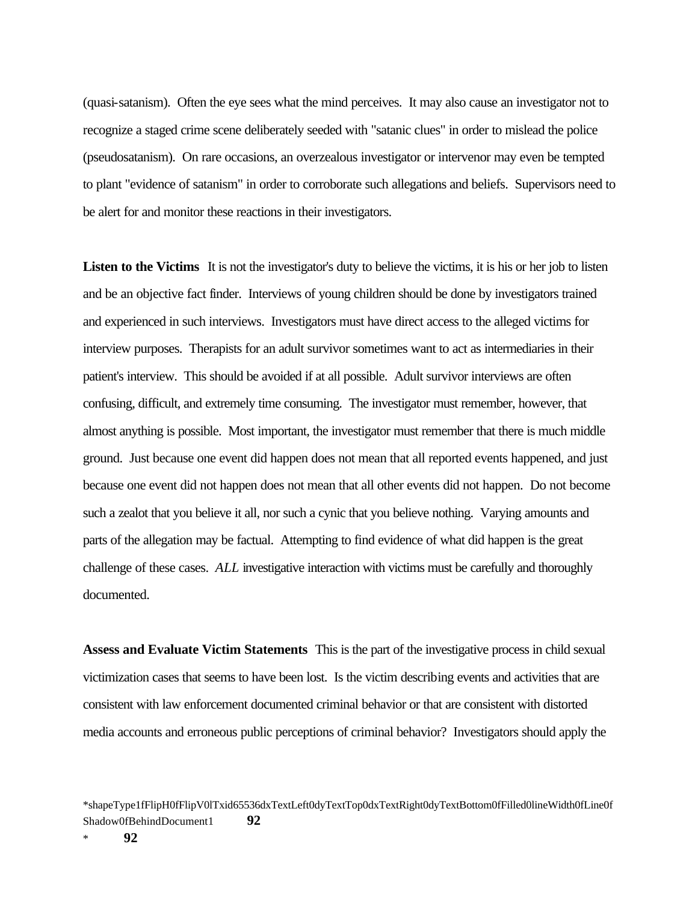(quasi-satanism). Often the eye sees what the mind perceives. It may also cause an investigator not to recognize a staged crime scene deliberately seeded with "satanic clues" in order to mislead the police (pseudosatanism). On rare occasions, an overzealous investigator or intervenor may even be tempted to plant "evidence of satanism" in order to corroborate such allegations and beliefs. Supervisors need to be alert for and monitor these reactions in their investigators.

Listen to the Victims It is not the investigator's duty to believe the victims, it is his or her job to listen and be an objective fact finder. Interviews of young children should be done by investigators trained and experienced in such interviews. Investigators must have direct access to the alleged victims for interview purposes. Therapists for an adult survivor sometimes want to act as intermediaries in their patient's interview. This should be avoided if at all possible. Adult survivor interviews are often confusing, difficult, and extremely time consuming. The investigator must remember, however, that almost anything is possible. Most important, the investigator must remember that there is much middle ground. Just because one event did happen does not mean that all reported events happened, and just because one event did not happen does not mean that all other events did not happen. Do not become such a zealot that you believe it all, nor such a cynic that you believe nothing. Varying amounts and parts of the allegation may be factual. Attempting to find evidence of what did happen is the great challenge of these cases. *ALL* investigative interaction with victims must be carefully and thoroughly documented.

**Assess and Evaluate Victim Statements** This is the part of the investigative process in child sexual victimization cases that seems to have been lost. Is the victim describing events and activities that are consistent with law enforcement documented criminal behavior or that are consistent with distorted media accounts and erroneous public perceptions of criminal behavior? Investigators should apply the

\*shapeType1fFlipH0fFlipV0lTxid65536dxTextLeft0dyTextTop0dxTextRight0dyTextBottom0fFilled0lineWidth0fLine0f Shadow0fBehindDocument1 **92**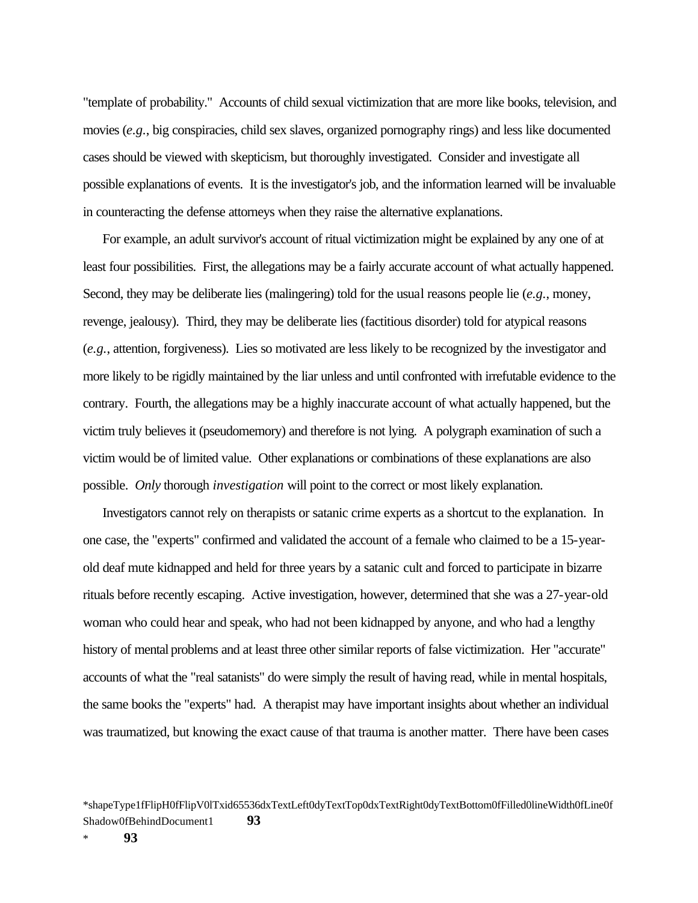"template of probability." Accounts of child sexual victimization that are more like books, television, and movies (*e.g.*, big conspiracies, child sex slaves, organized pornography rings) and less like documented cases should be viewed with skepticism, but thoroughly investigated. Consider and investigate all possible explanations of events. It is the investigator's job, and the information learned will be invaluable in counteracting the defense attorneys when they raise the alternative explanations.

For example, an adult survivor's account of ritual victimization might be explained by any one of at least four possibilities. First, the allegations may be a fairly accurate account of what actually happened. Second, they may be deliberate lies (malingering) told for the usual reasons people lie (*e.g.*, money, revenge, jealousy). Third, they may be deliberate lies (factitious disorder) told for atypical reasons (*e.g.*, attention, forgiveness). Lies so motivated are less likely to be recognized by the investigator and more likely to be rigidly maintained by the liar unless and until confronted with irrefutable evidence to the contrary. Fourth, the allegations may be a highly inaccurate account of what actually happened, but the victim truly believes it (pseudomemory) and therefore is not lying. A polygraph examination of such a victim would be of limited value. Other explanations or combinations of these explanations are also possible. *Only* thorough *investigation* will point to the correct or most likely explanation.

Investigators cannot rely on therapists or satanic crime experts as a shortcut to the explanation. In one case, the "experts" confirmed and validated the account of a female who claimed to be a 15-yearold deaf mute kidnapped and held for three years by a satanic cult and forced to participate in bizarre rituals before recently escaping. Active investigation, however, determined that she was a 27-year-old woman who could hear and speak, who had not been kidnapped by anyone, and who had a lengthy history of mental problems and at least three other similar reports of false victimization. Her "accurate" accounts of what the "real satanists" do were simply the result of having read, while in mental hospitals, the same books the "experts" had. A therapist may have important insights about whether an individual was traumatized, but knowing the exact cause of that trauma is another matter. There have been cases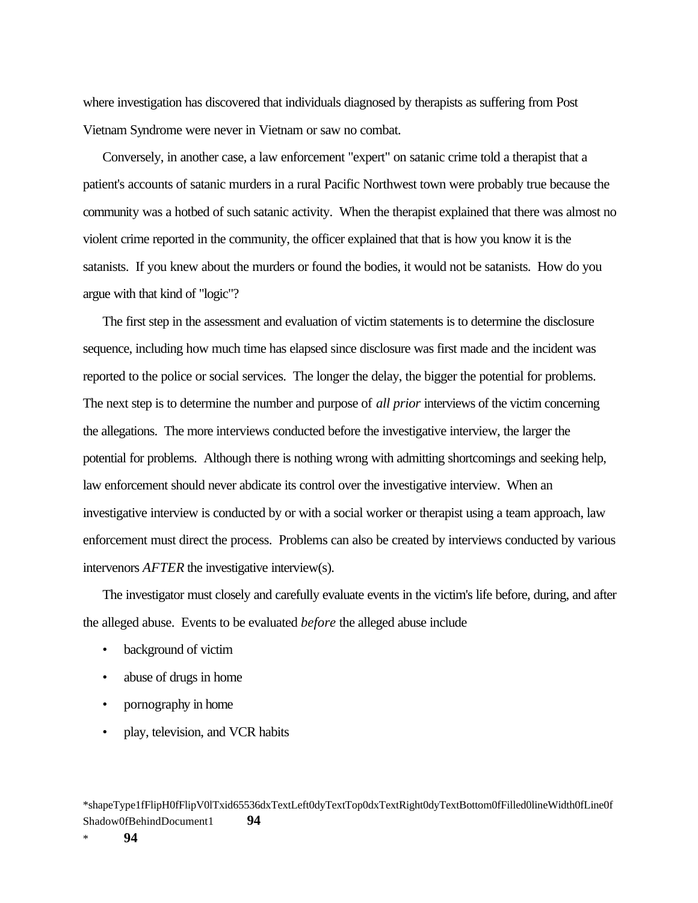where investigation has discovered that individuals diagnosed by therapists as suffering from Post Vietnam Syndrome were never in Vietnam or saw no combat.

Conversely, in another case, a law enforcement "expert" on satanic crime told a therapist that a patient's accounts of satanic murders in a rural Pacific Northwest town were probably true because the community was a hotbed of such satanic activity. When the therapist explained that there was almost no violent crime reported in the community, the officer explained that that is how you know it is the satanists. If you knew about the murders or found the bodies, it would not be satanists. How do you argue with that kind of "logic"?

The first step in the assessment and evaluation of victim statements is to determine the disclosure sequence, including how much time has elapsed since disclosure was first made and the incident was reported to the police or social services. The longer the delay, the bigger the potential for problems. The next step is to determine the number and purpose of *all prior* interviews of the victim concerning the allegations. The more interviews conducted before the investigative interview, the larger the potential for problems. Although there is nothing wrong with admitting shortcomings and seeking help, law enforcement should never abdicate its control over the investigative interview. When an investigative interview is conducted by or with a social worker or therapist using a team approach, law enforcement must direct the process. Problems can also be created by interviews conducted by various intervenors *AFTER* the investigative interview(s).

The investigator must closely and carefully evaluate events in the victim's life before, during, and after the alleged abuse. Events to be evaluated *before* the alleged abuse include

- background of victim
- abuse of drugs in home
- pornography in home
- play, television, and VCR habits

\*shapeType1fFlipH0fFlipV0lTxid65536dxTextLeft0dyTextTop0dxTextRight0dyTextBottom0fFilled0lineWidth0fLine0f Shadow0fBehindDocument1 **94**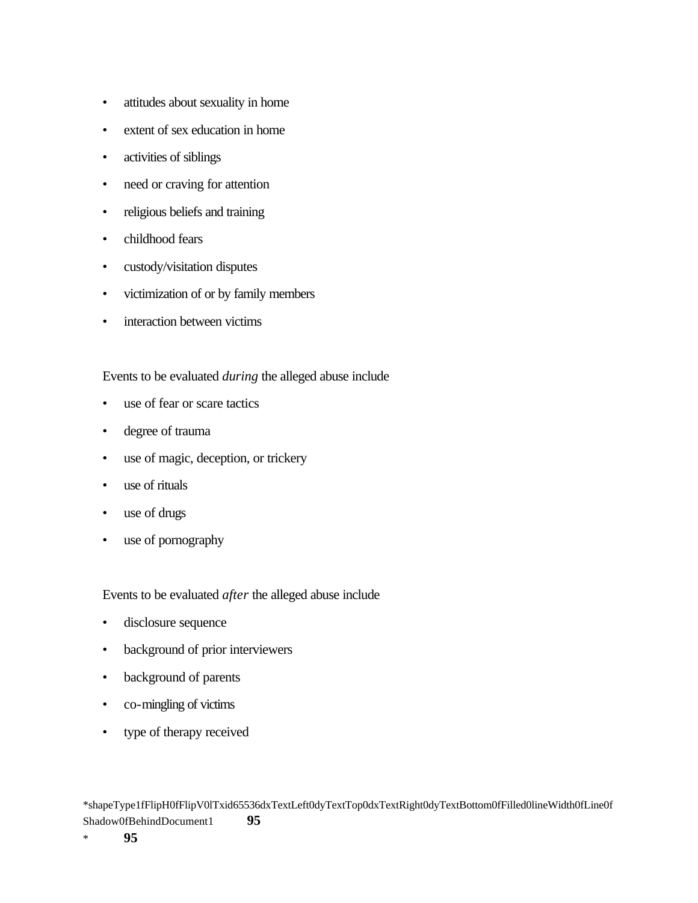- attitudes about sexuality in home
- extent of sex education in home
- activities of siblings
- need or craving for attention
- religious beliefs and training
- childhood fears
- custody/visitation disputes
- victimization of or by family members
- interaction between victims

Events to be evaluated *during* the alleged abuse include

- use of fear or scare tactics
- degree of trauma
- use of magic, deception, or trickery
- use of rituals
- use of drugs
- use of pornography

Events to be evaluated *after* the alleged abuse include

- disclosure sequence
- background of prior interviewers
- background of parents
- co-mingling of victims
- type of therapy received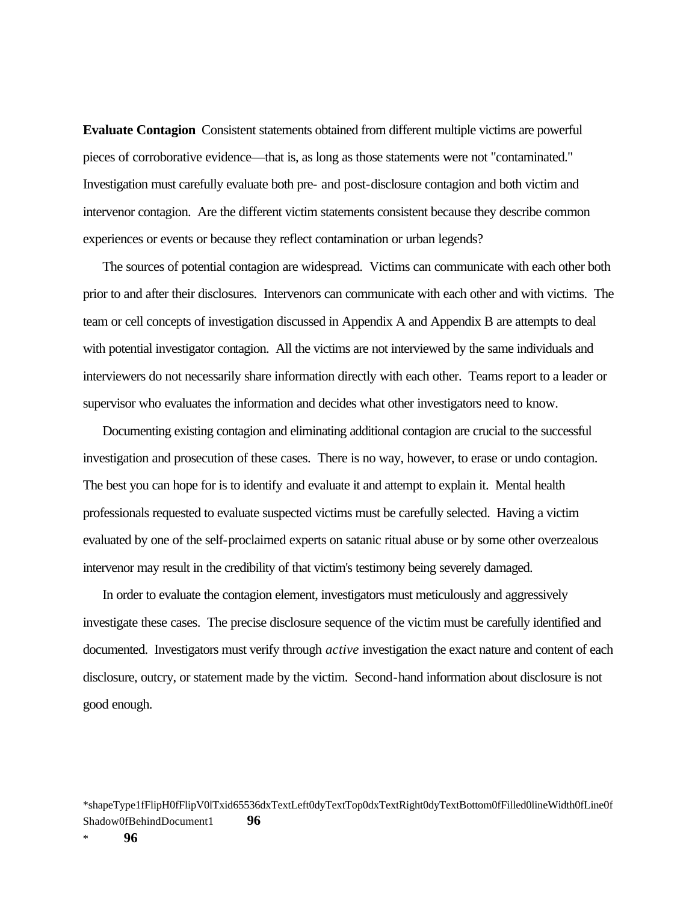**Evaluate Contagion** Consistent statements obtained from different multiple victims are powerful pieces of corroborative evidence—that is, as long as those statements were not "contaminated." Investigation must carefully evaluate both pre- and post-disclosure contagion and both victim and intervenor contagion. Are the different victim statements consistent because they describe common experiences or events or because they reflect contamination or urban legends?

The sources of potential contagion are widespread. Victims can communicate with each other both prior to and after their disclosures. Intervenors can communicate with each other and with victims. The team or cell concepts of investigation discussed in Appendix A and Appendix B are attempts to deal with potential investigator contagion. All the victims are not interviewed by the same individuals and interviewers do not necessarily share information directly with each other. Teams report to a leader or supervisor who evaluates the information and decides what other investigators need to know.

Documenting existing contagion and eliminating additional contagion are crucial to the successful investigation and prosecution of these cases. There is no way, however, to erase or undo contagion. The best you can hope for is to identify and evaluate it and attempt to explain it. Mental health professionals requested to evaluate suspected victims must be carefully selected. Having a victim evaluated by one of the self-proclaimed experts on satanic ritual abuse or by some other overzealous intervenor may result in the credibility of that victim's testimony being severely damaged.

In order to evaluate the contagion element, investigators must meticulously and aggressively investigate these cases. The precise disclosure sequence of the victim must be carefully identified and documented. Investigators must verify through *active* investigation the exact nature and content of each disclosure, outcry, or statement made by the victim. Second-hand information about disclosure is not good enough.

\*shapeType1fFlipH0fFlipV0lTxid65536dxTextLeft0dyTextTop0dxTextRight0dyTextBottom0fFilled0lineWidth0fLine0f Shadow0fBehindDocument1 **96**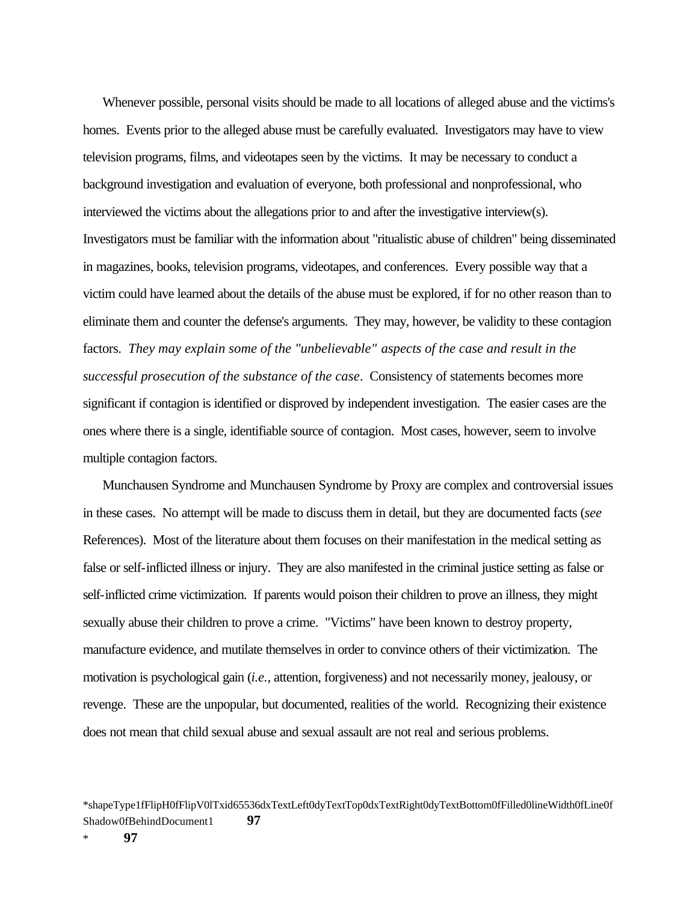Whenever possible, personal visits should be made to all locations of alleged abuse and the victims's homes. Events prior to the alleged abuse must be carefully evaluated. Investigators may have to view television programs, films, and videotapes seen by the victims. It may be necessary to conduct a background investigation and evaluation of everyone, both professional and nonprofessional, who interviewed the victims about the allegations prior to and after the investigative interview(s). Investigators must be familiar with the information about "ritualistic abuse of children" being disseminated in magazines, books, television programs, videotapes, and conferences. Every possible way that a victim could have learned about the details of the abuse must be explored, if for no other reason than to eliminate them and counter the defense's arguments. They may, however, be validity to these contagion factors. *They may explain some of the "unbelievable" aspects of the case and result in the successful prosecution of the substance of the case*. Consistency of statements becomes more significant if contagion is identified or disproved by independent investigation. The easier cases are the ones where there is a single, identifiable source of contagion. Most cases, however, seem to involve multiple contagion factors.

Munchausen Syndrome and Munchausen Syndrome by Proxy are complex and controversial issues in these cases. No attempt will be made to discuss them in detail, but they are documented facts (*see* References). Most of the literature about them focuses on their manifestation in the medical setting as false or self-inflicted illness or injury. They are also manifested in the criminal justice setting as false or self-inflicted crime victimization. If parents would poison their children to prove an illness, they might sexually abuse their children to prove a crime. "Victims" have been known to destroy property, manufacture evidence, and mutilate themselves in order to convince others of their victimization. The motivation is psychological gain (*i.e.*, attention, forgiveness) and not necessarily money, jealousy, or revenge. These are the unpopular, but documented, realities of the world. Recognizing their existence does not mean that child sexual abuse and sexual assault are not real and serious problems.

\*shapeType1fFlipH0fFlipV0lTxid65536dxTextLeft0dyTextTop0dxTextRight0dyTextBottom0fFilled0lineWidth0fLine0f Shadow0fBehindDocument1 **97**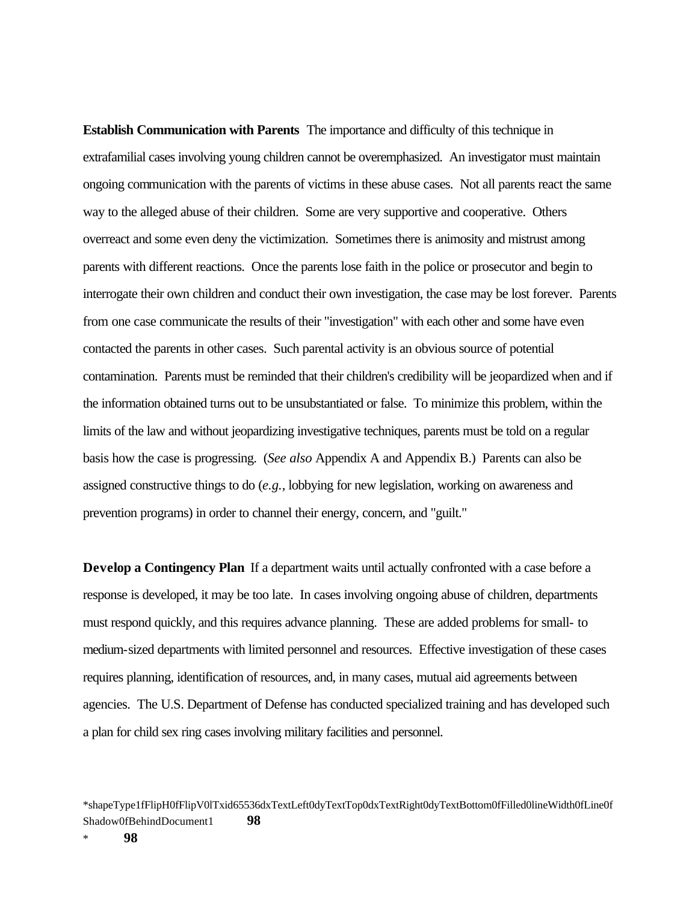**Establish Communication with Parents** The importance and difficulty of this technique in extrafamilial cases involving young children cannot be overemphasized. An investigator must maintain ongoing communication with the parents of victims in these abuse cases. Not all parents react the same way to the alleged abuse of their children. Some are very supportive and cooperative. Others overreact and some even deny the victimization. Sometimes there is animosity and mistrust among parents with different reactions. Once the parents lose faith in the police or prosecutor and begin to interrogate their own children and conduct their own investigation, the case may be lost forever. Parents from one case communicate the results of their "investigation" with each other and some have even contacted the parents in other cases. Such parental activity is an obvious source of potential contamination. Parents must be reminded that their children's credibility will be jeopardized when and if the information obtained turns out to be unsubstantiated or false. To minimize this problem, within the limits of the law and without jeopardizing investigative techniques, parents must be told on a regular basis how the case is progressing. (*See also* Appendix A and Appendix B.) Parents can also be assigned constructive things to do (*e.g.*, lobbying for new legislation, working on awareness and prevention programs) in order to channel their energy, concern, and "guilt."

**Develop a Contingency Plan** If a department waits until actually confronted with a case before a response is developed, it may be too late. In cases involving ongoing abuse of children, departments must respond quickly, and this requires advance planning. These are added problems for small- to medium-sized departments with limited personnel and resources. Effective investigation of these cases requires planning, identification of resources, and, in many cases, mutual aid agreements between agencies. The U.S. Department of Defense has conducted specialized training and has developed such a plan for child sex ring cases involving military facilities and personnel.

\*shapeType1fFlipH0fFlipV0lTxid65536dxTextLeft0dyTextTop0dxTextRight0dyTextBottom0fFilled0lineWidth0fLine0f Shadow0fBehindDocument1 **98**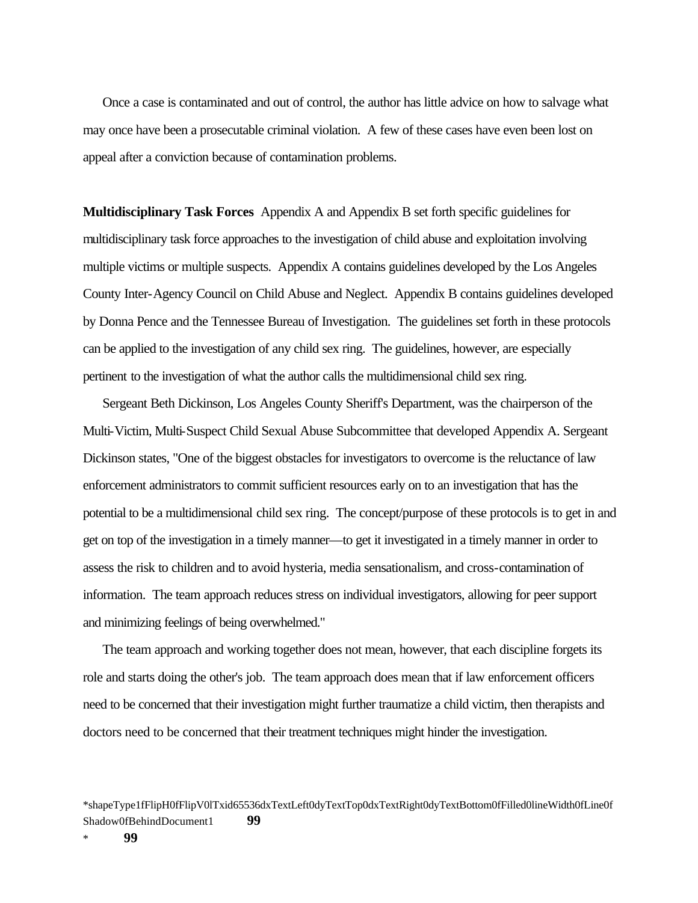Once a case is contaminated and out of control, the author has little advice on how to salvage what may once have been a prosecutable criminal violation. A few of these cases have even been lost on appeal after a conviction because of contamination problems.

**Multidisciplinary Task Forces** Appendix A and Appendix B set forth specific guidelines for multidisciplinary task force approaches to the investigation of child abuse and exploitation involving multiple victims or multiple suspects. Appendix A contains guidelines developed by the Los Angeles County Inter-Agency Council on Child Abuse and Neglect. Appendix B contains guidelines developed by Donna Pence and the Tennessee Bureau of Investigation. The guidelines set forth in these protocols can be applied to the investigation of any child sex ring. The guidelines, however, are especially pertinent to the investigation of what the author calls the multidimensional child sex ring.

Sergeant Beth Dickinson, Los Angeles County Sheriff's Department, was the chairperson of the Multi-Victim, Multi-Suspect Child Sexual Abuse Subcommittee that developed Appendix A. Sergeant Dickinson states, "One of the biggest obstacles for investigators to overcome is the reluctance of law enforcement administrators to commit sufficient resources early on to an investigation that has the potential to be a multidimensional child sex ring. The concept/purpose of these protocols is to get in and get on top of the investigation in a timely manner—to get it investigated in a timely manner in order to assess the risk to children and to avoid hysteria, media sensationalism, and cross-contamination of information. The team approach reduces stress on individual investigators, allowing for peer support and minimizing feelings of being overwhelmed."

The team approach and working together does not mean, however, that each discipline forgets its role and starts doing the other's job. The team approach does mean that if law enforcement officers need to be concerned that their investigation might further traumatize a child victim, then therapists and doctors need to be concerned that their treatment techniques might hinder the investigation.

\*shapeType1fFlipH0fFlipV0lTxid65536dxTextLeft0dyTextTop0dxTextRight0dyTextBottom0fFilled0lineWidth0fLine0f Shadow0fBehindDocument1 **99**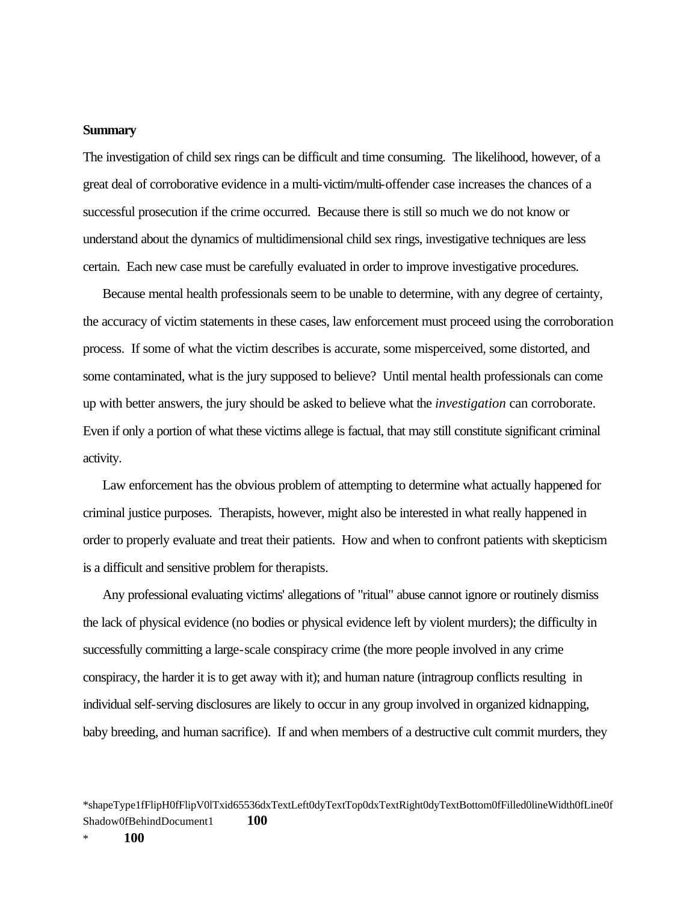#### **Summary**

The investigation of child sex rings can be difficult and time consuming. The likelihood, however, of a great deal of corroborative evidence in a multi-victim/multi-offender case increases the chances of a successful prosecution if the crime occurred. Because there is still so much we do not know or understand about the dynamics of multidimensional child sex rings, investigative techniques are less certain. Each new case must be carefully evaluated in order to improve investigative procedures.

Because mental health professionals seem to be unable to determine, with any degree of certainty, the accuracy of victim statements in these cases, law enforcement must proceed using the corroboration process. If some of what the victim describes is accurate, some misperceived, some distorted, and some contaminated, what is the jury supposed to believe? Until mental health professionals can come up with better answers, the jury should be asked to believe what the *investigation* can corroborate. Even if only a portion of what these victims allege is factual, that may still constitute significant criminal activity.

Law enforcement has the obvious problem of attempting to determine what actually happened for criminal justice purposes. Therapists, however, might also be interested in what really happened in order to properly evaluate and treat their patients. How and when to confront patients with skepticism is a difficult and sensitive problem for therapists.

Any professional evaluating victims' allegations of "ritual" abuse cannot ignore or routinely dismiss the lack of physical evidence (no bodies or physical evidence left by violent murders); the difficulty in successfully committing a large-scale conspiracy crime (the more people involved in any crime conspiracy, the harder it is to get away with it); and human nature (intragroup conflicts resulting in individual self-serving disclosures are likely to occur in any group involved in organized kidnapping, baby breeding, and human sacrifice). If and when members of a destructive cult commit murders, they

<sup>\*</sup>shapeType1fFlipH0fFlipV0lTxid65536dxTextLeft0dyTextTop0dxTextRight0dyTextBottom0fFilled0lineWidth0fLine0f Shadow0fBehindDocument1 **100**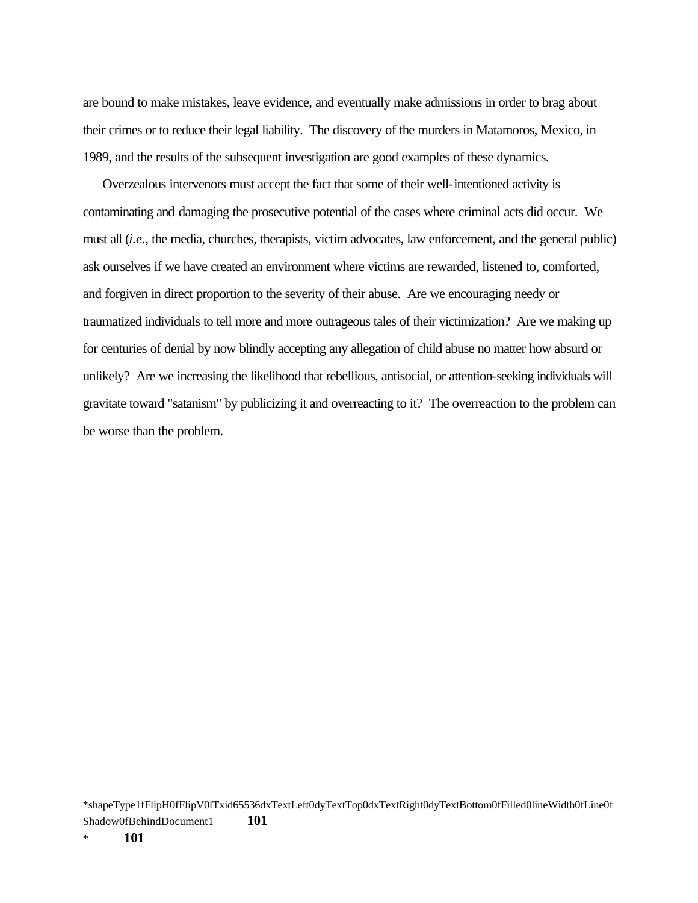are bound to make mistakes, leave evidence, and eventually make admissions in order to brag about their crimes or to reduce their legal liability. The discovery of the murders in Matamoros, Mexico, in 1989, and the results of the subsequent investigation are good examples of these dynamics.

Overzealous intervenors must accept the fact that some of their well-intentioned activity is contaminating and damaging the prosecutive potential of the cases where criminal acts did occur. We must all (*i.e.*, the media, churches, therapists, victim advocates, law enforcement, and the general public) ask ourselves if we have created an environment where victims are rewarded, listened to, comforted, and forgiven in direct proportion to the severity of their abuse. Are we encouraging needy or traumatized individuals to tell more and more outrageous tales of their victimization? Are we making up for centuries of denial by now blindly accepting any allegation of child abuse no matter how absurd or unlikely? Are we increasing the likelihood that rebellious, antisocial, or attention-seeking individuals will gravitate toward "satanism" by publicizing it and overreacting to it? The overreaction to the problem can be worse than the problem.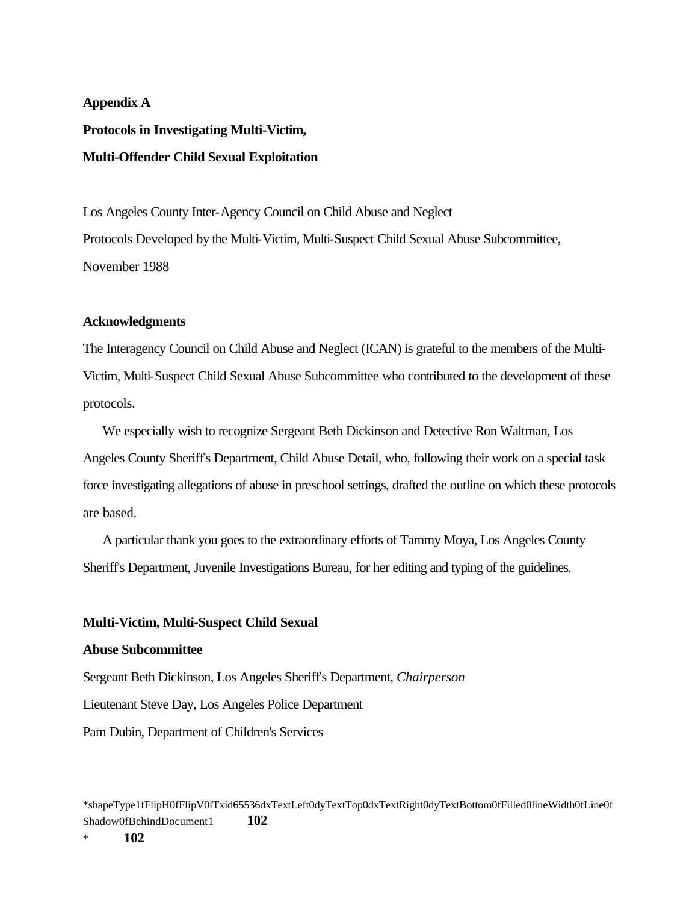# **Appendix A Protocols in Investigating Multi-Victim, Multi-Offender Child Sexual Exploitation**

Los Angeles County Inter-Agency Council on Child Abuse and Neglect Protocols Developed by the Multi-Victim, Multi-Suspect Child Sexual Abuse Subcommittee, November 1988

# **Acknowledgments**

The Interagency Council on Child Abuse and Neglect (ICAN) is grateful to the members of the Multi-Victim, Multi-Suspect Child Sexual Abuse Subcommittee who contributed to the development of these protocols.

We especially wish to recognize Sergeant Beth Dickinson and Detective Ron Waltman, Los Angeles County Sheriff's Department, Child Abuse Detail, who, following their work on a special task force investigating allegations of abuse in preschool settings, drafted the outline on which these protocols are based.

A particular thank you goes to the extraordinary efforts of Tammy Moya, Los Angeles County Sheriff's Department, Juvenile Investigations Bureau, for her editing and typing of the guidelines.

# **Multi-Victim, Multi-Suspect Child Sexual**

## **Abuse Subcommittee**

Sergeant Beth Dickinson, Los Angeles Sheriff's Department, *Chairperson* Lieutenant Steve Day, Los Angeles Police Department Pam Dubin, Department of Children's Services

\*shapeType1fFlipH0fFlipV0lTxid65536dxTextLeft0dyTextTop0dxTextRight0dyTextBottom0fFilled0lineWidth0fLine0f Shadow0fBehindDocument1 **102**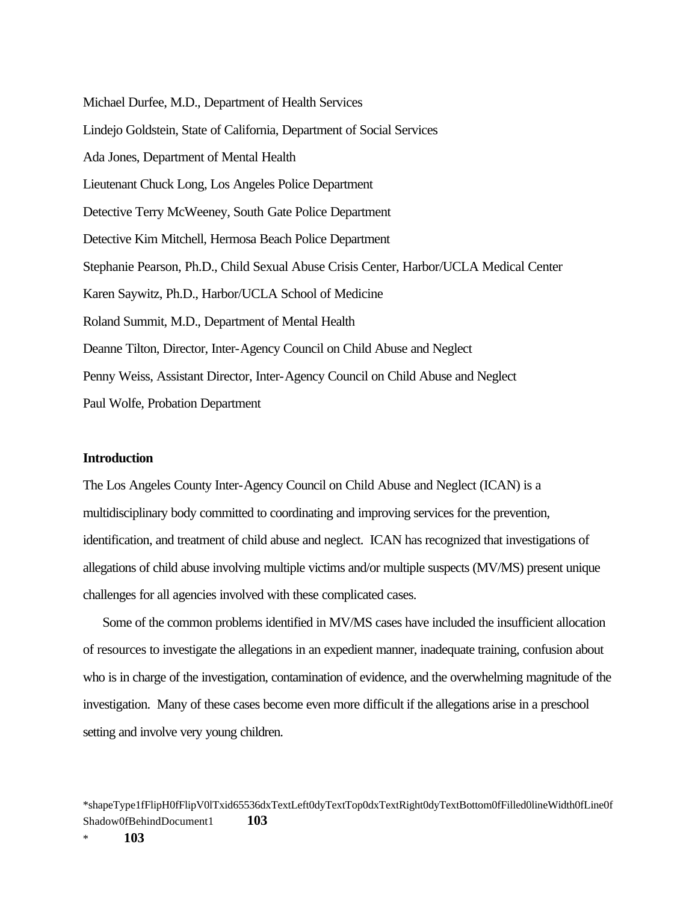Michael Durfee, M.D., Department of Health Services Lindejo Goldstein, State of California, Department of Social Services Ada Jones, Department of Mental Health Lieutenant Chuck Long, Los Angeles Police Department Detective Terry McWeeney, South Gate Police Department Detective Kim Mitchell, Hermosa Beach Police Department Stephanie Pearson, Ph.D., Child Sexual Abuse Crisis Center, Harbor/UCLA Medical Center Karen Saywitz, Ph.D., Harbor/UCLA School of Medicine Roland Summit, M.D., Department of Mental Health Deanne Tilton, Director, Inter-Agency Council on Child Abuse and Neglect Penny Weiss, Assistant Director, Inter-Agency Council on Child Abuse and Neglect Paul Wolfe, Probation Department

# **Introduction**

The Los Angeles County Inter-Agency Council on Child Abuse and Neglect (ICAN) is a multidisciplinary body committed to coordinating and improving services for the prevention, identification, and treatment of child abuse and neglect. ICAN has recognized that investigations of allegations of child abuse involving multiple victims and/or multiple suspects (MV/MS) present unique challenges for all agencies involved with these complicated cases.

Some of the common problems identified in MV/MS cases have included the insufficient allocation of resources to investigate the allegations in an expedient manner, inadequate training, confusion about who is in charge of the investigation, contamination of evidence, and the overwhelming magnitude of the investigation. Many of these cases become even more difficult if the allegations arise in a preschool setting and involve very young children.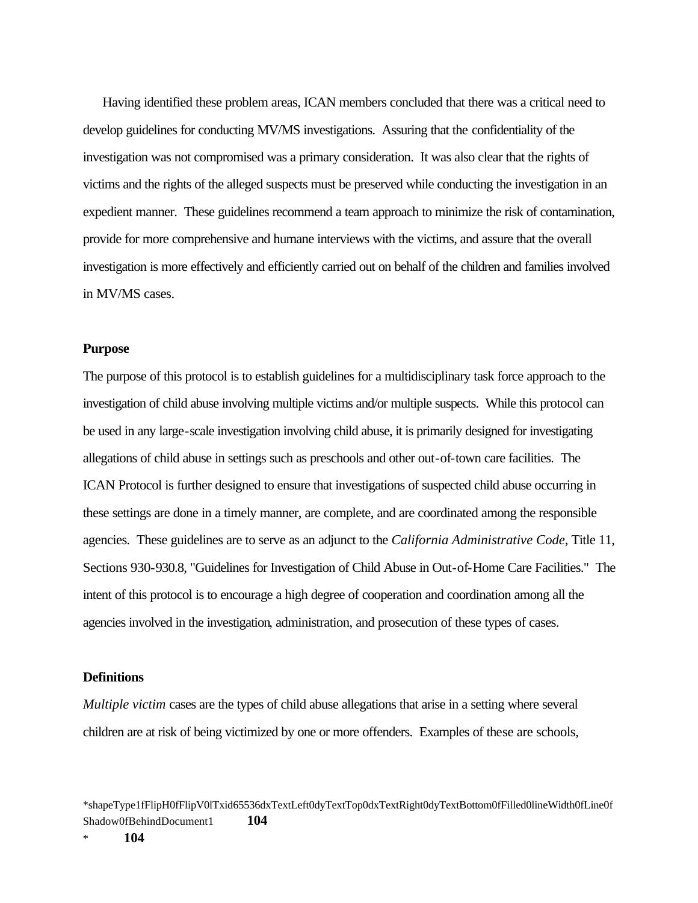Having identified these problem areas, ICAN members concluded that there was a critical need to develop guidelines for conducting MV/MS investigations. Assuring that the confidentiality of the investigation was not compromised was a primary consideration. It was also clear that the rights of victims and the rights of the alleged suspects must be preserved while conducting the investigation in an expedient manner. These guidelines recommend a team approach to minimize the risk of contamination, provide for more comprehensive and humane interviews with the victims, and assure that the overall investigation is more effectively and efficiently carried out on behalf of the children and families involved in MV/MS cases.

#### **Purpose**

The purpose of this protocol is to establish guidelines for a multidisciplinary task force approach to the investigation of child abuse involving multiple victims and/or multiple suspects. While this protocol can be used in any large-scale investigation involving child abuse, it is primarily designed for investigating allegations of child abuse in settings such as preschools and other out-of-town care facilities. The ICAN Protocol is further designed to ensure that investigations of suspected child abuse occurring in these settings are done in a timely manner, are complete, and are coordinated among the responsible agencies. These guidelines are to serve as an adjunct to the *California Administrative Code*, Title 11, Sections 930-930.8, "Guidelines for Investigation of Child Abuse in Out-of-Home Care Facilities." The intent of this protocol is to encourage a high degree of cooperation and coordination among all the agencies involved in the investigation, administration, and prosecution of these types of cases.

# **Definitions**

*Multiple victim* cases are the types of child abuse allegations that arise in a setting where several children are at risk of being victimized by one or more offenders. Examples of these are schools,

\*shapeType1fFlipH0fFlipV0lTxid65536dxTextLeft0dyTextTop0dxTextRight0dyTextBottom0fFilled0lineWidth0fLine0f Shadow0fBehindDocument1 **104**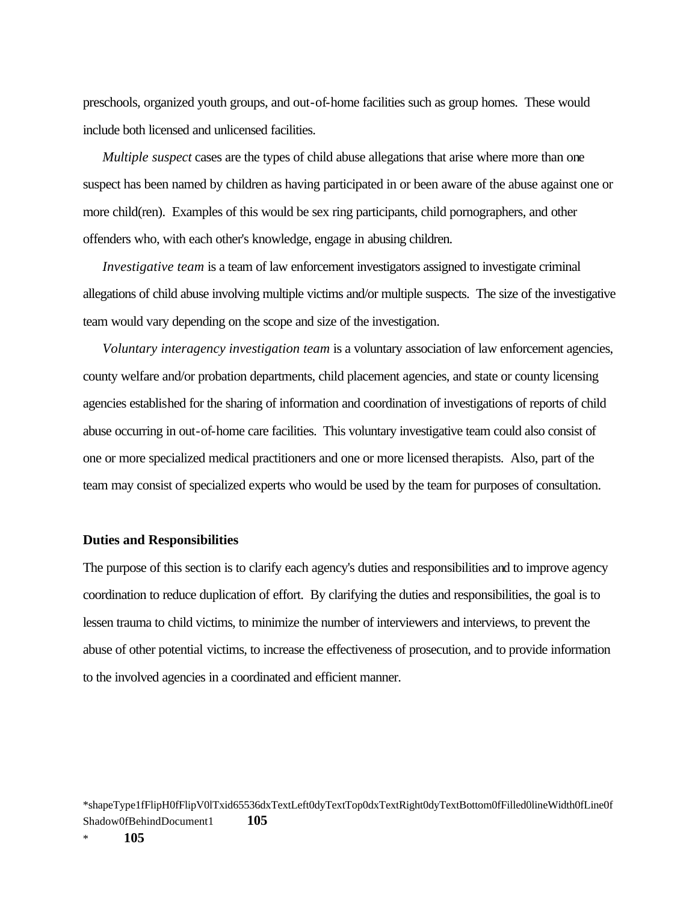preschools, organized youth groups, and out-of-home facilities such as group homes. These would include both licensed and unlicensed facilities.

*Multiple suspect* cases are the types of child abuse allegations that arise where more than one suspect has been named by children as having participated in or been aware of the abuse against one or more child(ren). Examples of this would be sex ring participants, child pornographers, and other offenders who, with each other's knowledge, engage in abusing children.

*Investigative team* is a team of law enforcement investigators assigned to investigate criminal allegations of child abuse involving multiple victims and/or multiple suspects. The size of the investigative team would vary depending on the scope and size of the investigation.

*Voluntary interagency investigation team* is a voluntary association of law enforcement agencies, county welfare and/or probation departments, child placement agencies, and state or county licensing agencies established for the sharing of information and coordination of investigations of reports of child abuse occurring in out-of-home care facilities. This voluntary investigative team could also consist of one or more specialized medical practitioners and one or more licensed therapists. Also, part of the team may consist of specialized experts who would be used by the team for purposes of consultation.

#### **Duties and Responsibilities**

The purpose of this section is to clarify each agency's duties and responsibilities and to improve agency coordination to reduce duplication of effort. By clarifying the duties and responsibilities, the goal is to lessen trauma to child victims, to minimize the number of interviewers and interviews, to prevent the abuse of other potential victims, to increase the effectiveness of prosecution, and to provide information to the involved agencies in a coordinated and efficient manner.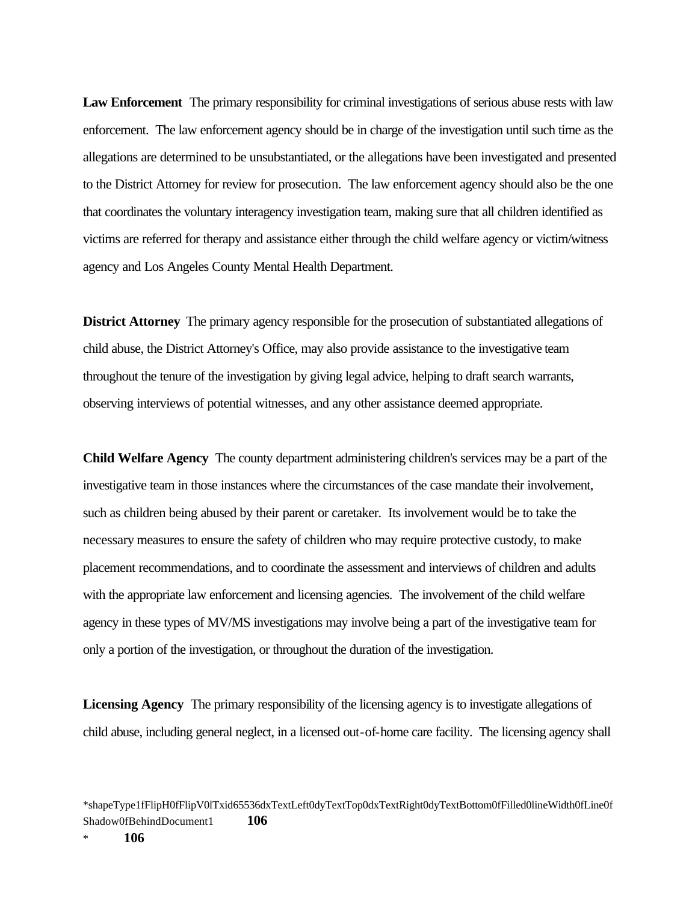**Law Enforcement** The primary responsibility for criminal investigations of serious abuse rests with law enforcement. The law enforcement agency should be in charge of the investigation until such time as the allegations are determined to be unsubstantiated, or the allegations have been investigated and presented to the District Attorney for review for prosecution. The law enforcement agency should also be the one that coordinates the voluntary interagency investigation team, making sure that all children identified as victims are referred for therapy and assistance either through the child welfare agency or victim/witness agency and Los Angeles County Mental Health Department.

**District Attorney** The primary agency responsible for the prosecution of substantiated allegations of child abuse, the District Attorney's Office, may also provide assistance to the investigative team throughout the tenure of the investigation by giving legal advice, helping to draft search warrants, observing interviews of potential witnesses, and any other assistance deemed appropriate.

**Child Welfare Agency** The county department administering children's services may be a part of the investigative team in those instances where the circumstances of the case mandate their involvement, such as children being abused by their parent or caretaker. Its involvement would be to take the necessary measures to ensure the safety of children who may require protective custody, to make placement recommendations, and to coordinate the assessment and interviews of children and adults with the appropriate law enforcement and licensing agencies. The involvement of the child welfare agency in these types of MV/MS investigations may involve being a part of the investigative team for only a portion of the investigation, or throughout the duration of the investigation.

**Licensing Agency** The primary responsibility of the licensing agency is to investigate allegations of child abuse, including general neglect, in a licensed out-of-home care facility. The licensing agency shall

\*shapeType1fFlipH0fFlipV0lTxid65536dxTextLeft0dyTextTop0dxTextRight0dyTextBottom0fFilled0lineWidth0fLine0f Shadow0fBehindDocument1 **106**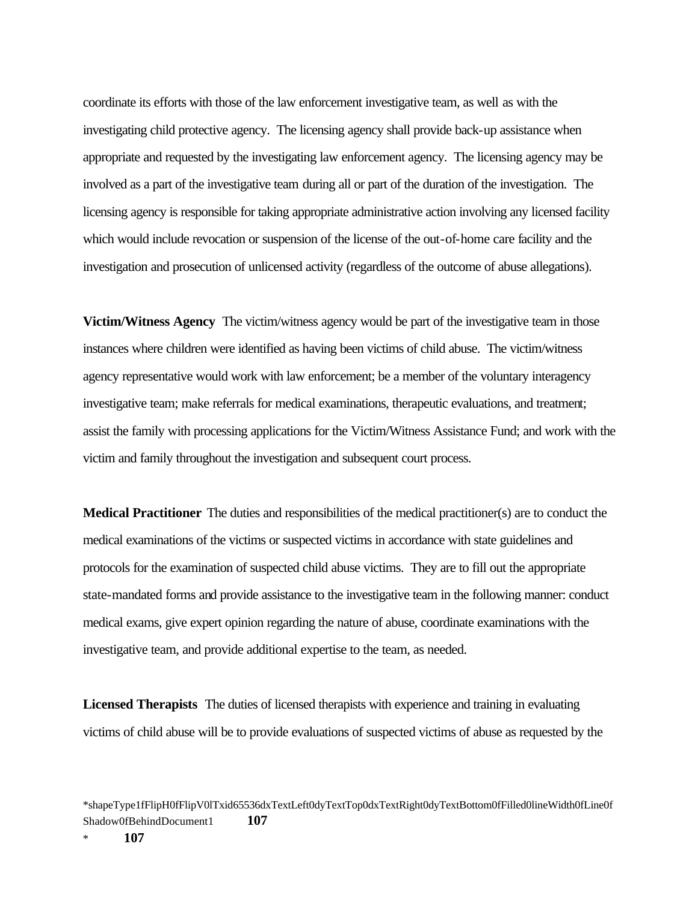coordinate its efforts with those of the law enforcement investigative team, as well as with the investigating child protective agency. The licensing agency shall provide back-up assistance when appropriate and requested by the investigating law enforcement agency. The licensing agency may be involved as a part of the investigative team during all or part of the duration of the investigation. The licensing agency is responsible for taking appropriate administrative action involving any licensed facility which would include revocation or suspension of the license of the out-of-home care facility and the investigation and prosecution of unlicensed activity (regardless of the outcome of abuse allegations).

**Victim/Witness Agency** The victim/witness agency would be part of the investigative team in those instances where children were identified as having been victims of child abuse. The victim/witness agency representative would work with law enforcement; be a member of the voluntary interagency investigative team; make referrals for medical examinations, therapeutic evaluations, and treatment; assist the family with processing applications for the Victim/Witness Assistance Fund; and work with the victim and family throughout the investigation and subsequent court process.

**Medical Practitioner** The duties and responsibilities of the medical practitioner(s) are to conduct the medical examinations of the victims or suspected victims in accordance with state guidelines and protocols for the examination of suspected child abuse victims. They are to fill out the appropriate state-mandated forms and provide assistance to the investigative team in the following manner: conduct medical exams, give expert opinion regarding the nature of abuse, coordinate examinations with the investigative team, and provide additional expertise to the team, as needed.

**Licensed Therapists** The duties of licensed therapists with experience and training in evaluating victims of child abuse will be to provide evaluations of suspected victims of abuse as requested by the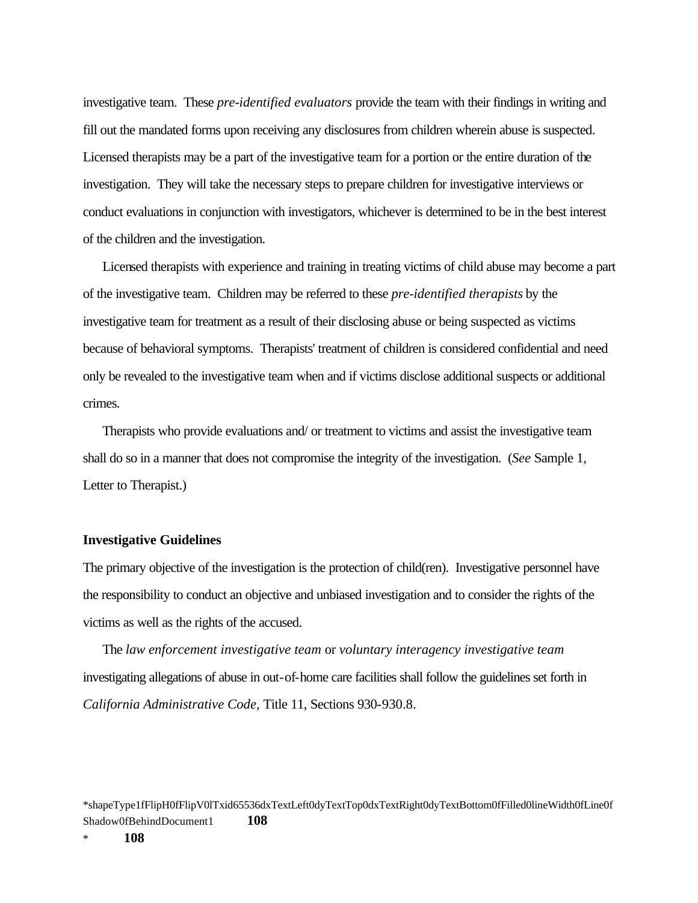investigative team. These *pre-identified evaluators* provide the team with their findings in writing and fill out the mandated forms upon receiving any disclosures from children wherein abuse is suspected. Licensed therapists may be a part of the investigative team for a portion or the entire duration of the investigation. They will take the necessary steps to prepare children for investigative interviews or conduct evaluations in conjunction with investigators, whichever is determined to be in the best interest of the children and the investigation.

Licensed therapists with experience and training in treating victims of child abuse may become a part of the investigative team. Children may be referred to these *pre-identified therapists* by the investigative team for treatment as a result of their disclosing abuse or being suspected as victims because of behavioral symptoms. Therapists' treatment of children is considered confidential and need only be revealed to the investigative team when and if victims disclose additional suspects or additional crimes.

Therapists who provide evaluations and/ or treatment to victims and assist the investigative team shall do so in a manner that does not compromise the integrity of the investigation. (*See* Sample 1, Letter to Therapist.)

#### **Investigative Guidelines**

The primary objective of the investigation is the protection of child(ren). Investigative personnel have the responsibility to conduct an objective and unbiased investigation and to consider the rights of the victims as well as the rights of the accused.

The *law enforcement investigative team* or *voluntary interagency investigative team* investigating allegations of abuse in out-of-home care facilities shall follow the guidelines set forth in *California Administrative Code,* Title 11, Sections 930-930.8.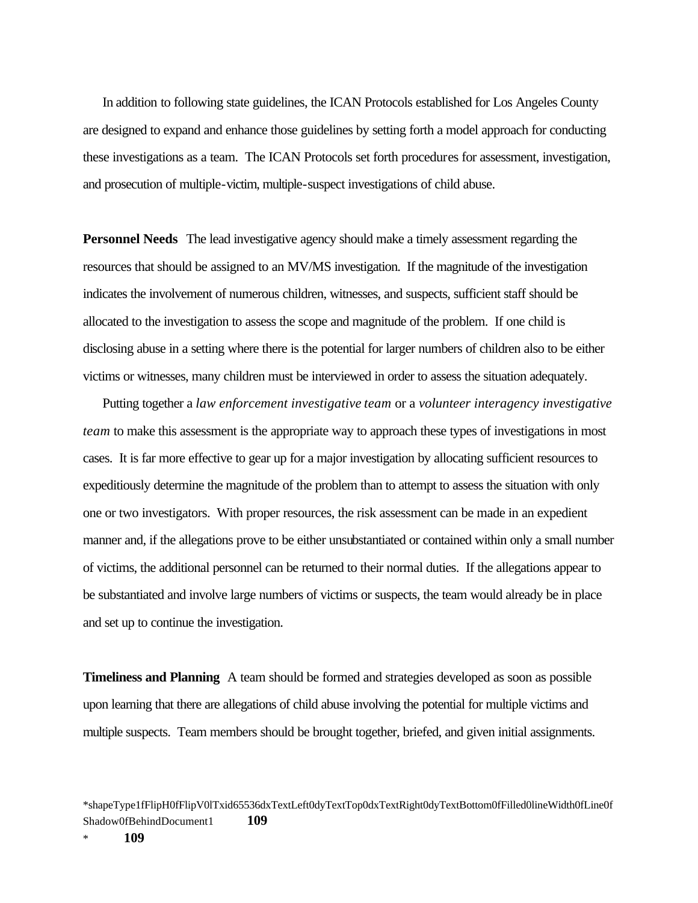In addition to following state guidelines, the ICAN Protocols established for Los Angeles County are designed to expand and enhance those guidelines by setting forth a model approach for conducting these investigations as a team. The ICAN Protocols set forth procedures for assessment, investigation, and prosecution of multiple-victim, multiple-suspect investigations of child abuse.

**Personnel Needs** The lead investigative agency should make a timely assessment regarding the resources that should be assigned to an MV/MS investigation. If the magnitude of the investigation indicates the involvement of numerous children, witnesses, and suspects, sufficient staff should be allocated to the investigation to assess the scope and magnitude of the problem. If one child is disclosing abuse in a setting where there is the potential for larger numbers of children also to be either victims or witnesses, many children must be interviewed in order to assess the situation adequately.

Putting together a *law enforcement investigative team* or a *volunteer interagency investigative team* to make this assessment is the appropriate way to approach these types of investigations in most cases. It is far more effective to gear up for a major investigation by allocating sufficient resources to expeditiously determine the magnitude of the problem than to attempt to assess the situation with only one or two investigators. With proper resources, the risk assessment can be made in an expedient manner and, if the allegations prove to be either unsubstantiated or contained within only a small number of victims, the additional personnel can be returned to their normal duties. If the allegations appear to be substantiated and involve large numbers of victims or suspects, the team would already be in place and set up to continue the investigation.

**Timeliness and Planning** A team should be formed and strategies developed as soon as possible upon learning that there are allegations of child abuse involving the potential for multiple victims and multiple suspects. Team members should be brought together, briefed, and given initial assignments.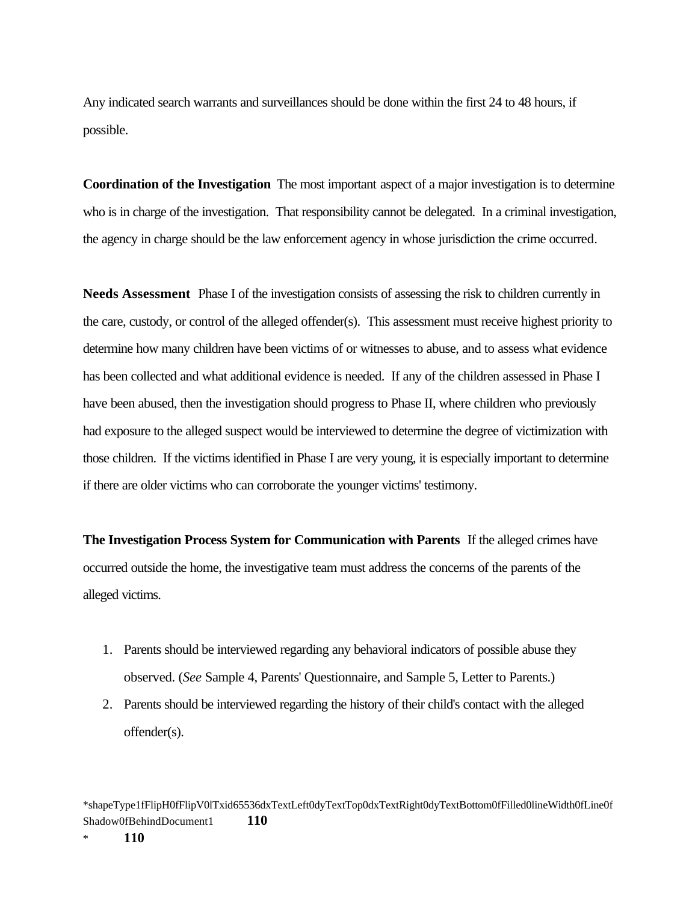Any indicated search warrants and surveillances should be done within the first 24 to 48 hours, if possible.

**Coordination of the Investigation** The most important aspect of a major investigation is to determine who is in charge of the investigation. That responsibility cannot be delegated. In a criminal investigation, the agency in charge should be the law enforcement agency in whose jurisdiction the crime occurred.

**Needs Assessment** Phase I of the investigation consists of assessing the risk to children currently in the care, custody, or control of the alleged offender(s). This assessment must receive highest priority to determine how many children have been victims of or witnesses to abuse, and to assess what evidence has been collected and what additional evidence is needed. If any of the children assessed in Phase I have been abused, then the investigation should progress to Phase II, where children who previously had exposure to the alleged suspect would be interviewed to determine the degree of victimization with those children. If the victims identified in Phase I are very young, it is especially important to determine if there are older victims who can corroborate the younger victims' testimony.

**The Investigation Process System for Communication with Parents** If the alleged crimes have occurred outside the home, the investigative team must address the concerns of the parents of the alleged victims.

- 1. Parents should be interviewed regarding any behavioral indicators of possible abuse they observed. (*See* Sample 4, Parents' Questionnaire, and Sample 5, Letter to Parents.)
- 2. Parents should be interviewed regarding the history of their child's contact with the alleged offender(s).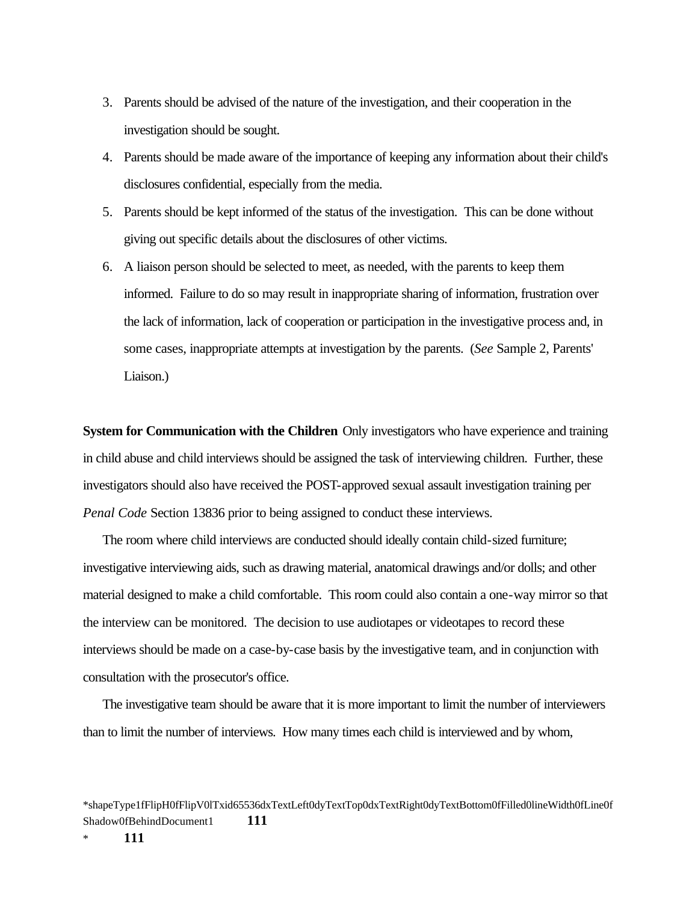- 3. Parents should be advised of the nature of the investigation, and their cooperation in the investigation should be sought.
- 4. Parents should be made aware of the importance of keeping any information about their child's disclosures confidential, especially from the media.
- 5. Parents should be kept informed of the status of the investigation. This can be done without giving out specific details about the disclosures of other victims.
- 6. A liaison person should be selected to meet, as needed, with the parents to keep them informed. Failure to do so may result in inappropriate sharing of information, frustration over the lack of information, lack of cooperation or participation in the investigative process and, in some cases, inappropriate attempts at investigation by the parents. (*See* Sample 2, Parents' Liaison.)

**System for Communication with the Children** Only investigators who have experience and training in child abuse and child interviews should be assigned the task of interviewing children. Further, these investigators should also have received the POST-approved sexual assault investigation training per *Penal Code* Section 13836 prior to being assigned to conduct these interviews.

The room where child interviews are conducted should ideally contain child-sized furniture; investigative interviewing aids, such as drawing material, anatomical drawings and/or dolls; and other material designed to make a child comfortable. This room could also contain a one-way mirror so that the interview can be monitored. The decision to use audiotapes or videotapes to record these interviews should be made on a case-by-case basis by the investigative team, and in conjunction with consultation with the prosecutor's office.

The investigative team should be aware that it is more important to limit the number of interviewers than to limit the number of interviews. How many times each child is interviewed and by whom,

\*shapeType1fFlipH0fFlipV0lTxid65536dxTextLeft0dyTextTop0dxTextRight0dyTextBottom0fFilled0lineWidth0fLine0f Shadow0fBehindDocument1 **111**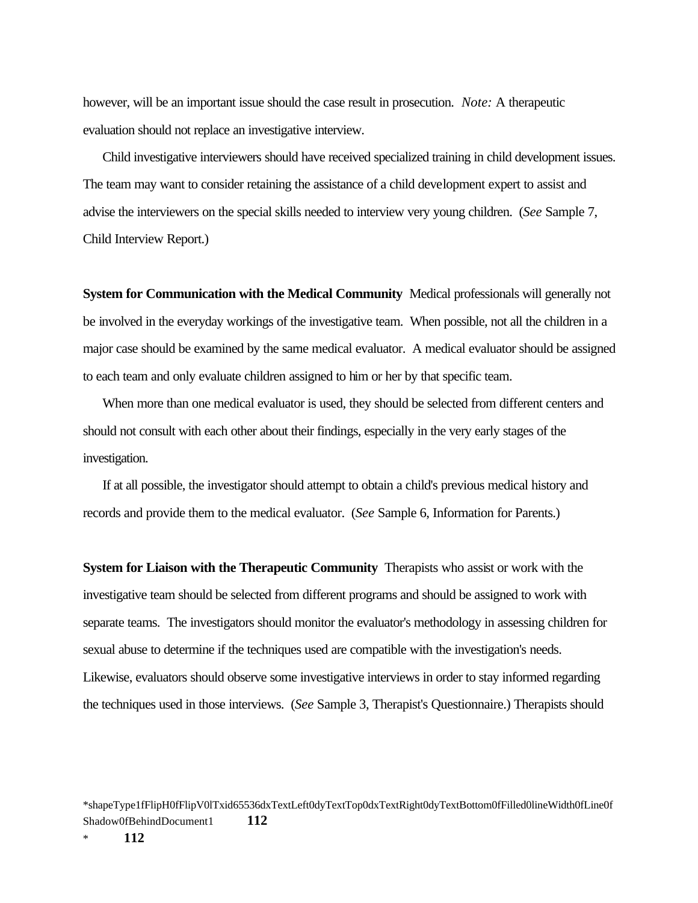however, will be an important issue should the case result in prosecution. *Note:* A therapeutic evaluation should not replace an investigative interview.

Child investigative interviewers should have received specialized training in child development issues. The team may want to consider retaining the assistance of a child development expert to assist and advise the interviewers on the special skills needed to interview very young children. (*See* Sample 7, Child Interview Report.)

**System for Communication with the Medical Community** Medical professionals will generally not be involved in the everyday workings of the investigative team. When possible, not all the children in a major case should be examined by the same medical evaluator. A medical evaluator should be assigned to each team and only evaluate children assigned to him or her by that specific team.

When more than one medical evaluator is used, they should be selected from different centers and should not consult with each other about their findings, especially in the very early stages of the investigation.

If at all possible, the investigator should attempt to obtain a child's previous medical history and records and provide them to the medical evaluator. (*See* Sample 6, Information for Parents.)

**System for Liaison with the Therapeutic Community** Therapists who assist or work with the investigative team should be selected from different programs and should be assigned to work with separate teams. The investigators should monitor the evaluator's methodology in assessing children for sexual abuse to determine if the techniques used are compatible with the investigation's needs. Likewise, evaluators should observe some investigative interviews in order to stay informed regarding the techniques used in those interviews. (*See* Sample 3, Therapist's Questionnaire.) Therapists should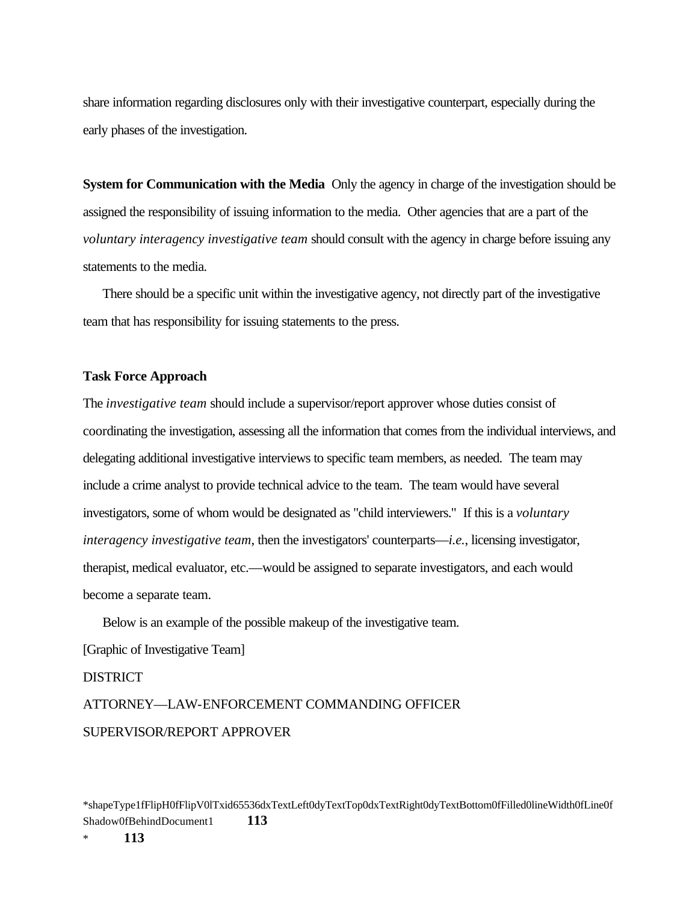share information regarding disclosures only with their investigative counterpart, especially during the early phases of the investigation.

**System for Communication with the Media** Only the agency in charge of the investigation should be assigned the responsibility of issuing information to the media. Other agencies that are a part of the *voluntary interagency investigative team* should consult with the agency in charge before issuing any statements to the media.

There should be a specific unit within the investigative agency, not directly part of the investigative team that has responsibility for issuing statements to the press.

### **Task Force Approach**

The *investigative team* should include a supervisor/report approver whose duties consist of coordinating the investigation, assessing all the information that comes from the individual interviews, and delegating additional investigative interviews to specific team members, as needed. The team may include a crime analyst to provide technical advice to the team. The team would have several investigators, some of whom would be designated as "child interviewers." If this is a *voluntary interagency investigative team*, then the investigators' counterparts—*i.e.*, licensing investigator, therapist, medical evaluator, etc.—would be assigned to separate investigators, and each would become a separate team.

Below is an example of the possible makeup of the investigative team. [Graphic of Investigative Team]

### DISTRICT

ATTORNEY—LAW-ENFORCEMENT COMMANDING OFFICER SUPERVISOR/REPORT APPROVER

\*shapeType1fFlipH0fFlipV0lTxid65536dxTextLeft0dyTextTop0dxTextRight0dyTextBottom0fFilled0lineWidth0fLine0f Shadow0fBehindDocument1 **113**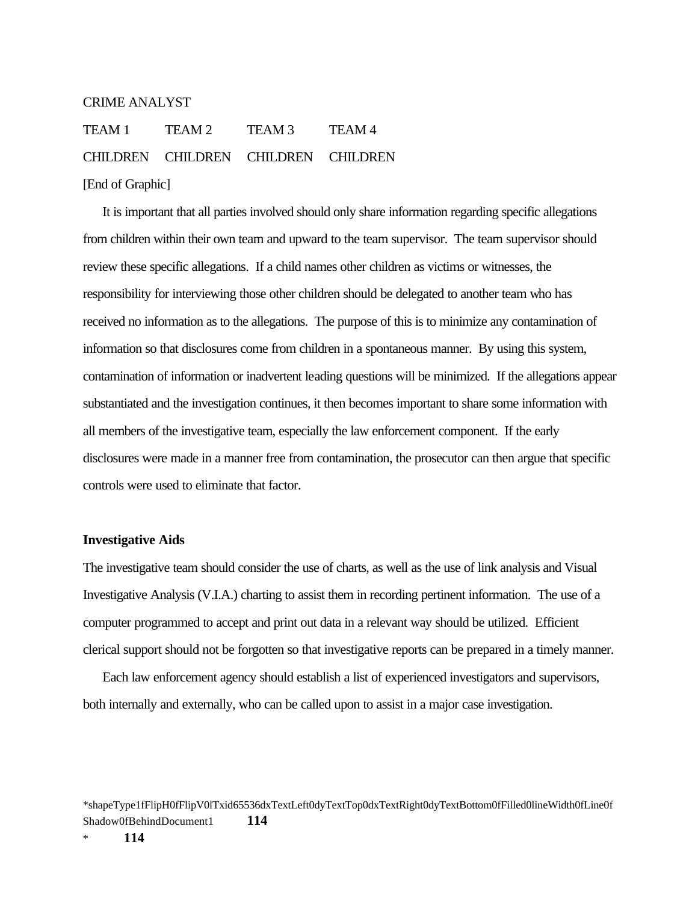### CRIME ANALYST

TEAM 1 TEAM 2 TEAM 3 TEAM 4 CHILDREN CHILDREN CHILDREN CHILDREN

# [End of Graphic]

It is important that all parties involved should only share information regarding specific allegations from children within their own team and upward to the team supervisor. The team supervisor should review these specific allegations. If a child names other children as victims or witnesses, the responsibility for interviewing those other children should be delegated to another team who has received no information as to the allegations. The purpose of this is to minimize any contamination of information so that disclosures come from children in a spontaneous manner. By using this system, contamination of information or inadvertent leading questions will be minimized. If the allegations appear substantiated and the investigation continues, it then becomes important to share some information with all members of the investigative team, especially the law enforcement component. If the early disclosures were made in a manner free from contamination, the prosecutor can then argue that specific controls were used to eliminate that factor.

### **Investigative Aids**

The investigative team should consider the use of charts, as well as the use of link analysis and Visual Investigative Analysis (V.I.A.) charting to assist them in recording pertinent information. The use of a computer programmed to accept and print out data in a relevant way should be utilized. Efficient clerical support should not be forgotten so that investigative reports can be prepared in a timely manner.

Each law enforcement agency should establish a list of experienced investigators and supervisors, both internally and externally, who can be called upon to assist in a major case investigation.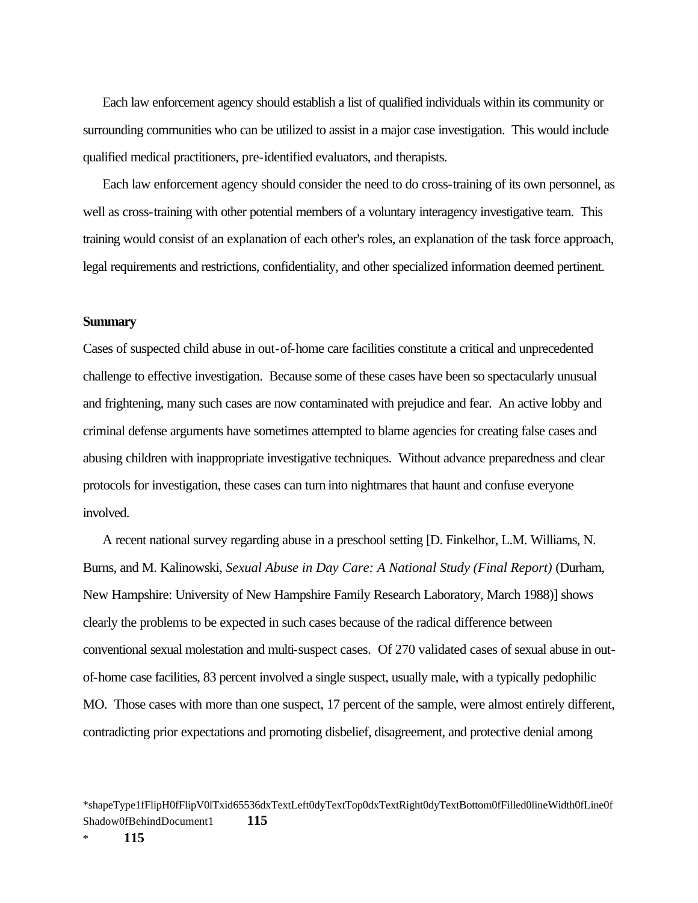Each law enforcement agency should establish a list of qualified individuals within its community or surrounding communities who can be utilized to assist in a major case investigation. This would include qualified medical practitioners, pre-identified evaluators, and therapists.

Each law enforcement agency should consider the need to do cross-training of its own personnel, as well as cross-training with other potential members of a voluntary interagency investigative team. This training would consist of an explanation of each other's roles, an explanation of the task force approach, legal requirements and restrictions, confidentiality, and other specialized information deemed pertinent.

#### **Summary**

Cases of suspected child abuse in out-of-home care facilities constitute a critical and unprecedented challenge to effective investigation. Because some of these cases have been so spectacularly unusual and frightening, many such cases are now contaminated with prejudice and fear. An active lobby and criminal defense arguments have sometimes attempted to blame agencies for creating false cases and abusing children with inappropriate investigative techniques. Without advance preparedness and clear protocols for investigation, these cases can turn into nightmares that haunt and confuse everyone involved.

A recent national survey regarding abuse in a preschool setting [D. Finkelhor, L.M. Williams, N. Burns, and M. Kalinowski, *Sexual Abuse in Day Care: A National Study (Final Report)* (Durham, New Hampshire: University of New Hampshire Family Research Laboratory, March 1988)] shows clearly the problems to be expected in such cases because of the radical difference between conventional sexual molestation and multi-suspect cases. Of 270 validated cases of sexual abuse in outof-home case facilities, 83 percent involved a single suspect, usually male, with a typically pedophilic MO. Those cases with more than one suspect, 17 percent of the sample, were almost entirely different, contradicting prior expectations and promoting disbelief, disagreement, and protective denial among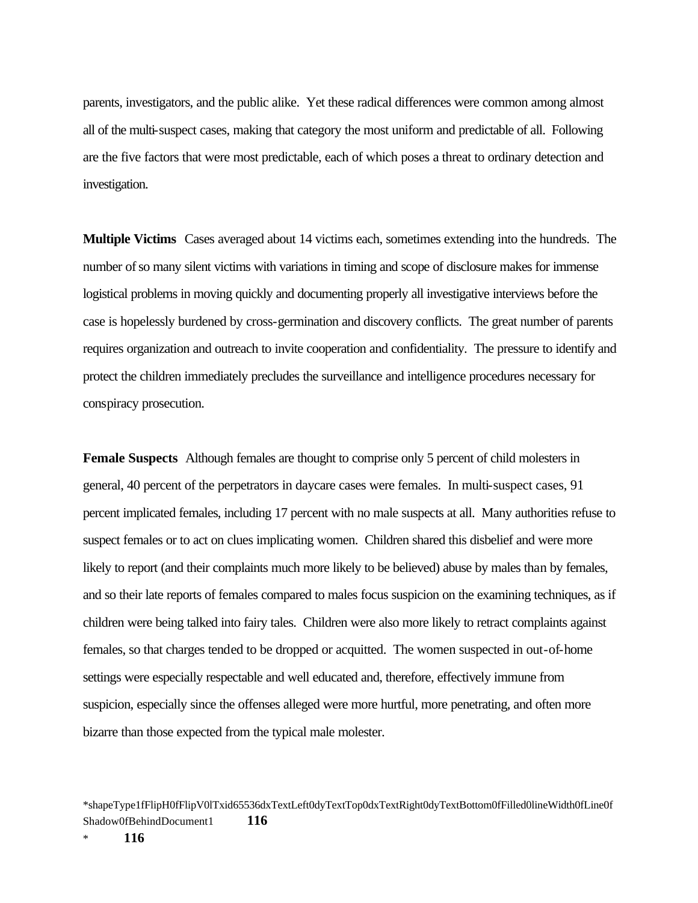parents, investigators, and the public alike. Yet these radical differences were common among almost all of the multi-suspect cases, making that category the most uniform and predictable of all. Following are the five factors that were most predictable, each of which poses a threat to ordinary detection and investigation.

**Multiple Victims** Cases averaged about 14 victims each, sometimes extending into the hundreds. The number of so many silent victims with variations in timing and scope of disclosure makes for immense logistical problems in moving quickly and documenting properly all investigative interviews before the case is hopelessly burdened by cross-germination and discovery conflicts. The great number of parents requires organization and outreach to invite cooperation and confidentiality. The pressure to identify and protect the children immediately precludes the surveillance and intelligence procedures necessary for conspiracy prosecution.

**Female Suspects** Although females are thought to comprise only 5 percent of child molesters in general, 40 percent of the perpetrators in daycare cases were females. In multi-suspect cases, 91 percent implicated females, including 17 percent with no male suspects at all. Many authorities refuse to suspect females or to act on clues implicating women. Children shared this disbelief and were more likely to report (and their complaints much more likely to be believed) abuse by males than by females, and so their late reports of females compared to males focus suspicion on the examining techniques, as if children were being talked into fairy tales. Children were also more likely to retract complaints against females, so that charges tended to be dropped or acquitted. The women suspected in out-of-home settings were especially respectable and well educated and, therefore, effectively immune from suspicion, especially since the offenses alleged were more hurtful, more penetrating, and often more bizarre than those expected from the typical male molester.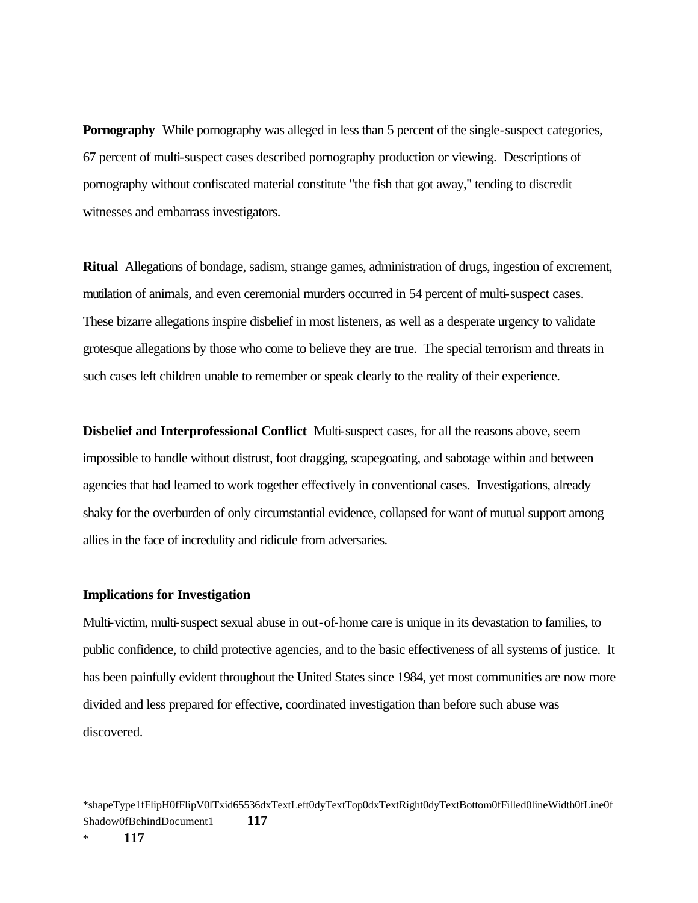**Pornography** While pornography was alleged in less than 5 percent of the single-suspect categories, 67 percent of multi-suspect cases described pornography production or viewing. Descriptions of pornography without confiscated material constitute "the fish that got away," tending to discredit witnesses and embarrass investigators.

**Ritual** Allegations of bondage, sadism, strange games, administration of drugs, ingestion of excrement, mutilation of animals, and even ceremonial murders occurred in 54 percent of multi-suspect cases. These bizarre allegations inspire disbelief in most listeners, as well as a desperate urgency to validate grotesque allegations by those who come to believe they are true. The special terrorism and threats in such cases left children unable to remember or speak clearly to the reality of their experience.

**Disbelief and Interprofessional Conflict** Multi-suspect cases, for all the reasons above, seem impossible to handle without distrust, foot dragging, scapegoating, and sabotage within and between agencies that had learned to work together effectively in conventional cases. Investigations, already shaky for the overburden of only circumstantial evidence, collapsed for want of mutual support among allies in the face of incredulity and ridicule from adversaries.

### **Implications for Investigation**

Multi-victim, multi-suspect sexual abuse in out-of-home care is unique in its devastation to families, to public confidence, to child protective agencies, and to the basic effectiveness of all systems of justice. It has been painfully evident throughout the United States since 1984, yet most communities are now more divided and less prepared for effective, coordinated investigation than before such abuse was discovered.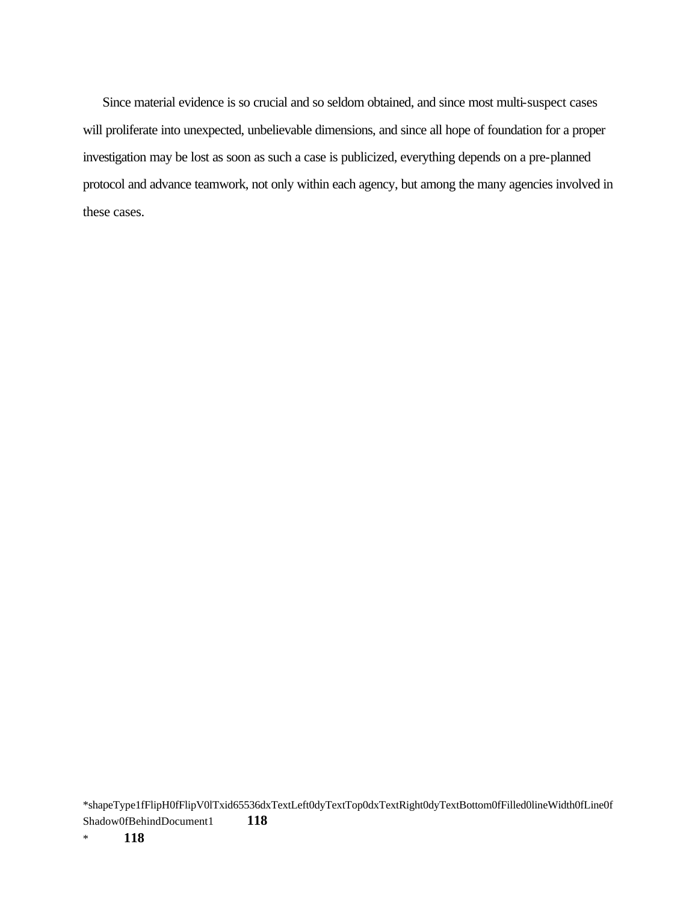Since material evidence is so crucial and so seldom obtained, and since most multi-suspect cases will proliferate into unexpected, unbelievable dimensions, and since all hope of foundation for a proper investigation may be lost as soon as such a case is publicized, everything depends on a pre-planned protocol and advance teamwork, not only within each agency, but among the many agencies involved in these cases.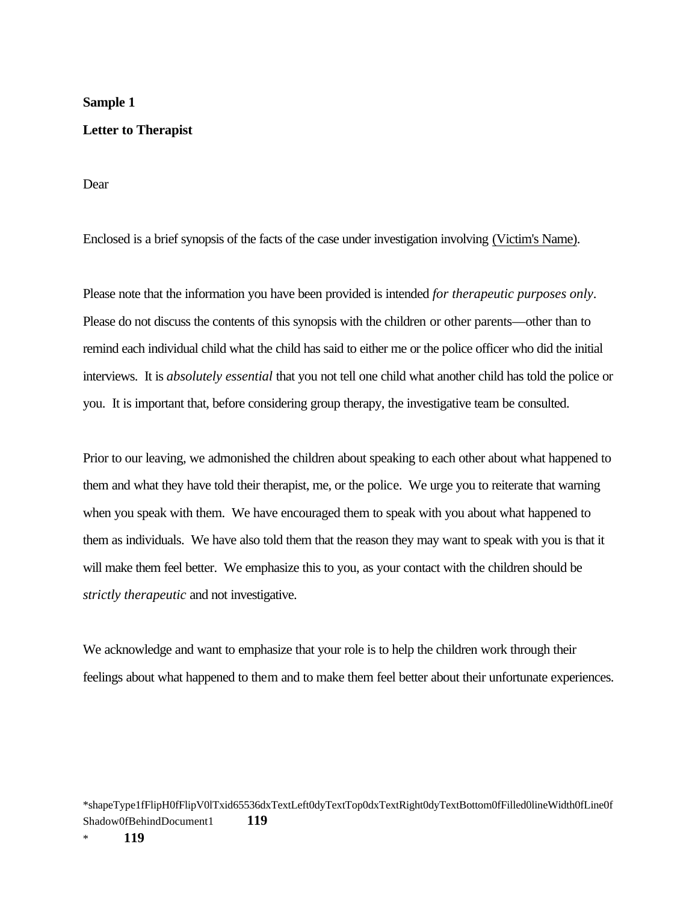# **Sample 1 Letter to Therapist**

Dear

Enclosed is a brief synopsis of the facts of the case under investigation involving (Victim's Name).

Please note that the information you have been provided is intended *for therapeutic purposes only*. Please do not discuss the contents of this synopsis with the children or other parents—other than to remind each individual child what the child has said to either me or the police officer who did the initial interviews. It is *absolutely essential* that you not tell one child what another child has told the police or you. It is important that, before considering group therapy, the investigative team be consulted.

Prior to our leaving, we admonished the children about speaking to each other about what happened to them and what they have told their therapist, me, or the police. We urge you to reiterate that warning when you speak with them. We have encouraged them to speak with you about what happened to them as individuals. We have also told them that the reason they may want to speak with you is that it will make them feel better. We emphasize this to you, as your contact with the children should be *strictly therapeutic* and not investigative.

We acknowledge and want to emphasize that your role is to help the children work through their feelings about what happened to them and to make them feel better about their unfortunate experiences.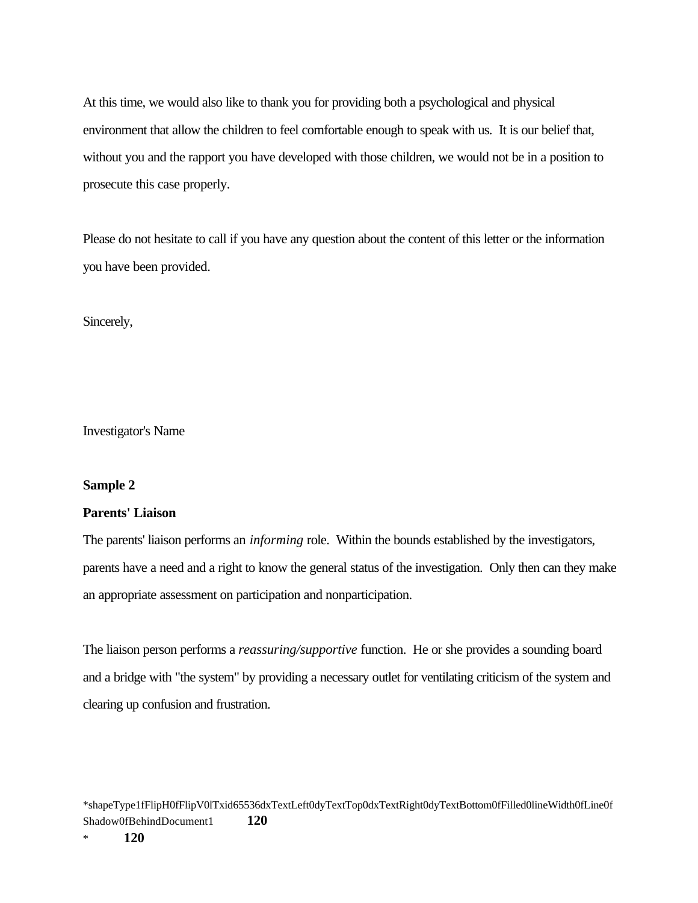At this time, we would also like to thank you for providing both a psychological and physical environment that allow the children to feel comfortable enough to speak with us. It is our belief that, without you and the rapport you have developed with those children, we would not be in a position to prosecute this case properly.

Please do not hesitate to call if you have any question about the content of this letter or the information you have been provided.

Sincerely,

Investigator's Name

# **Sample 2**

### **Parents' Liaison**

The parents' liaison performs an *informing* role. Within the bounds established by the investigators, parents have a need and a right to know the general status of the investigation. Only then can they make an appropriate assessment on participation and nonparticipation.

The liaison person performs a *reassuring/supportive* function. He or she provides a sounding board and a bridge with "the system" by providing a necessary outlet for ventilating criticism of the system and clearing up confusion and frustration.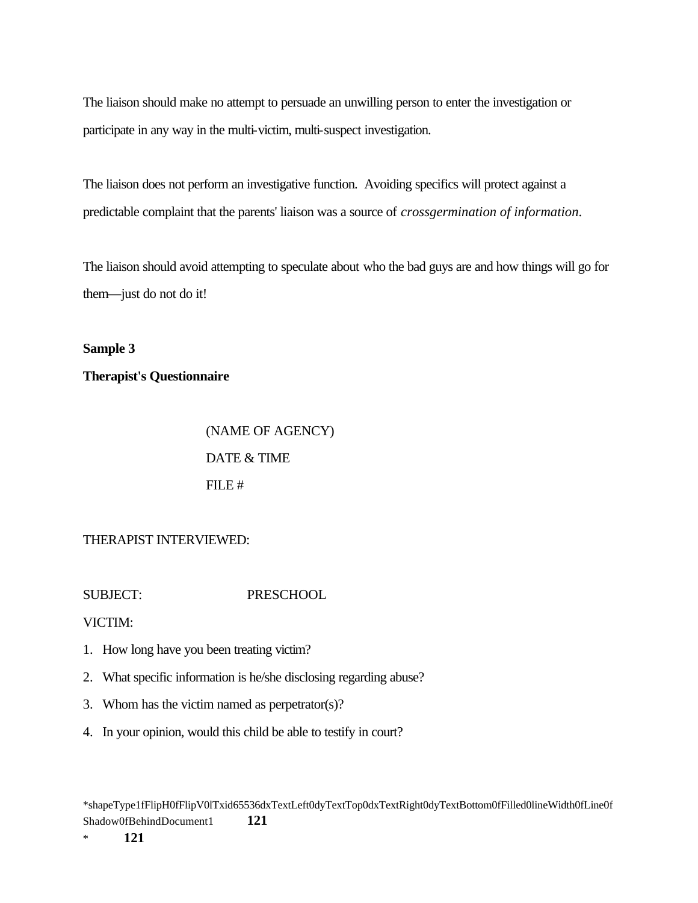The liaison should make no attempt to persuade an unwilling person to enter the investigation or participate in any way in the multi-victim, multi-suspect investigation.

The liaison does not perform an investigative function. Avoiding specifics will protect against a predictable complaint that the parents' liaison was a source of *crossgermination of information*.

The liaison should avoid attempting to speculate about who the bad guys are and how things will go for them—just do not do it!

**Sample 3**

# **Therapist's Questionnaire**

 (NAME OF AGENCY) DATE & TIME FILE #

# THERAPIST INTERVIEWED:

SUBJECT: PRESCHOOL

VICTIM:

- 1. How long have you been treating victim?
- 2. What specific information is he/she disclosing regarding abuse?
- 3. Whom has the victim named as perpetrator(s)?
- 4. In your opinion, would this child be able to testify in court?

\*shapeType1fFlipH0fFlipV0lTxid65536dxTextLeft0dyTextTop0dxTextRight0dyTextBottom0fFilled0lineWidth0fLine0f Shadow0fBehindDocument1 **121**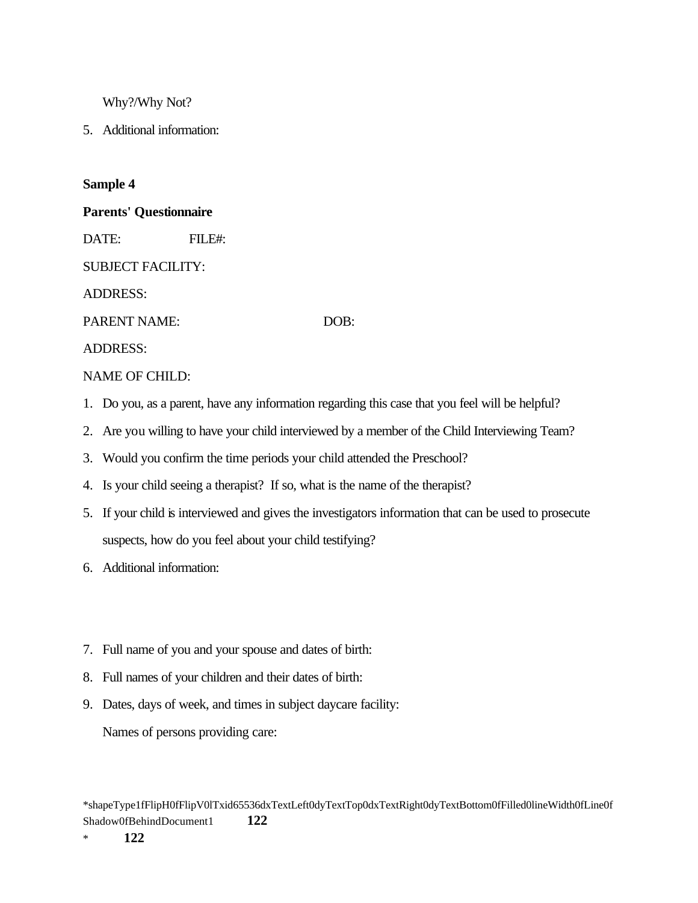Why?/Why Not?

5. Additional information:

# **Sample 4**

# **Parents' Questionnaire** DATE: FILE#: SUBJECT FACILITY: ADDRESS: PARENT NAME: DOB: ADDRESS: NAME OF CHILD:

- 1. Do you, as a parent, have any information regarding this case that you feel will be helpful?
- 2. Are you willing to have your child interviewed by a member of the Child Interviewing Team?
- 3. Would you confirm the time periods your child attended the Preschool?
- 4. Is your child seeing a therapist? If so, what is the name of the therapist?
- 5. If your child is interviewed and gives the investigators information that can be used to prosecute suspects, how do you feel about your child testifying?
- 6. Additional information:
- 7. Full name of you and your spouse and dates of birth:
- 8. Full names of your children and their dates of birth:
- 9. Dates, days of week, and times in subject daycare facility: Names of persons providing care: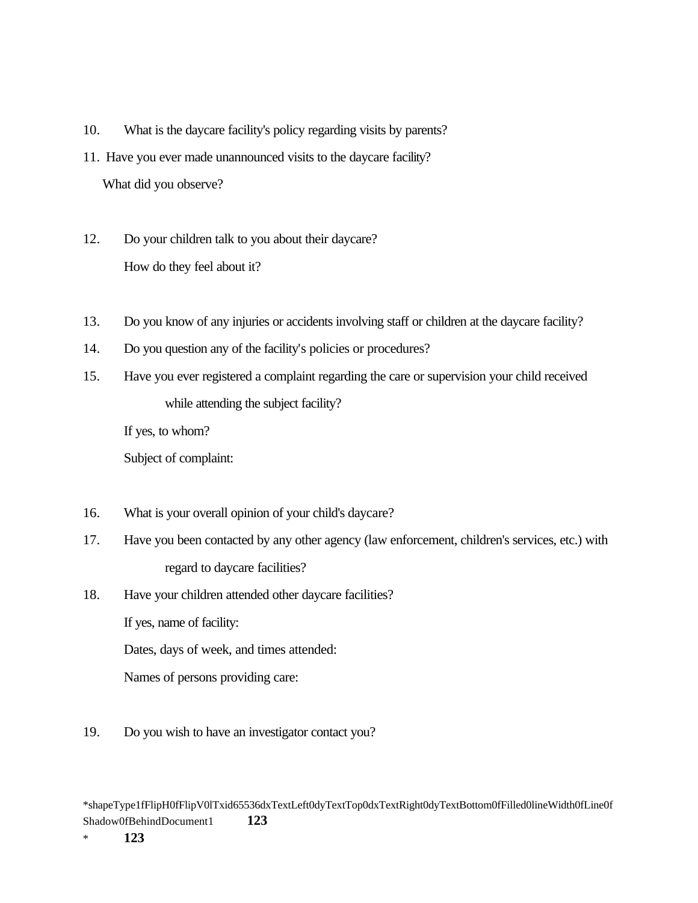- 10. What is the daycare facility's policy regarding visits by parents?
- 11. Have you ever made unannounced visits to the daycare facility? What did you observe?
- 12. Do your children talk to you about their daycare? How do they feel about it?
- 13. Do you know of any injuries or accidents involving staff or children at the daycare facility?
- 14. Do you question any of the facility's policies or procedures?
- 15. Have you ever registered a complaint regarding the care or supervision your child received while attending the subject facility?

If yes, to whom?

Subject of complaint:

- 16. What is your overall opinion of your child's daycare?
- 17. Have you been contacted by any other agency (law enforcement, children's services, etc.) with regard to daycare facilities?
- 18. Have your children attended other daycare facilities?

If yes, name of facility:

Dates, days of week, and times attended:

Names of persons providing care:

19. Do you wish to have an investigator contact you?

\*shapeType1fFlipH0fFlipV0lTxid65536dxTextLeft0dyTextTop0dxTextRight0dyTextBottom0fFilled0lineWidth0fLine0f Shadow0fBehindDocument1 **123**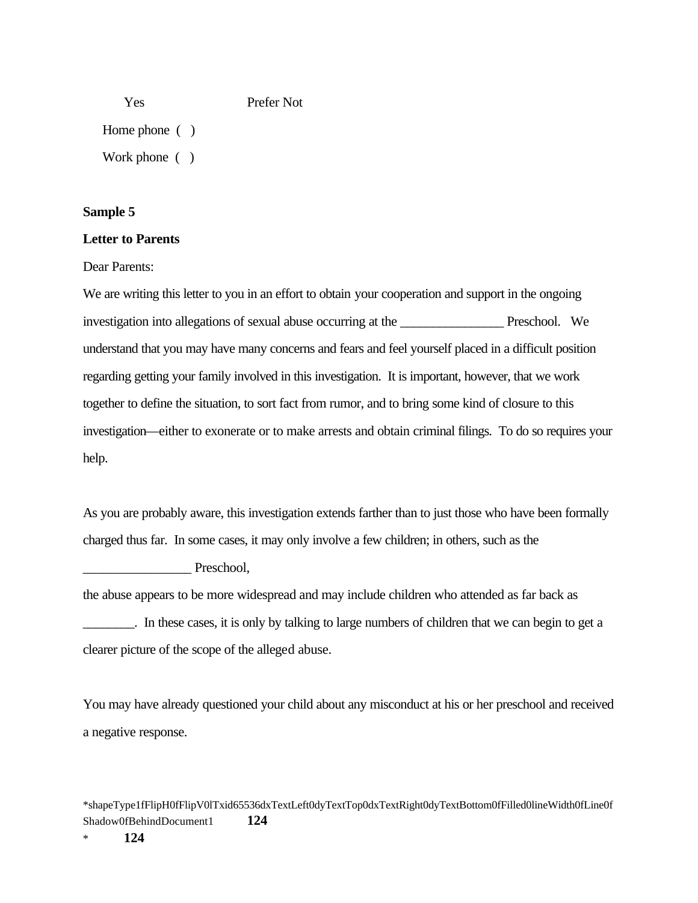Yes Prefer Not Home phone  $( )$ Work phone  $( )$ 

# **Sample 5**

### **Letter to Parents**

Dear Parents:

We are writing this letter to you in an effort to obtain your cooperation and support in the ongoing investigation into allegations of sexual abuse occurring at the Preschool. We understand that you may have many concerns and fears and feel yourself placed in a difficult position regarding getting your family involved in this investigation. It is important, however, that we work together to define the situation, to sort fact from rumor, and to bring some kind of closure to this investigation—either to exonerate or to make arrests and obtain criminal filings. To do so requires your help.

As you are probably aware, this investigation extends farther than to just those who have been formally charged thus far. In some cases, it may only involve a few children; in others, such as the

Preschool,

the abuse appears to be more widespread and may include children who attended as far back as \_\_\_\_\_\_\_\_. In these cases, it is only by talking to large numbers of children that we can begin to get a clearer picture of the scope of the alleged abuse.

You may have already questioned your child about any misconduct at his or her preschool and received a negative response.

\*shapeType1fFlipH0fFlipV0lTxid65536dxTextLeft0dyTextTop0dxTextRight0dyTextBottom0fFilled0lineWidth0fLine0f Shadow0fBehindDocument1 **124**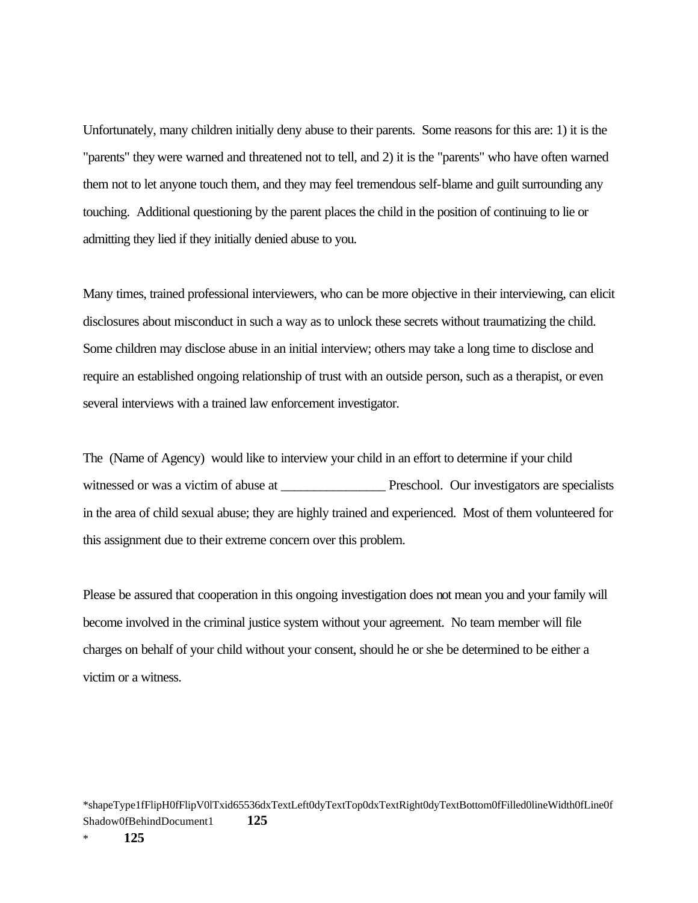Unfortunately, many children initially deny abuse to their parents. Some reasons for this are: 1) it is the "parents" they were warned and threatened not to tell, and 2) it is the "parents" who have often warned them not to let anyone touch them, and they may feel tremendous self-blame and guilt surrounding any touching. Additional questioning by the parent places the child in the position of continuing to lie or admitting they lied if they initially denied abuse to you.

Many times, trained professional interviewers, who can be more objective in their interviewing, can elicit disclosures about misconduct in such a way as to unlock these secrets without traumatizing the child. Some children may disclose abuse in an initial interview; others may take a long time to disclose and require an established ongoing relationship of trust with an outside person, such as a therapist, or even several interviews with a trained law enforcement investigator.

The (Name of Agency) would like to interview your child in an effort to determine if your child witnessed or was a victim of abuse at \_\_\_\_\_\_\_\_\_\_\_\_\_\_\_\_ Preschool. Our investigators are specialists in the area of child sexual abuse; they are highly trained and experienced. Most of them volunteered for this assignment due to their extreme concern over this problem.

Please be assured that cooperation in this ongoing investigation does not mean you and your family will become involved in the criminal justice system without your agreement. No team member will file charges on behalf of your child without your consent, should he or she be determined to be either a victim or a witness.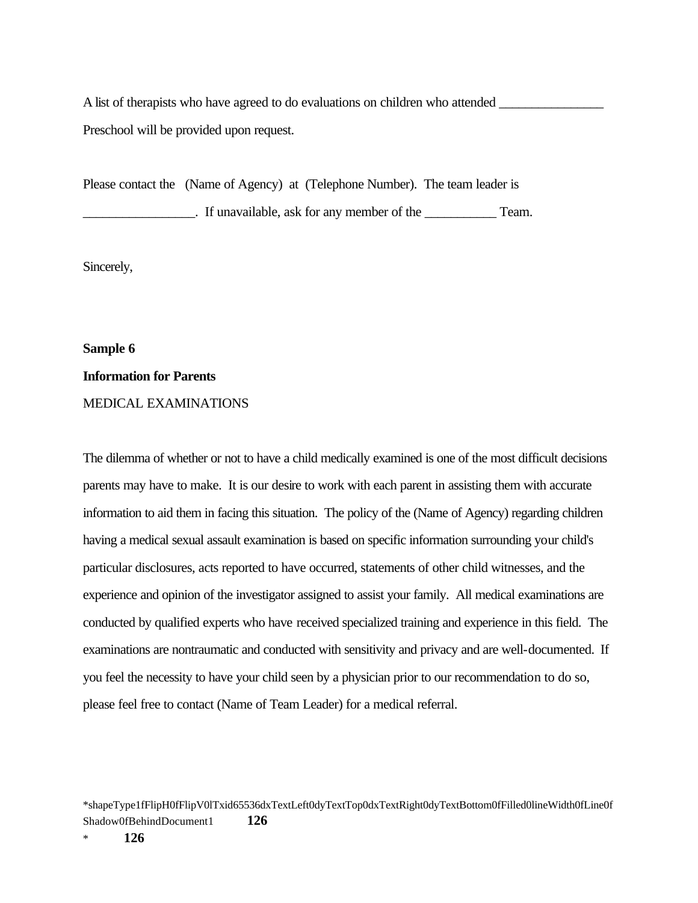A list of therapists who have agreed to do evaluations on children who attended \_\_\_\_\_\_\_\_\_\_\_\_\_\_\_\_\_\_\_\_\_\_\_\_\_\_\_\_\_\_ Preschool will be provided upon request.

Please contact the (Name of Agency) at (Telephone Number). The team leader is \_\_\_\_\_\_\_\_\_\_\_\_\_\_\_\_\_. If unavailable, ask for any member of the \_\_\_\_\_\_\_\_\_\_\_ Team.

Sincerely,

# **Sample 6 Information for Parents**

# MEDICAL EXAMINATIONS

The dilemma of whether or not to have a child medically examined is one of the most difficult decisions parents may have to make. It is our desire to work with each parent in assisting them with accurate information to aid them in facing this situation. The policy of the (Name of Agency) regarding children having a medical sexual assault examination is based on specific information surrounding your child's particular disclosures, acts reported to have occurred, statements of other child witnesses, and the experience and opinion of the investigator assigned to assist your family. All medical examinations are conducted by qualified experts who have received specialized training and experience in this field. The examinations are nontraumatic and conducted with sensitivity and privacy and are well-documented. If you feel the necessity to have your child seen by a physician prior to our recommendation to do so, please feel free to contact (Name of Team Leader) for a medical referral.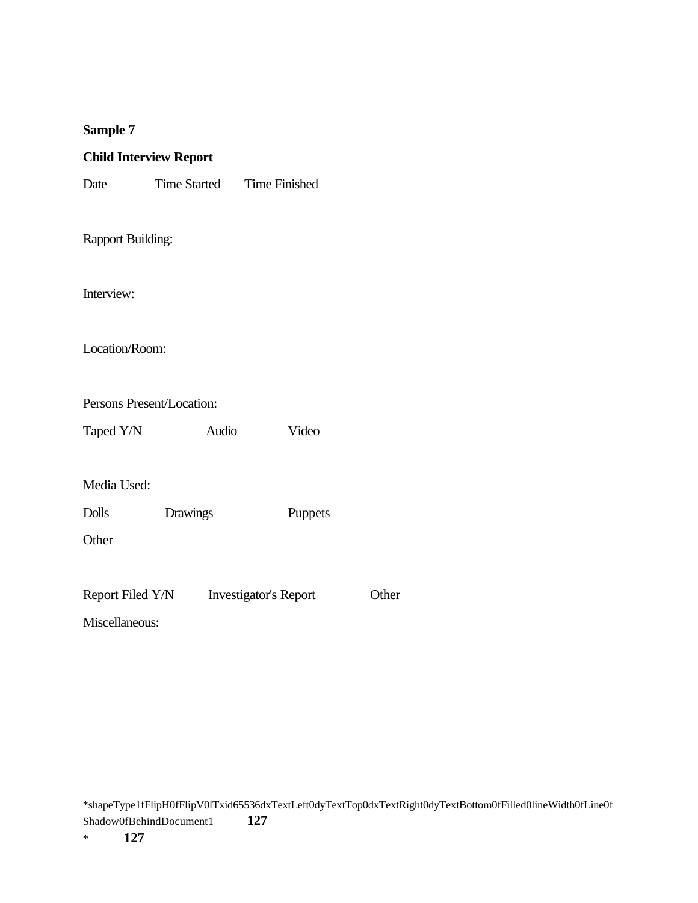# **Sample 7**

| <b>Child Interview Report</b>                             |                     |                      |  |  |  |  |
|-----------------------------------------------------------|---------------------|----------------------|--|--|--|--|
| Date                                                      | <b>Time Started</b> | <b>Time Finished</b> |  |  |  |  |
| <b>Rapport Building:</b>                                  |                     |                      |  |  |  |  |
| Interview:                                                |                     |                      |  |  |  |  |
| Location/Room:                                            |                     |                      |  |  |  |  |
| Persons Present/Location:                                 |                     |                      |  |  |  |  |
| Taped Y/N                                                 | Audio               | Video                |  |  |  |  |
| Media Used:                                               |                     |                      |  |  |  |  |
| <b>Dolls</b>                                              | Drawings            | Puppets              |  |  |  |  |
| Other                                                     |                     |                      |  |  |  |  |
|                                                           |                     |                      |  |  |  |  |
| Report Filed Y/N<br><b>Investigator's Report</b><br>Other |                     |                      |  |  |  |  |
| Miscellaneous:                                            |                     |                      |  |  |  |  |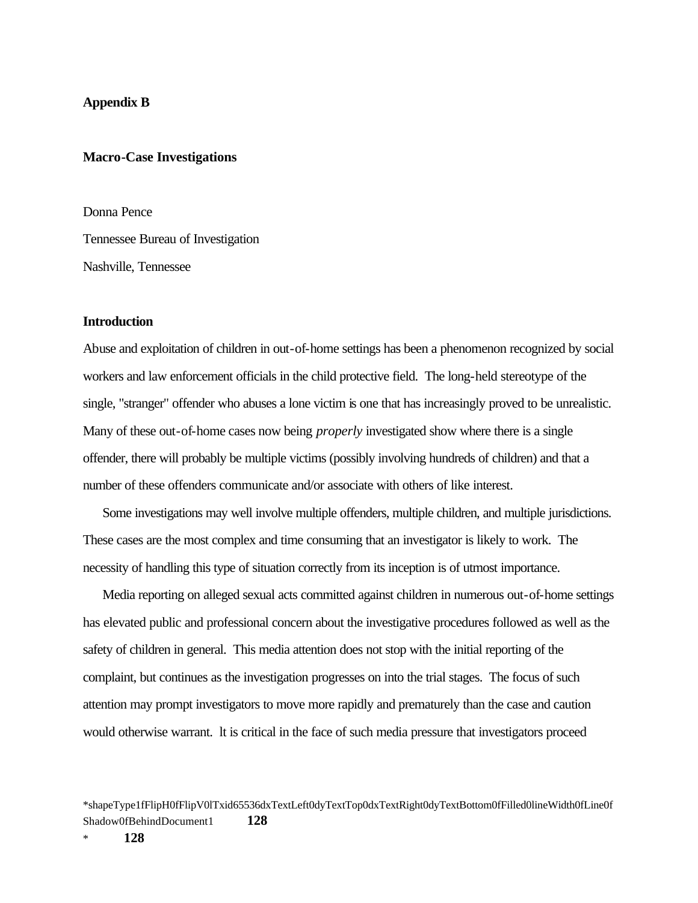### **Appendix B**

### **Macro-Case Investigations**

Donna Pence Tennessee Bureau of Investigation Nashville, Tennessee

# **Introduction**

Abuse and exploitation of children in out-of-home settings has been a phenomenon recognized by social workers and law enforcement officials in the child protective field. The long-held stereotype of the single, "stranger" offender who abuses a lone victim is one that has increasingly proved to be unrealistic. Many of these out-of-home cases now being *properly* investigated show where there is a single offender, there will probably be multiple victims (possibly involving hundreds of children) and that a number of these offenders communicate and/or associate with others of like interest.

Some investigations may well involve multiple offenders, multiple children, and multiple jurisdictions. These cases are the most complex and time consuming that an investigator is likely to work. The necessity of handling this type of situation correctly from its inception is of utmost importance.

Media reporting on alleged sexual acts committed against children in numerous out-of-home settings has elevated public and professional concern about the investigative procedures followed as well as the safety of children in general. This media attention does not stop with the initial reporting of the complaint, but continues as the investigation progresses on into the trial stages. The focus of such attention may prompt investigators to move more rapidly and prematurely than the case and caution would otherwise warrant. lt is critical in the face of such media pressure that investigators proceed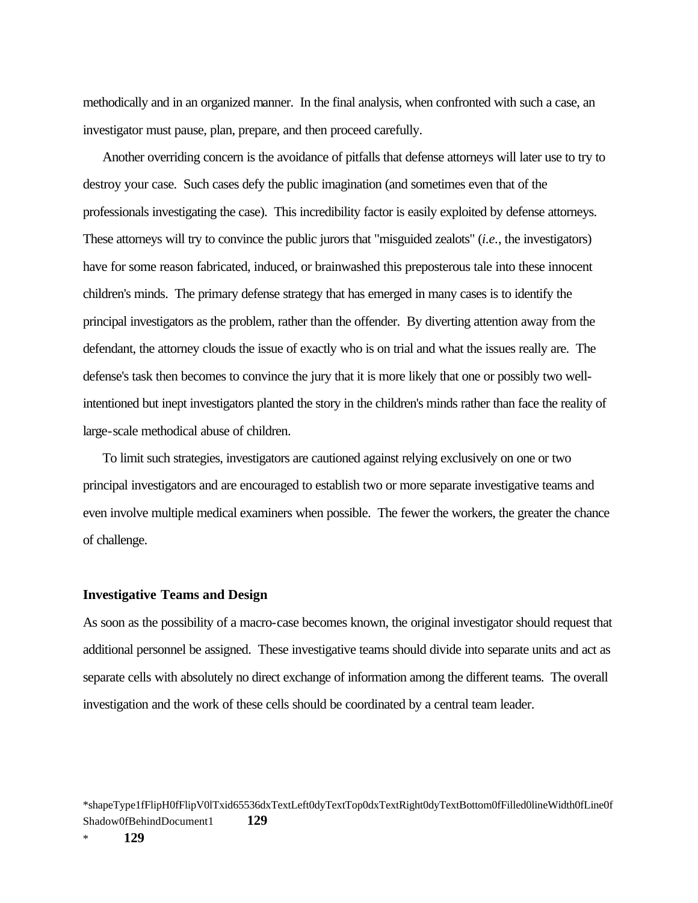methodically and in an organized manner. In the final analysis, when confronted with such a case, an investigator must pause, plan, prepare, and then proceed carefully.

Another overriding concern is the avoidance of pitfalls that defense attorneys will later use to try to destroy your case. Such cases defy the public imagination (and sometimes even that of the professionals investigating the case). This incredibility factor is easily exploited by defense attorneys. These attorneys will try to convince the public jurors that "misguided zealots" (*i.e.*, the investigators) have for some reason fabricated, induced, or brainwashed this preposterous tale into these innocent children's minds. The primary defense strategy that has emerged in many cases is to identify the principal investigators as the problem, rather than the offender. By diverting attention away from the defendant, the attorney clouds the issue of exactly who is on trial and what the issues really are. The defense's task then becomes to convince the jury that it is more likely that one or possibly two wellintentioned but inept investigators planted the story in the children's minds rather than face the reality of large-scale methodical abuse of children.

To limit such strategies, investigators are cautioned against relying exclusively on one or two principal investigators and are encouraged to establish two or more separate investigative teams and even involve multiple medical examiners when possible. The fewer the workers, the greater the chance of challenge.

### **Investigative Teams and Design**

As soon as the possibility of a macro-case becomes known, the original investigator should request that additional personnel be assigned. These investigative teams should divide into separate units and act as separate cells with absolutely no direct exchange of information among the different teams. The overall investigation and the work of these cells should be coordinated by a central team leader.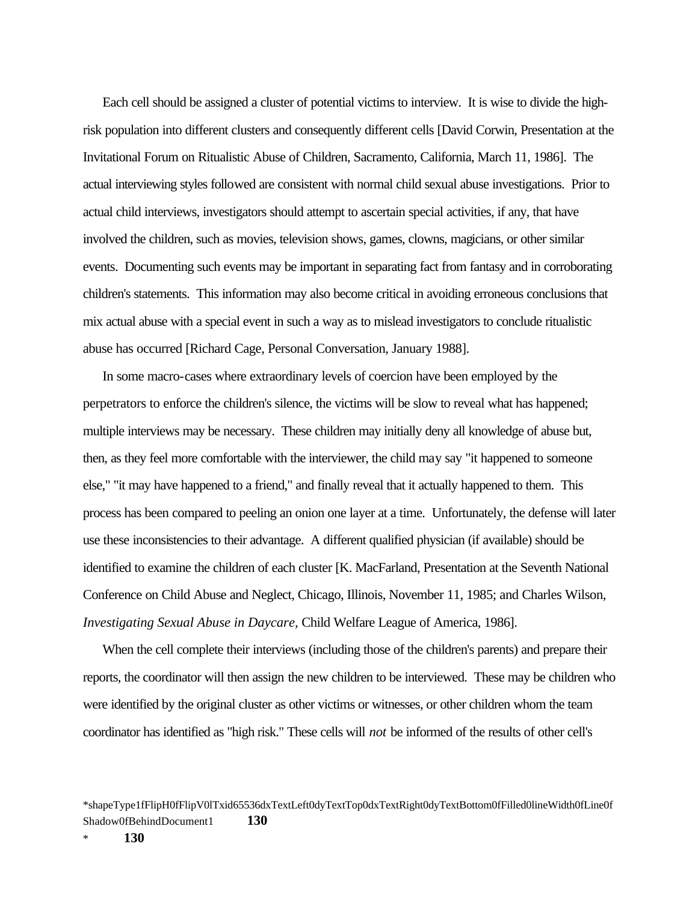Each cell should be assigned a cluster of potential victims to interview. It is wise to divide the highrisk population into different clusters and consequently different cells [David Corwin, Presentation at the Invitational Forum on Ritualistic Abuse of Children, Sacramento, California, March 11, 1986]. The actual interviewing styles followed are consistent with normal child sexual abuse investigations. Prior to actual child interviews, investigators should attempt to ascertain special activities, if any, that have involved the children, such as movies, television shows, games, clowns, magicians, or other similar events. Documenting such events may be important in separating fact from fantasy and in corroborating children's statements. This information may also become critical in avoiding erroneous conclusions that mix actual abuse with a special event in such a way as to mislead investigators to conclude ritualistic abuse has occurred [Richard Cage, Personal Conversation, January 1988].

In some macro-cases where extraordinary levels of coercion have been employed by the perpetrators to enforce the children's silence, the victims will be slow to reveal what has happened; multiple interviews may be necessary. These children may initially deny all knowledge of abuse but, then, as they feel more comfortable with the interviewer, the child may say "it happened to someone else," "it may have happened to a friend," and finally reveal that it actually happened to them. This process has been compared to peeling an onion one layer at a time. Unfortunately, the defense will later use these inconsistencies to their advantage. A different qualified physician (if available) should be identified to examine the children of each cluster [K. MacFarland, Presentation at the Seventh National Conference on Child Abuse and Neglect, Chicago, Illinois, November 11, 1985; and Charles Wilson, *Investigating Sexual Abuse in Daycare,* Child Welfare League of America, 1986].

When the cell complete their interviews (including those of the children's parents) and prepare their reports, the coordinator will then assign the new children to be interviewed. These may be children who were identified by the original cluster as other victims or witnesses, or other children whom the team coordinator has identified as "high risk." These cells will *not* be informed of the results of other cell's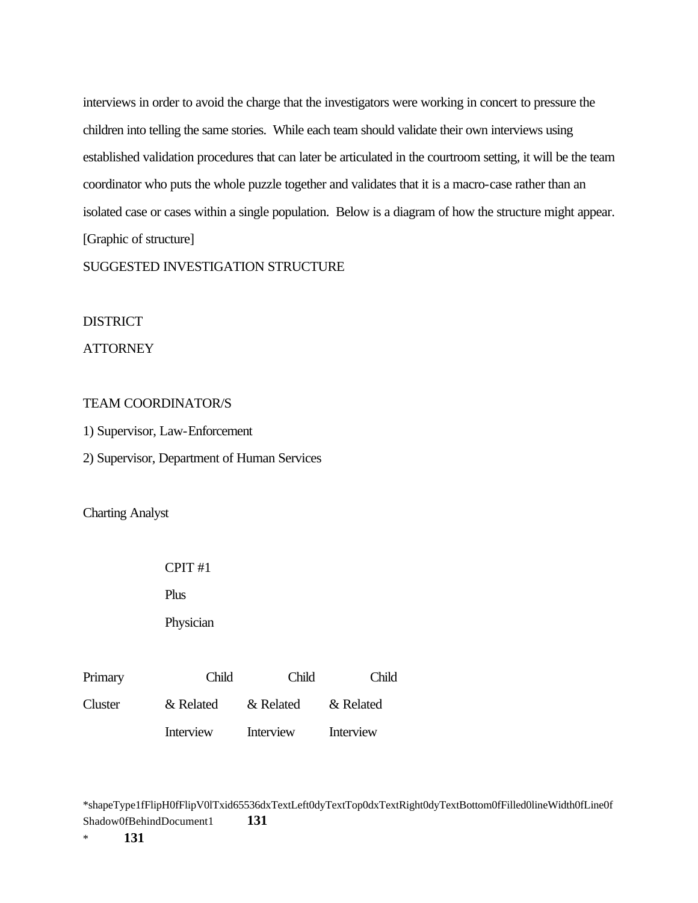interviews in order to avoid the charge that the investigators were working in concert to pressure the children into telling the same stories. While each team should validate their own interviews using established validation procedures that can later be articulated in the courtroom setting, it will be the team coordinator who puts the whole puzzle together and validates that it is a macro-case rather than an isolated case or cases within a single population. Below is a diagram of how the structure might appear. [Graphic of structure]

# SUGGESTED INVESTIGATION STRUCTURE

# DISTRICT

# **ATTORNEY**

# TEAM COORDINATOR/S

1) Supervisor, Law-Enforcement

2) Supervisor, Department of Human Services

### Charting Analyst

CPIT #1 Plus Physician

Primary Child Child Child Child Cluster & Related & Related & Related Interview Interview Interview

\*shapeType1fFlipH0fFlipV0lTxid65536dxTextLeft0dyTextTop0dxTextRight0dyTextBottom0fFilled0lineWidth0fLine0f Shadow0fBehindDocument1 **131**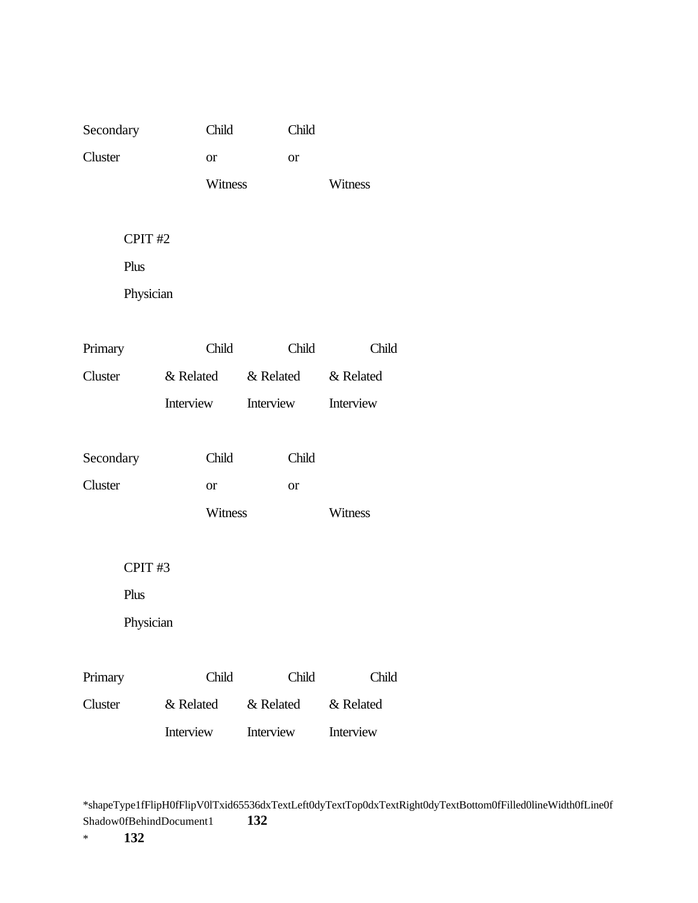| Secondary | Child     | Child     |           |  |  |  |
|-----------|-----------|-----------|-----------|--|--|--|
| Cluster   | <b>or</b> | <b>or</b> |           |  |  |  |
|           | Witness   |           | Witness   |  |  |  |
|           |           |           |           |  |  |  |
| CPIT #2   |           |           |           |  |  |  |
| Plus      |           |           |           |  |  |  |
| Physician |           |           |           |  |  |  |
|           |           |           |           |  |  |  |
| Primary   | Child     | Child     | Child     |  |  |  |
| Cluster   | & Related | & Related | & Related |  |  |  |
|           | Interview | Interview | Interview |  |  |  |
|           |           |           |           |  |  |  |
| Secondary | Child     | Child     |           |  |  |  |
| Cluster   | <b>or</b> | <b>or</b> |           |  |  |  |
|           | Witness   |           | Witness   |  |  |  |
|           |           |           |           |  |  |  |
| CPIT#3    |           |           |           |  |  |  |
| Plus      |           |           |           |  |  |  |
| Physician |           |           |           |  |  |  |
|           |           |           |           |  |  |  |
| Primary   | Child     | Child     | Child     |  |  |  |
| Cluster   | & Related | & Related | & Related |  |  |  |
|           | Interview | Interview | Interview |  |  |  |

\*shapeType1fFlipH0fFlipV0lTxid65536dxTextLeft0dyTextTop0dxTextRight0dyTextBottom0fFilled0lineWidth0fLine0f Shadow0fBehindDocument1 **132**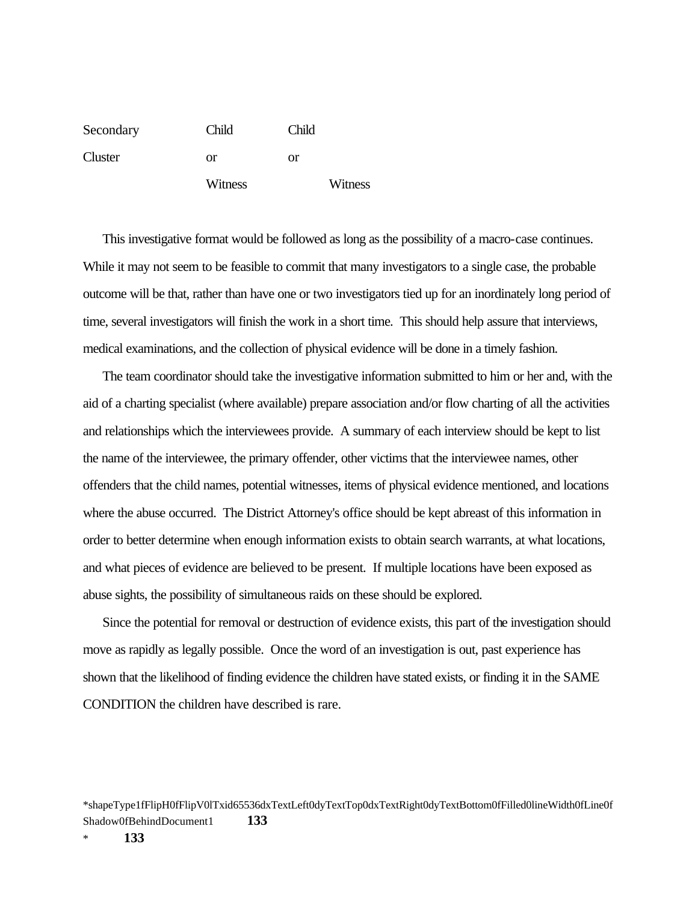|           | Witness |       | Witness |
|-----------|---------|-------|---------|
| Cluster   | or      | or    |         |
| Secondary | Child   | Child |         |

This investigative format would be followed as long as the possibility of a macro-case continues. While it may not seem to be feasible to commit that many investigators to a single case, the probable outcome will be that, rather than have one or two investigators tied up for an inordinately long period of time, several investigators will finish the work in a short time. This should help assure that interviews, medical examinations, and the collection of physical evidence will be done in a timely fashion.

The team coordinator should take the investigative information submitted to him or her and, with the aid of a charting specialist (where available) prepare association and/or flow charting of all the activities and relationships which the interviewees provide. A summary of each interview should be kept to list the name of the interviewee, the primary offender, other victims that the interviewee names, other offenders that the child names, potential witnesses, items of physical evidence mentioned, and locations where the abuse occurred. The District Attorney's office should be kept abreast of this information in order to better determine when enough information exists to obtain search warrants, at what locations, and what pieces of evidence are believed to be present. If multiple locations have been exposed as abuse sights, the possibility of simultaneous raids on these should be explored.

Since the potential for removal or destruction of evidence exists, this part of the investigation should move as rapidly as legally possible. Once the word of an investigation is out, past experience has shown that the likelihood of finding evidence the children have stated exists, or finding it in the SAME CONDITION the children have described is rare.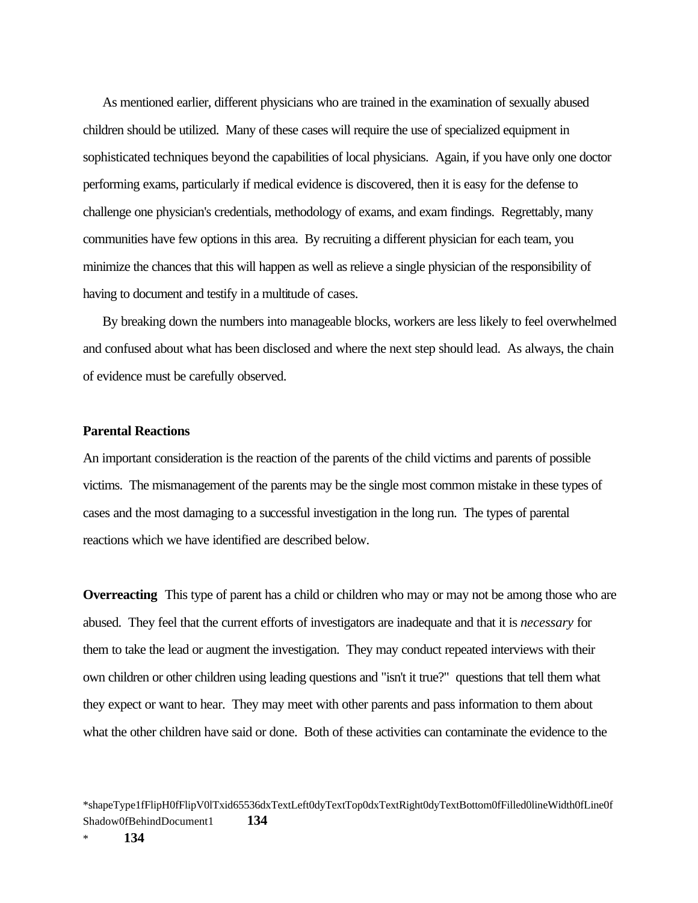As mentioned earlier, different physicians who are trained in the examination of sexually abused children should be utilized. Many of these cases will require the use of specialized equipment in sophisticated techniques beyond the capabilities of local physicians. Again, if you have only one doctor performing exams, particularly if medical evidence is discovered, then it is easy for the defense to challenge one physician's credentials, methodology of exams, and exam findings. Regrettably, many communities have few options in this area. By recruiting a different physician for each team, you minimize the chances that this will happen as well as relieve a single physician of the responsibility of having to document and testify in a multitude of cases.

By breaking down the numbers into manageable blocks, workers are less likely to feel overwhelmed and confused about what has been disclosed and where the next step should lead. As always, the chain of evidence must be carefully observed.

### **Parental Reactions**

An important consideration is the reaction of the parents of the child victims and parents of possible victims. The mismanagement of the parents may be the single most common mistake in these types of cases and the most damaging to a successful investigation in the long run. The types of parental reactions which we have identified are described below.

**Overreacting** This type of parent has a child or children who may or may not be among those who are abused. They feel that the current efforts of investigators are inadequate and that it is *necessary* for them to take the lead or augment the investigation. They may conduct repeated interviews with their own children or other children using leading questions and "isn't it true?" questions that tell them what they expect or want to hear. They may meet with other parents and pass information to them about what the other children have said or done. Both of these activities can contaminate the evidence to the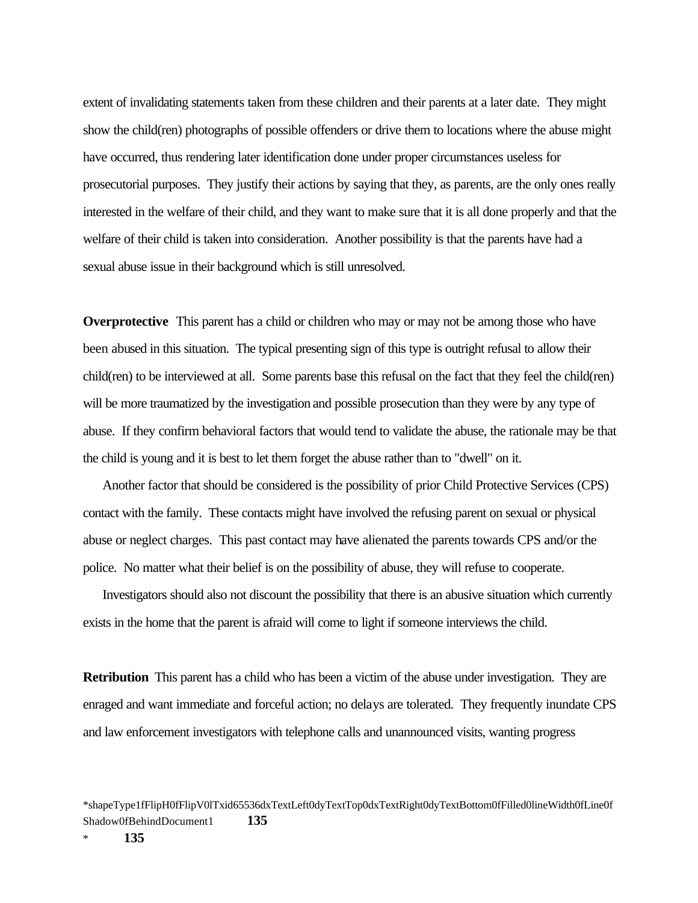extent of invalidating statements taken from these children and their parents at a later date. They might show the child(ren) photographs of possible offenders or drive them to locations where the abuse might have occurred, thus rendering later identification done under proper circumstances useless for prosecutorial purposes. They justify their actions by saying that they, as parents, are the only ones really interested in the welfare of their child, and they want to make sure that it is all done properly and that the welfare of their child is taken into consideration. Another possibility is that the parents have had a sexual abuse issue in their background which is still unresolved.

**Overprotective** This parent has a child or children who may or may not be among those who have been abused in this situation. The typical presenting sign of this type is outright refusal to allow their child(ren) to be interviewed at all. Some parents base this refusal on the fact that they feel the child(ren) will be more traumatized by the investigation and possible prosecution than they were by any type of abuse. If they confirm behavioral factors that would tend to validate the abuse, the rationale may be that the child is young and it is best to let them forget the abuse rather than to "dwell" on it.

Another factor that should be considered is the possibility of prior Child Protective Services (CPS) contact with the family. These contacts might have involved the refusing parent on sexual or physical abuse or neglect charges. This past contact may have alienated the parents towards CPS and/or the police. No matter what their belief is on the possibility of abuse, they will refuse to cooperate.

Investigators should also not discount the possibility that there is an abusive situation which currently exists in the home that the parent is afraid will come to light if someone interviews the child.

**Retribution** This parent has a child who has been a victim of the abuse under investigation. They are enraged and want immediate and forceful action; no delays are tolerated. They frequently inundate CPS and law enforcement investigators with telephone calls and unannounced visits, wanting progress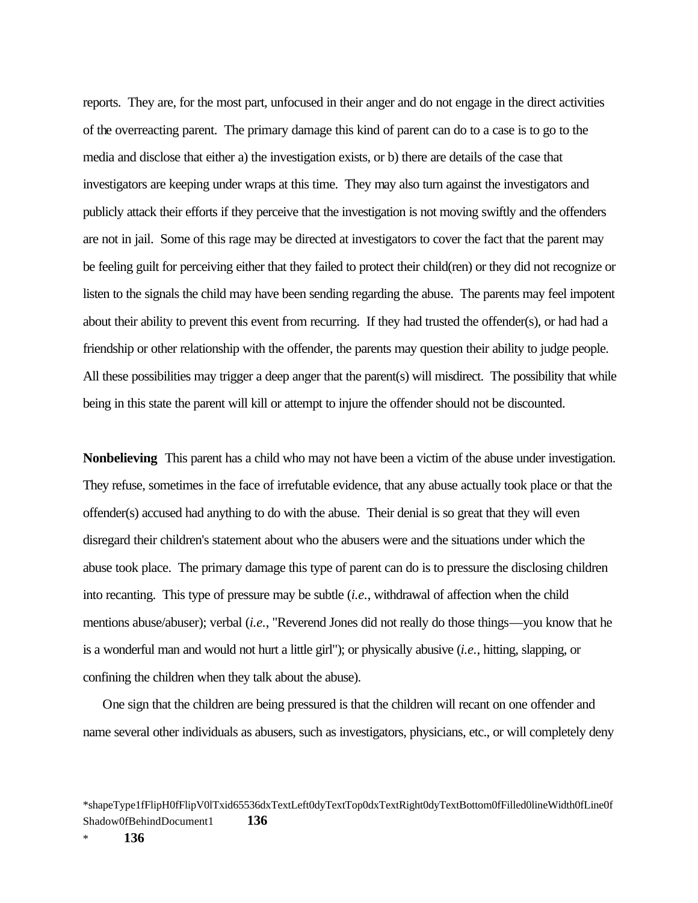reports. They are, for the most part, unfocused in their anger and do not engage in the direct activities of the overreacting parent. The primary damage this kind of parent can do to a case is to go to the media and disclose that either a) the investigation exists, or b) there are details of the case that investigators are keeping under wraps at this time. They may also turn against the investigators and publicly attack their efforts if they perceive that the investigation is not moving swiftly and the offenders are not in jail. Some of this rage may be directed at investigators to cover the fact that the parent may be feeling guilt for perceiving either that they failed to protect their child(ren) or they did not recognize or listen to the signals the child may have been sending regarding the abuse. The parents may feel impotent about their ability to prevent this event from recurring. If they had trusted the offender(s), or had had a friendship or other relationship with the offender, the parents may question their ability to judge people. All these possibilities may trigger a deep anger that the parent(s) will misdirect. The possibility that while being in this state the parent will kill or attempt to injure the offender should not be discounted.

**Nonbelieving** This parent has a child who may not have been a victim of the abuse under investigation. They refuse, sometimes in the face of irrefutable evidence, that any abuse actually took place or that the offender(s) accused had anything to do with the abuse. Their denial is so great that they will even disregard their children's statement about who the abusers were and the situations under which the abuse took place. The primary damage this type of parent can do is to pressure the disclosing children into recanting. This type of pressure may be subtle (*i.e.*, withdrawal of affection when the child mentions abuse/abuser); verbal (*i.e.*, "Reverend Jones did not really do those things—you know that he is a wonderful man and would not hurt a little girl"); or physically abusive (*i.e.*, hitting, slapping, or confining the children when they talk about the abuse).

One sign that the children are being pressured is that the children will recant on one offender and name several other individuals as abusers, such as investigators, physicians, etc., or will completely deny

\*shapeType1fFlipH0fFlipV0lTxid65536dxTextLeft0dyTextTop0dxTextRight0dyTextBottom0fFilled0lineWidth0fLine0f Shadow0fBehindDocument1 **136**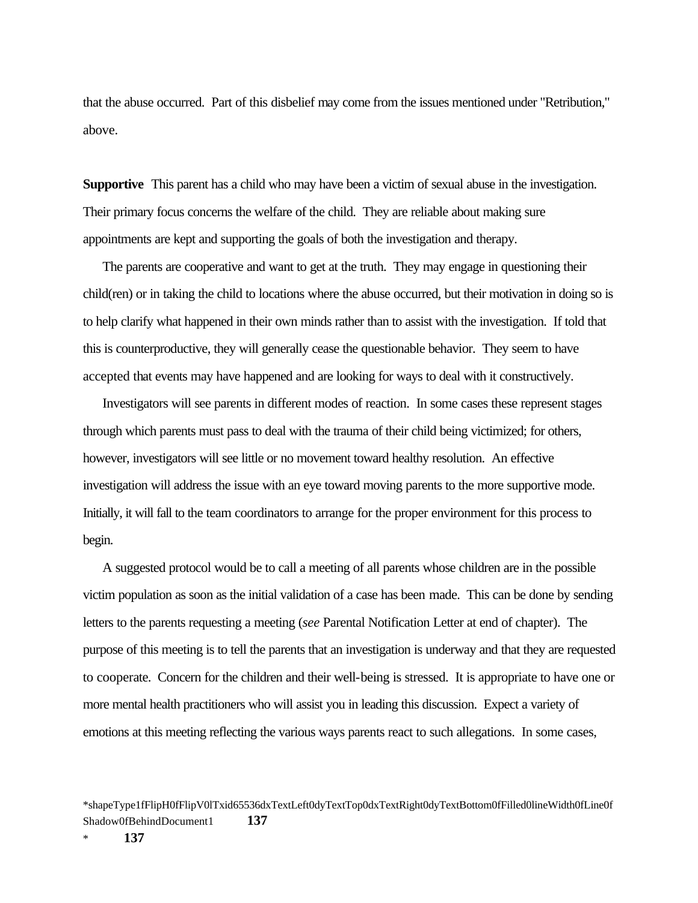that the abuse occurred. Part of this disbelief may come from the issues mentioned under "Retribution," above.

**Supportive** This parent has a child who may have been a victim of sexual abuse in the investigation. Their primary focus concerns the welfare of the child. They are reliable about making sure appointments are kept and supporting the goals of both the investigation and therapy.

The parents are cooperative and want to get at the truth. They may engage in questioning their child(ren) or in taking the child to locations where the abuse occurred, but their motivation in doing so is to help clarify what happened in their own minds rather than to assist with the investigation. If told that this is counterproductive, they will generally cease the questionable behavior. They seem to have accepted that events may have happened and are looking for ways to deal with it constructively.

Investigators will see parents in different modes of reaction. In some cases these represent stages through which parents must pass to deal with the trauma of their child being victimized; for others, however, investigators will see little or no movement toward healthy resolution. An effective investigation will address the issue with an eye toward moving parents to the more supportive mode. Initially, it will fall to the team coordinators to arrange for the proper environment for this process to begin.

A suggested protocol would be to call a meeting of all parents whose children are in the possible victim population as soon as the initial validation of a case has been made. This can be done by sending letters to the parents requesting a meeting (*see* Parental Notification Letter at end of chapter). The purpose of this meeting is to tell the parents that an investigation is underway and that they are requested to cooperate. Concern for the children and their well-being is stressed. It is appropriate to have one or more mental health practitioners who will assist you in leading this discussion. Expect a variety of emotions at this meeting reflecting the various ways parents react to such allegations. In some cases,

<sup>\*</sup>shapeType1fFlipH0fFlipV0lTxid65536dxTextLeft0dyTextTop0dxTextRight0dyTextBottom0fFilled0lineWidth0fLine0f Shadow0fBehindDocument1 **137**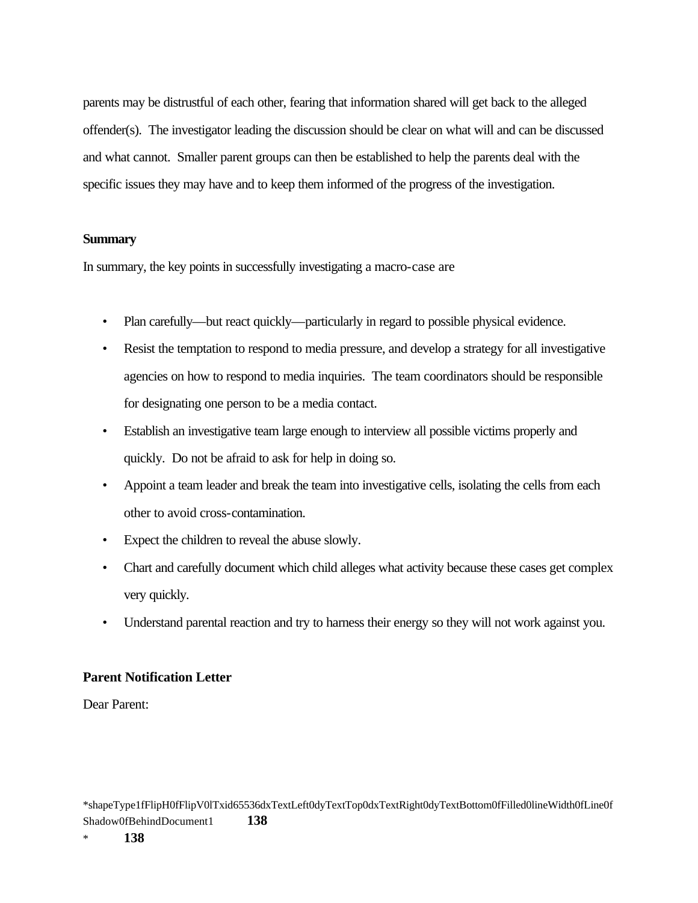parents may be distrustful of each other, fearing that information shared will get back to the alleged offender(s). The investigator leading the discussion should be clear on what will and can be discussed and what cannot. Smaller parent groups can then be established to help the parents deal with the specific issues they may have and to keep them informed of the progress of the investigation.

# **Summary**

In summary, the key points in successfully investigating a macro-case are

- Plan carefully—but react quickly—particularly in regard to possible physical evidence.
- Resist the temptation to respond to media pressure, and develop a strategy for all investigative agencies on how to respond to media inquiries. The team coordinators should be responsible for designating one person to be a media contact.
- Establish an investigative team large enough to interview all possible victims properly and quickly. Do not be afraid to ask for help in doing so.
- Appoint a team leader and break the team into investigative cells, isolating the cells from each other to avoid cross-contamination.
- Expect the children to reveal the abuse slowly.
- Chart and carefully document which child alleges what activity because these cases get complex very quickly.
- Understand parental reaction and try to harness their energy so they will not work against you.

# **Parent Notification Letter**

Dear Parent:

\*shapeType1fFlipH0fFlipV0lTxid65536dxTextLeft0dyTextTop0dxTextRight0dyTextBottom0fFilled0lineWidth0fLine0f Shadow0fBehindDocument1 **138**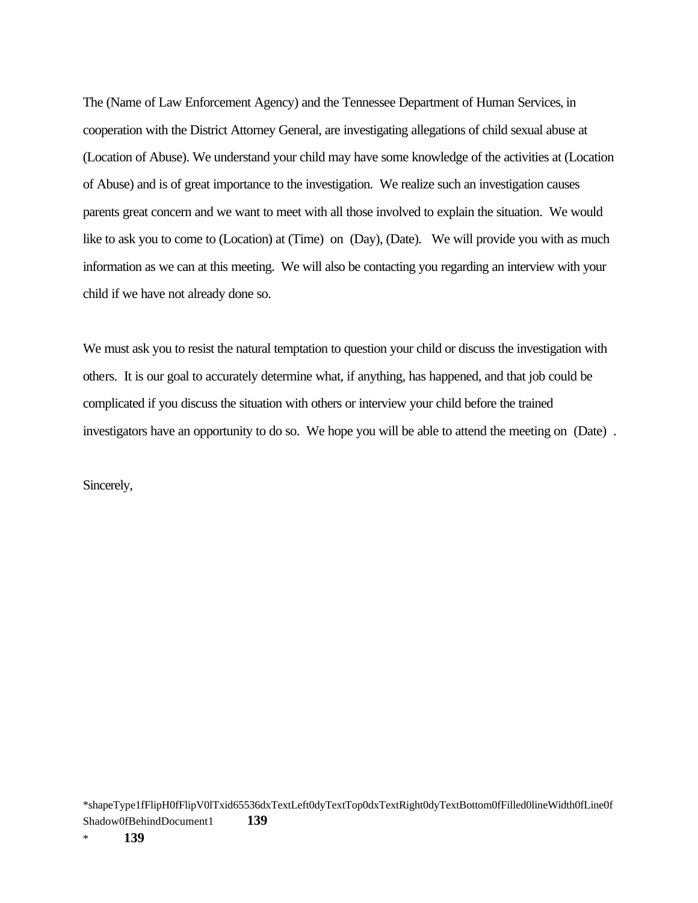The (Name of Law Enforcement Agency) and the Tennessee Department of Human Services, in cooperation with the District Attorney General, are investigating allegations of child sexual abuse at (Location of Abuse). We understand your child may have some knowledge of the activities at (Location of Abuse) and is of great importance to the investigation. We realize such an investigation causes parents great concern and we want to meet with all those involved to explain the situation. We would like to ask you to come to (Location) at (Time) on (Day), (Date). We will provide you with as much information as we can at this meeting. We will also be contacting you regarding an interview with your child if we have not already done so.

We must ask you to resist the natural temptation to question your child or discuss the investigation with others. It is our goal to accurately determine what, if anything, has happened, and that job could be complicated if you discuss the situation with others or interview your child before the trained investigators have an opportunity to do so. We hope you will be able to attend the meeting on (Date) .

Sincerely,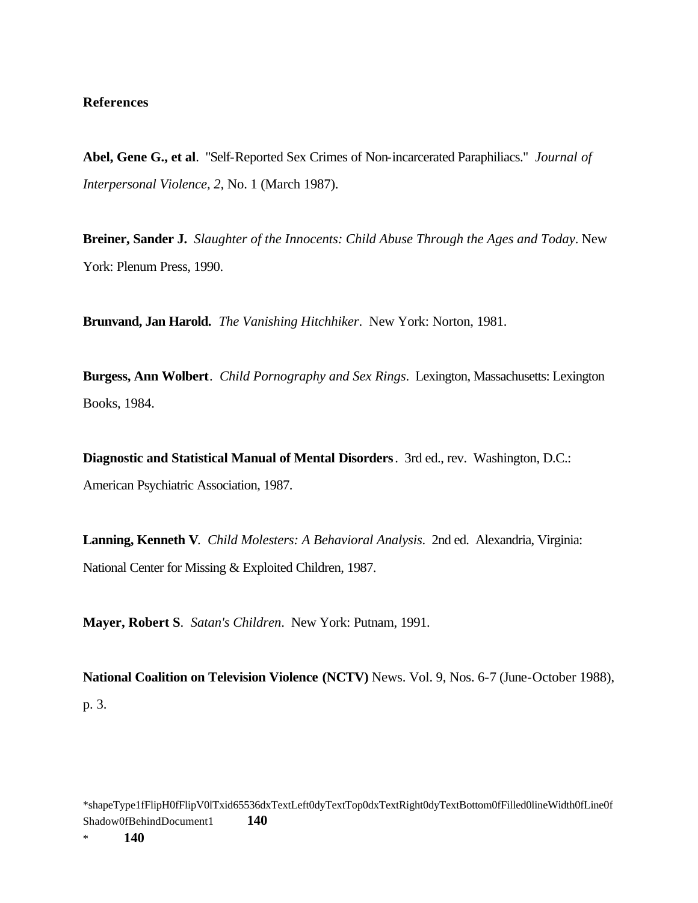# **References**

**Abel, Gene G., et al**. "Self-Reported Sex Crimes of Non-incarcerated Paraphiliacs." *Journal of Interpersonal Violence, 2,* No. 1 (March 1987).

**Breiner, Sander J.** *Slaughter of the Innocents: Child Abuse Through the Ages and Today*. New York: Plenum Press, 1990.

**Brunvand, Jan Harold.** *The Vanishing Hitchhiker*. New York: Norton, 1981.

**Burgess, Ann Wolbert**. *Child Pornography and Sex Rings*. Lexington, Massachusetts: Lexington Books, 1984.

**Diagnostic and Statistical Manual of Mental Disorders**. 3rd ed., rev. Washington, D.C.: American Psychiatric Association, 1987.

**Lanning, Kenneth V**. *Child Molesters: A Behavioral Analysis*. 2nd ed. Alexandria, Virginia: National Center for Missing & Exploited Children, 1987.

**Mayer, Robert S**. *Satan's Children*. New York: Putnam, 1991.

**National Coalition on Television Violence (NCTV)** News. Vol. 9, Nos. 6-7 (June-October 1988), p. 3.

\*shapeType1fFlipH0fFlipV0lTxid65536dxTextLeft0dyTextTop0dxTextRight0dyTextBottom0fFilled0lineWidth0fLine0f Shadow0fBehindDocument1 **140**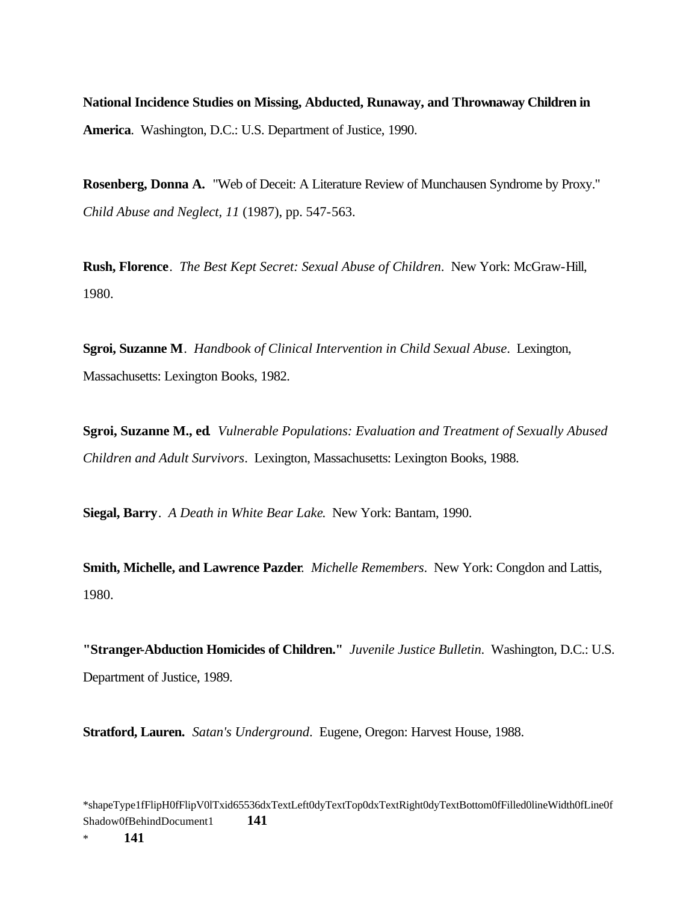**National Incidence Studies on Missing, Abducted, Runaway, and Thrownaway Children in America**. Washington, D.C.: U.S. Department of Justice, 1990.

**Rosenberg, Donna A.** "Web of Deceit: A Literature Review of Munchausen Syndrome by Proxy." *Child Abuse and Neglect, 11* (1987), pp. 547-563.

**Rush, Florence**. *The Best Kept Secret: Sexual Abuse of Children*. New York: McGraw-Hill, 1980.

**Sgroi, Suzanne M**. *Handbook of Clinical Intervention in Child Sexual Abuse*. Lexington, Massachusetts: Lexington Books, 1982.

**Sgroi, Suzanne M., ed**. *Vulnerable Populations: Evaluation and Treatment of Sexually Abused Children and Adult Survivors*. Lexington, Massachusetts: Lexington Books, 1988.

**Siegal, Barry**. *A Death in White Bear Lake*. New York: Bantam, 1990.

**Smith, Michelle, and Lawrence Pazder**. *Michelle Remembers*. New York: Congdon and Lattis, 1980.

**"Stranger-Abduction Homicides of Children."** *Juvenile Justice Bulletin*. Washington, D.C.: U.S. Department of Justice, 1989.

**Stratford, Lauren.** *Satan's Underground*. Eugene, Oregon: Harvest House, 1988.

\*shapeType1fFlipH0fFlipV0lTxid65536dxTextLeft0dyTextTop0dxTextRight0dyTextBottom0fFilled0lineWidth0fLine0f Shadow0fBehindDocument1 **141**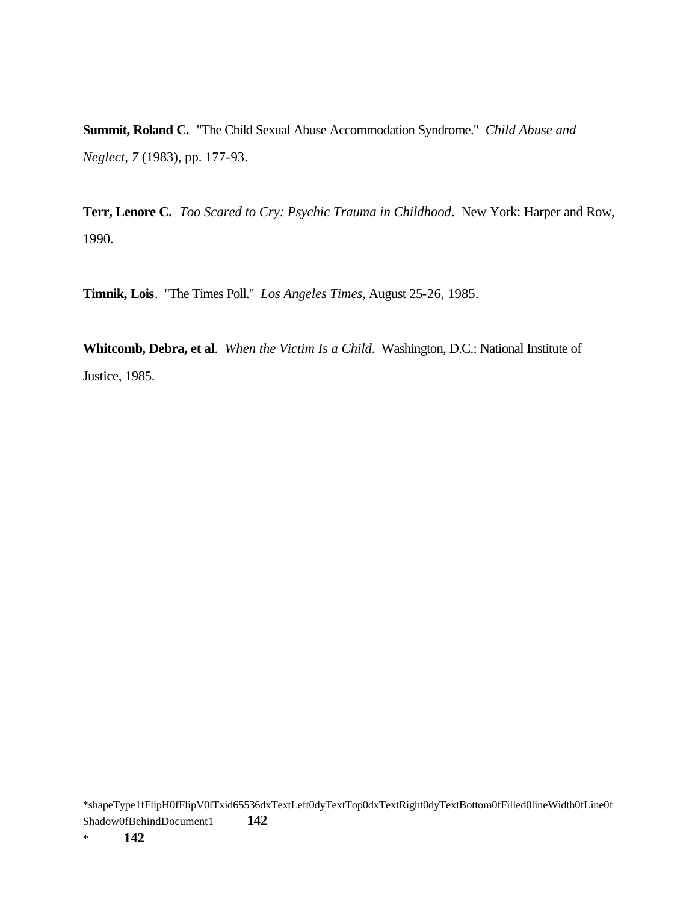**Summit, Roland C.** "The Child Sexual Abuse Accommodation Syndrome." *Child Abuse and Neglect, 7* (1983), pp. 177-93.

**Terr, Lenore C.** *Too Scared to Cry: Psychic Trauma in Childhood*. New York: Harper and Row, 1990.

**Timnik, Lois**. "The Times Poll." *Los Angeles Times*, August 25-26, 1985.

**Whitcomb, Debra, et al**. *When the Victim Is a Child*. Washington, D.C.: National Institute of Justice, 1985.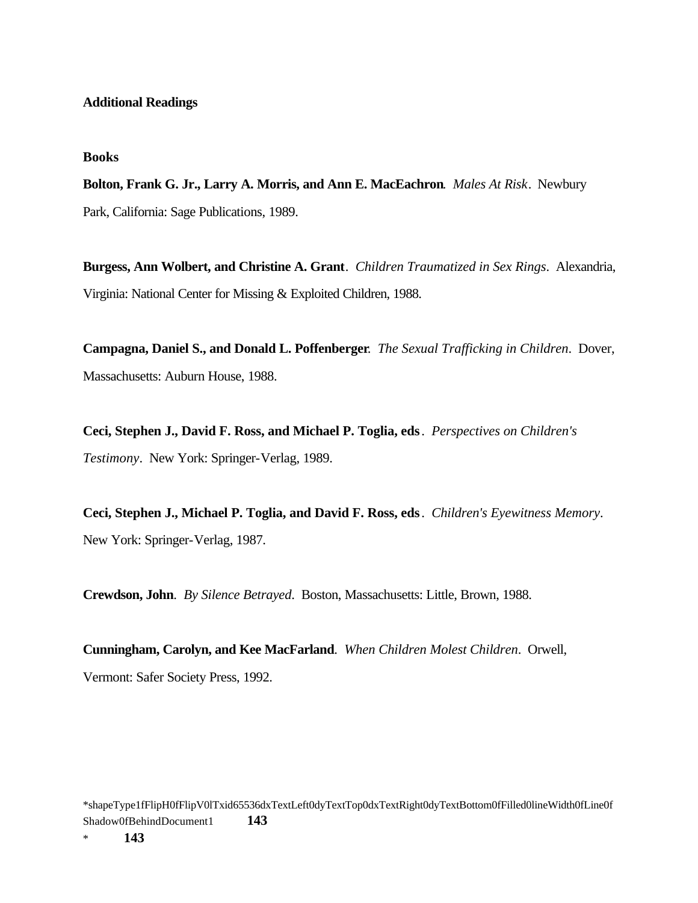# **Additional Readings**

## **Books**

**Bolton, Frank G. Jr., Larry A. Morris, and Ann E. MacEachron**. *Males At Risk*. Newbury Park, California: Sage Publications, 1989.

**Burgess, Ann Wolbert, and Christine A. Grant**. *Children Traumatized in Sex Rings*. Alexandria, Virginia: National Center for Missing & Exploited Children, 1988.

**Campagna, Daniel S., and Donald L. Poffenberger**. *The Sexual Trafficking in Children*. Dover, Massachusetts: Auburn House, 1988.

**Ceci, Stephen J., David F. Ross, and Michael P. Toglia, eds**. *Perspectives on Children's Testimony*. New York: Springer-Verlag, 1989.

**Ceci, Stephen J., Michael P. Toglia, and David F. Ross, eds**. *Children's Eyewitness Memory*. New York: Springer-Verlag, 1987.

**Crewdson, John**. *By Silence Betrayed*. Boston, Massachusetts: Little, Brown, 1988.

**Cunningham, Carolyn, and Kee MacFarland**. *When Children Molest Children*. Orwell, Vermont: Safer Society Press, 1992.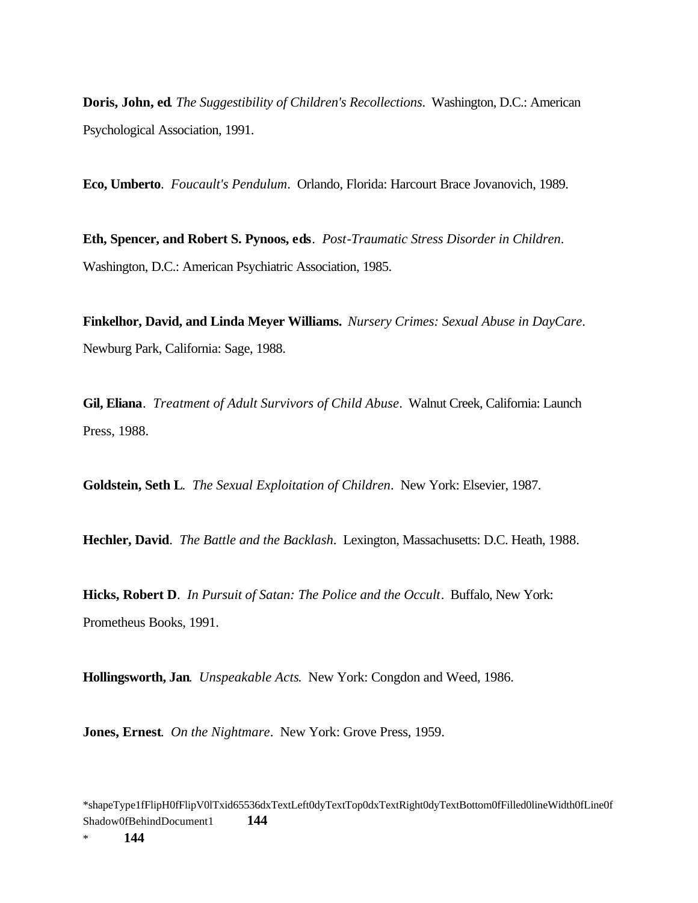**Doris, John, ed**. *The Suggestibility of Children's Recollections*. Washington, D.C.: American Psychological Association, 1991.

**Eco, Umberto**. *Foucault's Pendulum*. Orlando, Florida: Harcourt Brace Jovanovich, 1989.

**Eth, Spencer, and Robert S. Pynoos, eds**. *Post-Traumatic Stress Disorder in Children*. Washington, D.C.: American Psychiatric Association, 1985.

**Finkelhor, David, and Linda Meyer Williams.** *Nursery Crimes: Sexual Abuse in DayCare*. Newburg Park, California: Sage, 1988.

**Gil, Eliana**. *Treatment of Adult Survivors of Child Abuse*. Walnut Creek, California: Launch Press, 1988.

**Goldstein, Seth L**. *The Sexual Exploitation of Children*. New York: Elsevier, 1987.

**Hechler, David**. *The Battle and the Backlash*. Lexington, Massachusetts: D.C. Heath, 1988.

**Hicks, Robert D**. *In Pursuit of Satan: The Police and the Occult*. Buffalo, New York: Prometheus Books, 1991.

**Hollingsworth, Jan**. *Unspeakable Acts*. New York: Congdon and Weed, 1986.

**Jones, Ernest**. *On the Nightmare*. New York: Grove Press, 1959.

\*shapeType1fFlipH0fFlipV0lTxid65536dxTextLeft0dyTextTop0dxTextRight0dyTextBottom0fFilled0lineWidth0fLine0f Shadow0fBehindDocument1 **144**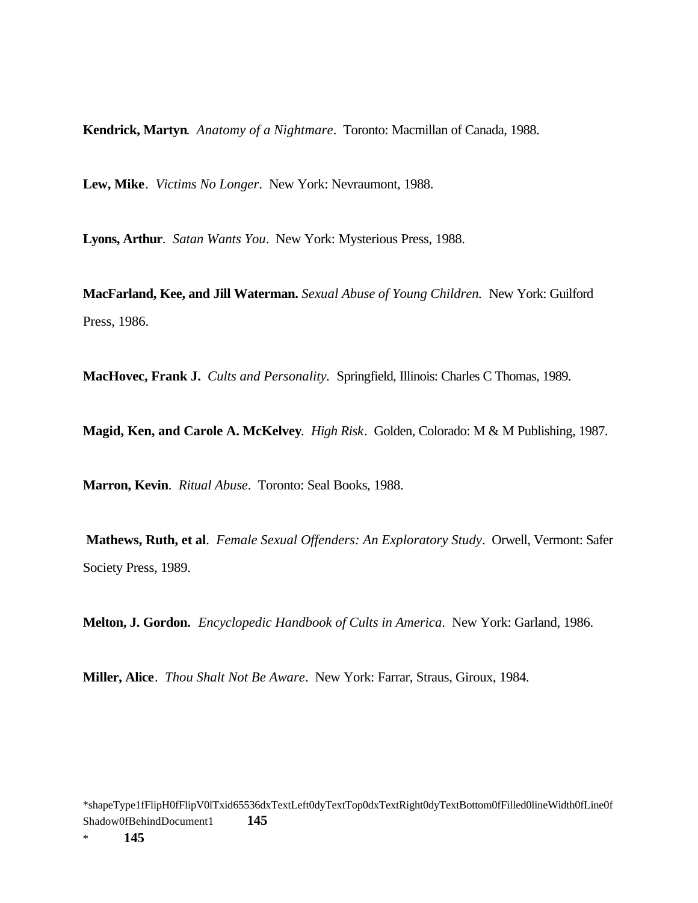**Kendrick, Martyn**. *Anatomy of a Nightmare*. Toronto: Macmillan of Canada, 1988.

**Lew, Mike**. *Victims No Longer*. New York: Nevraumont, 1988.

**Lyons, Arthur**. *Satan Wants You*. New York: Mysterious Press, 1988.

**MacFarland, Kee, and Jill Waterman.** *Sexual Abuse of Young Children.* New York: Guilford Press, 1986.

**MacHovec, Frank J.** *Cults and Personality.* Springfield, Illinois: Charles C Thomas, 1989.

**Magid, Ken, and Carole A. McKelvey**. *High Risk*. Golden, Colorado: M & M Publishing, 1987.

**Marron, Kevin**. *Ritual Abuse*. Toronto: Seal Books, 1988.

 **Mathews, Ruth, et al**. *Female Sexual Offenders: An Exploratory Study*. Orwell, Vermont: Safer Society Press, 1989.

**Melton, J. Gordon.** *Encyclopedic Handbook of Cults in America*. New York: Garland, 1986.

**Miller, Alice**. *Thou Shalt Not Be Aware*. New York: Farrar, Straus, Giroux, 1984.

\*shapeType1fFlipH0fFlipV0lTxid65536dxTextLeft0dyTextTop0dxTextRight0dyTextBottom0fFilled0lineWidth0fLine0f Shadow0fBehindDocument1 **145**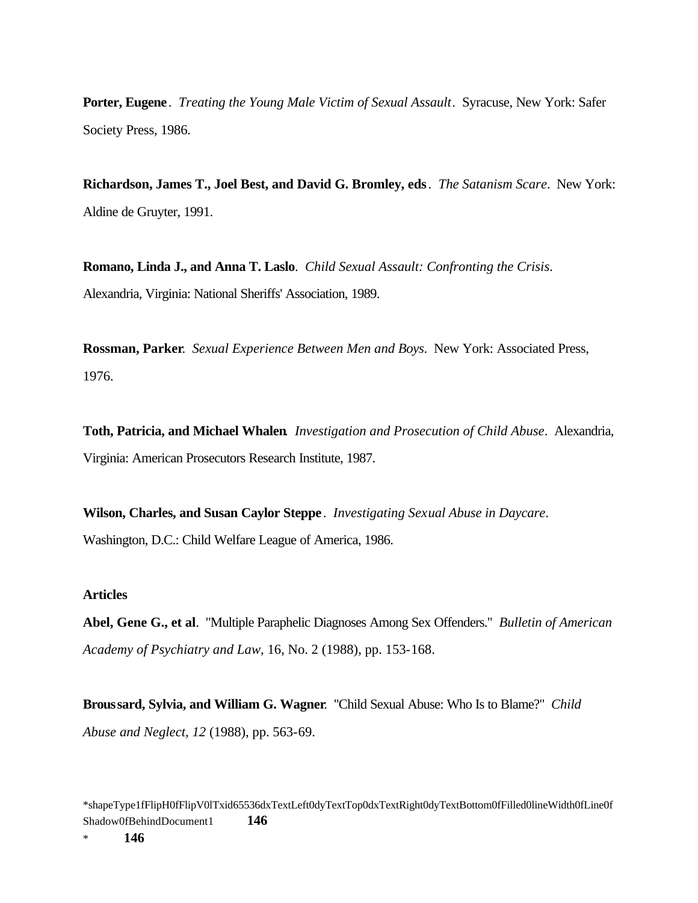**Porter, Eugene**. *Treating the Young Male Victim of Sexual Assault*. Syracuse, New York: Safer Society Press, 1986.

**Richardson, James T., Joel Best, and David G. Bromley, eds**. *The Satanism Scare*. New York: Aldine de Gruyter, 1991.

**Romano, Linda J., and Anna T. Laslo**. *Child Sexual Assault: Confronting the Crisis*. Alexandria, Virginia: National Sheriffs' Association, 1989.

**Rossman, Parker**. *Sexual Experience Between Men and Boys*. New York: Associated Press, 1976.

**Toth, Patricia, and Michael Whalen**. *Investigation and Prosecution of Child Abuse*. Alexandria, Virginia: American Prosecutors Research Institute, 1987.

**Wilson, Charles, and Susan Caylor Steppe**. *Investigating Sexual Abuse in Daycare*. Washington, D.C.: Child Welfare League of America, 1986.

## **Articles**

**Abel, Gene G., et al**. "Multiple Paraphelic Diagnoses Among Sex Offenders." *Bulletin of American Academy of Psychiatry and Law*, 16, No. 2 (1988), pp. 153-168.

**Broussard, Sylvia, and William G. Wagner**. "Child Sexual Abuse: Who Is to Blame?" *Child Abuse and Neglect, 12* (1988), pp. 563-69.

\*shapeType1fFlipH0fFlipV0lTxid65536dxTextLeft0dyTextTop0dxTextRight0dyTextBottom0fFilled0lineWidth0fLine0f Shadow0fBehindDocument1 **146**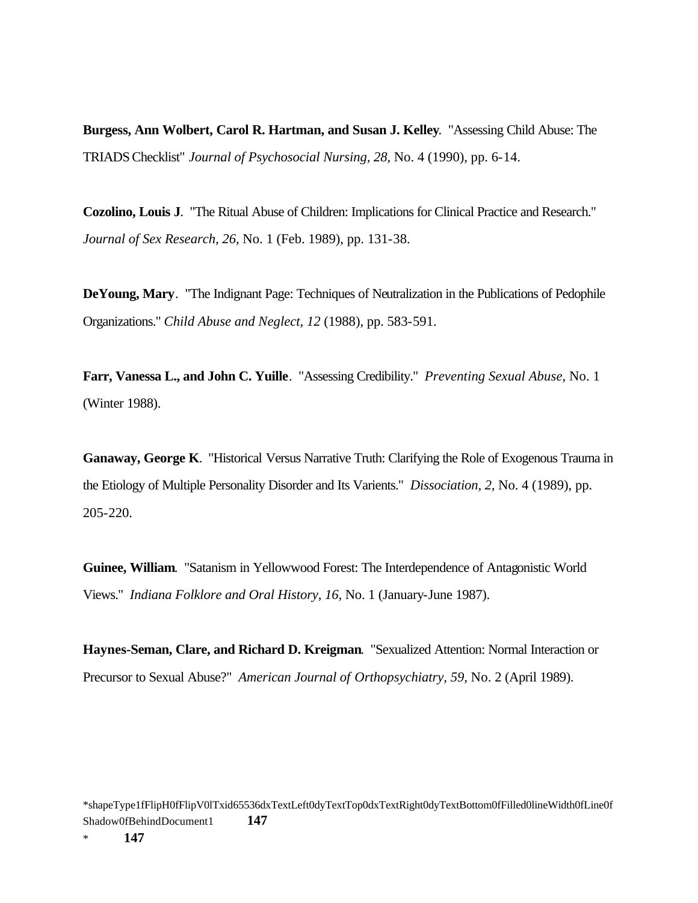**Burgess, Ann Wolbert, Carol R. Hartman, and Susan J. Kelley**. "Assessing Child Abuse: The TRIADS Checklist" *Journal of Psychosocial Nursing, 28,* No. 4 (1990), pp. 6-14.

**Cozolino, Louis J**. "The Ritual Abuse of Children: Implications for Clinical Practice and Research." *Journal of Sex Research, 26,* No. 1 (Feb. 1989), pp. 131-38.

**DeYoung, Mary**. "The Indignant Page: Techniques of Neutralization in the Publications of Pedophile Organizations." *Child Abuse and Neglect, 12* (1988), pp. 583-591.

**Farr, Vanessa L., and John C. Yuille**. "Assessing Credibility." *Preventing Sexual Abuse*, No. 1 (Winter 1988).

**Ganaway, George K**. "Historical Versus Narrative Truth: Clarifying the Role of Exogenous Trauma in the Etiology of Multiple Personality Disorder and Its Varients." *Dissociation, 2,* No. 4 (1989), pp. 205-220.

**Guinee, William**. "Satanism in Yellowwood Forest: The Interdependence of Antagonistic World Views." *Indiana Folklore and Oral History, 16,* No. 1 (January-June 1987).

**Haynes-Seman, Clare, and Richard D. Kreigman**. "Sexualized Attention: Normal Interaction or Precursor to Sexual Abuse?" *American Journal of Orthopsychiatry, 59,* No. 2 (April 1989).

\*shapeType1fFlipH0fFlipV0lTxid65536dxTextLeft0dyTextTop0dxTextRight0dyTextBottom0fFilled0lineWidth0fLine0f Shadow0fBehindDocument1 **147**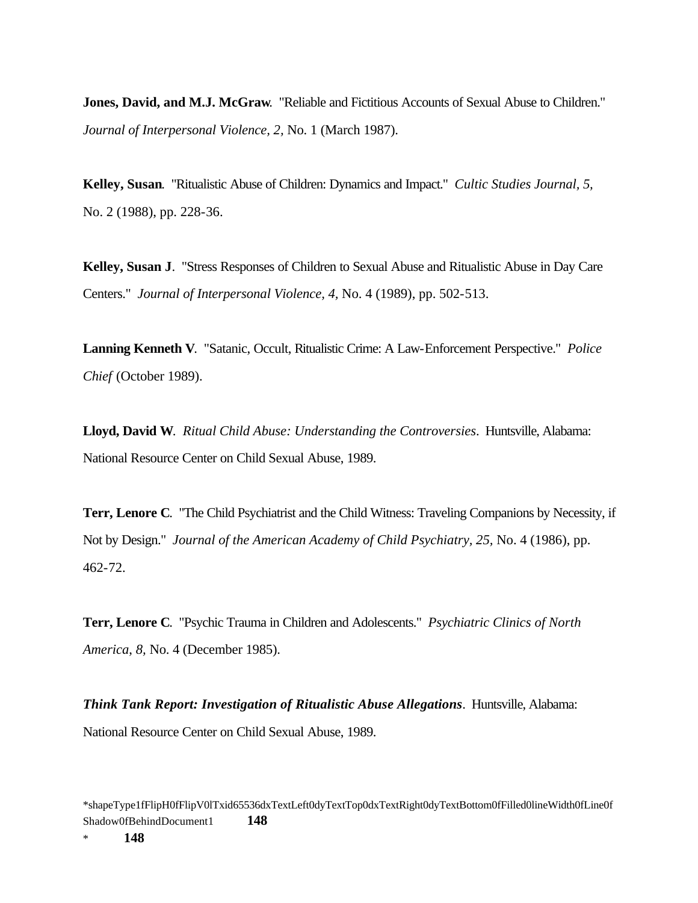**Jones, David, and M.J. McGraw**. "Reliable and Fictitious Accounts of Sexual Abuse to Children." *Journal of Interpersonal Violence, 2,* No. 1 (March 1987).

**Kelley, Susan**. "Ritualistic Abuse of Children: Dynamics and Impact." *Cultic Studies Journal, 5,* No. 2 (1988), pp. 228-36.

**Kelley, Susan J**. "Stress Responses of Children to Sexual Abuse and Ritualistic Abuse in Day Care Centers." *Journal of Interpersonal Violence, 4,* No. 4 (1989), pp. 502-513.

**Lanning Kenneth V**. "Satanic, Occult, Ritualistic Crime: A Law-Enforcement Perspective." *Police Chief* (October 1989).

**Lloyd, David W**. *Ritual Child Abuse: Understanding the Controversies*. Huntsville, Alabama: National Resource Center on Child Sexual Abuse, 1989.

**Terr, Lenore C**. "The Child Psychiatrist and the Child Witness: Traveling Companions by Necessity, if Not by Design." *Journal of the American Academy of Child Psychiatry, 25,* No. 4 (1986), pp. 462-72.

**Terr, Lenore C**. "Psychic Trauma in Children and Adolescents." *Psychiatric Clinics of North America*, *8,* No. 4 (December 1985).

*Think Tank Report: Investigation of Ritualistic Abuse Allegations*. Huntsville, Alabama: National Resource Center on Child Sexual Abuse, 1989.

\*shapeType1fFlipH0fFlipV0lTxid65536dxTextLeft0dyTextTop0dxTextRight0dyTextBottom0fFilled0lineWidth0fLine0f Shadow0fBehindDocument1 **148**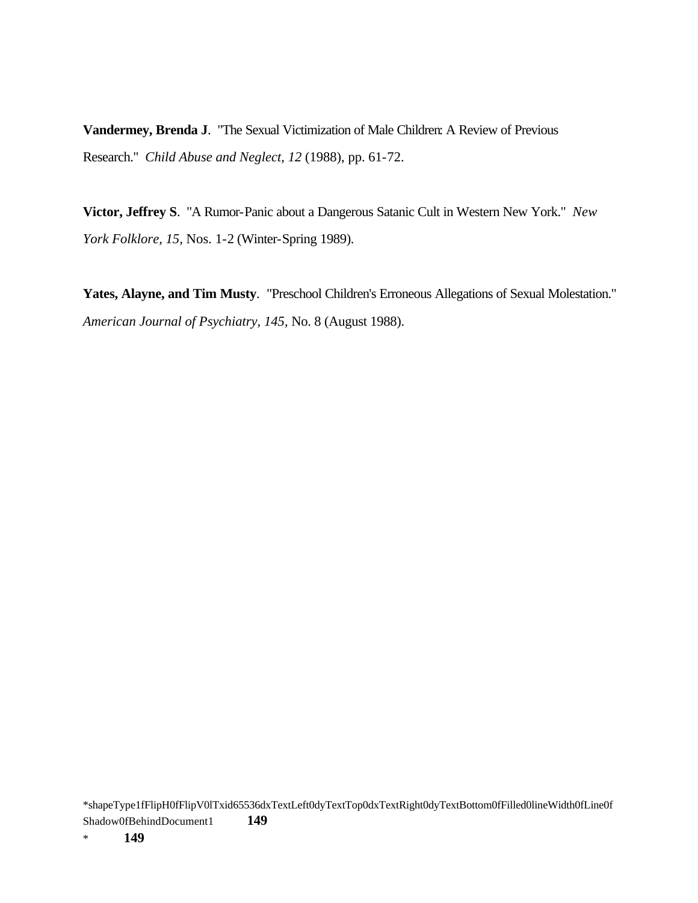**Vandermey, Brenda J**. "The Sexual Victimization of Male Children: A Review of Previous Research." *Child Abuse and Neglect, 12* (1988), pp. 61-72.

**Victor, Jeffrey S**. "A Rumor-Panic about a Dangerous Satanic Cult in Western New York." *New York Folklore, 15,* Nos. 1-2 (Winter-Spring 1989).

**Yates, Alayne, and Tim Musty**. "Preschool Children's Erroneous Allegations of Sexual Molestation." *American Journal of Psychiatry, 145,* No. 8 (August 1988).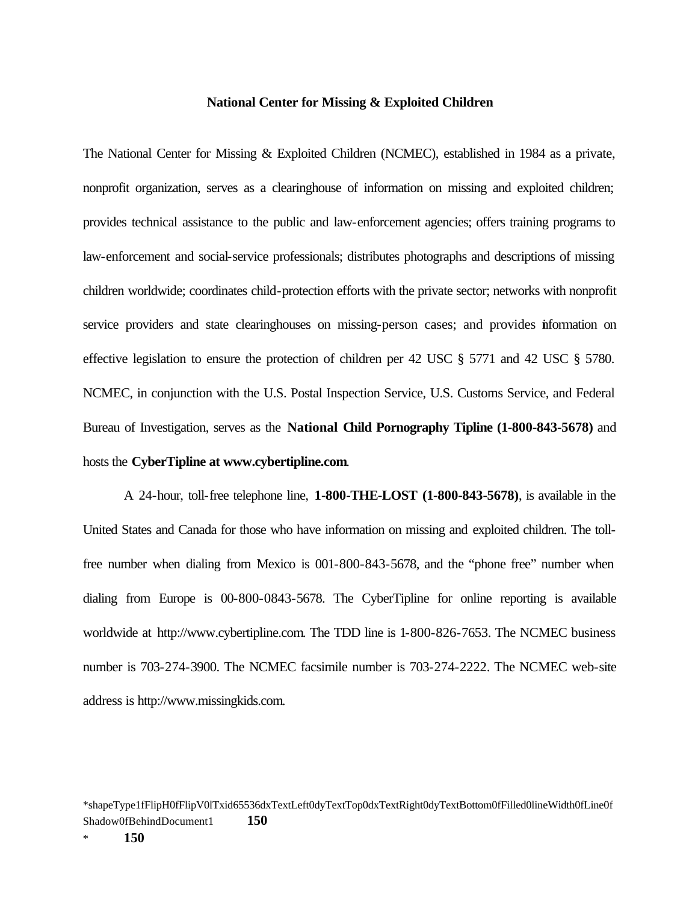## **National Center for Missing & Exploited Children**

The National Center for Missing & Exploited Children (NCMEC), established in 1984 as a private, nonprofit organization, serves as a clearinghouse of information on missing and exploited children; provides technical assistance to the public and law-enforcement agencies; offers training programs to law-enforcement and social-service professionals; distributes photographs and descriptions of missing children worldwide; coordinates child-protection efforts with the private sector; networks with nonprofit service providers and state clearinghouses on missing-person cases; and provides information on effective legislation to ensure the protection of children per 42 USC § 5771 and 42 USC § 5780. NCMEC, in conjunction with the U.S. Postal Inspection Service, U.S. Customs Service, and Federal Bureau of Investigation, serves as the **National Child Pornography Tipline (1-800-843-5678)** and hosts the **CyberTipline at www.cybertipline.com**.

A 24-hour, toll-free telephone line, **1-800-THE-LOST (1-800-843-5678)**, is available in the United States and Canada for those who have information on missing and exploited children. The tollfree number when dialing from Mexico is 001-800-843-5678, and the "phone free" number when dialing from Europe is 00-800-0843-5678. The CyberTipline for online reporting is available worldwide at http://www.cybertipline.com. The TDD line is 1-800-826-7653. The NCMEC business number is 703-274-3900. The NCMEC facsimile number is 703-274-2222. The NCMEC web-site address is http://www.missingkids.com.

\*shapeType1fFlipH0fFlipV0lTxid65536dxTextLeft0dyTextTop0dxTextRight0dyTextBottom0fFilled0lineWidth0fLine0f Shadow0fBehindDocument1 **150**